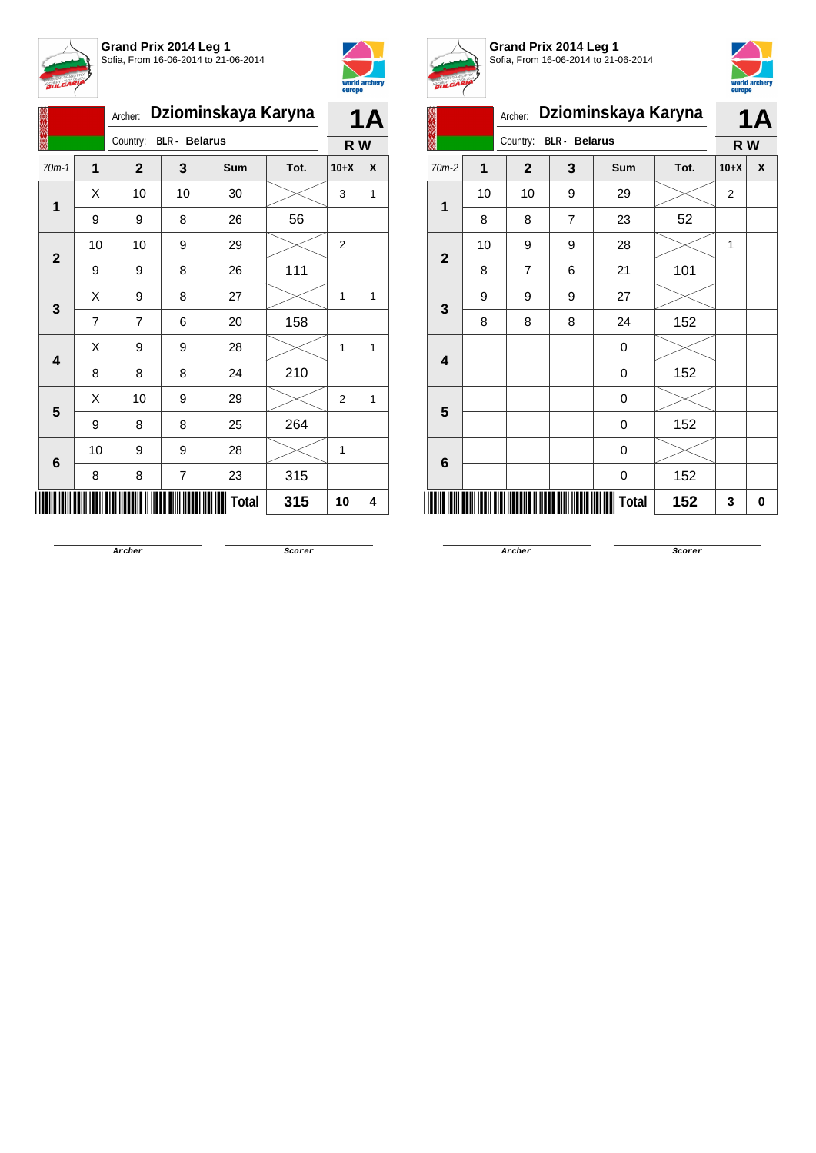



|                         |                | Archer:                          |                         | Dziominskaya Karyna |      |                | <b>1A</b> |
|-------------------------|----------------|----------------------------------|-------------------------|---------------------|------|----------------|-----------|
|                         |                | Country:<br><b>BLR</b> - Belarus |                         |                     |      |                | R W       |
| $70m-1$                 | 1              | $\mathbf{2}$                     | 3                       | Sum                 | Tot. | $10+X$         | X         |
| 1                       | X              | 10                               | 10                      | 30                  |      | 3              | 1         |
|                         | 9              | 9                                | 8                       | 26                  | 56   |                |           |
| $\mathbf{2}$            | 10             | 10                               | 9                       | 29                  |      | $\overline{2}$ |           |
|                         | 9              | 9                                | 8                       | 26                  | 111  |                |           |
| 3                       | X              | 9                                | 8                       | 27                  |      | 1              | 1         |
|                         | $\overline{7}$ | $\overline{7}$                   | 6                       | 20                  | 158  |                |           |
| $\overline{\mathbf{4}}$ | X              | 9                                | 9                       | 28                  |      | 1              | 1         |
|                         | 8              | 8                                | 8                       | 24                  | 210  |                |           |
| 5                       | Χ              | 10                               | 9                       | 29                  |      | $\overline{2}$ | 1         |
|                         | 9              | 8                                | 8                       | 25                  | 264  |                |           |
| 6                       | 10             | 9                                | 9                       | 28                  |      | 1              |           |
|                         | 8              | 8                                | $\overline{\mathbf{7}}$ | 23                  | 315  |                |           |
|                         |                |                                  |                         | <b>Total</b>        | 315  | 10             | 4         |



**Grand Prix 2014 Leg 1** Sofia, From 16-06-2014 to 21-06-2014



| <b>BULGAR</b> |    |                                  |                | europe              | world archery |                |           |
|---------------|----|----------------------------------|----------------|---------------------|---------------|----------------|-----------|
|               |    | Archer:                          |                | Dziominskaya Karyna |               |                | <b>1A</b> |
|               |    | <b>BLR</b> - Belarus<br>Country: |                |                     |               | R W            |           |
| 70m-2         | 1  | $\mathbf{2}$                     | 3              | Sum                 | Tot.          | $10+X$         | X         |
| 1             | 10 | 10                               | 9              | 29                  |               | $\overline{2}$ |           |
|               | 8  | 8                                | $\overline{7}$ | 23                  | 52            |                |           |
| $\mathbf{2}$  | 10 | 9                                | 9              | 28                  |               | 1              |           |
|               | 8  | 7                                | 6              | 21                  | 101           |                |           |
| 3             | 9  | 9                                | 9              | 27                  |               |                |           |
|               | 8  | 8                                | 8              | 24                  | 152           |                |           |
| 4             |    |                                  |                | 0                   |               |                |           |
|               |    |                                  |                | 0                   | 152           |                |           |
| 5             |    |                                  |                | 0                   |               |                |           |
|               |    |                                  |                | 0                   | 152           |                |           |
| 6             |    |                                  |                | 0                   |               |                |           |
|               |    |                                  |                | 0                   | 152           |                |           |
|               |    |                                  |                | Total               | 152           | 3              | 0         |

**Archer Scorer**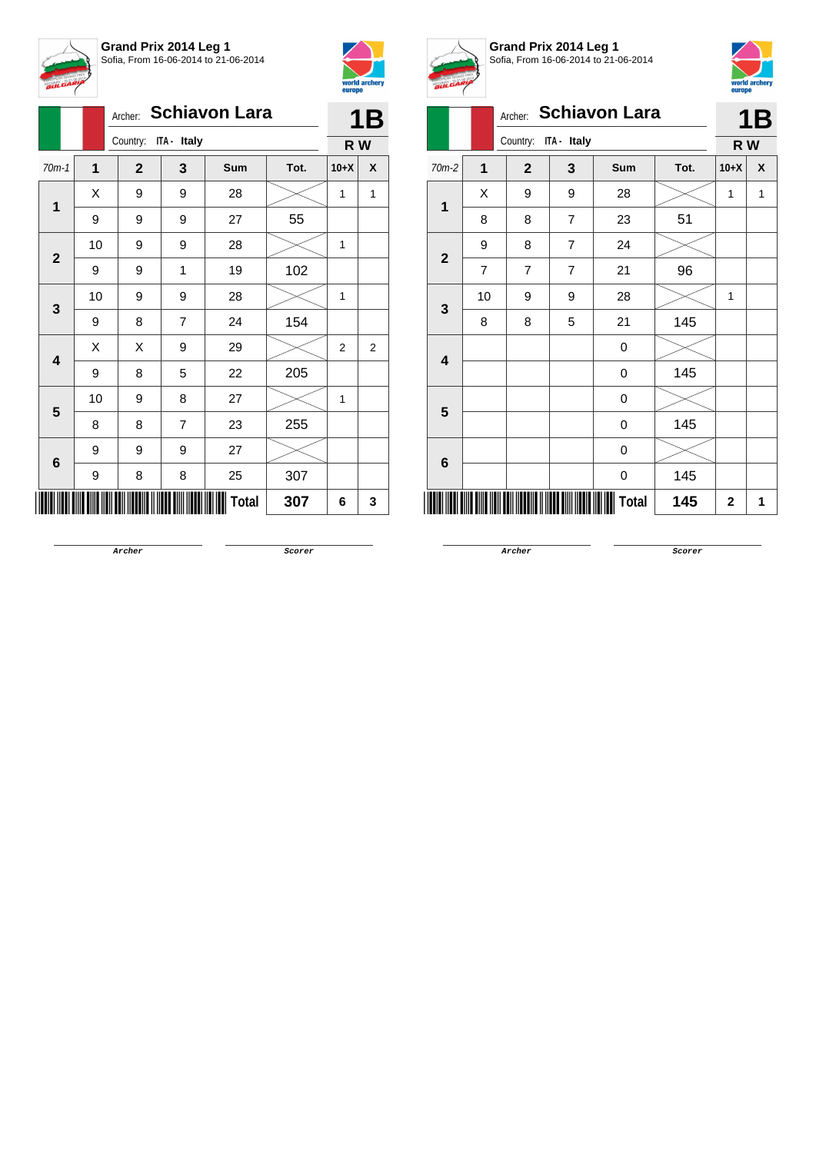



|                         |             | Archer:              |                | <b>Schiavon Lara</b> |      |                | 1B           |
|-------------------------|-------------|----------------------|----------------|----------------------|------|----------------|--------------|
|                         |             | Country: ITA - Italy |                |                      |      | R W            |              |
| $70m-1$                 | $\mathbf 1$ | $\mathbf{2}$         | 3              | Sum                  | Tot. | $10+X$         | X            |
| 1                       | X           | 9                    | 9              | 28                   |      | 1              | $\mathbf{1}$ |
|                         | 9           | 9                    | 9              | 27                   | 55   |                |              |
| $\mathbf{2}$            | 10          | 9                    | 9              | 28                   |      | 1              |              |
|                         | 9           | 9                    | 1              | 19                   | 102  |                |              |
| 3                       | 10          | 9                    | 9              | 28                   |      | 1              |              |
|                         | 9           | 8                    | $\overline{7}$ | 24                   | 154  |                |              |
| $\overline{\mathbf{4}}$ | X           | Χ                    | 9              | 29                   |      | $\overline{2}$ | 2            |
|                         | 9           | 8                    | 5              | 22                   | 205  |                |              |
| 5                       | 10          | 9                    | 8              | 27                   |      | 1              |              |
|                         | 8           | 8                    | $\overline{7}$ | 23                   | 255  |                |              |
| 6                       | 9           | 9                    | 9              | 27                   |      |                |              |
|                         | 9           | 8                    | 8              | 25                   | 307  |                |              |
|                         |             |                      |                | Total                | 307  | 6              | 3            |



**Grand Prix 2014 Leg 1** Sofia, From 16-06-2014 to 21-06-2014



|                         | <b>curepo</b>  |              |                |                      |      |                |   |
|-------------------------|----------------|--------------|----------------|----------------------|------|----------------|---|
|                         |                | Archer:      |                | <b>Schiavon Lara</b> |      | 1B             |   |
|                         |                | Country:     | ITA - Italy    |                      |      | R W            |   |
| 70m-2                   | $\overline{1}$ | $\mathbf{2}$ | 3              | Sum                  | Tot. | $10+X$         | X |
| 1                       | Χ              | 9            | 9              | 28                   |      | 1              | 1 |
|                         | 8              | 8            | $\overline{7}$ | 23                   | 51   |                |   |
| $\mathbf{2}$            | 9              | 8            | $\overline{7}$ | 24                   |      |                |   |
|                         | 7              | 7            | $\overline{7}$ | 21                   | 96   |                |   |
| 3                       | 10             | 9            | 9              | 28                   |      | 1              |   |
|                         | 8              | 8            | 5              | 21                   | 145  |                |   |
| $\overline{\mathbf{4}}$ |                |              |                | 0                    |      |                |   |
|                         |                |              |                | 0                    | 145  |                |   |
| 5                       |                |              |                | 0                    |      |                |   |
|                         |                |              |                | 0                    | 145  |                |   |
| 6                       |                |              |                | 0                    |      |                |   |
|                         |                |              |                | 0                    | 145  |                |   |
|                         |                |              |                | Total                | 145  | $\overline{2}$ | 1 |

**Archer Scorer**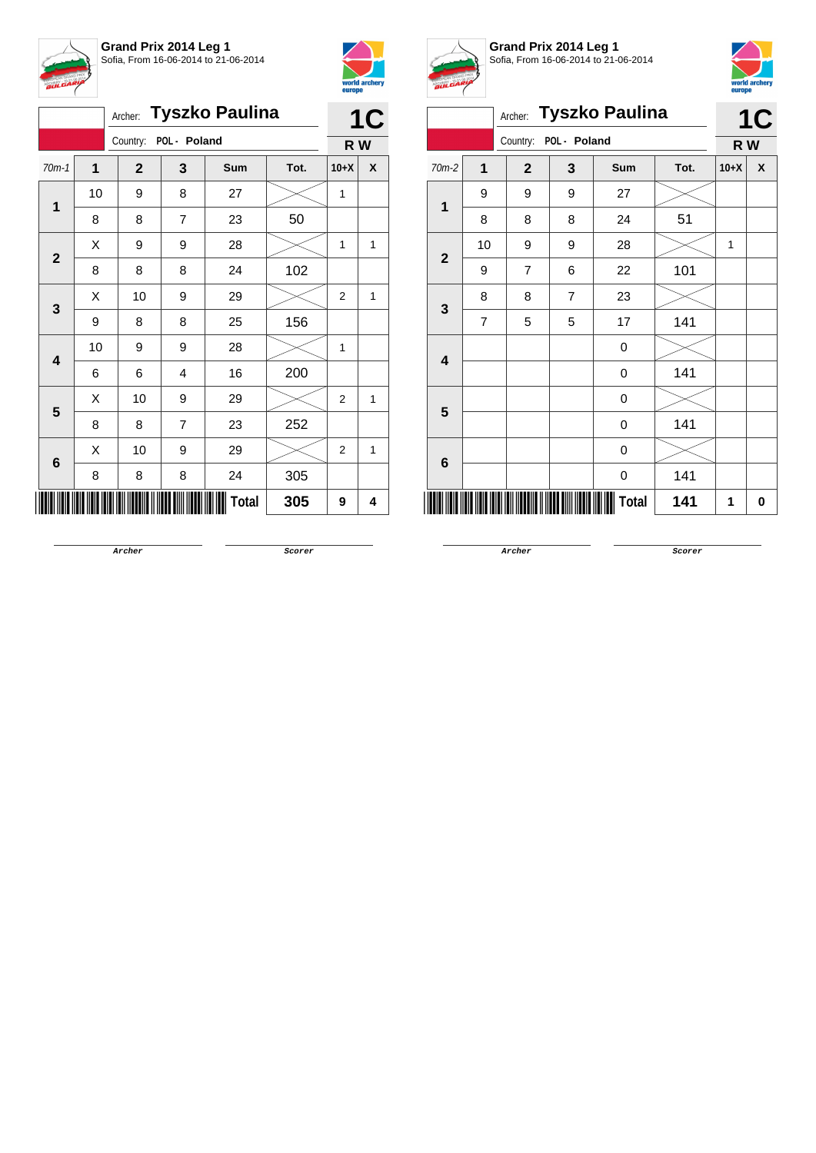



|                |    | Archer:               |                | <b>Tyszko Paulina</b> |      | 1      | C |
|----------------|----|-----------------------|----------------|-----------------------|------|--------|---|
|                |    | Country: POL - Poland |                |                       |      | R W    |   |
| $70m-1$        | 1  | $\mathbf{2}$          | 3              | <b>Sum</b>            | Tot. | $10+X$ | X |
| 1              | 10 | 9                     | 8              | 27                    |      | 1      |   |
|                | 8  | 8                     | $\overline{7}$ | 23                    | 50   |        |   |
| $\overline{2}$ | Χ  | 9                     | 9              | 28                    |      | 1      | 1 |
|                | 8  | 8                     | 8              | 24                    | 102  |        |   |
| 3              | X  | 10                    | 9              | 29                    |      | 2      | 1 |
|                | 9  | 8                     | 8              | 25                    | 156  |        |   |
| 4              | 10 | 9                     | 9              | 28                    |      | 1      |   |
|                | 6  | 6                     | 4              | 16                    | 200  |        |   |
| 5              | X  | 10                    | 9              | 29                    |      | 2      | 1 |
|                | 8  | 8                     | 7              | 23                    | 252  |        |   |
| $\bf 6$        | X  | 10                    | 9              | 29                    |      | 2      | 1 |
|                | 8  | 8                     | 8              | 24                    | 305  |        |   |
|                |    |                       |                | <b>Total</b>          | 305  | 9      | 4 |



**Grand Prix 2014 Leg 1** Sofia, From 16-06-2014 to 21-06-2014



| <b>Tyszko Paulina</b><br>Archer: |                         |             |                |                  |      |              | 1C |
|----------------------------------|-------------------------|-------------|----------------|------------------|------|--------------|----|
|                                  |                         | Country:    | POL - Poland   |                  |      | R W          |    |
| 70m-2                            | $\overline{\mathbf{1}}$ | $\mathbf 2$ | 3              | Sum              | Tot. | $10+X$       | X  |
| $\mathbf 1$                      | 9                       | 9           | 9              | 27               |      |              |    |
|                                  | 8                       | 8           | 8              | 24               | 51   |              |    |
| $\overline{2}$                   | 10                      | 9           | 9              | 28               |      | $\mathbf{1}$ |    |
|                                  | 9                       | 7           | 6              | 22               | 101  |              |    |
| 3                                | 8                       | 8           | $\overline{7}$ | 23               |      |              |    |
|                                  | 7                       | 5           | 5              | 17               | 141  |              |    |
| $\overline{\mathbf{4}}$          |                         |             |                | $\mathbf 0$      |      |              |    |
|                                  |                         |             |                | $\boldsymbol{0}$ | 141  |              |    |
| 5                                |                         |             |                | $\boldsymbol{0}$ |      |              |    |
|                                  |                         |             |                | $\boldsymbol{0}$ | 141  |              |    |
| 6                                |                         |             |                | $\boldsymbol{0}$ |      |              |    |
|                                  |                         |             |                | 0                | 141  |              |    |
|                                  |                         |             |                | <b>Total</b>     | 141  | 1            | 0  |

**Archer Scorer**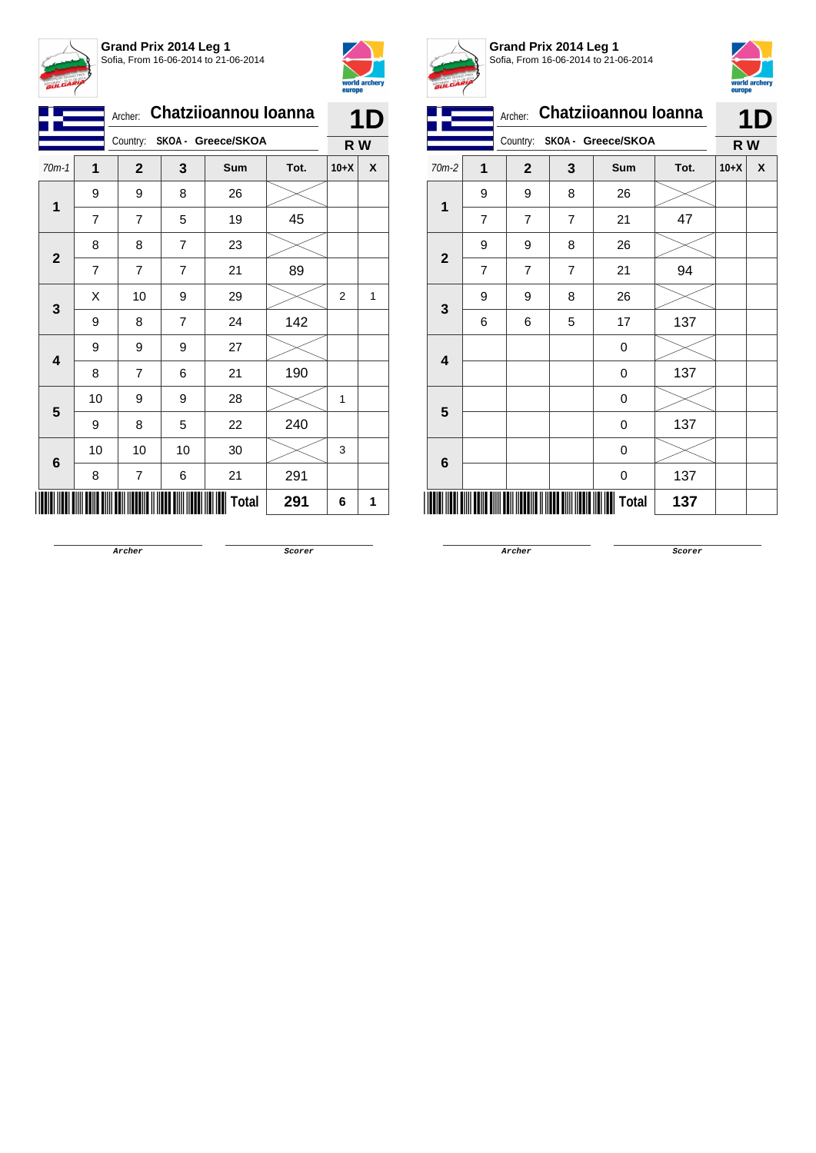



|              |    | Chatziioannou Ioanna<br>Archer: |                |              |      |                | 1 D |
|--------------|----|---------------------------------|----------------|--------------|------|----------------|-----|
|              |    | Country: SKOA - Greece/SKOA     |                |              | R W  |                |     |
| $70m-1$      | 1  | $\mathbf{2}$                    | 3              | Sum          | Tot. | $10+X$         | X   |
| $\mathbf{1}$ | 9  | 9                               | 8              | 26           |      |                |     |
|              | 7  | 7                               | 5              | 19           | 45   |                |     |
| $\mathbf{2}$ | 8  | 8                               | 7              | 23           |      |                |     |
|              | 7  | $\overline{7}$                  | $\overline{7}$ | 21           | 89   |                |     |
| 3            | X  | 10                              | 9              | 29           |      | $\overline{2}$ | 1   |
|              | 9  | 8                               | 7              | 24           | 142  |                |     |
| 4            | 9  | 9                               | 9              | 27           |      |                |     |
|              | 8  | 7                               | 6              | 21           | 190  |                |     |
| 5            | 10 | 9                               | 9              | 28           |      | 1              |     |
|              | 9  | 8                               | 5              | 22           | 240  |                |     |
|              | 10 | 10                              | 10             | 30           |      | 3              |     |
| $\bf 6$      | 8  | 7                               | 6              | 21           | 291  |                |     |
|              |    |                                 |                | <b>Total</b> | 291  | 6              | 1   |



**Grand Prix 2014 Leg 1** Sofia, From 16-06-2014 to 21-06-2014



|                         |                             | Archer:        |                | <b>Chatziioannou Ioanna</b> |      | 1D     |   |
|-------------------------|-----------------------------|----------------|----------------|-----------------------------|------|--------|---|
|                         | Country: SKOA - Greece/SKOA |                |                |                             | R W  |        |   |
| 70m-2                   | 1                           | $\mathbf{2}$   | 3              | <b>Sum</b>                  | Tot. | $10+X$ | X |
| $\overline{\mathbf{1}}$ | 9                           | 9              | 8              | 26                          |      |        |   |
|                         | $\overline{7}$              | 7              | $\overline{7}$ | 21                          | 47   |        |   |
| $\mathbf{2}$            | 9                           | 9              | 8              | 26                          |      |        |   |
|                         | $\overline{7}$              | $\overline{7}$ | $\overline{7}$ | 21                          | 94   |        |   |
| 3                       | 9                           | 9              | 8              | 26                          |      |        |   |
|                         | 6                           | 6              | 5              | 17                          | 137  |        |   |
| 4                       |                             |                |                | 0                           |      |        |   |
|                         |                             |                |                | 0                           | 137  |        |   |
| 5                       |                             |                |                | 0                           |      |        |   |
|                         |                             |                |                | 0                           | 137  |        |   |
| 6                       |                             |                |                | 0                           |      |        |   |
|                         |                             |                |                | 0                           | 137  |        |   |
|                         |                             |                |                | Total                       | 137  |        |   |

**Archer Scorer**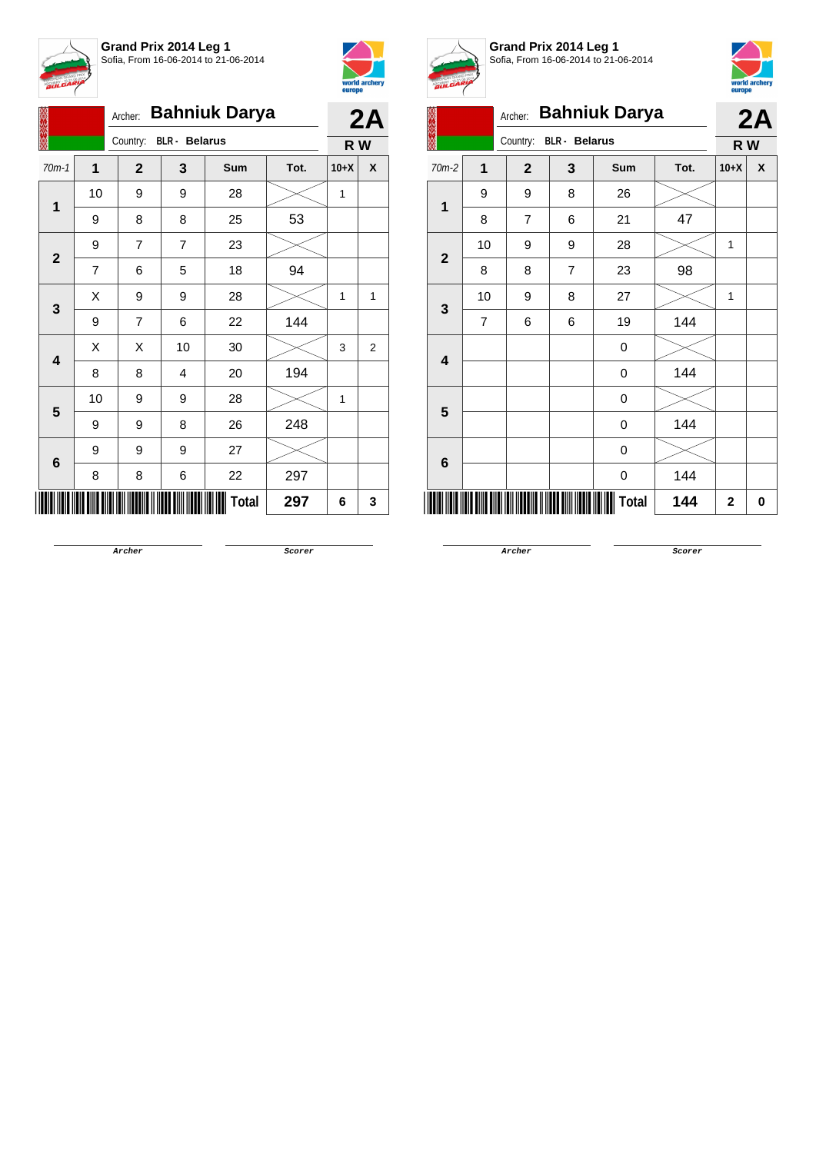



|                         |             |                |  | Archer:                          |    | <b>Bahniuk Darya</b> |      |        | 2A             |
|-------------------------|-------------|----------------|--|----------------------------------|----|----------------------|------|--------|----------------|
|                         |             |                |  | <b>BLR</b> - Belarus<br>Country: |    | R W                  |      |        |                |
| $70m-1$                 |             | $\overline{1}$ |  | $\mathbf{2}$                     | 3  | Sum                  | Tot. | $10+X$ | X              |
|                         |             | 10             |  | 9                                | 9  | 28                   |      | 1      |                |
|                         | $\mathbf 1$ | 9              |  | 8                                | 8  | 25                   | 53   |        |                |
| $\mathbf{2}$            |             | 9              |  | 7                                | 7  | 23                   |      |        |                |
|                         |             | 7              |  | 6                                | 5  | 18                   | 94   |        |                |
|                         |             | X              |  | 9                                | 9  | 28                   |      | 1      | $\mathbf{1}$   |
|                         | 3           | 9              |  | 7                                | 6  | 22                   | 144  |        |                |
| $\overline{\mathbf{4}}$ |             | X              |  | Χ                                | 10 | $30\,$               |      | 3      | $\overline{2}$ |
|                         |             | 8              |  | 8                                | 4  | 20                   | 194  |        |                |
| 5                       |             | 10             |  | 9                                | 9  | 28                   |      | 1      |                |
|                         |             | 9              |  | 9                                | 8  | 26                   | 248  |        |                |
| $\bf 6$                 |             | 9              |  | 9                                | 9  | 27                   |      |        |                |
|                         |             | 8              |  | 8                                | 6  | 22                   | 297  |        |                |
|                         |             |                |  |                                  |    | <b>Total</b>         | 297  | 6      | 3              |



**Grand Prix 2014 Leg 1** Sofia, From 16-06-2014 to 21-06-2014



|                         | europe         |                                  |   |                      |      |                |    |
|-------------------------|----------------|----------------------------------|---|----------------------|------|----------------|----|
|                         |                | Archer:                          |   | <b>Bahniuk Darya</b> |      |                | 2A |
|                         |                | <b>BLR</b> - Belarus<br>Country: |   |                      | R W  |                |    |
| $70m-2$                 | $\mathbf{1}$   | $\mathbf{2}$                     | 3 | <b>Sum</b>           | Tot. | $10+X$         | X  |
| 1                       | 9              | 9                                | 8 | 26                   |      |                |    |
|                         | 8              | $\overline{7}$                   | 6 | 21                   | 47   |                |    |
| $\mathbf{2}$            | 10             | 9                                | 9 | 28                   |      | $\overline{1}$ |    |
|                         | 8              | 8                                | 7 | 23                   | 98   |                |    |
| $\mathbf{3}$            | 10             | 9                                | 8 | 27                   |      | 1              |    |
|                         | $\overline{7}$ | 6                                | 6 | 19                   | 144  |                |    |
| $\overline{\mathbf{4}}$ |                |                                  |   | 0                    |      |                |    |
|                         |                |                                  |   | 0                    | 144  |                |    |
| 5                       |                |                                  |   | 0                    |      |                |    |
|                         |                |                                  |   | 0                    | 144  |                |    |
| 6                       |                |                                  |   | 0                    |      |                |    |
|                         |                |                                  |   | 0                    | 144  |                |    |
| ║║║                     |                |                                  |   | <b>Total</b>         | 144  | $\mathbf 2$    | 0  |

**Archer Scorer**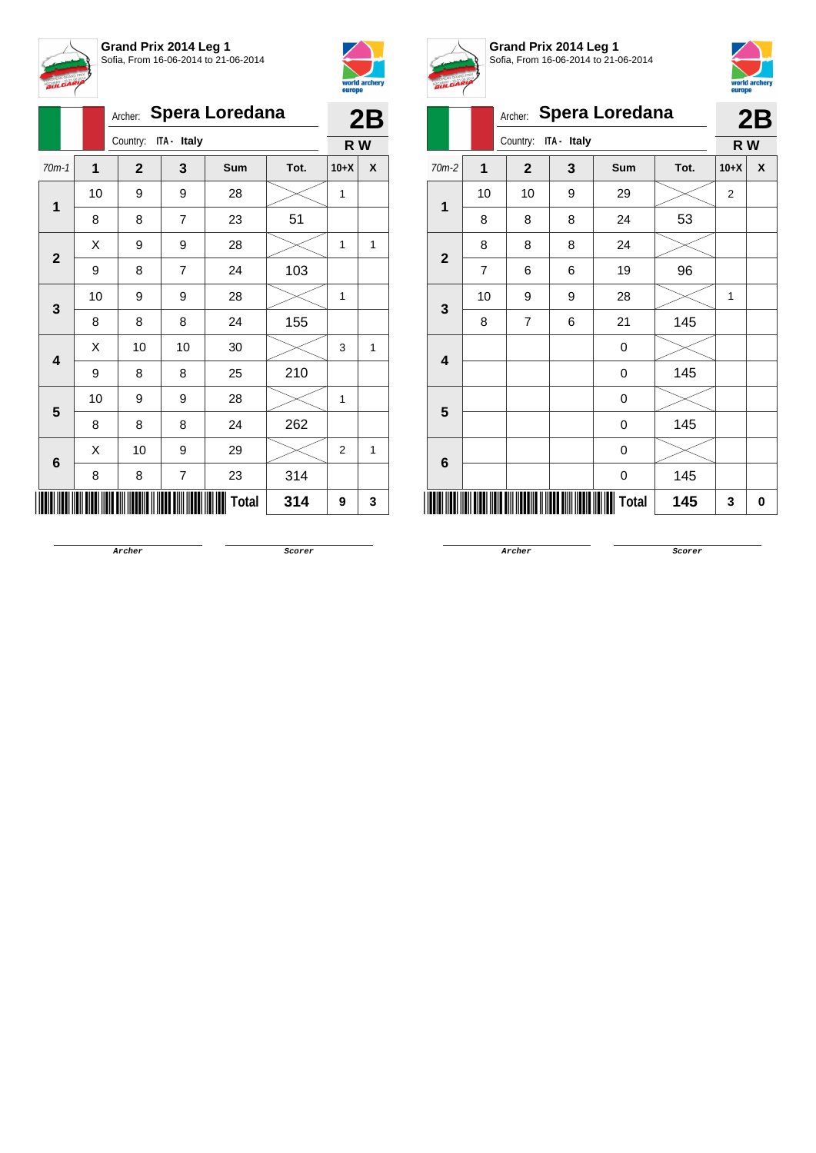



|                         |              |              |                         | Archer: Spera Loredana |      |                | 2B  |
|-------------------------|--------------|--------------|-------------------------|------------------------|------|----------------|-----|
|                         |              | Country:     | ITA - Italy             |                        |      |                | R W |
| $70m-1$                 | $\mathbf{1}$ | $\mathbf{2}$ | 3                       | Sum                    | Tot. | $10+X$         | X   |
| 1                       | 10           | 9            | 9                       | 28                     |      | 1              |     |
|                         | 8            | 8            | $\overline{7}$          | 23                     | 51   |                |     |
| $\mathbf{2}$            | Χ            | 9            | 9                       | 28                     |      | 1              | 1   |
|                         | 9            | 8            | 7                       | 24                     | 103  |                |     |
| 3                       | 10           | 9            | 9                       | 28                     |      | 1              |     |
|                         | 8            | 8            | 8                       | 24                     | 155  |                |     |
| $\overline{\mathbf{4}}$ | Χ            | 10           | 10                      | 30                     |      | 3              | 1   |
|                         | 9            | 8            | 8                       | 25                     | 210  |                |     |
| 5                       | 10           | 9            | 9                       | 28                     |      | 1              |     |
|                         | 8            | 8            | 8                       | 24                     | 262  |                |     |
| 6                       | X            | 10           | 9                       | 29                     |      | $\overline{2}$ | 1   |
|                         | 8            | 8            | $\overline{\mathbf{7}}$ | 23                     | 314  |                |     |
|                         |              |              |                         | <b>Total</b>           | 314  | 9              | 3   |



**Grand Prix 2014 Leg 1** Sofia, From 16-06-2014 to 21-06-2014



|                         |                | Archer:        |             | <b>Spera Loredana</b> |      |        | 2B |
|-------------------------|----------------|----------------|-------------|-----------------------|------|--------|----|
|                         |                | Country:       | ITA - Italy |                       |      | R W    |    |
| 70m-2                   | 1              | $\mathbf{2}$   | 3           | Sum                   | Tot. | $10+X$ | X  |
| $\mathbf{1}$            | 10             | 10             | 9           | 29                    |      | 2      |    |
|                         | 8              | 8              | 8           | 24                    | 53   |        |    |
| $\overline{2}$          | 8              | 8              | 8           | 24                    |      |        |    |
|                         | $\overline{7}$ | 6              | 6           | 19                    | 96   |        |    |
| 3                       | 10             | 9              | 9           | 28                    |      | 1      |    |
|                         | 8              | $\overline{7}$ | 6           | 21                    | 145  |        |    |
| $\overline{\mathbf{4}}$ |                |                |             | 0                     |      |        |    |
|                         |                |                |             | 0                     | 145  |        |    |
| 5                       |                |                |             | 0                     |      |        |    |
|                         |                |                |             | 0                     | 145  |        |    |
| 6                       |                |                |             | 0                     |      |        |    |
|                         |                |                |             | 0                     | 145  |        |    |
|                         |                |                |             | Total                 | 145  | 3      | 0  |

**Archer Scorer**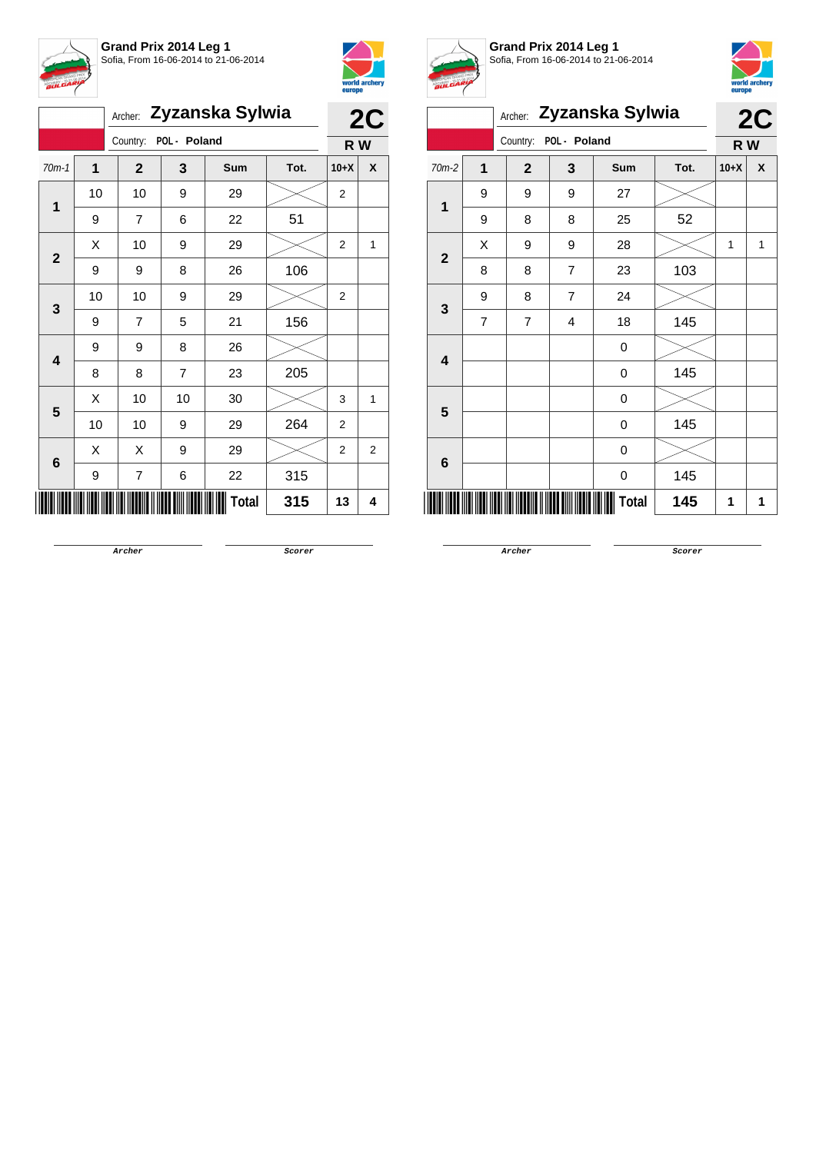



|                |    | Archer:               |                | Zyzanska Sylwia |      |                | 2C |
|----------------|----|-----------------------|----------------|-----------------|------|----------------|----|
|                |    | Country: POL - Poland |                |                 |      | R W            |    |
| $70m-1$        | 1  | $\mathbf{2}$          | 3              | Sum             | Tot. | $10+X$         | X  |
| 1              | 10 | 10                    | 9              | 29              |      | $\overline{c}$ |    |
|                | 9  | $\overline{7}$        | 6              | 22              | 51   |                |    |
| $\overline{2}$ | Χ  | 10                    | 9              | 29              |      | $\overline{2}$ | 1  |
|                | 9  | 9                     | 8              | 26              | 106  |                |    |
| 3              | 10 | 10                    | 9              | 29              |      | $\overline{2}$ |    |
|                | 9  | 7                     | 5              | 21              | 156  |                |    |
| 4              | 9  | 9                     | 8              | 26              |      |                |    |
|                | 8  | 8                     | $\overline{7}$ | 23              | 205  |                |    |
| 5              | Χ  | 10                    | 10             | 30              |      | 3              | 1  |
|                | 10 | 10                    | 9              | 29              | 264  | $\overline{2}$ |    |
| $\bf 6$        | X  | Χ                     | 9              | 29              |      | $\overline{2}$ | 2  |
|                | 9  | 7                     | 6              | 22              | 315  |                |    |
|                |    |                       |                | <b>Total</b>    | 315  | 13             | 4  |



**Grand Prix 2014 Leg 1** Sofia, From 16-06-2014 to 21-06-2014



|                         |                | Archer:        |                | Zyzanska Sylwia |      |        | 2C |
|-------------------------|----------------|----------------|----------------|-----------------|------|--------|----|
|                         |                | Country:       | POL - Poland   |                 |      | R W    |    |
| 70m-2                   | 1              | $\overline{2}$ | 3              | <b>Sum</b>      | Tot. | $10+X$ | X  |
| $\mathbf 1$             | 9              | 9              | 9              | 27              |      |        |    |
|                         | 9              | 8              | 8              | 25              | 52   |        |    |
| $\overline{2}$          | Χ              | 9              | 9              | 28              |      | 1      | 1  |
|                         | 8              | 8              | $\overline{7}$ | 23              | 103  |        |    |
| $\mathbf{3}$            | 9              | 8              | 7              | 24              |      |        |    |
|                         | $\overline{7}$ | $\overline{7}$ | 4              | 18              | 145  |        |    |
| $\overline{\mathbf{4}}$ |                |                |                | 0               |      |        |    |
|                         |                |                |                | 0               | 145  |        |    |
| 5                       |                |                |                | 0               |      |        |    |
|                         |                |                |                | 0               | 145  |        |    |
| 6                       |                |                |                | 0               |      |        |    |
| 145<br>0                |                |                |                |                 |      |        |    |
| Total<br>145            |                |                |                |                 |      |        |    |

**Archer Scorer**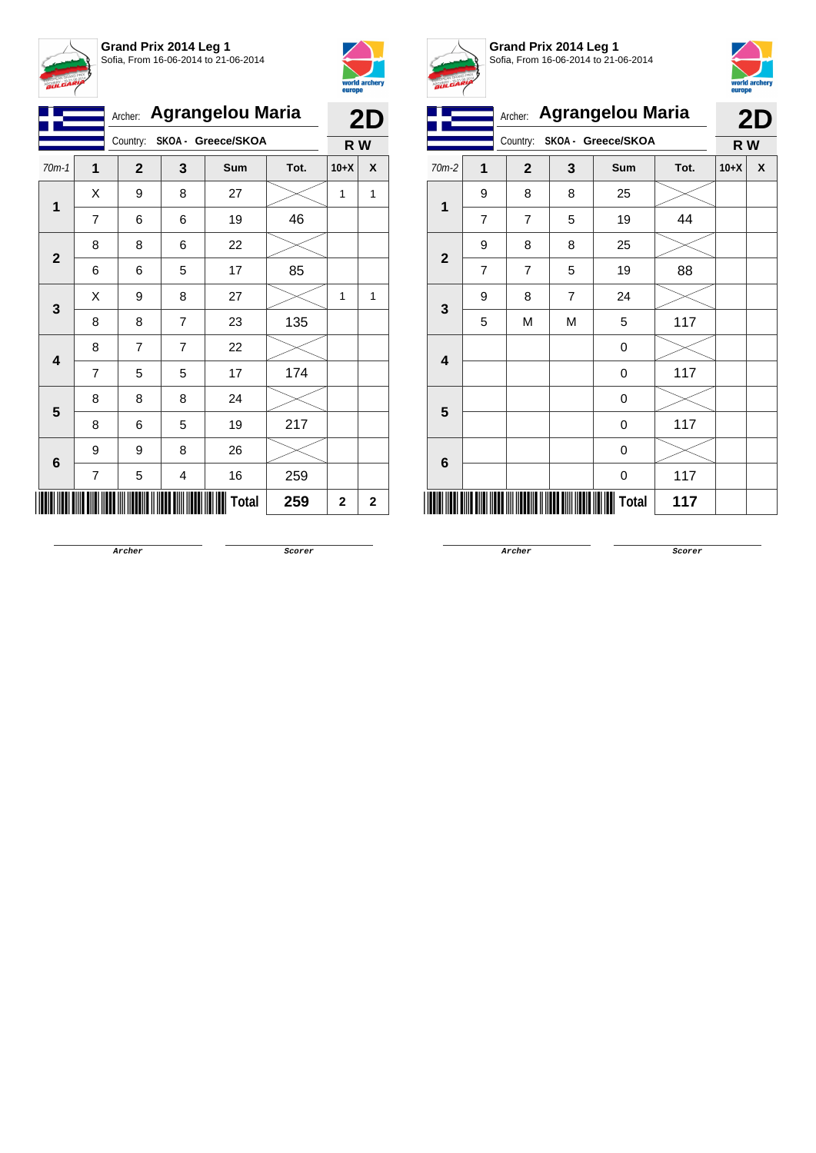



|              |                | Archer:        |                | <b>Agrangelou Maria</b>     |      |        | 2D           |
|--------------|----------------|----------------|----------------|-----------------------------|------|--------|--------------|
|              |                |                |                | Country: SKOA - Greece/SKOA |      | R W    |              |
| $70m-1$      | 1              | $\overline{2}$ | 3              | Sum                         | Tot. | $10+X$ | X            |
| $\mathbf{1}$ | Χ              | 9              | 8              | 27                          |      | 1      | $\mathbf{1}$ |
|              | $\overline{7}$ | 6              | 6              | 19                          | 46   |        |              |
| $\mathbf{2}$ | 8              | 8              | 6              | 22                          |      |        |              |
|              | 6              | 6              | 5              | 17                          | 85   |        |              |
| 3            | X              | 9              | 8              | 27                          |      | 1      | 1            |
|              | 8              | 8              | 7              | 23                          | 135  |        |              |
|              | 8              | $\overline{7}$ | $\overline{7}$ | 22                          |      |        |              |
| 4            | $\overline{7}$ | 5              | 5              | 17                          | 174  |        |              |
| 5            | 8              | 8              | 8              | 24                          |      |        |              |
|              | 8              | 6              | 5              | 19                          | 217  |        |              |
|              | 9              | 9              | 8              | 26                          |      |        |              |
| 6            | 7              | 5              | 4              | 16                          | 259  |        |              |
|              |                |                |                | Total                       | 259  | 2      | $\mathbf 2$  |



**Grand Prix 2014 Leg 1** Sofia, From 16-06-2014 to 21-06-2014



|                         |                |                |   | Archer: Agrangelou Maria |      |        | 2D |
|-------------------------|----------------|----------------|---|--------------------------|------|--------|----|
|                         |                | Country:       |   | SKOA - Greece/SKOA       |      | R W    |    |
| $70m-2$                 | 1              | $\mathbf{2}$   | 3 | Sum                      | Tot. | $10+X$ | X  |
| $\mathbf{1}$            | 9              | 8              | 8 | 25                       |      |        |    |
|                         | $\overline{7}$ | $\overline{7}$ | 5 | 19                       | 44   |        |    |
| $\overline{2}$          | 9              | 8              | 8 | 25                       |      |        |    |
|                         | $\overline{7}$ | 7              | 5 | 19                       | 88   |        |    |
| 3                       | 9              | 8              | 7 | 24                       |      |        |    |
|                         | 5              | M              | M | 5                        | 117  |        |    |
| $\overline{\mathbf{4}}$ |                |                |   | 0                        |      |        |    |
|                         |                |                |   | 0                        | 117  |        |    |
| 5                       |                |                |   | 0                        |      |        |    |
|                         |                |                |   | 0                        | 117  |        |    |
| 6                       |                |                |   | 0                        |      |        |    |
|                         |                |                |   | 0                        | 117  |        |    |
|                         |                |                |   | Total                    | 117  |        |    |

**Archer Scorer**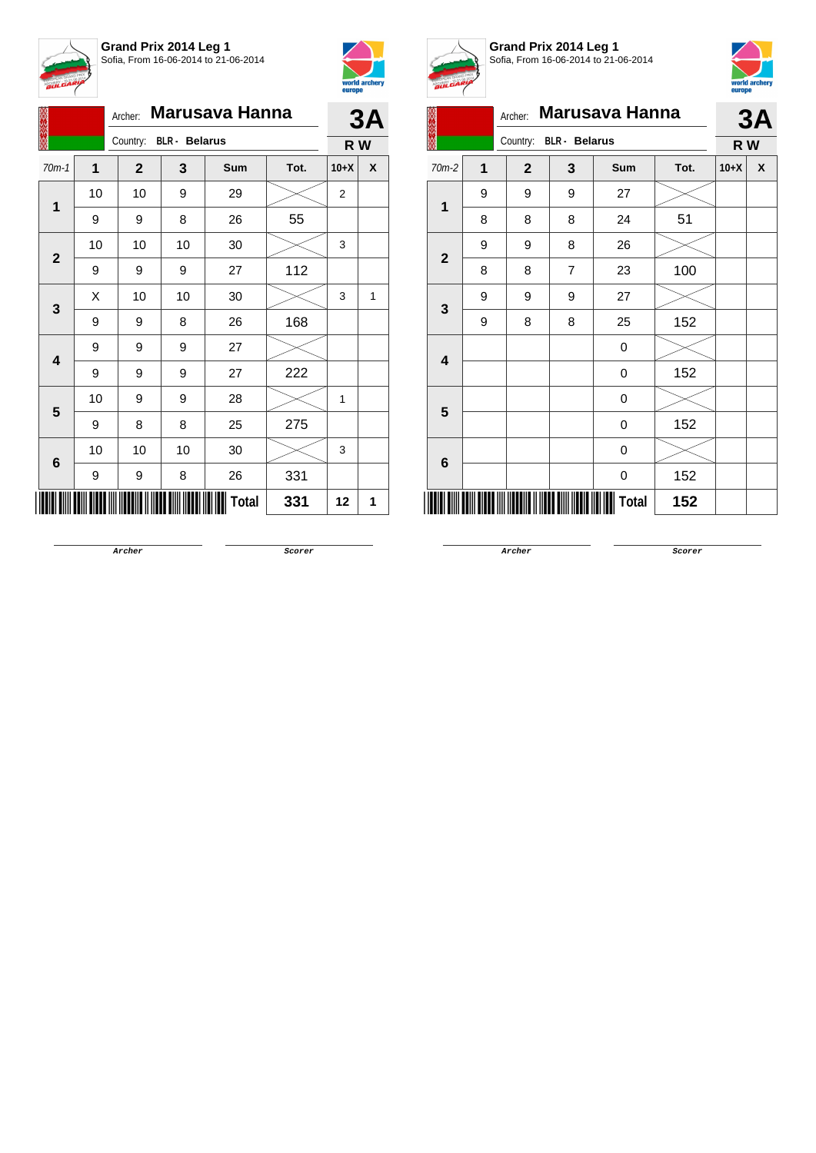



|              |                | Archer:      |                      | <b>Marusava Hanna</b> |      |        | 3A |
|--------------|----------------|--------------|----------------------|-----------------------|------|--------|----|
|              |                | Country:     | <b>BLR</b> - Belarus |                       |      | R W    |    |
| $70m-1$      | $\overline{1}$ | $\mathbf{2}$ | 3                    | Sum                   | Tot. | $10+X$ | X  |
|              | 10             | 10           | 9                    | 29                    |      | 2      |    |
| 1            | 9              | 9            | 8                    | 26                    | 55   |        |    |
| $\mathbf{2}$ | 10             | 10           | 10                   | 30                    |      | 3      |    |
|              | 9              | 9            | 9                    | 27                    | 112  |        |    |
| $\mathbf{3}$ | X              | 10           | 10                   | 30                    |      | 3      | 1  |
|              | 9              | 9            | 8                    | 26                    | 168  |        |    |
| 4            | 9              | 9            | 9                    | 27                    |      |        |    |
|              | 9              | 9            | 9                    | 27                    | 222  |        |    |
| 5            | 10             | 9            | 9                    | 28                    |      | 1      |    |
|              | 9              | 8            | 8                    | 25                    | 275  |        |    |
| 6            | 10             | 10           | 10                   | 30                    |      | 3      |    |
|              | 9              | 9            | 8                    | 26                    | 331  |        |    |
|              |                |              |                      | <b>Total</b>          | 331  | 12     | 1  |



**Grand Prix 2014 Leg 1** Sofia, From 16-06-2014 to 21-06-2014



|              | the control of the con- | Archer:        |                      | <b>Marusava Hanna</b> |      |        | 3A |
|--------------|-------------------------|----------------|----------------------|-----------------------|------|--------|----|
|              |                         | Country:       | <b>BLR</b> - Belarus |                       |      | R W    |    |
| $70m-2$      | 1                       | $\overline{2}$ | 3                    | Sum                   | Tot. | $10+X$ | X  |
| $\mathbf{1}$ | 9                       | 9              | 9                    | 27                    |      |        |    |
|              | 8                       | 8              | 8                    | 24                    | 51   |        |    |
| $\mathbf{2}$ | 9                       | 9              | 8                    | 26                    |      |        |    |
|              | 8                       | 8              | $\overline{7}$       | 23                    | 100  |        |    |
| 3            | 9                       | 9              | 9                    | 27                    |      |        |    |
|              | 9                       | 8              | 8                    | 25                    | 152  |        |    |
| 4            |                         |                |                      | 0                     |      |        |    |
|              |                         |                |                      | 0                     | 152  |        |    |
| 5            |                         |                |                      | 0                     |      |        |    |
|              |                         |                |                      | 0                     | 152  |        |    |
| 6            |                         |                |                      | 0                     |      |        |    |
|              |                         |                |                      | 0                     | 152  |        |    |
|              |                         |                |                      | Total                 | 152  |        |    |

**Archer Scorer**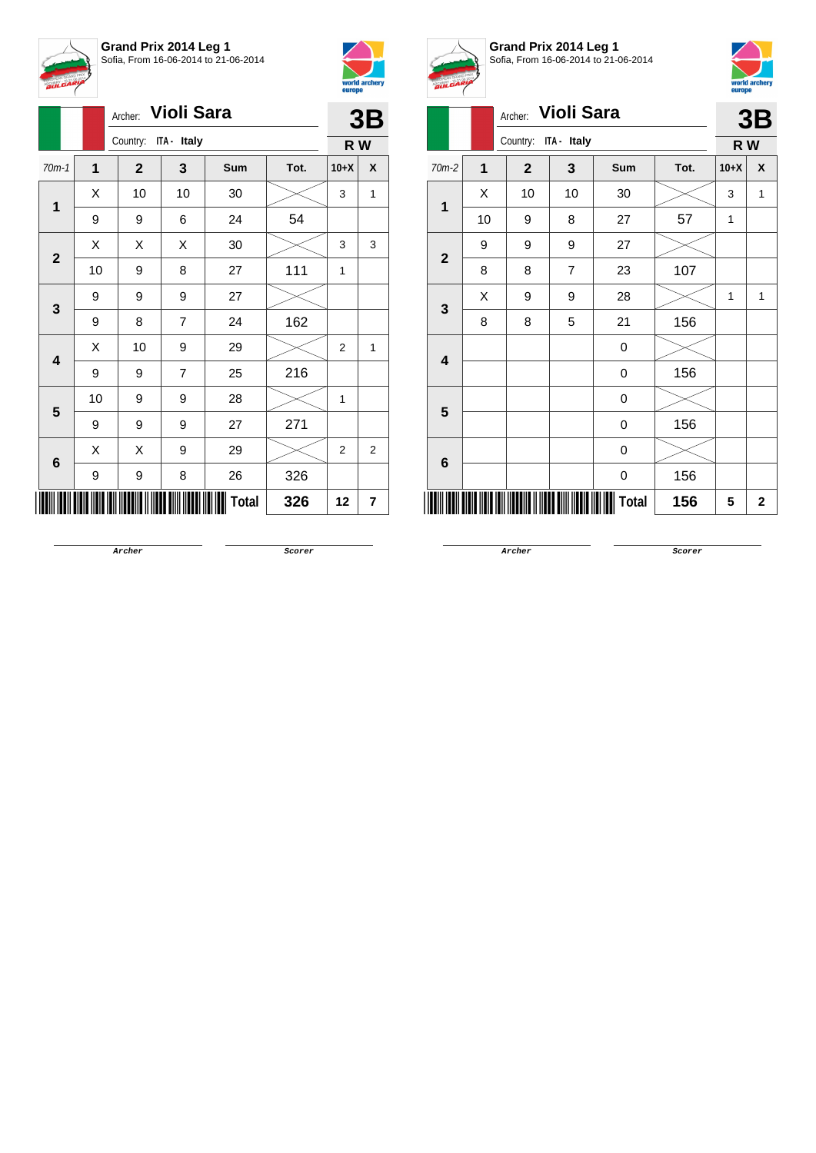

**Grand Prix 2014 Leg 1** Sofia, From 16-06-2014 to 21-06-2014



|                         |                         | <b>Violi Sara</b><br>Archer: |                      |       | 3B   |                |   |  |
|-------------------------|-------------------------|------------------------------|----------------------|-------|------|----------------|---|--|
|                         |                         |                              | Country: ITA - Italy |       |      |                |   |  |
| $70m-1$                 | $\overline{\mathbf{1}}$ | $\mathbf{2}$                 | 3                    | Sum   | Tot. | $10+X$         | X |  |
| 1                       | Χ                       | 10                           | 10                   | 30    |      | 3              | 1 |  |
|                         | 9                       | 9                            | 6                    | 24    | 54   |                |   |  |
| $\mathbf{2}$            | Χ                       | Χ                            | Χ                    | 30    |      | 3              | 3 |  |
|                         | 10                      | 9                            | 8                    | 27    | 111  | 1              |   |  |
| 3                       | 9                       | 9                            | 9                    | 27    |      |                |   |  |
|                         | 9                       | 8                            | $\overline{7}$       | 24    | 162  |                |   |  |
| $\overline{\mathbf{4}}$ | X                       | 10                           | 9                    | 29    |      | $\overline{2}$ | 1 |  |
|                         | 9                       | 9                            | 7                    | 25    | 216  |                |   |  |
| 5                       | 10                      | 9                            | 9                    | 28    |      | 1              |   |  |
|                         | 9                       | 9                            | 9                    | 27    | 271  |                |   |  |
| 6                       | X                       | Χ                            | 9                    | 29    |      | $\overline{2}$ | 2 |  |
|                         | 9                       | 9                            | 8                    | 26    | 326  |                |   |  |
|                         |                         |                              |                      | Total | 326  | 12             | 7 |  |



**Grand Prix 2014 Leg 1** Sofia, From 16-06-2014 to 21-06-2014



|                         |    | Archer:      | Violi Sara     |                  |      | 3B     |             |  |  |  |
|-------------------------|----|--------------|----------------|------------------|------|--------|-------------|--|--|--|
|                         |    | Country:     | ITA - Italy    |                  |      | R W    |             |  |  |  |
| 70m-2                   | 1  | $\mathbf{2}$ | 3              | Sum              | Tot. | $10+X$ | X           |  |  |  |
|                         | Χ  | 10           | 10             | 30               |      | 3      | 1           |  |  |  |
| 1                       | 10 | 9            | 8              | 27               | 57   | 1      |             |  |  |  |
| $\overline{2}$          | 9  | 9            | 9              | 27               |      |        |             |  |  |  |
|                         | 8  | 8            | $\overline{7}$ | 23               | 107  |        |             |  |  |  |
| 3                       | X  | 9            | 9              | 28               |      | 1      | 1           |  |  |  |
|                         | 8  | 8            | 5              | 21               | 156  |        |             |  |  |  |
| $\overline{\mathbf{4}}$ |    |              |                | 0                |      |        |             |  |  |  |
|                         |    |              |                | 0                | 156  |        |             |  |  |  |
| $5\phantom{1}$          |    |              |                | $\boldsymbol{0}$ |      |        |             |  |  |  |
|                         |    |              |                | 0                | 156  |        |             |  |  |  |
| 6                       |    |              |                | 0                |      |        |             |  |  |  |
|                         |    |              |                | 0                | 156  |        |             |  |  |  |
|                         |    |              |                | <b>Total</b>     | 156  | 5      | $\mathbf 2$ |  |  |  |

**Archer Scorer**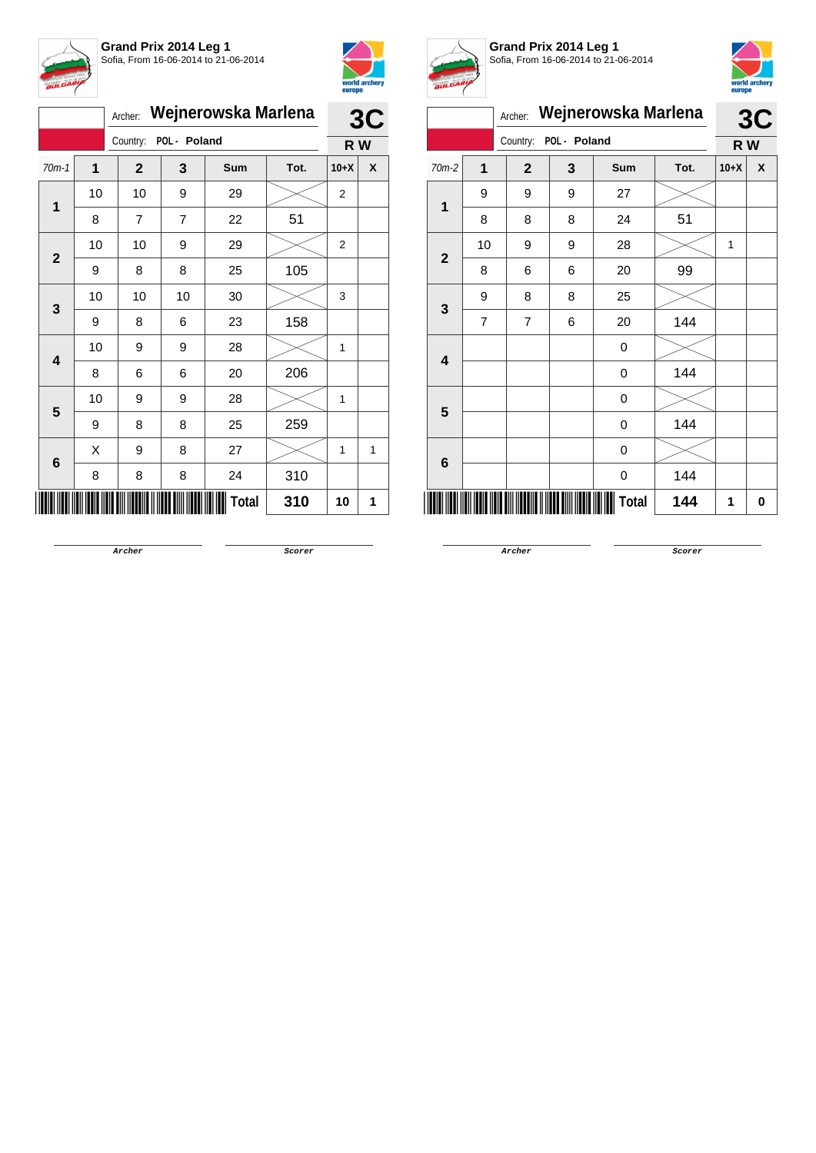



|              | Wejnerowska Marlena |                | 3C             |       |      |        |   |
|--------------|---------------------|----------------|----------------|-------|------|--------|---|
|              |                     | Country:       | POL - Poland   |       |      | R W    |   |
| $70m-1$      | 1                   | $\mathbf{2}$   | 3              | Sum   | Tot. | $10+X$ | X |
| 1            | 10                  | 10             | 9              | 29    |      | 2      |   |
|              | 8                   | $\overline{7}$ | $\overline{7}$ | 22    | 51   |        |   |
| $\mathbf{2}$ | 10                  | 10             | 9              | 29    |      | 2      |   |
|              | 9                   | 8              | 8              | 25    | 105  |        |   |
| 3            | 10                  | 10             | 10             | 30    |      | 3      |   |
|              | 9                   | 8              | 6              | 23    | 158  |        |   |
| 4            | 10                  | 9              | 9              | 28    |      | 1      |   |
|              | 8                   | 6              | 6              | 20    | 206  |        |   |
| 5            | 10                  | 9              | 9              | 28    |      | 1      |   |
|              | 9                   | 8              | 8              | 25    | 259  |        |   |
|              | X                   | 9              | 8              | 27    |      | 1      | 1 |
| 6            | 8                   | 8              | 8              | 24    | 310  |        |   |
|              |                     |                |                | Total | 310  | 10     | 1 |



**Grand Prix 2014 Leg 1** Sofia, From 16-06-2014 to 21-06-2014



|                         |                | Archer:        |              | Wejnerowska Marlena |      |        | 3C |
|-------------------------|----------------|----------------|--------------|---------------------|------|--------|----|
|                         |                | Country:       | POL - Poland |                     |      | R W    |    |
| 70m-2                   | $\mathbf 1$    | $\mathbf{2}$   | 3            | Sum                 | Tot. | $10+X$ | X  |
| $\mathbf{1}$            | 9              | 9              | 9            | 27                  |      |        |    |
|                         | 8              | 8              | 8            | 24                  | 51   |        |    |
| $\mathbf{2}$            | 10             | 9              | 9            | 28                  |      | 1      |    |
|                         | 8              | 6              | 6            | 20                  | 99   |        |    |
| 3                       | 9              | 8              | 8            | 25                  |      |        |    |
|                         | $\overline{7}$ | $\overline{7}$ | 6            | 20                  | 144  |        |    |
| $\overline{\mathbf{4}}$ |                |                |              | 0                   |      |        |    |
|                         |                |                |              | 0                   | 144  |        |    |
| 5                       |                |                |              | 0                   |      |        |    |
|                         |                |                |              | 0                   | 144  |        |    |
| 6                       |                |                |              | 0                   |      |        |    |
|                         |                |                |              | 0                   | 144  |        |    |
|                         |                |                |              | Total               | 144  | 1      | 0  |

**Archer Scorer**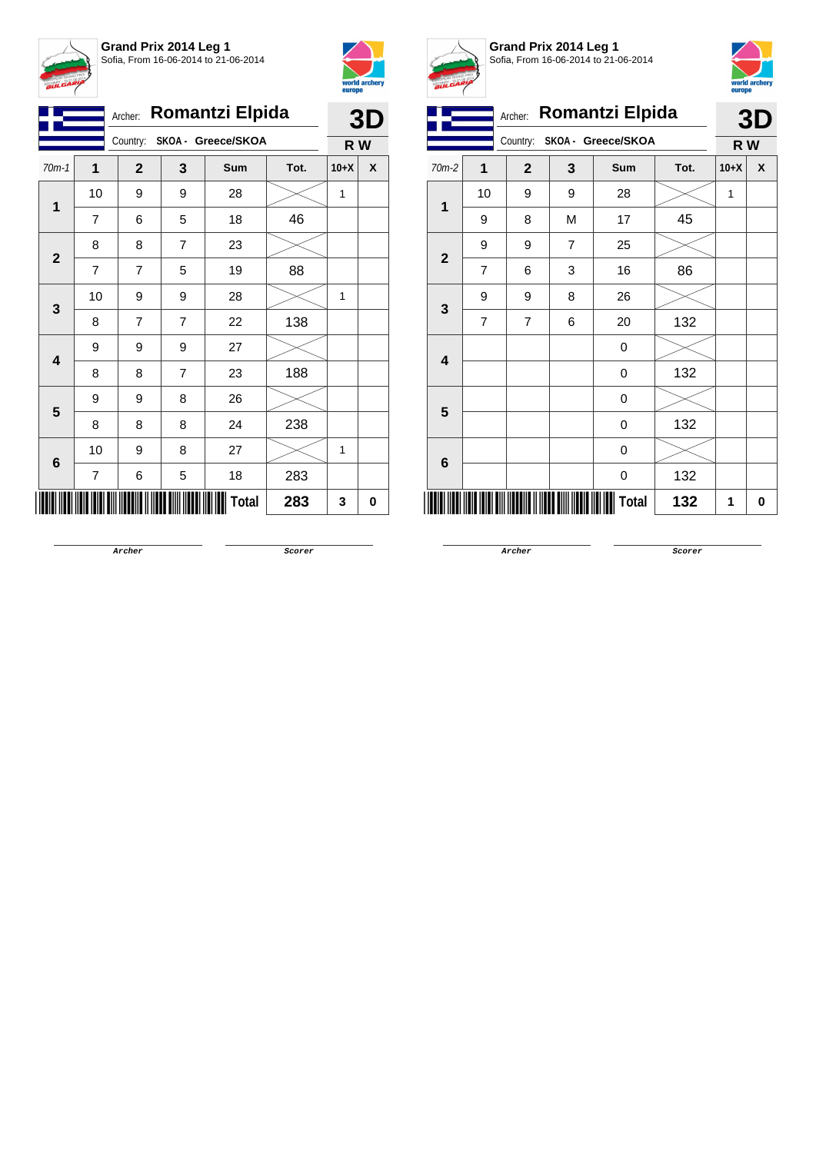



|                         |                | Archer:        |                | <b>Romantzi Elpida</b>      |      |        | 3D |
|-------------------------|----------------|----------------|----------------|-----------------------------|------|--------|----|
|                         |                |                |                | Country: SKOA - Greece/SKOA |      | R W    |    |
| $70m-1$                 | 1              | $\mathbf{2}$   | 3              | Sum                         | Tot. | $10+X$ | X  |
| $\mathbf 1$             | 10             | 9              | 9              | 28                          |      | 1      |    |
|                         | 7              | 6              | 5              | 18                          | 46   |        |    |
|                         | 8              | 8              | 7              | 23                          |      |        |    |
| $\overline{\mathbf{2}}$ | $\overline{7}$ | $\overline{7}$ | 5              | 19                          | 88   |        |    |
|                         | 10             | 9              | 9              | 28                          |      | 1      |    |
| 3                       | 8              | $\overline{7}$ | $\overline{7}$ | 22                          | 138  |        |    |
|                         | 9              | 9              | 9              | 27                          |      |        |    |
| 4                       | 8              | 8              | 7              | 23                          | 188  |        |    |
| 5                       | 9              | 9              | 8              | 26                          |      |        |    |
|                         | 8              | 8              | 8              | 24                          | 238  |        |    |
|                         | 10             | 9              | 8              | 27                          |      | 1      |    |
| 6                       | 7              | 6              | 5              | 18                          | 283  |        |    |
|                         |                |                |                | Total                       | 283  | 3      | 0  |



**Grand Prix 2014 Leg 1** Sofia, From 16-06-2014 to 21-06-2014



|                |                | Archer:                          |   | Romantzi Elpida    |      |        | 3D |
|----------------|----------------|----------------------------------|---|--------------------|------|--------|----|
|                |                | Country:                         |   | SKOA - Greece/SKOA |      | R W    |    |
| 70m-2          | 1              | $\mathbf{2}$                     | 3 | <b>Sum</b>         | Tot. | $10+X$ | X  |
| 1              | 10             | 9                                | 9 | 28                 |      | 1      |    |
|                | 9              | 8                                | M | 17                 | 45   |        |    |
|                | 9              | 9                                | 7 | 25                 |      |        |    |
| $\overline{2}$ | $\overline{7}$ | 6                                | 3 | 16                 | 86   |        |    |
|                | 9              | 9                                | 8 | 26                 |      |        |    |
| 3              | 7              | 7                                | 6 | 20                 | 132  |        |    |
|                |                |                                  |   | $\mathbf 0$        |      |        |    |
| 4              |                |                                  |   | 0                  | 132  |        |    |
|                |                |                                  |   | 0                  |      |        |    |
| 5              |                |                                  |   | 0                  | 132  |        |    |
|                |                |                                  |   | 0                  |      |        |    |
| 6              |                |                                  |   | 0                  | 132  |        |    |
|                |                | <u> III Martin Martin III Ma</u> |   | <b>Total</b>       | 132  | 1      | 0  |

**Archer Scorer**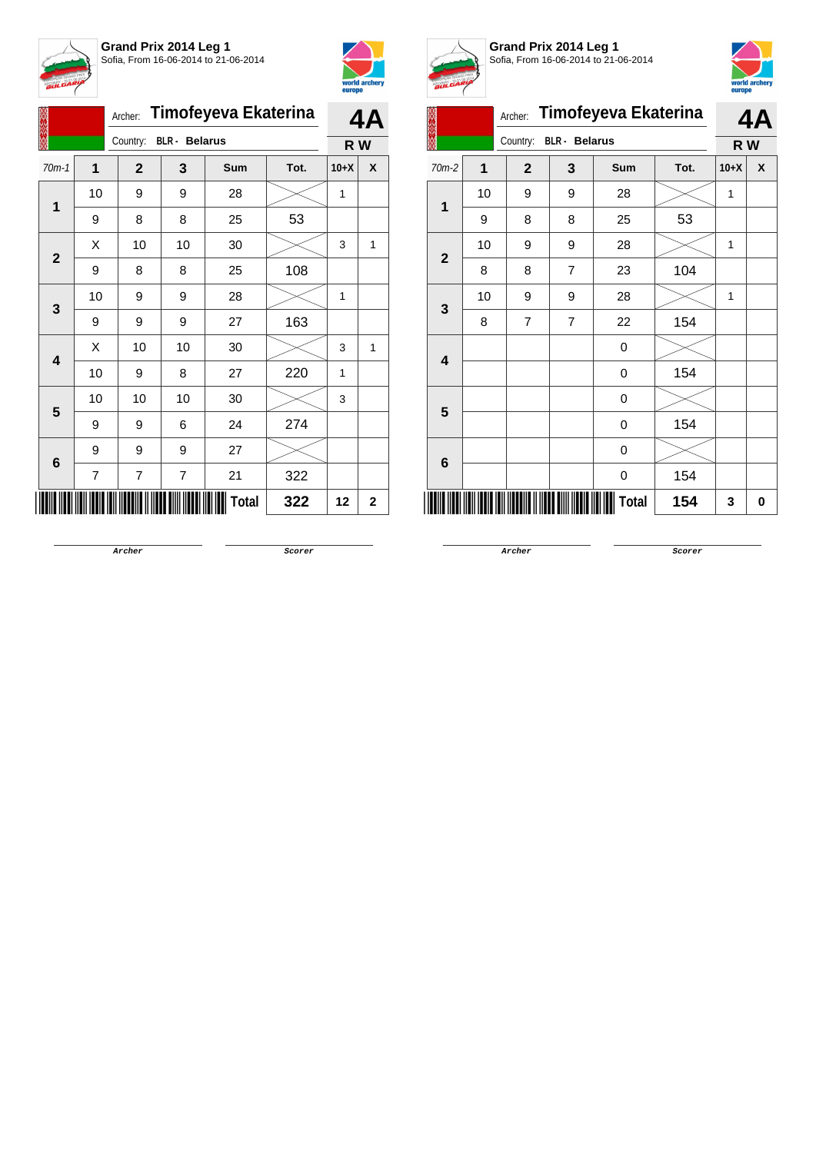



|                         |                | Archer:                          |                         | Timofeyeva Ekaterina |      |        | 4A           |
|-------------------------|----------------|----------------------------------|-------------------------|----------------------|------|--------|--------------|
|                         |                | Country:<br><b>BLR</b> - Belarus | R W                     |                      |      |        |              |
| $70m-1$                 | $\mathbf{1}$   | $\mathbf{2}$                     | 3                       | Sum                  | Tot. | $10+X$ | X            |
| 1                       | 10             | 9                                | 9                       | 28                   |      | 1      |              |
|                         | 9              | 8                                | 8                       | 25                   | 53   |        |              |
| $\mathbf{2}$            | Χ              | $10$                             | 10                      | 30                   |      | 3      | 1            |
|                         | 9              | 8                                | 8                       | 25                   | 108  |        |              |
| 3                       | 10             | 9                                | 9                       | 28                   |      | 1      |              |
|                         | 9              | 9                                | 9                       | 27                   | 163  |        |              |
| $\overline{\mathbf{4}}$ | X              | 10                               | 10                      | 30                   |      | 3      | 1            |
|                         | 10             | 9                                | 8                       | 27                   | 220  | 1      |              |
| 5                       | 10             | 10                               | 10                      | 30                   |      | 3      |              |
|                         | 9              | 9                                | 6                       | 24                   | 274  |        |              |
| 6                       | 9              | 9                                | 9                       | 27                   |      |        |              |
|                         | $\overline{7}$ | 7                                | $\overline{\mathbf{7}}$ | 21                   | 322  |        |              |
|                         |                |                                  |                         | Total                | 322  | 12     | $\mathbf{2}$ |



**Grand Prix 2014 Leg 1** Sofia, From 16-06-2014 to 21-06-2014



| A.                      |                |              |                      |                      |      |        |     |  |
|-------------------------|----------------|--------------|----------------------|----------------------|------|--------|-----|--|
|                         |                | Archer:      |                      | Timofeyeva Ekaterina |      |        | 4Α  |  |
|                         |                | Country:     | <b>BLR</b> - Belarus |                      |      |        | R W |  |
| 70m-2                   | $\overline{1}$ | $\mathbf{2}$ | 3                    | Sum                  | Tot. | $10+X$ | X   |  |
|                         | 10             | 9            | 9                    | 28                   |      | 1      |     |  |
| 1                       | 9              | 8            | 8                    | 25                   | 53   |        |     |  |
| $\overline{\mathbf{2}}$ | 10             | 9            | 9                    | 28                   |      | 1      |     |  |
|                         | 8              | 8            | 7                    | 23                   | 104  |        |     |  |
| 3                       | 10             | 9            | 9                    | 28                   |      | 1      |     |  |
|                         | 8              | 7            | $\overline{7}$       | 22                   | 154  |        |     |  |
| $\overline{\mathbf{4}}$ |                |              |                      | 0                    |      |        |     |  |
|                         |                |              |                      | 0                    | 154  |        |     |  |
| $5\phantom{1}$          |                |              |                      | $\mathbf 0$          |      |        |     |  |
|                         |                |              |                      | $\boldsymbol{0}$     | 154  |        |     |  |
|                         |                |              |                      | 0                    |      |        |     |  |
| 6                       |                |              |                      | 0                    | 154  |        |     |  |
|                         |                |              |                      | Total                | 154  | 3      | 0   |  |

**Archer Scorer**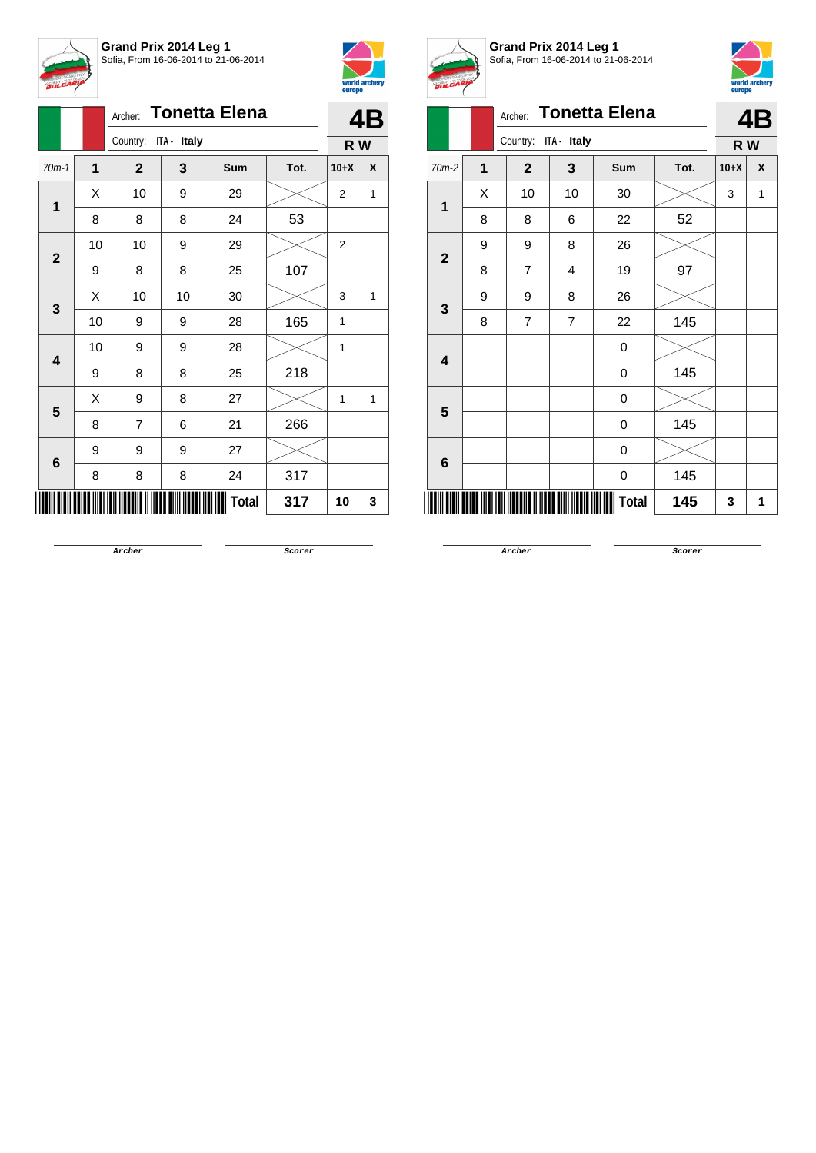

| Archer: Tonetta Elena |                         |                |             |       |      |                | 4B  |
|-----------------------|-------------------------|----------------|-------------|-------|------|----------------|-----|
|                       |                         | Country:       | ITA - Italy |       |      |                | R W |
| $70m-1$               | $\overline{\mathbf{1}}$ | $\mathbf{2}$   | 3           | Sum   | Tot. | $10+X$         | X   |
| $\overline{1}$        | X                       | 10             | 9           | 29    |      | $\overline{2}$ | 1   |
|                       | 8                       | 8              | 8           | 24    | 53   |                |     |
| $\mathbf{2}$          | 10                      | 10             | 9           | 29    |      | $\overline{2}$ |     |
|                       | 9                       | 8              | 8           | 25    | 107  |                |     |
| 3                     | X                       | 10             | 10          | 30    |      | 3              | 1   |
|                       | 10                      | 9              | 9           | 28    | 165  | 1              |     |
| 4                     | 10                      | 9              | 9           | 28    |      | 1              |     |
|                       | 9                       | 8              | 8           | 25    | 218  |                |     |
| 5                     | Χ                       | 9              | 8           | 27    |      | 1              | 1   |
|                       | 8                       | $\overline{7}$ | 6           | 21    | 266  |                |     |
| 6                     | 9                       | 9              | 9           | 27    |      |                |     |
|                       | 8                       | 8              | 8           | 24    | 317  |                |     |
|                       |                         |                |             | Total | 317  | 10             | 3   |



**Grand Prix 2014 Leg 1** Sofia, From 16-06-2014 to 21-06-2014



|                         | V |                |                |                      |      | $-$    |    |
|-------------------------|---|----------------|----------------|----------------------|------|--------|----|
|                         |   | Archer:        |                | <b>Tonetta Elena</b> |      |        | 4B |
|                         |   | Country:       | ITA - Italy    |                      |      | R W    |    |
| 70m-2                   | 1 | $\overline{2}$ | 3              | Sum                  | Tot. | $10+X$ | X  |
| 1                       | Χ | 10             | 10             | 30                   |      | 3      | 1  |
|                         | 8 | 8              | 6              | 22                   | 52   |        |    |
| $\overline{2}$          | 9 | 9              | 8              | 26                   |      |        |    |
|                         | 8 | 7              | 4              | 19                   | 97   |        |    |
| $\mathbf{3}$            | 9 | 9              | 8              | 26                   |      |        |    |
|                         | 8 | 7              | $\overline{7}$ | 22                   | 145  |        |    |
| $\overline{\mathbf{4}}$ |   |                |                | 0                    |      |        |    |
|                         |   |                |                | 0                    | 145  |        |    |
| $5\phantom{1}$          |   |                |                | 0                    |      |        |    |
|                         |   |                |                | 0                    | 145  |        |    |
| 6                       |   |                |                | 0                    |      |        |    |
|                         |   |                |                | 0                    | 145  |        |    |
|                         |   |                |                | Total                | 145  | 3      | 1  |

**Archer Scorer**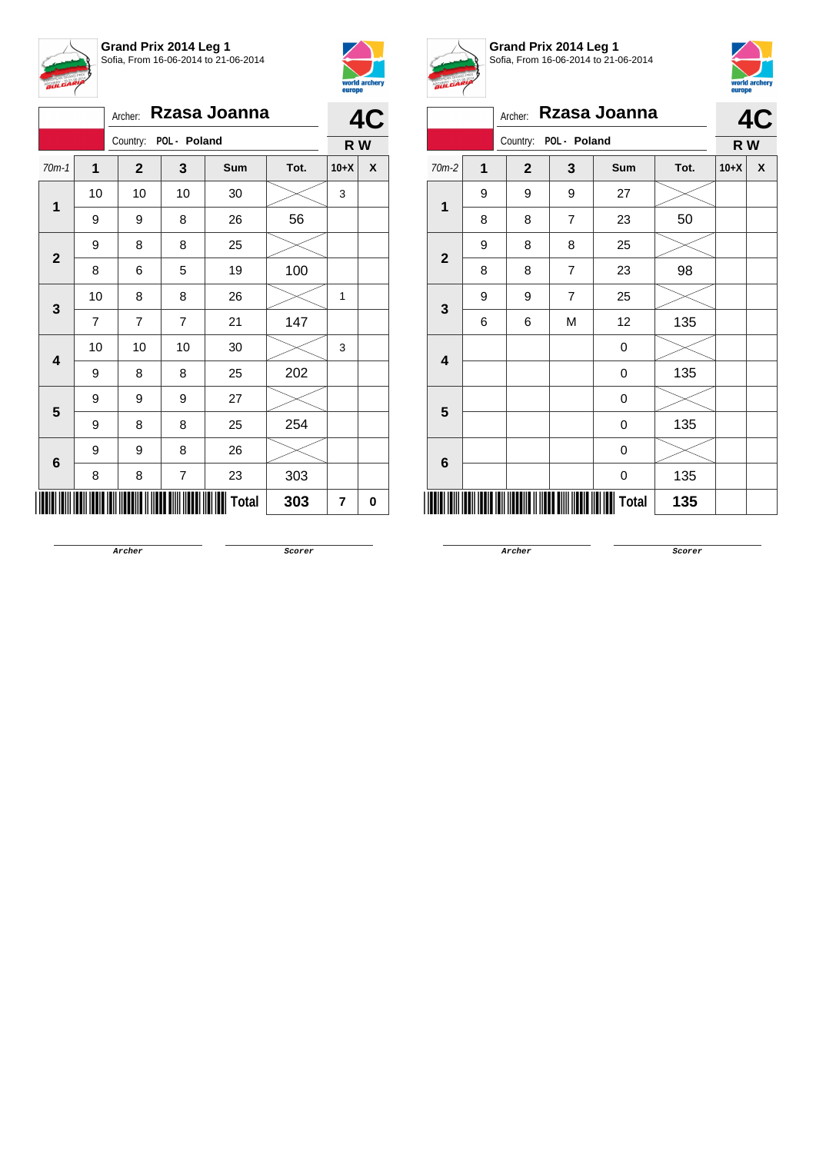



|  |              |                | Archer:        |                       | Rzasa Joanna |      | 4      | $\mathbf{r}$ |  |
|--|--------------|----------------|----------------|-----------------------|--------------|------|--------|--------------|--|
|  |              |                |                | Country: POL - Poland |              |      |        |              |  |
|  | $70m-1$      | 1              | $\mathbf{2}$   | 3                     | Sum          | Tot. | $10+X$ | X            |  |
|  | 1            | 10             | 10             | 10                    | 30           |      | 3      |              |  |
|  | 9            | 9              | 8              | 26                    | 56           |      |        |              |  |
|  |              | 9              | 8              | 8                     | 25           |      |        |              |  |
|  | $\mathbf{2}$ | 8              | 6              | 5                     | 19           | 100  |        |              |  |
|  | 3            | 10             | 8              | 8                     | 26           |      | 1      |              |  |
|  |              | $\overline{7}$ | $\overline{7}$ | $\overline{7}$        | 21           | 147  |        |              |  |
|  |              | 10             | 10             | 10                    | 30           |      | 3      |              |  |
|  | 4            | 9              | 8              | 8                     | 25           | 202  |        |              |  |
|  |              | 9              | 9              | 9                     | 27           |      |        |              |  |
|  | 5            | 9              | 8              | 8                     | 25           | 254  |        |              |  |
|  |              | 9              | 9              | 8                     | 26           |      |        |              |  |
|  | 6            | 8              | 8              | 7                     | 23           | 303  |        |              |  |
|  |              |                |                |                       | <b>Total</b> | 303  | 7      | 0            |  |



**Grand Prix 2014 Leg 1** Sofia, From 16-06-2014 to 21-06-2014



|                         |   | Archer:        |                | Rzasa Joanna |      |        | 4C  |
|-------------------------|---|----------------|----------------|--------------|------|--------|-----|
|                         |   | Country:       | POL - Poland   |              |      |        | R W |
| 70m-2                   | 1 | $\overline{2}$ | 3              | Sum          | Tot. | $10+X$ | X   |
| 1                       | 9 | 9              | 9              | 27           |      |        |     |
|                         | 8 | 8              | 7              | 23           | 50   |        |     |
| $\mathbf{2}$            | 9 | 8              | 8              | 25           |      |        |     |
|                         | 8 | 8              | 7              | 23           | 98   |        |     |
| $\mathbf{3}$            | 9 | 9              | $\overline{7}$ | 25           |      |        |     |
|                         | 6 | 6              | M              | 12           | 135  |        |     |
| $\overline{\mathbf{4}}$ |   |                |                | 0            |      |        |     |
|                         |   |                |                | $\mathbf 0$  | 135  |        |     |
| $5\phantom{1}$          |   |                |                | 0            |      |        |     |
|                         |   |                |                | 0            | 135  |        |     |
| $6\phantom{1}6$         |   |                |                | 0            |      |        |     |
|                         |   |                |                | 0            | 135  |        |     |
|                         |   |                |                | <b>Total</b> | 135  |        |     |

**Archer Scorer**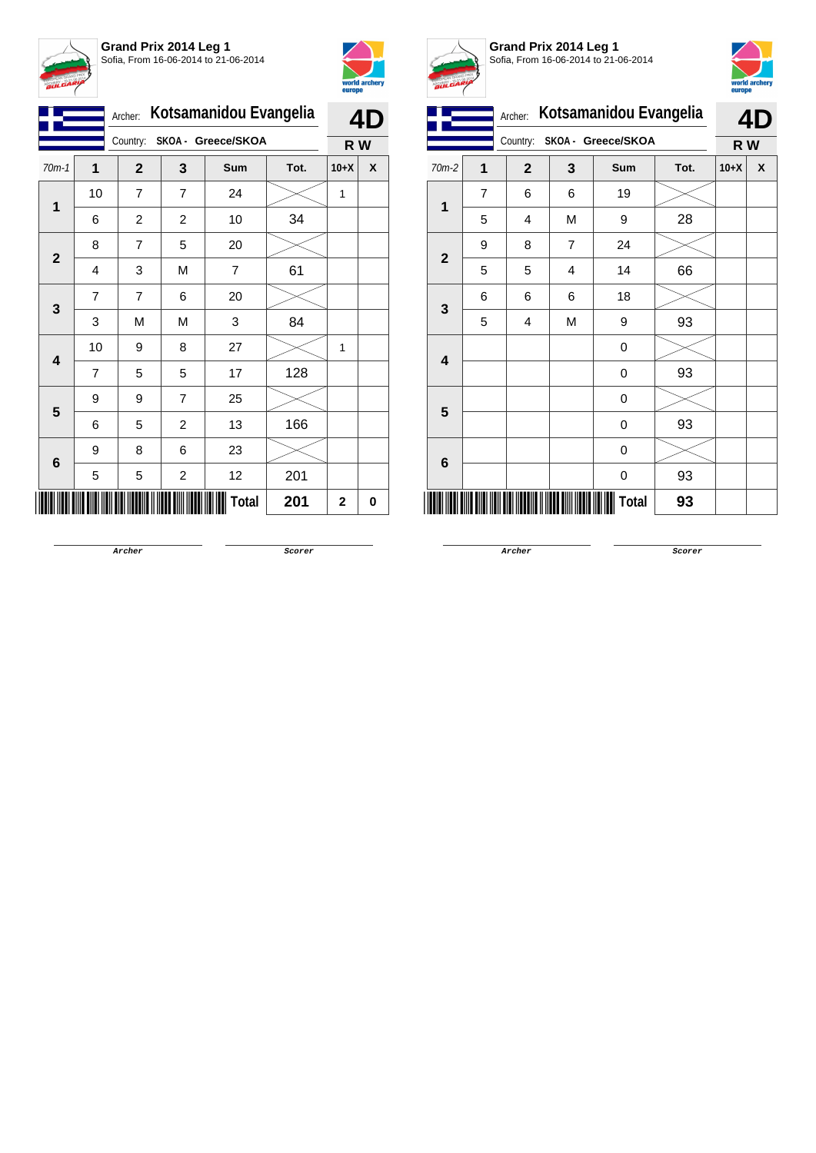



|                |                | Kotsamanidou Evangelia<br>Archer: |                         |                |      |             | 4D |  |
|----------------|----------------|-----------------------------------|-------------------------|----------------|------|-------------|----|--|
|                |                | Country:<br>SKOA - Greece/SKOA    |                         | R W            |      |             |    |  |
| $70m-1$        | 1              | $\mathbf{2}$                      | 3                       | Sum            | Tot. | $10+X$      | X  |  |
| 1              | 10             | $\overline{7}$                    | $\overline{7}$          | 24             |      | 1           |    |  |
|                | 6              | $\overline{c}$                    | $\overline{c}$          | 10             | 34   |             |    |  |
| $\overline{2}$ | 8              | 7                                 | 5                       | 20             |      |             |    |  |
|                | 4              | 3                                 | M                       | $\overline{7}$ | 61   |             |    |  |
| 3              | $\overline{7}$ | $\overline{7}$                    | 6                       | 20             |      |             |    |  |
|                | 3              | M                                 | M                       | 3              | 84   |             |    |  |
| 4              | 10             | 9                                 | 8                       | 27             |      | 1           |    |  |
|                | 7              | 5                                 | 5                       | 17             | 128  |             |    |  |
| 5              | 9              | 9                                 | 7                       | 25             |      |             |    |  |
|                | 6              | 5                                 | $\overline{c}$          | 13             | 166  |             |    |  |
|                | 9              | 8                                 | 6                       | 23             |      |             |    |  |
| 6              | 5              | 5                                 | $\overline{\mathbf{c}}$ | 12             | 201  |             |    |  |
|                |                |                                   |                         | Total          | 201  | $\mathbf 2$ | 0  |  |



**Grand Prix 2014 Leg 1** Sofia, From 16-06-2014 to 21-06-2014



|                         |   | Kotsamanidou Evangelia<br>Archer: |                |                    |      | 4D     |   |
|-------------------------|---|-----------------------------------|----------------|--------------------|------|--------|---|
|                         |   | Country:                          |                | SKOA - Greece/SKOA |      | R W    |   |
| 70m-2                   | 1 | $\mathbf{2}$                      | 3              | Sum                | Tot. | $10+X$ | X |
| 1                       | 7 | 6                                 | 6              | 19                 |      |        |   |
|                         | 5 | 4                                 | М              | 9                  | 28   |        |   |
| $\mathbf{2}$            | 9 | 8                                 | $\overline{7}$ | 24                 |      |        |   |
|                         | 5 | 5                                 | 4              | 14                 | 66   |        |   |
| $\mathbf{3}$            | 6 | 6                                 | 6              | 18                 |      |        |   |
|                         | 5 | 4                                 | M              | 9                  | 93   |        |   |
| $\overline{\mathbf{4}}$ |   |                                   |                | 0                  |      |        |   |
|                         |   |                                   |                | 0                  | 93   |        |   |
| $5\phantom{1}$          |   |                                   |                | 0                  |      |        |   |
|                         |   |                                   |                | 0                  | 93   |        |   |
| 6                       |   |                                   |                | 0                  |      |        |   |
|                         |   |                                   |                | 0                  | 93   |        |   |
|                         |   |                                   |                | Total              | 93   |        |   |

**Archer Scorer**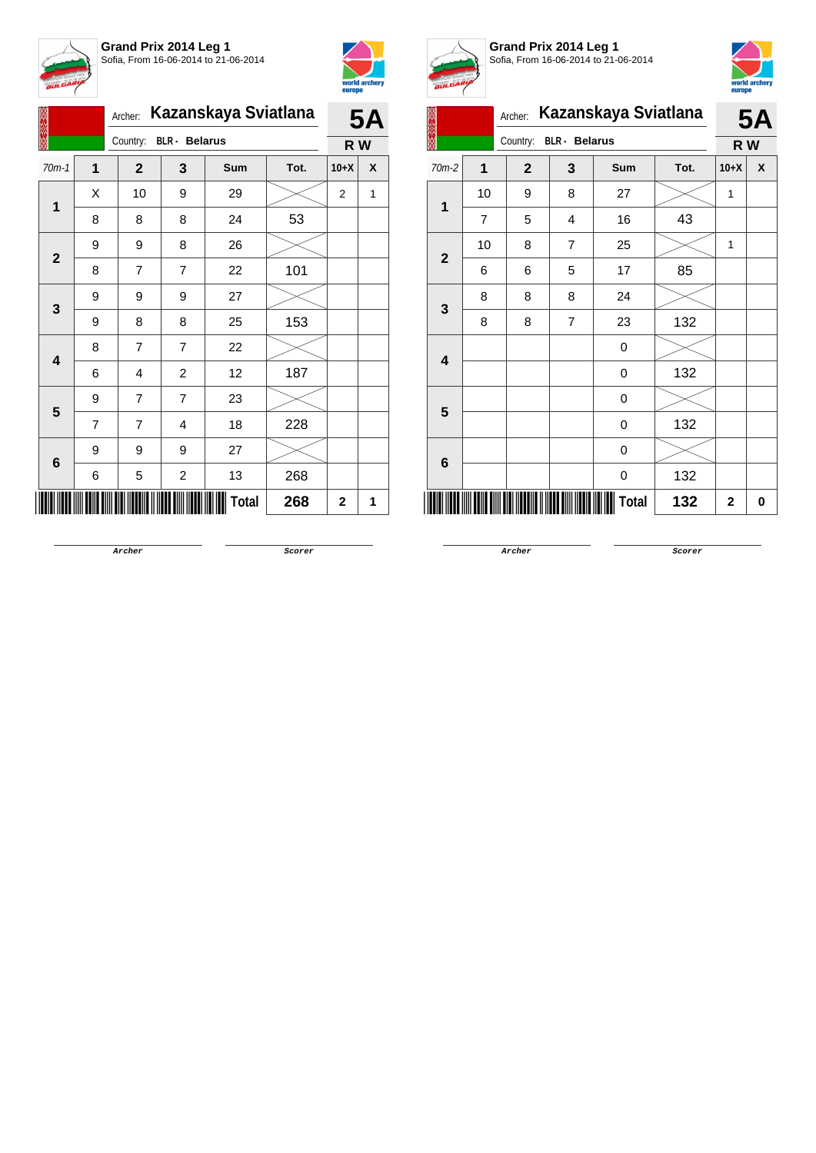



|                         |                | Kazanskaya Sviatlana<br>Archer: |                         |       |      |        | <b>5A</b> |  |  |
|-------------------------|----------------|---------------------------------|-------------------------|-------|------|--------|-----------|--|--|
|                         |                | Country: BLR - Belarus          |                         |       |      |        | R W       |  |  |
| $70m-1$                 | 1              | $\overline{2}$                  | 3                       | Sum   | Tot. | $10+X$ | X         |  |  |
| 1                       | X              | 10                              | 9                       | 29    |      | 2      | 1         |  |  |
|                         | 8              | 8                               | 8                       | 24    | 53   |        |           |  |  |
| $\mathbf{2}$            | 9              | 9                               | 8                       | 26    |      |        |           |  |  |
|                         | 8              | 7                               | $\overline{7}$          | 22    | 101  |        |           |  |  |
| 3                       | 9              | 9                               | 9                       | 27    |      |        |           |  |  |
|                         | 9              | 8                               | 8                       | 25    | 153  |        |           |  |  |
| $\overline{\mathbf{4}}$ | 8              | 7                               | $\overline{7}$          | 22    |      |        |           |  |  |
|                         | 6              | 4                               | $\overline{c}$          | 12    | 187  |        |           |  |  |
| 5                       | 9              | $\overline{7}$                  | 7                       | 23    |      |        |           |  |  |
|                         | $\overline{7}$ | 7                               | 4                       | 18    | 228  |        |           |  |  |
|                         | 9              | 9                               | 9                       | 27    |      |        |           |  |  |
| 6                       | 6              | 5                               | $\overline{\mathbf{c}}$ | 13    | 268  |        |           |  |  |
|                         |                |                                 |                         | Total | 268  | 2      | 1         |  |  |



**Grand Prix 2014 Leg 1** Sofia, From 16-06-2014 to 21-06-2014



| V                       | <u></u>        |              |                      |       |      |              |           |
|-------------------------|----------------|--------------|----------------------|-------|------|--------------|-----------|
|                         |                | Archer:      | Kazanskaya Sviatlana |       |      |              | <b>5A</b> |
|                         |                | Country:     | <b>BLR</b> - Belarus |       |      |              | R W       |
| 70m-2                   | $\overline{1}$ | $\mathbf{2}$ | 3                    | Sum   | Tot. | $10+X$       | X         |
| 1                       | 10             | 9            | 8                    | 27    |      | 1            |           |
|                         | 7              | 5            | 4                    | 16    | 43   |              |           |
| $\mathbf{2}$            | 10             | 8            | 7                    | 25    |      | 1            |           |
|                         | 6              | 6            | 5                    | 17    | 85   |              |           |
|                         | 8              | 8            | 8                    | 24    |      |              |           |
| $\mathbf 3$             | 8              | 8            | $\overline{7}$       | 23    | 132  |              |           |
| $\overline{\mathbf{4}}$ |                |              |                      | 0     |      |              |           |
|                         |                |              |                      | 0     | 132  |              |           |
| $5\phantom{1}$          |                |              |                      | 0     |      |              |           |
|                         |                |              |                      | 0     | 132  |              |           |
| 6                       |                |              |                      | 0     |      |              |           |
|                         |                |              |                      | 0     | 132  |              |           |
|                         |                |              |                      | Total | 132  | $\mathbf{2}$ | 0         |

**Archer Scorer**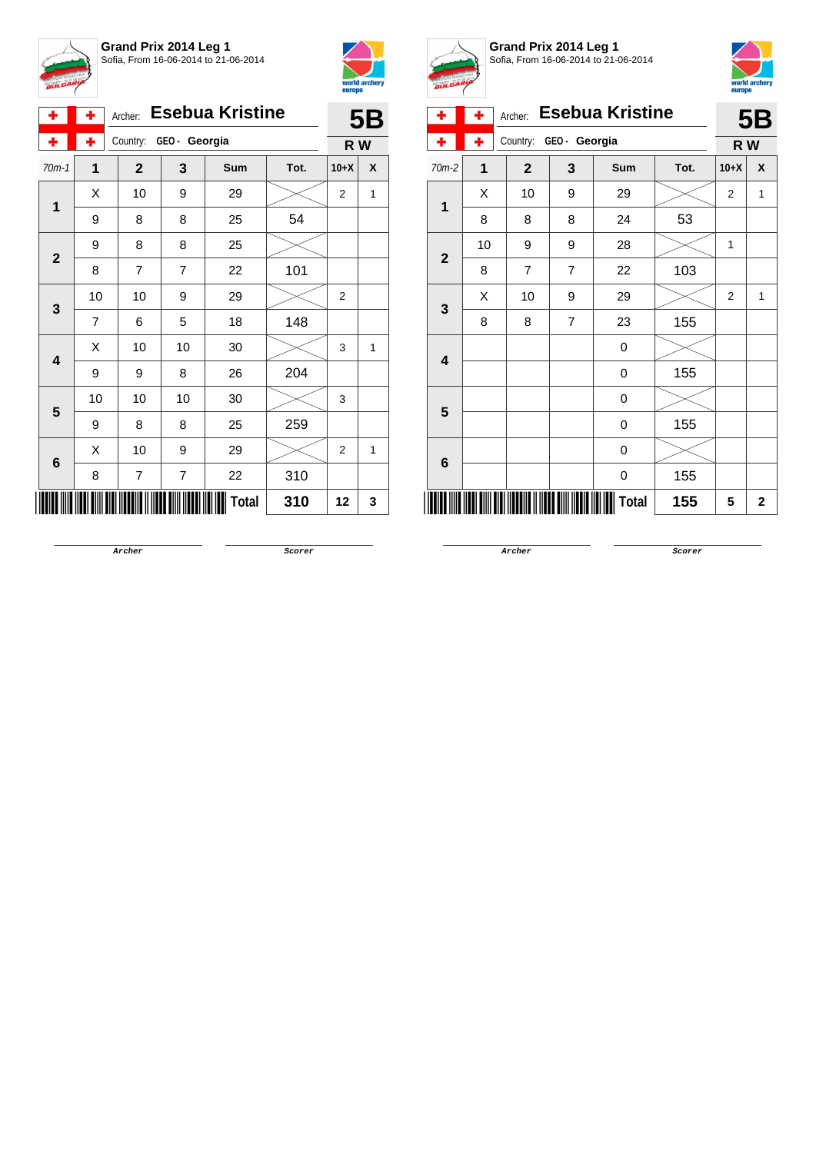



| ۰                       | ٠  | Archer:          |              | <b>Esebua Kristine</b> |      |                | <b>5B</b> |  |
|-------------------------|----|------------------|--------------|------------------------|------|----------------|-----------|--|
| ۰                       | ÷  | Country:         | GEO- Georgia |                        |      |                |           |  |
| $70m-1$                 | 1  | $\mathbf{2}$     | 3            | Sum                    | Tot. | $10+X$         | X         |  |
| $\overline{1}$          | X  | 10               | 9            | 29                     |      | $\overline{c}$ | 1         |  |
|                         | 9  | 8                | 8            | 25                     | 54   |                |           |  |
| $\mathbf{2}$            | 9  | 8                | 8            | 25                     |      |                |           |  |
|                         | 8  | $\overline{7}$   | 7            | 22                     | 101  |                |           |  |
|                         | 10 | 10               | 9            | 29                     |      | $\overline{2}$ |           |  |
| 3                       | 7  | 6                | 5            | 18                     | 148  |                |           |  |
| $\overline{\mathbf{4}}$ | Χ  | 10               | 10           | 30                     |      | 3              | 1         |  |
|                         | 9  | 9                | 8            | 26                     | 204  |                |           |  |
| 5                       | 10 | 10               | 10           | 30                     |      | 3              |           |  |
|                         | 9  | 8                | 8            | 25                     | 259  |                |           |  |
|                         | X  | 10               | 9            | 29                     |      | $\overline{2}$ | 1         |  |
| $\bf 6$                 | 8  | $\boldsymbol{7}$ | 7            | 22                     | 310  |                |           |  |
|                         |    |                  |              | Total                  | 310  | 12             | 3         |  |



**Grand Prix 2014 Leg 1** Sofia, From 16-06-2014 to 21-06-2014



| ÷                       | ÷              | Archer:        |                | <b>Esebua Kristine</b> |      |                | 5B               |
|-------------------------|----------------|----------------|----------------|------------------------|------|----------------|------------------|
|                         | ۰              | Country:       | GEO - Georgia  |                        |      | R W            |                  |
| $70m-2$                 | $\overline{1}$ | $\mathbf{2}$   | 3              | Sum                    | Tot. | $10+X$         | $\boldsymbol{x}$ |
| 1                       | X              | 10             | 9              | 29                     |      | $\overline{2}$ | 1                |
|                         | 8              | 8              | 8              | 24                     | 53   |                |                  |
| $\overline{2}$          | 10             | 9              | 9              | 28                     |      | 1              |                  |
|                         | 8              | $\overline{7}$ | $\overline{7}$ | 22                     | 103  |                |                  |
| $\mathbf{3}$            | X              | 10             | 9              | 29                     |      | $\overline{2}$ | 1                |
|                         | 8              | 8              | $\overline{7}$ | 23                     | 155  |                |                  |
| $\overline{\mathbf{4}}$ |                |                |                | 0                      |      |                |                  |
|                         |                |                |                | 0                      | 155  |                |                  |
| 5                       |                |                |                | 0                      |      |                |                  |
|                         |                |                |                | 0                      | 155  |                |                  |
| 6                       |                |                |                | 0                      |      |                |                  |
|                         |                |                |                | 0                      | 155  |                |                  |
|                         |                |                |                | <b>Total</b>           | 155  | 5              | $\mathbf 2$      |

**Archer Scorer**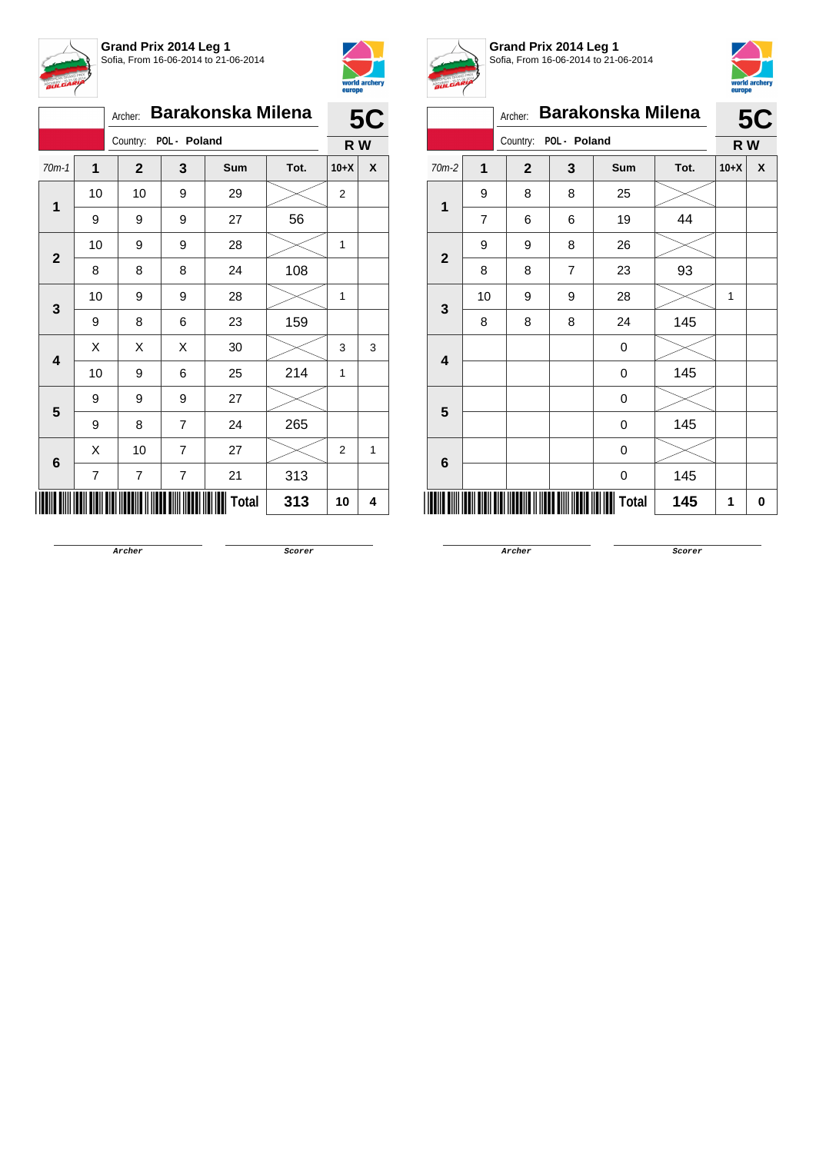



|  |                                                                 |    | Archer:        |                       | <b>Barakonska Milena</b> |      |                | <b>5C</b> |
|--|-----------------------------------------------------------------|----|----------------|-----------------------|--------------------------|------|----------------|-----------|
|  |                                                                 |    |                | Country: POL - Poland |                          |      | R W            |           |
|  | $70m-1$<br>1<br>$\overline{2}$<br>3<br>4<br>5<br>$6\phantom{1}$ | 1  | $\overline{2}$ | 3                     | Sum                      | Tot. | $10+X$         | X         |
|  |                                                                 | 10 | 10             | 9                     | 29                       |      | 2              |           |
|  | 9                                                               | 9  | 9              | 27                    | 56                       |      |                |           |
|  |                                                                 | 10 | 9              | 9                     | 28                       |      | 1              |           |
|  |                                                                 | 8  | 8              | 8                     | 24                       | 108  |                |           |
|  | 10                                                              | 9  | 9              | 28                    |                          | 1    |                |           |
|  | 9                                                               | 8  | 6              | 23                    | 159                      |      |                |           |
|  |                                                                 | X  | Χ              | Χ                     | 30                       |      | 3              | 3         |
|  |                                                                 | 10 | 9              | 6                     | 25                       | 214  | 1              |           |
|  |                                                                 | 9  | 9              | 9                     | 27                       |      |                |           |
|  |                                                                 | 9  | 8              | 7                     | 24                       | 265  |                |           |
|  |                                                                 | X  | 10             | $\overline{7}$        | 27                       |      | $\overline{2}$ | 1         |
|  |                                                                 | 7  | 7              | 7                     | 21                       | 313  |                |           |
|  |                                                                 |    |                |                       | <b>Total</b>             | 313  | 10             | 4         |



**Grand Prix 2014 Leg 1** Sofia, From 16-06-2014 to 21-06-2014



|                         |                | Archer:      |                | <b>Barakonska Milena</b> |      |        | <b>5C</b> |
|-------------------------|----------------|--------------|----------------|--------------------------|------|--------|-----------|
|                         |                | Country:     | POL - Poland   |                          |      | R W    |           |
| $70m-2$                 | $\mathbf{1}$   | $\mathbf{2}$ | 3              | Sum                      | Tot. | $10+X$ | χ         |
| 1                       | 9              | 8            | 8              | 25                       |      |        |           |
|                         | $\overline{7}$ | 6            | 6              | 19                       | 44   |        |           |
|                         | 9              | 9            | 8              | 26                       |      |        |           |
| $\overline{2}$          | 8              | 8            | $\overline{7}$ | 23                       | 93   |        |           |
| $\mathbf{3}$            | 10             | 9            | 9              | 28                       |      | 1      |           |
|                         | 8              | 8            | 8              | 24                       | 145  |        |           |
| $\overline{\mathbf{4}}$ |                |              |                | 0                        |      |        |           |
|                         |                |              |                | 0                        | 145  |        |           |
| 5                       |                |              |                | 0                        |      |        |           |
|                         |                |              |                | 0                        | 145  |        |           |
|                         |                |              |                | 0                        |      |        |           |
| 6                       |                |              |                | 0                        | 145  |        |           |
|                         |                |              |                | <b>Total</b>             | 145  | 1      | 0         |

**Archer Scorer**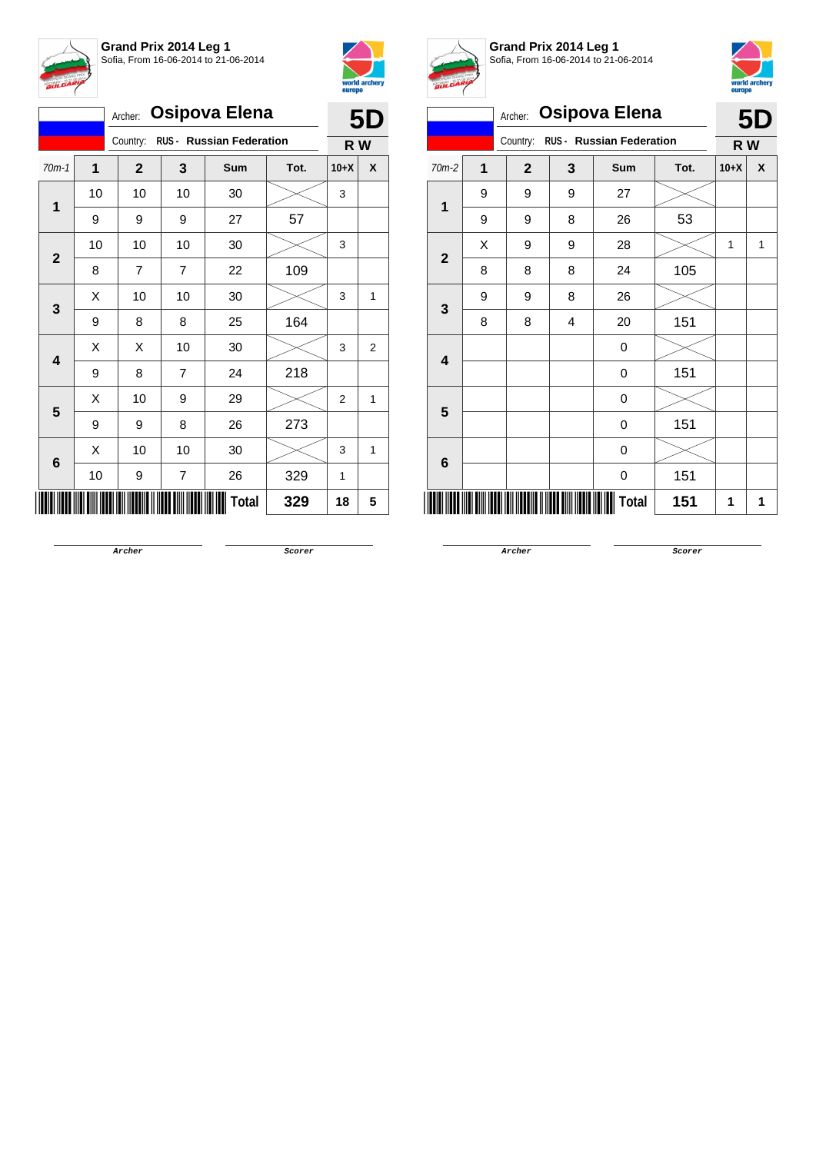



| <b>Osipova Elena</b><br>Archer: |                                      |              |                |              |      | 5D             |   |
|---------------------------------|--------------------------------------|--------------|----------------|--------------|------|----------------|---|
|                                 | RUS - Russian Federation<br>Country: |              |                |              |      | R W            |   |
| $70m-1$                         | 1                                    | $\mathbf{2}$ | 3              | Sum          | Tot. | $10+X$         | X |
|                                 | 10                                   | 10           | 10             | 30           |      | 3              |   |
| 1                               | 9                                    | 9            | 9              | 27           | 57   |                |   |
| $\mathbf{2}$                    | 10                                   | 10           | 10             | 30           |      | 3              |   |
|                                 | 8                                    | 7            | $\overline{7}$ | 22           | 109  |                |   |
| 3                               | Χ                                    | 10           | 10             | 30           |      | 3              | 1 |
|                                 | 9                                    | 8            | 8              | 25           | 164  |                |   |
| $\overline{\mathbf{4}}$         | Χ                                    | Χ            | 10             | 30           |      | 3              | 2 |
|                                 | 9                                    | 8            | $\overline{7}$ | 24           | 218  |                |   |
| 5                               | Χ                                    | 10           | 9              | 29           |      | $\overline{2}$ | 1 |
|                                 | 9                                    | 9            | 8              | 26           | 273  |                |   |
|                                 | X                                    | 10           | 10             | 30           |      | 3              | 1 |
| 6                               | 10                                   | 9            | $\overline{7}$ | 26           | 329  | 1              |   |
|                                 |                                      |              |                | <b>Total</b> | 329  | 18             | 5 |



**Grand Prix 2014 Leg 1** Sofia, From 16-06-2014 to 21-06-2014



|                | <b>BULLER</b>                                          |              |   |                      |      |        |           |
|----------------|--------------------------------------------------------|--------------|---|----------------------|------|--------|-----------|
|                |                                                        | Archer:      |   | <b>Osipova Elena</b> |      |        | <b>5D</b> |
|                | <b>RUS - Russian Federation</b><br>Country:<br>$70m-2$ |              |   |                      |      |        |           |
|                | 1                                                      | $\mathbf{2}$ | 3 | Sum                  | Tot. | $10+X$ | X         |
| $\mathbf{1}$   | 9                                                      | 9            | 9 | 27                   |      |        |           |
|                | 9                                                      | 9            | 8 | 26                   | 53   |        |           |
| $\mathbf{2}$   | X                                                      | 9            | 9 | 28                   |      | 1      | 1         |
|                | 8                                                      | 8            | 8 | 24                   | 105  |        |           |
|                | 9                                                      | 9            | 8 | 26                   |      |        |           |
|                | 8                                                      | 8            | 4 | 20                   | 151  |        |           |
|                |                                                        | 0            |   |                      |      |        |           |
|                | 3<br>4<br>0                                            | 151          |   |                      |      |        |           |
| $5\phantom{1}$ |                                                        |              |   | 0                    |      |        |           |
|                |                                                        |              |   | $\boldsymbol{0}$     | 151  |        | R W<br>1  |
| 6              |                                                        |              |   | $\mathbf 0$          |      |        |           |
|                |                                                        |              |   | $\mathbf 0$          | 151  |        |           |
|                |                                                        |              |   | Total                | 151  | 1      |           |
|                |                                                        |              |   |                      |      |        |           |

**Archer Scorer**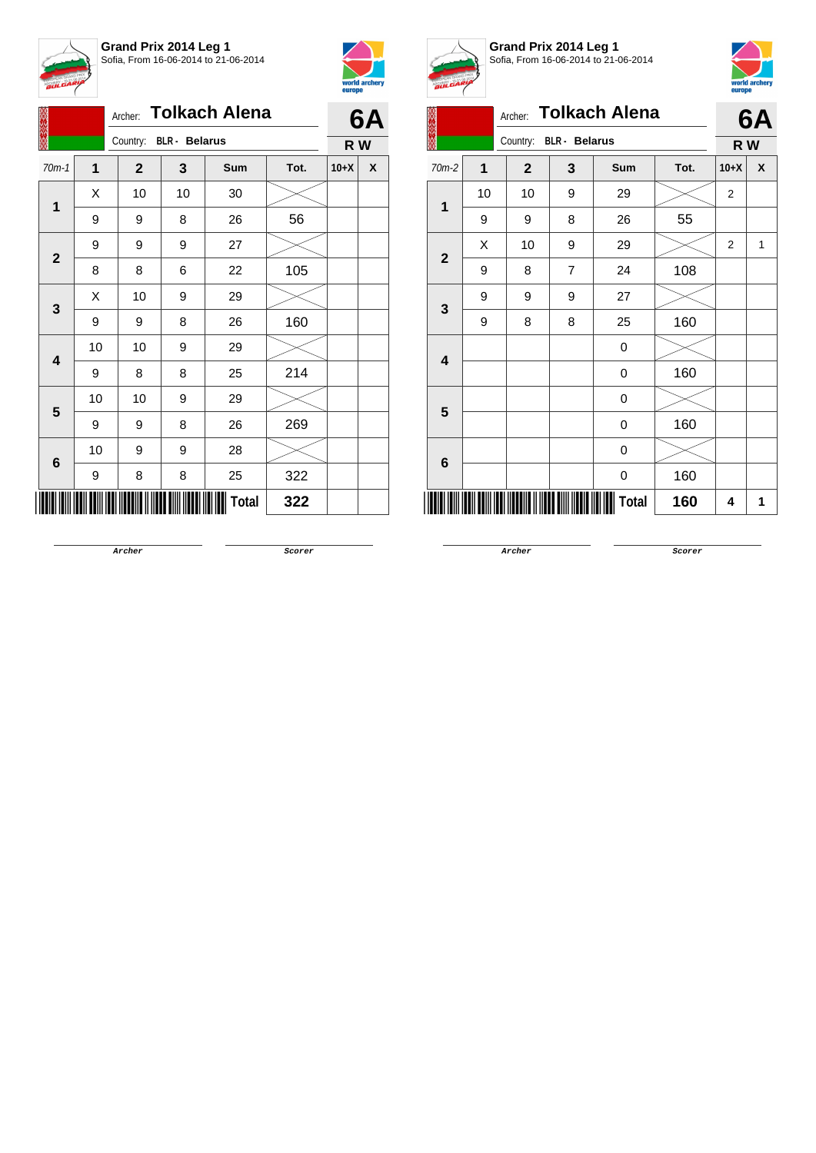



|                             | <b>Tolkach Alena</b><br>Archer: |    |                        |    |              |      |        | 6A |
|-----------------------------|---------------------------------|----|------------------------|----|--------------|------|--------|----|
|                             |                                 |    | Country: BLR - Belarus |    |              |      | R W    |    |
|                             | $70m-1$                         | 1  | $\mathbf{2}$           | 3  | Sum          | Tot. | $10+X$ | X  |
|                             |                                 | Χ  | 10                     | 10 | 30           |      |        |    |
| $\mathbf 1$<br>$\mathbf{2}$ | 9                               | 9  | 8                      | 26 | 56           |      |        |    |
|                             |                                 | 9  | 9                      | 9  | 27           |      |        |    |
|                             | 8                               | 8  | 6                      | 22 | 105          |      |        |    |
|                             |                                 | Χ  | 10                     | 9  | 29           |      |        |    |
|                             | 3                               | 9  | 9                      | 8  | 26           | 160  |        |    |
|                             |                                 | 10 | 10                     | 9  | 29           |      |        |    |
|                             | 4                               | 9  | 8                      | 8  | 25           | 214  |        |    |
|                             | 5                               | 10 | 10                     | 9  | 29           |      |        |    |
|                             |                                 | 9  | 9                      | 8  | 26           | 269  |        |    |
|                             |                                 | 10 | 9                      | 9  | 28           |      |        |    |
|                             | 6                               | 9  | 8                      | 8  | 25           | 322  |        |    |
|                             |                                 |    |                        |    | <b>Total</b> | 322  |        |    |



**Grand Prix 2014 Leg 1** Sofia, From 16-06-2014 to 21-06-2014



|                         | <b>A</b>       | Archer:                          |                | <b>Tolkach Alena</b> |      |                | 6A  |  |
|-------------------------|----------------|----------------------------------|----------------|----------------------|------|----------------|-----|--|
|                         |                | Country:<br><b>BLR</b> - Belarus |                |                      |      |                | R W |  |
| 70m-2                   | $\overline{1}$ | $\overline{\mathbf{2}}$          | 3              | Sum                  | Tot. | $10+X$         | X   |  |
| 1                       | 10             | 10                               | 9              | 29                   |      | $\overline{2}$ |     |  |
|                         | 9              | 9                                | 8              | 26                   | 55   |                |     |  |
|                         | X              | 10                               | 9              | 29                   |      | 2              | 1   |  |
| $\overline{\mathbf{2}}$ | 9              | 8                                | $\overline{7}$ | 24                   | 108  |                |     |  |
| 3                       | 9              | 9                                | 9              | 27                   |      |                |     |  |
|                         | 9              | 8                                | 8              | 25                   | 160  |                |     |  |
| 4                       |                |                                  |                | 0                    |      |                |     |  |
|                         |                |                                  |                | 0                    | 160  |                |     |  |
|                         |                |                                  |                | 0                    |      |                |     |  |
| 5                       |                |                                  |                | 0                    | 160  |                |     |  |
|                         |                |                                  |                | 0                    |      |                |     |  |
| $6\phantom{1}$          |                |                                  |                | 0                    | 160  |                |     |  |
|                         |                | Total<br>160                     |                |                      |      |                |     |  |

**Archer Scorer**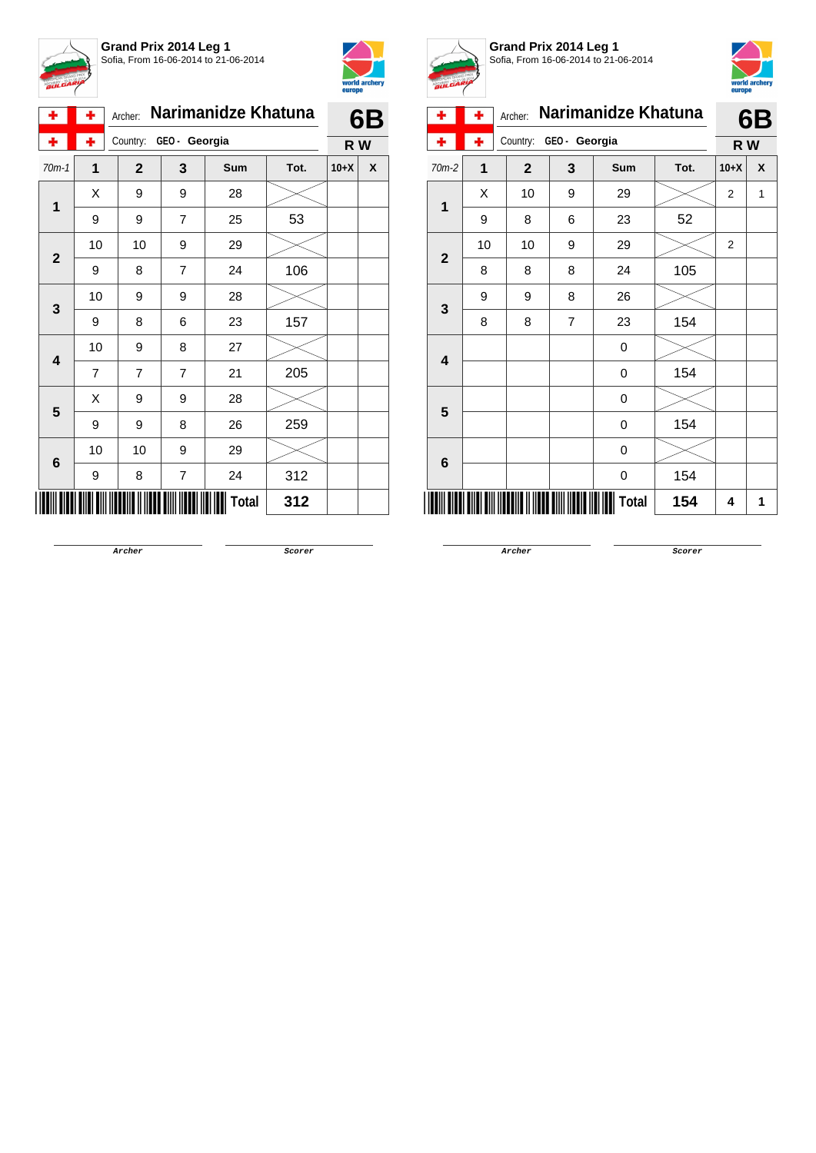



| ۰            | ۰              | Archer:        |                | Narimanidze Khatuna |      |        | 6B |  |  |
|--------------|----------------|----------------|----------------|---------------------|------|--------|----|--|--|
| ۰            | ٠              | Country:       | GEO- Georgia   |                     |      |        |    |  |  |
| $70m-1$      | $\overline{1}$ | $\overline{2}$ | 3              | Sum                 | Tot. | $10+X$ | X  |  |  |
| 1            | Χ              | 9              | 9              | 28                  |      |        |    |  |  |
|              | 9              | 9              | $\overline{7}$ | 25                  | 53   |        |    |  |  |
| $\mathbf{2}$ | 10             | 10             | 9              | 29                  |      |        |    |  |  |
|              | 9              | 8              | $\overline{7}$ | 24                  | 106  |        |    |  |  |
| 3            | 10             | 9              | 9              | 28                  |      |        |    |  |  |
|              | 9              | 8              | 6              | 23                  | 157  |        |    |  |  |
| 4            | 10             | 9              | 8              | 27                  |      |        |    |  |  |
|              | $\overline{7}$ | 7              | 7              | 21                  | 205  |        |    |  |  |
| 5            | Χ              | 9              | 9              | 28                  |      |        |    |  |  |
|              | 9              | 9              | 8              | 26                  | 259  |        |    |  |  |
| 6            | 10             | 10             | 9              | 29                  |      |        |    |  |  |
|              | 9              | 8              | 7              | 24                  | 312  |        |    |  |  |
|              |                |                |                | Total               | 312  |        |    |  |  |



**Grand Prix 2014 Leg 1** Sofia, From 16-06-2014 to 21-06-2014



| ÷                       | ۰              | Archer:      |                | Narimanidze Khatuna |      |                | 6B |
|-------------------------|----------------|--------------|----------------|---------------------|------|----------------|----|
|                         | ۰              | Country:     | GEO - Georgia  | R W                 |      |                |    |
| $70m-2$                 | $\overline{1}$ | $\mathbf{2}$ | 3              | Sum                 | Tot. | $10+X$         | X  |
| 1                       | Χ              | 10           | 9              | 29                  |      | $\overline{2}$ | 1  |
|                         | 9              | 8            | 6              | 23                  | 52   |                |    |
| $\overline{2}$          | 10             | 10           | 9              | 29                  |      | $\overline{2}$ |    |
|                         | 8              | 8            | 8              | 24                  | 105  |                |    |
|                         | 9              | 9            | 8              | 26                  |      |                |    |
| $\mathbf{3}$            | 8              | 8            | $\overline{7}$ | 23                  | 154  |                |    |
| $\overline{\mathbf{4}}$ |                |              |                | 0                   |      |                |    |
|                         |                |              |                | 0                   | 154  |                |    |
|                         |                |              |                | 0                   |      |                |    |
| 5                       |                |              |                | 0                   | 154  |                |    |
|                         |                |              |                | 0                   |      |                |    |
| 6                       |                |              |                | 0                   | 154  |                |    |
|                         |                |              |                | Total               | 154  | 4              | 1  |

**Archer Scorer**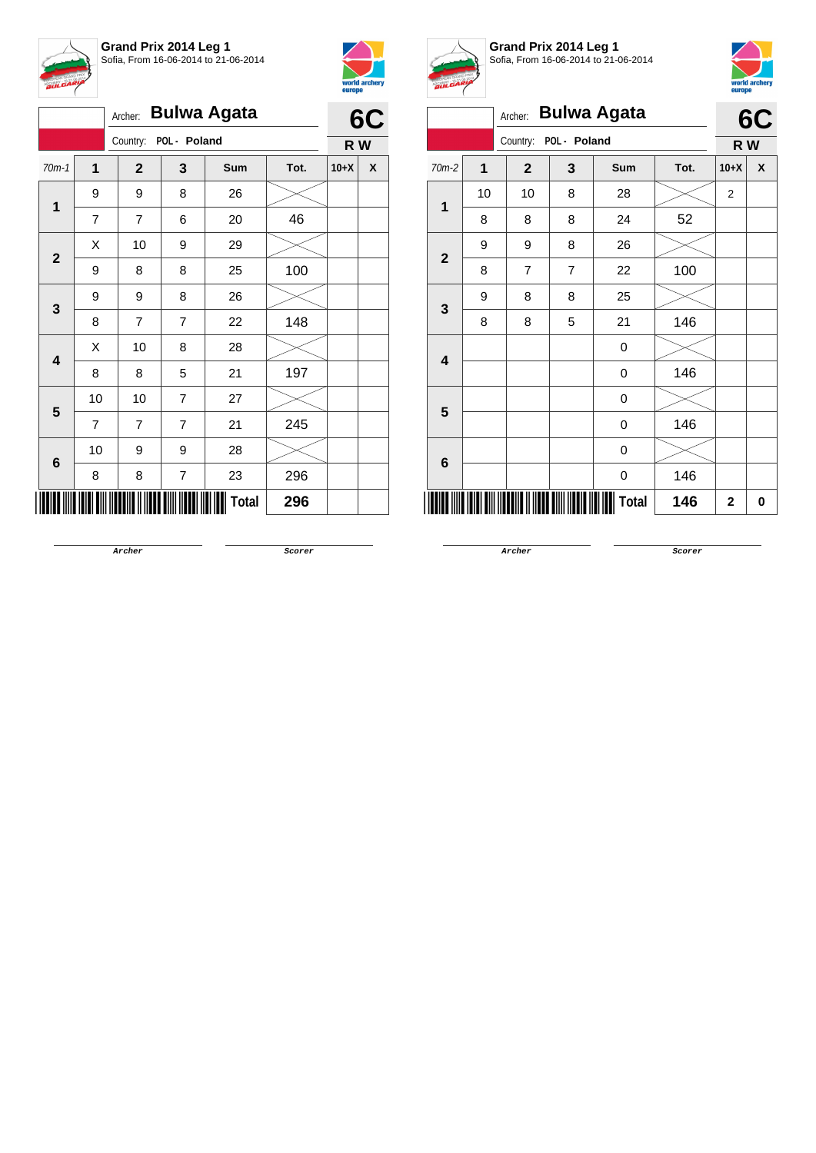



|                                                               |                   | Archer:        |              | <b>Bulwa Agata</b> |      |        |   |
|---------------------------------------------------------------|-------------------|----------------|--------------|--------------------|------|--------|---|
|                                                               |                   | Country:       | POL - Poland |                    |      |        |   |
| $70m-1$<br>1<br>1<br>$\overline{7}$<br>$\mathbf{2}$<br>9<br>3 |                   | $\mathbf{2}$   | 3            | Sum                | Tot. | $10+X$ | X |
|                                                               | 9                 | 9              | 8            | 26                 |      |        |   |
|                                                               |                   | $\overline{7}$ | 6            | 20                 | 46   |        |   |
|                                                               | Χ                 | 10             | 9            | 29                 |      |        |   |
|                                                               | 9<br>8<br>8<br>25 |                |              | 100                |      |        |   |
|                                                               |                   | 9              | 8            | 26                 |      |        |   |
|                                                               | 8                 | 7              | 7            | 22                 | 148  |        |   |
| 4                                                             | X                 | 10             | 8            | 28                 |      |        |   |
|                                                               | 8                 | 8              | 5            | 21                 | 197  |        |   |
| 5                                                             | 10                | 10             | 7            | 27                 |      |        |   |
|                                                               | $\overline{7}$    | $\overline{7}$ | 7            | 21                 | 245  |        |   |
| $\bf 6$                                                       | 10                | 9              | 9            | 28                 |      |        |   |
|                                                               | 8                 | 8              | 7            | 23                 | 296  |        |   |
|                                                               |                   |                |              | <b>Total</b>       | 296  |        |   |



**Grand Prix 2014 Leg 1** Sofia, From 16-06-2014 to 21-06-2014



|                         |    | Archer:        |              | <b>Bulwa Agata</b> |      |                | 6C |  |
|-------------------------|----|----------------|--------------|--------------------|------|----------------|----|--|
|                         |    | Country:       | POL - Poland |                    |      | R W            |    |  |
| $70m-2$                 | 1  | $\mathbf{2}$   | 3            | Sum                | Tot. | $10+X$         | X  |  |
| 1                       | 10 | 10             | 8            | 28                 |      | $\overline{2}$ |    |  |
|                         | 8  | 8              | 8            | 24                 | 52   |                |    |  |
| $\overline{\mathbf{2}}$ | 9  | 9              | 8            | 26                 |      |                |    |  |
|                         | 8  | $\overline{7}$ | 7            | 22                 | 100  |                |    |  |
| 3                       | 9  | 8              | 8            | 25                 |      |                |    |  |
|                         | 8  | 8              | 5            | 21                 | 146  |                |    |  |
| $\overline{\mathbf{4}}$ |    |                |              | 0                  |      |                |    |  |
|                         |    |                |              | 0                  | 146  |                |    |  |
| 5                       |    |                |              | 0                  |      |                |    |  |
|                         |    |                |              | 0                  | 146  |                |    |  |
| 6                       |    |                |              | 0                  |      |                |    |  |
|                         |    |                |              | 0                  | 146  |                |    |  |
|                         |    |                |              | <b>Total</b>       | 146  | $\mathbf{2}$   | 0  |  |

**Archer Scorer**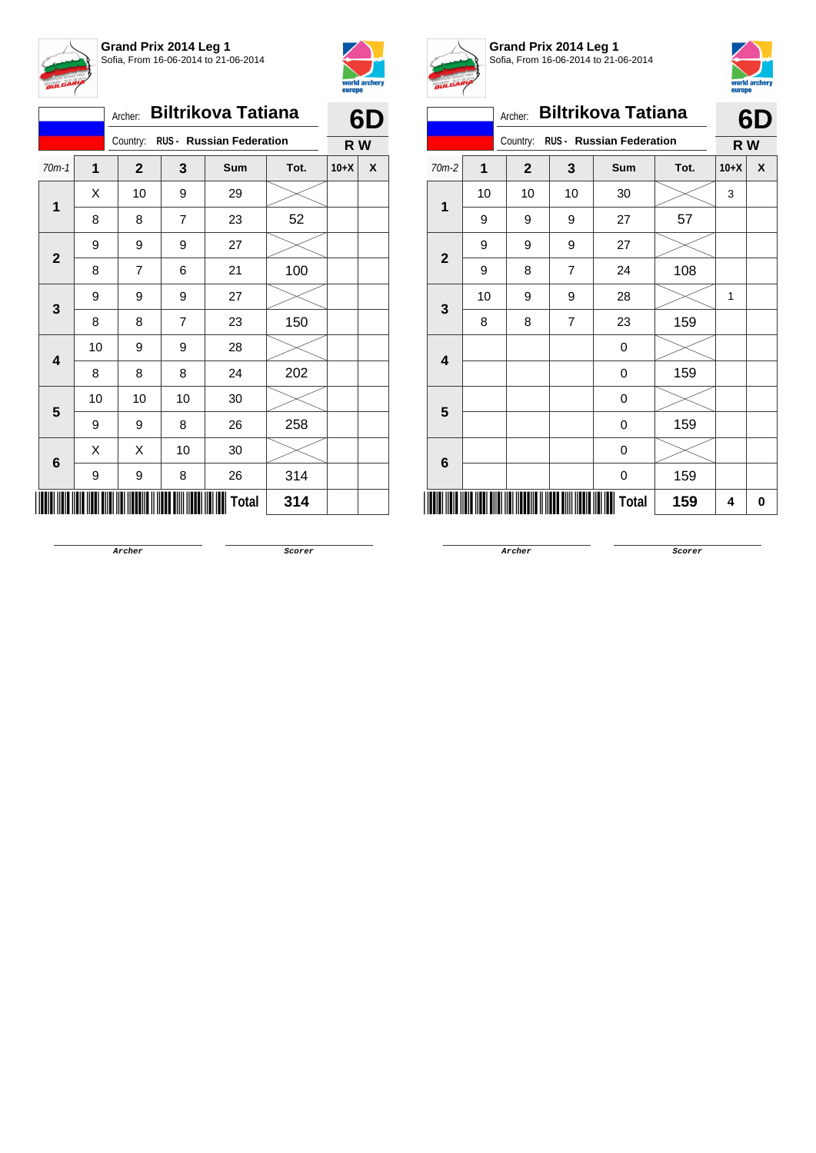



|                                   |                |    | Archer:        |    | <b>Biltrikova Tatiana</b> |      |        | 6D |
|-----------------------------------|----------------|----|----------------|----|---------------------------|------|--------|----|
|                                   | 1<br>$70m-1$   |    | Country:       |    | RUS - Russian Federation  |      | R W    |    |
|                                   |                |    | $\overline{2}$ | 3  | Sum                       | Tot. | $10+X$ | X  |
|                                   |                | X  | 10             | 9  | 29                        |      |        |    |
| $\mathbf{1}$<br>$\mathbf{2}$<br>3 | 8              | 8  | $\overline{7}$ | 23 | 52                        |      |        |    |
|                                   |                | 9  | 9              | 9  | 27                        |      |        |    |
|                                   |                | 8  | 7              | 6  | 21                        | 100  |        |    |
|                                   |                | 9  | 9              | 9  | 27                        |      |        |    |
| 4                                 | 8              | 8  | 7              | 23 | 150                       |      |        |    |
|                                   |                | 10 | 9              | 9  | 28                        |      |        |    |
|                                   |                | 8  | 8              | 8  | 24                        | 202  |        |    |
|                                   | 5              | 10 | 10             | 10 | 30                        |      |        |    |
|                                   |                | 9  | 9              | 8  | 26                        | 258  |        |    |
|                                   |                | X  | Χ              | 10 | 30                        |      |        |    |
|                                   | $6\phantom{1}$ | 9  | 9              | 8  | 26                        | 314  |        |    |
|                                   |                |    |                |    | <b>Total</b>              | 314  |        |    |



**Grand Prix 2014 Leg 1** Sofia, From 16-06-2014 to 21-06-2014



| <b>BULGARI</b> |    |              |                |                                 |      |        | world archery<br>europe |
|----------------|----|--------------|----------------|---------------------------------|------|--------|-------------------------|
|                |    | Archer:      |                | <b>Biltrikova Tatiana</b>       |      |        | 6D                      |
|                |    | Country:     |                | <b>RUS - Russian Federation</b> |      | R W    |                         |
| $70m-2$        | 1  | $\mathbf{2}$ | 3              | <b>Sum</b>                      | Tot. | $10+X$ | X                       |
| 1              | 10 | 10           | 10             | 30                              |      | 3      |                         |
|                | 9  | 9            | 9              | 27                              | 57   |        |                         |
| $\overline{2}$ | 9  | 9            | 9              | 27                              |      |        |                         |
|                | 9  | 8            | $\overline{7}$ | 24                              | 108  |        |                         |
| 3              | 10 | 9            | 9              | 28                              |      | 1      |                         |
|                | 8  | 8            | $\overline{7}$ | 23                              | 159  |        |                         |
| 4              |    |              |                | 0                               |      |        |                         |
|                |    |              |                | 0                               | 159  |        |                         |
| 5              |    |              |                | 0                               |      |        |                         |
|                |    |              |                | 0                               | 159  |        |                         |
| 6              |    |              |                | 0                               |      |        |                         |
|                |    |              |                | 0                               | 159  |        |                         |
|                |    |              |                | Total                           | 159  | 4      | 0                       |

**Archer Scorer**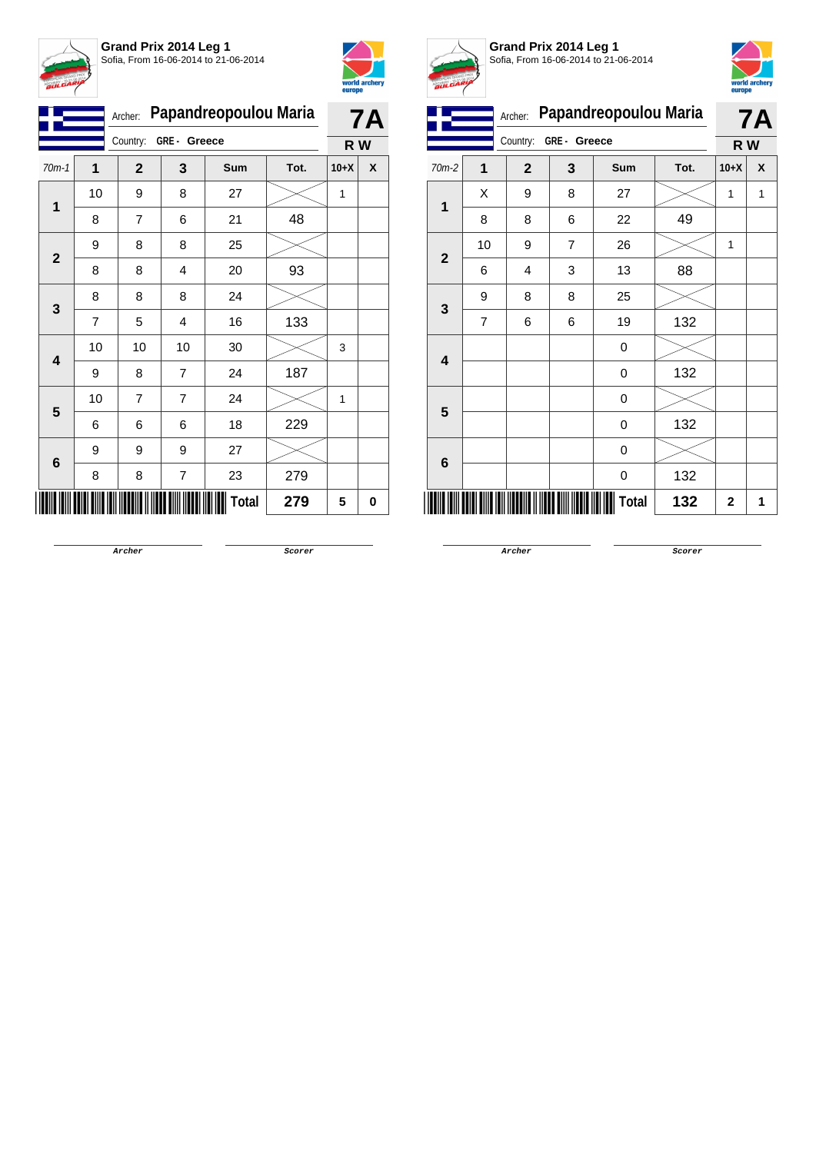



|                         |                | Papandreopoulou Maria<br>Archer: | 7A             |              |      |        |   |
|-------------------------|----------------|----------------------------------|----------------|--------------|------|--------|---|
|                         |                | GRE- Greece<br>Country:          |                |              | R W  |        |   |
| $70m-1$                 | 1              | $\mathbf{2}$                     | 3              | Sum          | Tot. | $10+X$ | X |
| 1                       | 10             | 9                                | 8              | 27           |      | 1      |   |
|                         | 8              | 7                                | 6              | 21           | 48   |        |   |
| $\mathbf 2$             | 9              | 8                                | 8              | 25           |      |        |   |
|                         | 8              | 8                                | 4              | 20           | 93   |        |   |
| 3                       | 8              | 8                                | 8              | 24           |      |        |   |
|                         | $\overline{7}$ | 5                                | 4              | 16           | 133  |        |   |
| $\overline{\mathbf{4}}$ | 10             | 10                               | 10             | 30           |      | 3      |   |
|                         | 9              | 8                                | 7              | 24           | 187  |        |   |
| 5                       | 10             | 7                                | 7              | 24           |      | 1      |   |
|                         | 6              | 6                                | 6              | 18           | 229  |        |   |
| 6                       | 9              | 9                                | 9              | 27           |      |        |   |
|                         | 8              | 8                                | $\overline{7}$ | 23           | 279  |        |   |
|                         |                |                                  |                | <b>Total</b> | 279  | 5      | 0 |



**Grand Prix 2014 Leg 1** Sofia, From 16-06-2014 to 21-06-2014



|                         |                | Archer:      | Papandreopoulou Maria |       |      |             | <b>7A</b> |
|-------------------------|----------------|--------------|-----------------------|-------|------|-------------|-----------|
|                         |                | Country:     | GRE- Greece           |       |      | R W         |           |
| 70m-2                   | $\mathbf{1}$   | $\mathbf{2}$ | 3                     | Sum   | Tot. | $10+X$      | X         |
| 1                       | Χ              | 9            | 8                     | 27    |      | 1           | 1         |
|                         | 8              | 8            | 6                     | 22    | 49   |             |           |
| $\mathbf{2}$            | 10             | 9            | 7                     | 26    |      | 1           |           |
|                         | 6              | 4            | 3                     | 13    | 88   |             |           |
| $\mathbf{3}$            | 9              | 8            | 8                     | 25    |      |             |           |
|                         | $\overline{7}$ | 6            | 6                     | 19    | 132  |             |           |
| $\overline{\mathbf{4}}$ |                |              |                       | 0     |      |             |           |
|                         |                |              |                       | 0     | 132  |             |           |
| 5                       |                |              |                       | 0     |      |             |           |
|                         |                |              |                       | 0     | 132  |             |           |
| $6\phantom{1}$          |                |              |                       | 0     |      |             |           |
|                         |                |              |                       | 0     | 132  |             |           |
|                         |                |              |                       | Total | 132  | $\mathbf 2$ | 1         |

**Archer Scorer**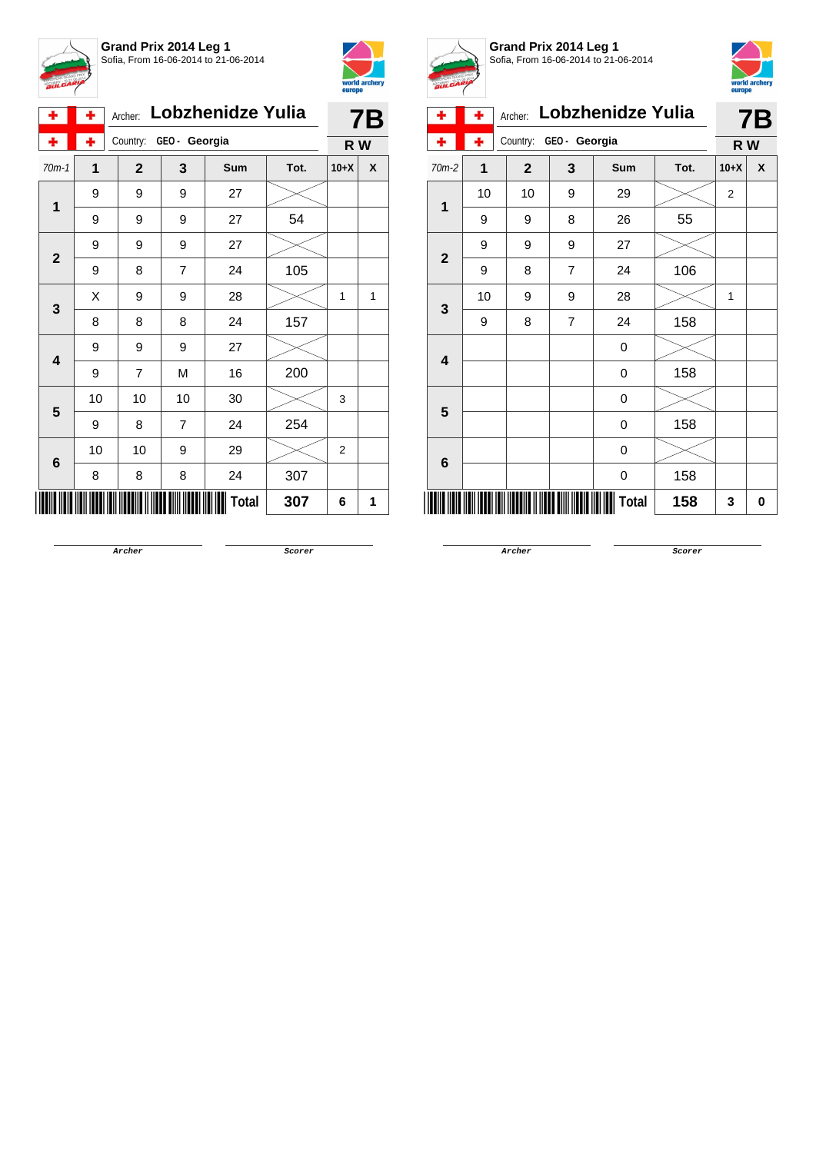



| ٠              | ٠  | Archer:      |                | Lobzhenidze Yulia |      |                | 7Β |  |
|----------------|----|--------------|----------------|-------------------|------|----------------|----|--|
| ÷              | ÷  | Country:     | GEO- Georgia   |                   |      |                |    |  |
| $70m-1$        | 1  | $\mathbf{2}$ | 3              | Sum               | Tot. | $10+X$         | X  |  |
| $\overline{1}$ | 9  | 9            | 9              | 27                |      |                |    |  |
|                | 9  | 9            | 9              | 27                | 54   |                |    |  |
| $\mathbf{2}$   | 9  | 9            | 9              | 27                |      |                |    |  |
|                | 9  | 8            | $\overline{7}$ | 24                | 105  |                |    |  |
| 3              | X  | 9            | 9              | 28                |      | 1              | 1  |  |
|                | 8  | 8            | 8              | 24                | 157  |                |    |  |
| 4              | 9  | 9            | 9              | 27                |      |                |    |  |
|                | 9  | 7            | M              | 16                | 200  |                |    |  |
| 5              | 10 | 10           | 10             | 30                |      | 3              |    |  |
|                | 9  | 8            | $\overline{7}$ | 24                | 254  |                |    |  |
| 6              | 10 | 10           | 9              | 29                |      | $\overline{2}$ |    |  |
|                | 8  | 8            | 8              | 24                | 307  |                |    |  |
|                |    |              |                | Total             | 307  | 6              | 1  |  |



**Grand Prix 2014 Leg 1** Sofia, From 16-06-2014 to 21-06-2014



| ۰              | ٠  | Archer:     | Lobzhenidze Yulia |       |      |                | <b>7B</b> |
|----------------|----|-------------|-------------------|-------|------|----------------|-----------|
|                | ÷  | Country:    | GEO - Georgia     |       |      | R W            |           |
| $70m-2$        | 1  | $\mathbf 2$ | 3                 | Sum   | Tot. | $10+X$         | X         |
|                | 10 | 10          | 9                 | 29    |      | $\overline{2}$ |           |
| 1              | 9  | 9           | 8                 | 26    | 55   |                |           |
| $\overline{2}$ | 9  | 9           | 9                 | 27    |      |                |           |
|                | 9  | 8           | 7                 | 24    | 106  |                |           |
| 3              | 10 | 9           | 9                 | 28    |      | $\mathbf{1}$   |           |
|                | 9  | 8           | 7                 | 24    | 158  |                |           |
| 4              |    |             |                   | 0     |      |                |           |
|                |    |             |                   | 0     | 158  |                |           |
| 5              |    |             |                   | 0     |      |                |           |
|                |    |             |                   | 0     | 158  |                |           |
| 6              |    |             |                   | 0     |      |                |           |
|                |    |             |                   | 0     | 158  |                |           |
|                |    |             |                   | Total | 158  | 3              | 0         |

**Archer Scorer**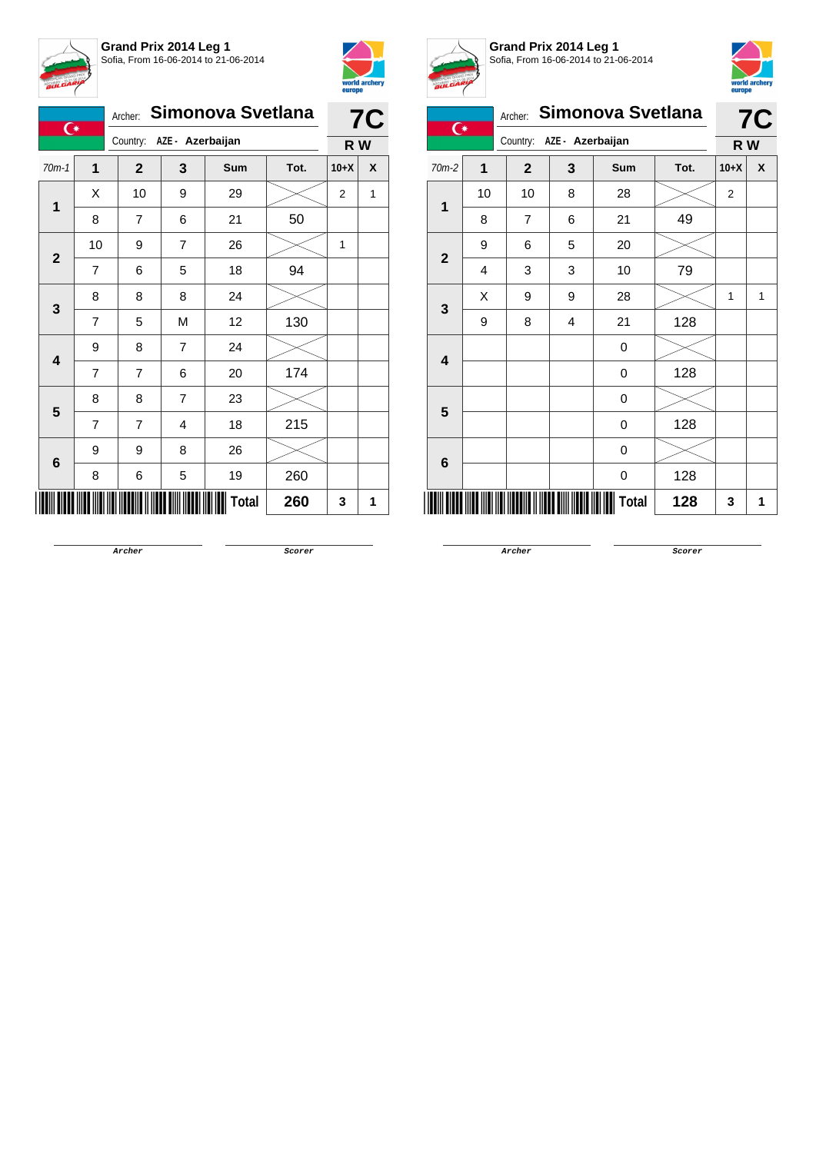



| $\overline{C}$          |                | Simonova Svetlana<br>Archer: |                |            |      |                | <b>7C</b> |  |
|-------------------------|----------------|------------------------------|----------------|------------|------|----------------|-----------|--|
|                         |                | Country: AZE - Azerbaijan    |                |            |      |                | R W       |  |
| $70m-1$                 | $\mathbf 1$    | $\mathbf{2}$                 | 3              | <b>Sum</b> | Tot. | $10+X$         | X         |  |
| 1                       | X              | 10                           | 9              | 29         |      | $\overline{2}$ | 1         |  |
|                         | 8              | $\overline{7}$               | 6              | 21         | 50   |                |           |  |
| $\mathbf{2}$            | 10             | 9                            | 7              | 26         |      | 1              |           |  |
|                         | $\overline{7}$ | 6                            | 5              | 18         | 94   |                |           |  |
|                         | 8              | 8                            | 8              | 24         |      |                |           |  |
| 3                       | $\overline{7}$ | 5                            | M              | 12         | 130  |                |           |  |
| $\overline{\mathbf{4}}$ | 9              | 8                            | $\overline{7}$ | 24         |      |                |           |  |
|                         | 7              | $\overline{7}$               | 6              | 20         | 174  |                |           |  |
| 5                       | 8              | 8                            | 7              | 23         |      |                |           |  |
|                         | $\overline{7}$ | 7                            | 4              | 18         | 215  |                |           |  |
| 6                       | 9              | 9                            | 8              | 26         |      |                |           |  |
|                         | 8              | 6                            | 5              | 19         | 260  |                |           |  |
|                         |                |                              |                | Total      | 260  | 3              | 1         |  |



**Grand Prix 2014 Leg 1** Sofia, From 16-06-2014 to 21-06-2014



| <b>BULGARY</b>  |                              |                |   |                   |      | europe         | world archery |  |
|-----------------|------------------------------|----------------|---|-------------------|------|----------------|---------------|--|
| $\overline{C}$  |                              | Archer:        |   | Simonova Svetlana |      |                | <b>7C</b>     |  |
|                 | Country:<br>AZE - Azerbaijan |                |   |                   |      | R W            |               |  |
| $70m-2$         | 1                            | $\overline{2}$ | 3 | <b>Sum</b>        | Tot. | $10+X$         | X             |  |
| $\mathbf{1}$    | 10                           | 10             | 8 | 28                |      | $\overline{2}$ |               |  |
|                 | 8                            | 7              | 6 | 21                | 49   |                |               |  |
| $\overline{2}$  | 9                            | 6              | 5 | 20                |      |                |               |  |
|                 | 4                            | 3              | 3 | 10                | 79   |                |               |  |
| 3               | X                            | 9              | 9 | 28                |      | 1              | 1             |  |
|                 | 9                            | 8              | 4 | 21                | 128  |                |               |  |
| 4               |                              |                |   | $\mathbf 0$       |      |                |               |  |
|                 |                              |                |   | 0                 | 128  |                |               |  |
| 5               |                              |                |   | 0                 |      |                |               |  |
|                 |                              |                |   | 0                 | 128  |                |               |  |
| $6\phantom{1}6$ |                              |                |   | 0                 |      |                |               |  |
|                 |                              |                |   | 0                 | 128  |                |               |  |
|                 |                              |                |   | Total             | 128  | 3              | 1             |  |

**Archer Scorer**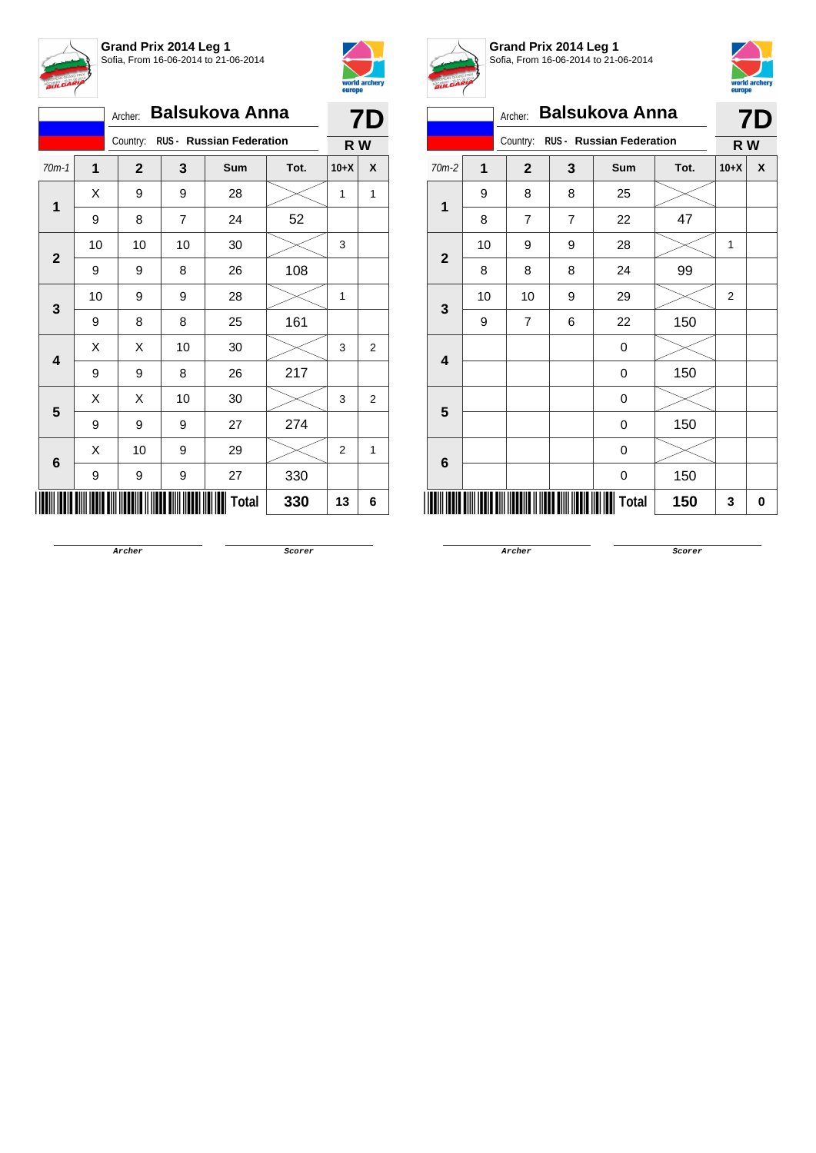



|                         | <b>Balsukova Anna</b><br>Archer: |                                   |                |            |      |        | 7D             |  |
|-------------------------|----------------------------------|-----------------------------------|----------------|------------|------|--------|----------------|--|
|                         |                                  | Country: RUS - Russian Federation |                |            |      |        | R W            |  |
| $70m-1$                 | 1                                | $\mathbf{2}$                      | 3              | <b>Sum</b> | Tot. | $10+X$ | X              |  |
| 1                       | X                                | 9                                 | 9              | 28         |      | 1      | 1              |  |
|                         | 9                                | 8                                 | $\overline{7}$ | 24         | 52   |        |                |  |
| $\mathbf{2}$            | 10                               | 10                                | 10             | 30         |      | 3      |                |  |
|                         | 9                                | 9                                 | 8              | 26         | 108  |        |                |  |
| 3                       | 10                               | 9                                 | 9              | 28         |      | 1      |                |  |
|                         | 9                                | 8                                 | 8              | 25         | 161  |        |                |  |
| $\overline{\mathbf{4}}$ | X                                | Χ                                 | 10             | 30         |      | 3      | 2              |  |
|                         | 9                                | 9                                 | 8              | 26         | 217  |        |                |  |
| 5                       | X                                | Χ                                 | 10             | 30         |      | 3      | $\overline{2}$ |  |
|                         | 9                                | 9                                 | 9              | 27         | 274  |        |                |  |
| 6                       | X                                | 10                                | 9              | 29         |      | 2      | $\mathbf{1}$   |  |
|                         | 9                                | 9                                 | 9              | 27         | 330  |        |                |  |
|                         |                                  |                                   |                | Total      | 330  | 13     | 6              |  |



## **Grand Prix 2014 Leg 1** Sofia, From 16-06-2014 to 21-06-2014



| <b>BULGARI</b> |                                   |                |                | 3011a, 1 10111 10°00°20 14 10 2 1°00°20 14 |      | europe         | world archery |  |  |
|----------------|-----------------------------------|----------------|----------------|--------------------------------------------|------|----------------|---------------|--|--|
|                | <b>Balsukova Anna</b><br>Archer:  |                |                |                                            |      |                |               |  |  |
|                | Country: RUS - Russian Federation |                |                |                                            |      |                |               |  |  |
| $70m-2$        | $\mathbf{1}$                      | $\mathbf{2}$   | 3              | Sum                                        | Tot. | $10+X$         | X             |  |  |
| 1              | 9                                 | 8              | 8              | 25                                         |      |                |               |  |  |
|                | 8                                 | $\overline{7}$ | $\overline{7}$ | 22                                         | 47   |                |               |  |  |
| $\mathbf{2}$   | 10                                | 9              | 9              | 28                                         |      | 1              |               |  |  |
|                | 8                                 | 8              | 8              | 24                                         | 99   |                |               |  |  |
| 3              | 10                                | 10             | 9              | 29                                         |      | $\overline{2}$ |               |  |  |
|                | 9                                 | $\overline{7}$ | 6              | 22                                         | 150  |                |               |  |  |
| 4              |                                   |                |                | 0                                          |      |                |               |  |  |
|                |                                   |                |                | 0                                          | 150  |                |               |  |  |
| 5              |                                   |                |                | 0                                          |      |                |               |  |  |
|                |                                   |                |                | 0                                          | 150  |                |               |  |  |
| 6              |                                   |                |                | 0                                          |      |                |               |  |  |
|                |                                   |                |                | 0                                          | 150  |                |               |  |  |
|                |                                   |                |                | <b>Total</b>                               | 150  | 3              | 0             |  |  |

**Archer Scorer**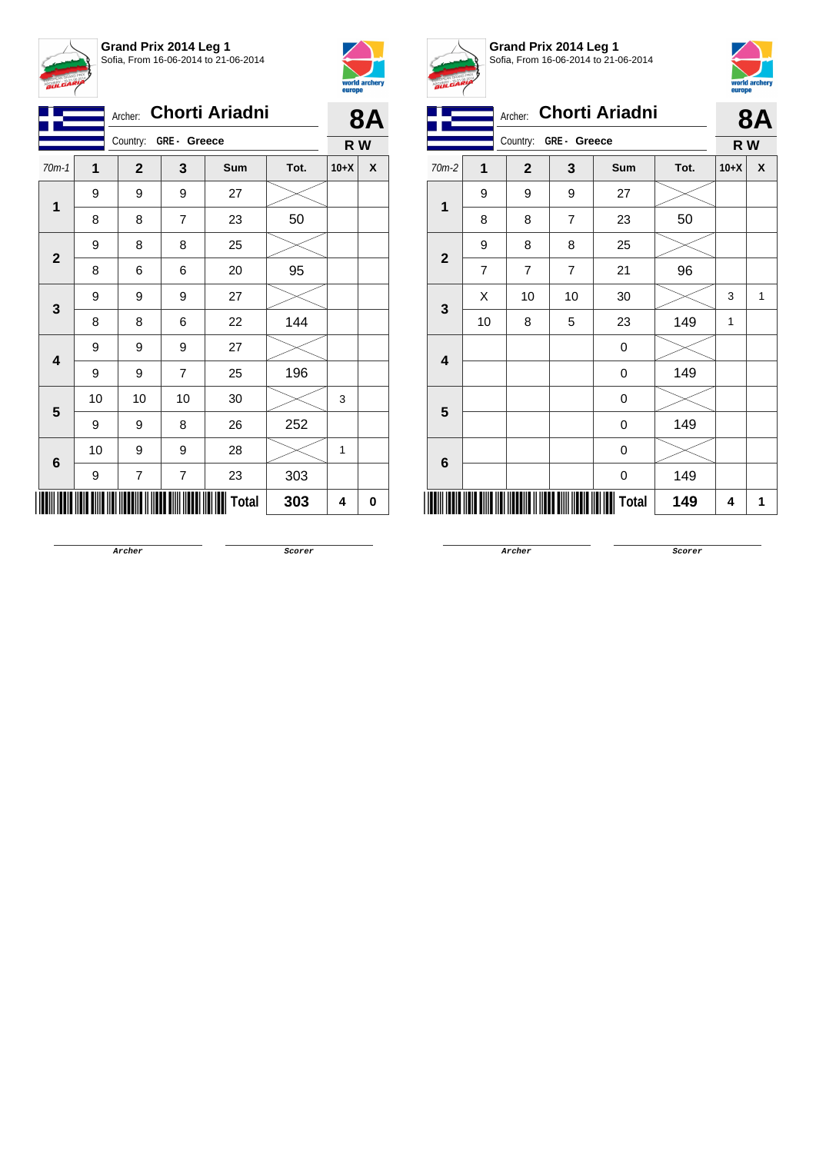

**Grand Prix 2014 Leg 1** Sofia, From 16-06-2014 to 21-06-2014



| <b>Chorti Ariadni</b><br>Archer: |    |                          |                         |              |      | 8Α     |   |
|----------------------------------|----|--------------------------|-------------------------|--------------|------|--------|---|
|                                  |    |                          | Country: GRE - Greece   |              |      | R W    |   |
| $70m-1$                          | 1  | $\mathbf{2}$             | 3                       | Sum          | Tot. | $10+X$ | X |
|                                  | 9  | 9                        | 9                       | 27           |      |        |   |
| 1                                | 8  | 8                        | 7                       | 23           | 50   |        |   |
|                                  | 9  | 8                        | 8                       | 25           |      |        |   |
| $\mathbf{2}$                     | 8  | 6                        | 6                       | 20           | 95   |        |   |
|                                  | 9  | 9                        | 9                       | 27           |      |        |   |
| 3                                | 8  | 8                        | 6                       | 22           | 144  |        |   |
|                                  | 9  | 9                        | 9                       | 27           |      |        |   |
| 4                                | 9  | 9                        | 7                       | 25           | 196  |        |   |
| 5                                | 10 | 10                       | 10                      | 30           |      | 3      |   |
|                                  | 9  | 9                        | 8                       | 26           | 252  |        |   |
|                                  | 10 | 9                        | 9                       | 28           |      | 1      |   |
| 6                                | 9  | $\overline{\mathcal{I}}$ | $\overline{\mathbf{7}}$ | 23           | 303  |        |   |
|                                  |    |                          |                         | <b>Total</b> | 303  | 4      | 0 |



**Grand Prix 2014 Leg 1** Sofia, From 16-06-2014 to 21-06-2014



|                         |    |                |             |                       |      | europe |    |
|-------------------------|----|----------------|-------------|-----------------------|------|--------|----|
|                         |    | Archer:        |             | <b>Chorti Ariadni</b> |      |        | 8Α |
|                         |    | Country:       | GRE- Greece |                       |      | R W    |    |
| 70m-2                   | 1  | $\mathbf{2}$   | 3           | <b>Sum</b>            | Tot. | $10+X$ | X  |
| $\mathbf{1}$            | 9  | 9              | 9           | 27                    |      |        |    |
|                         | 8  | 8              | 7           | 23                    | 50   |        |    |
| $\overline{\mathbf{2}}$ | 9  | 8              | 8           | 25                    |      |        |    |
|                         | 7  | $\overline{7}$ | 7           | 21                    | 96   |        |    |
| $\mathbf{3}$            | X  | 10             | 10          | 30                    |      | 3      | 1  |
|                         | 10 | 8              | 5           | 23                    | 149  | 1      |    |
| 4                       |    |                |             | 0                     |      |        |    |
|                         |    |                |             | 0                     | 149  |        |    |
| $5\phantom{1}$          |    |                |             | 0                     |      |        |    |
|                         |    |                |             | 0                     | 149  |        |    |
| 6                       |    |                |             | 0                     |      |        |    |
|                         |    |                |             | 0                     | 149  |        |    |
|                         |    |                |             | <b>Total</b>          | 149  | 4      | 1  |
|                         |    |                |             |                       |      |        |    |

**Archer Scorer**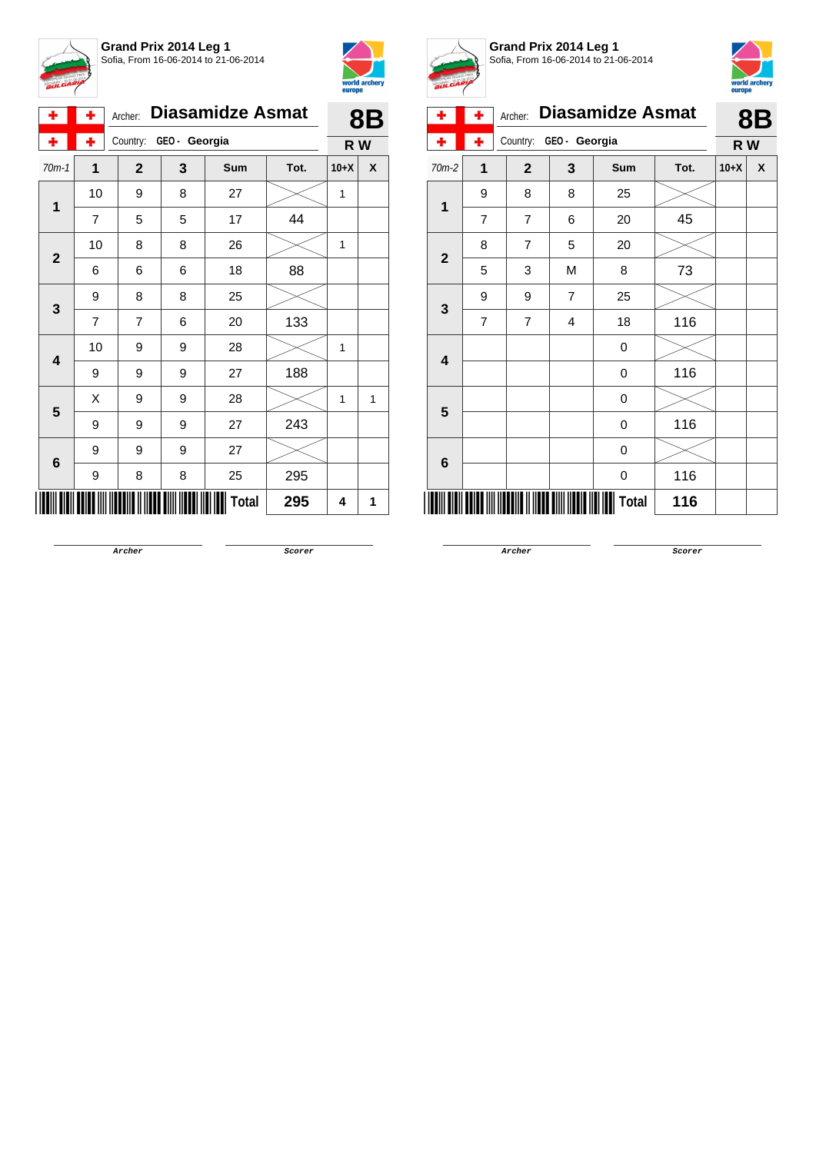



| ۰            | ٠              | <b>Diasamidze Asmat</b><br>Archer: |     |            |      |        | <b>8B</b> |
|--------------|----------------|------------------------------------|-----|------------|------|--------|-----------|
| ÷            | ٠              | GEO- Georgia<br>Country:           | R W |            |      |        |           |
| $70m-1$      | 1              | $\mathbf{2}$                       | 3   | <b>Sum</b> | Tot. | $10+X$ | X         |
|              | 10             | 9                                  | 8   | 27         |      | 1      |           |
| 1            | $\overline{7}$ | 5                                  | 5   | 17         | 44   |        |           |
| $\mathbf{2}$ | 10             | 8                                  | 8   | 26         |      | 1      |           |
|              | 6              | 6                                  | 6   | 18         | 88   |        |           |
|              | 9              | 8                                  | 8   | 25         |      |        |           |
| 3            | $\overline{7}$ | $\overline{7}$                     | 6   | 20         | 133  |        |           |
| 4            | 10             | 9                                  | 9   | 28         |      | 1      |           |
|              | 9              | 9                                  | 9   | 27         | 188  |        |           |
| 5            | Χ              | 9                                  | 9   | 28         |      | 1      | 1         |
|              | 9              | 9                                  | 9   | 27         | 243  |        |           |
| $\bf 6$      | 9              | 9                                  | 9   | 27         |      |        |           |
|              | 9              | 8                                  | 8   | 25         | 295  |        |           |
|              |                |                                    |     | Total      | 295  | 4      | 1         |



**Grand Prix 2014 Leg 1** Sofia, From 16-06-2014 to 21-06-2014



| ۰                       | ٠              | Archer:        | <b>Diasamidze Asmat</b> |       |      |        | <b>8B</b> |
|-------------------------|----------------|----------------|-------------------------|-------|------|--------|-----------|
|                         | ÷              | Country:       | GEO - Georgia           |       |      |        | R W       |
| $70m-2$                 | 1              | $\mathbf 2$    | 3                       | Sum   | Tot. | $10+X$ | χ         |
| 1                       | 9              | 8              | 8                       | 25    |      |        |           |
|                         | 7              | $\overline{7}$ | 6                       | 20    | 45   |        |           |
| $\overline{2}$          | 8              | $\overline{7}$ | 5                       | 20    |      |        |           |
|                         | 5              | 3              | M                       | 8     | 73   |        |           |
| $\mathbf{3}$            | 9              | 9              | $\overline{7}$          | 25    |      |        |           |
|                         | $\overline{7}$ | $\overline{7}$ | 4                       | 18    | 116  |        |           |
| $\overline{\mathbf{4}}$ |                |                |                         | 0     |      |        |           |
|                         |                |                |                         | 0     | 116  |        |           |
| $5\phantom{1}$          |                |                |                         | 0     |      |        |           |
|                         |                |                |                         | 0     | 116  |        |           |
| 6                       |                |                |                         | 0     |      |        |           |
|                         |                |                |                         | 0     | 116  |        |           |
|                         |                |                |                         | Total | 116  |        |           |

**Archer Scorer**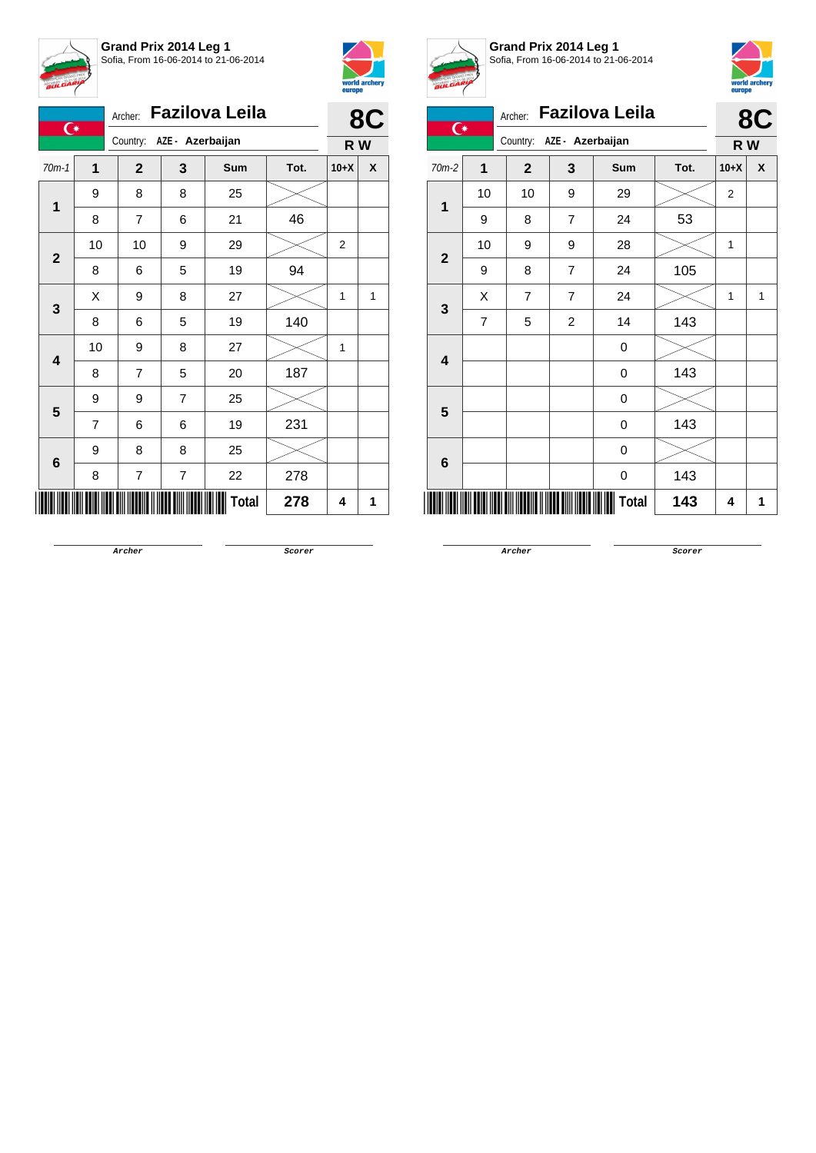

**Grand Prix 2014 Leg 1** Sofia, From 16-06-2014 to 21-06-2014



|                         | <b>Fazilova Leila</b><br>Archer:<br>$\overline{C}$ |                           |                  |              |      |        |   |
|-------------------------|----------------------------------------------------|---------------------------|------------------|--------------|------|--------|---|
|                         |                                                    | Country: AZE - Azerbaijan |                  | R W          | 8C   |        |   |
| $70m-1$                 | 1                                                  | $\overline{2}$            | 3                | <b>Sum</b>   | Tot. | $10+X$ | X |
| 1                       | 9                                                  | 8                         | 8                | 25           |      |        |   |
|                         | 8                                                  | $\overline{7}$            | 6                | 21           | 46   |        |   |
| $\mathbf{2}$            | 10                                                 | 10                        | 9                | 29           |      | 2      |   |
|                         | 8                                                  | 6                         | 5                | 19           | 94   |        |   |
| 3                       | X                                                  | 9                         | 8                | 27           |      | 1      | 1 |
|                         | 8                                                  | 6                         | 5                | 19           | 140  |        |   |
| $\overline{\mathbf{4}}$ | 10                                                 | 9                         | 8                | 27           |      | 1      |   |
|                         | 8                                                  | 7                         | 5                | 20           | 187  |        |   |
| 5                       | 9                                                  | 9                         | $\overline{7}$   | 25           |      |        |   |
|                         | $\overline{7}$                                     | 6                         | 6                | 19           | 231  |        |   |
|                         | 9                                                  | 8                         | 8                | 25           |      |        |   |
| 6                       | 8                                                  | $\overline{7}$            | $\boldsymbol{7}$ | 22           | 278  |        |   |
|                         |                                                    |                           |                  | <b>Total</b> | 278  | 4      | 1 |



**Grand Prix 2014 Leg 1** Sofia, From 16-06-2014 to 21-06-2014



| $\overline{\mathbf{C}}$ |                | Archer:                      |                | <b>Fazilova Leila</b> |      |                | 8C  |
|-------------------------|----------------|------------------------------|----------------|-----------------------|------|----------------|-----|
|                         |                | AZE - Azerbaijan<br>Country: |                |                       |      |                | R W |
| $70m-2$                 | $\mathbf 1$    | $\mathbf{2}$                 | 3              | Sum                   | Tot. | $10+X$         | X   |
| 1                       | 10             | 10                           | 9              | 29                    |      | $\overline{2}$ |     |
|                         | 9              | 8                            | $\overline{7}$ | 24                    | 53   |                |     |
|                         | 10             | 9                            | 9              | 28                    |      | 1              |     |
| $\overline{2}$          | 9              | 8                            | $\overline{7}$ | 24                    | 105  |                |     |
| 3                       | X              | $\overline{7}$               | $\overline{7}$ | 24                    |      | 1              | 1   |
|                         | $\overline{7}$ | 5                            | $\overline{c}$ | 14                    | 143  |                |     |
| $\overline{\mathbf{4}}$ |                |                              |                | 0                     |      |                |     |
|                         |                |                              |                | 0                     | 143  |                |     |
| 5                       |                |                              |                | 0                     |      |                |     |
|                         |                |                              |                | 0                     | 143  |                |     |
|                         |                |                              |                | 0                     |      |                |     |
| 6                       |                |                              |                | 0                     | 143  |                |     |
|                         |                |                              |                | Total                 | 143  | 4              | 1   |

**Archer Scorer**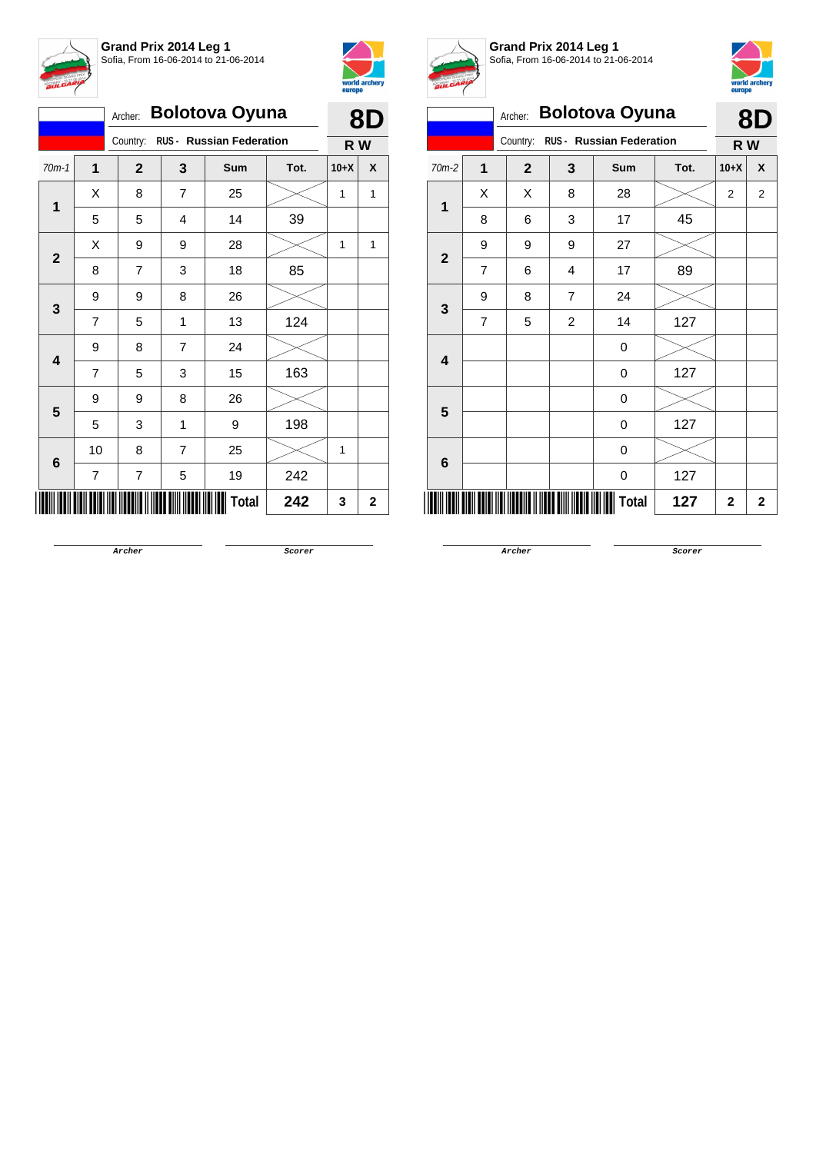

**Grand Prix 2014 Leg 1** Sofia, From 16-06-2014 to 21-06-2014



|                         | <b>Bolotova Oyuna</b> |                | 8D             |                                 |      |        |             |
|-------------------------|-----------------------|----------------|----------------|---------------------------------|------|--------|-------------|
|                         |                       | Country:       |                | <b>RUS - Russian Federation</b> |      | R W    |             |
| $70m-1$                 | $\mathbf{1}$          | $\mathbf{2}$   | 3              | Sum                             | Tot. | $10+X$ | X           |
|                         | X                     | 8              | $\overline{7}$ | 25                              |      | 1      | 1           |
| 1                       | 5                     | 5              | 4              | 14                              | 39   |        |             |
|                         | X                     | 9              | 9              | 28                              |      | 1      | 1           |
| $\mathbf{2}$            | 8                     | $\overline{7}$ | 3              | 18                              | 85   |        |             |
|                         | 9                     | 9              | 8              | 26                              |      |        |             |
| 3                       | $\overline{7}$        | 5              | 1              | 13                              | 124  |        |             |
| $\overline{\mathbf{4}}$ | 9                     | 8              | $\overline{7}$ | 24                              |      |        |             |
|                         | 7                     | 5              | 3              | 15                              | 163  |        |             |
| 5                       | 9                     | 9              | 8              | 26                              |      |        |             |
|                         | 5                     | 3              | 1              | 9                               | 198  |        |             |
|                         | 10                    | 8              | $\overline{7}$ | 25                              |      | 1      |             |
| 6                       | 7                     | 7              | 5              | 19                              | 242  |        |             |
|                         |                       |                |                | <b>Total</b>                    | 242  | 3      | $\mathbf 2$ |



**Grand Prix 2014 Leg 1** Sofia, From 16-06-2014 to 21-06-2014



| BULUM                   |                                      |              |                |                       |      | europe         |              |
|-------------------------|--------------------------------------|--------------|----------------|-----------------------|------|----------------|--------------|
|                         |                                      | Archer:      |                | <b>Bolotova Oyuna</b> |      |                | <b>8D</b>    |
|                         | RUS - Russian Federation<br>Country: |              |                |                       |      | R W            |              |
| 70m-2                   | 1                                    | $\mathbf{2}$ | 3              | Sum                   | Tot. | $10+X$         | X            |
| 1                       | X                                    | X            | 8              | 28                    |      | $\overline{2}$ | $\mathbf{2}$ |
|                         | 8                                    | 6            | 3              | 17                    | 45   |                |              |
| $\overline{2}$          | 9                                    | 9            | 9              | 27                    |      |                |              |
|                         | $\overline{7}$                       | 6            | 4              | 17                    | 89   |                |              |
| 3                       | 9                                    | 8            | $\overline{7}$ | 24                    |      |                |              |
|                         | $\overline{7}$                       | 5            | $\overline{2}$ | 14                    | 127  |                |              |
| $\overline{\mathbf{4}}$ |                                      |              |                | 0                     |      |                |              |
|                         |                                      |              |                | 0                     | 127  |                |              |
| 5                       |                                      |              |                | 0                     |      |                |              |
|                         |                                      |              |                | 0                     | 127  |                |              |
| 6                       |                                      |              |                | 0                     |      |                |              |
|                         |                                      |              |                | 0                     | 127  |                |              |
|                         |                                      |              |                | <b>Total</b>          | 127  | $\mathbf{2}$   | $\mathbf{2}$ |

**Archer Scorer**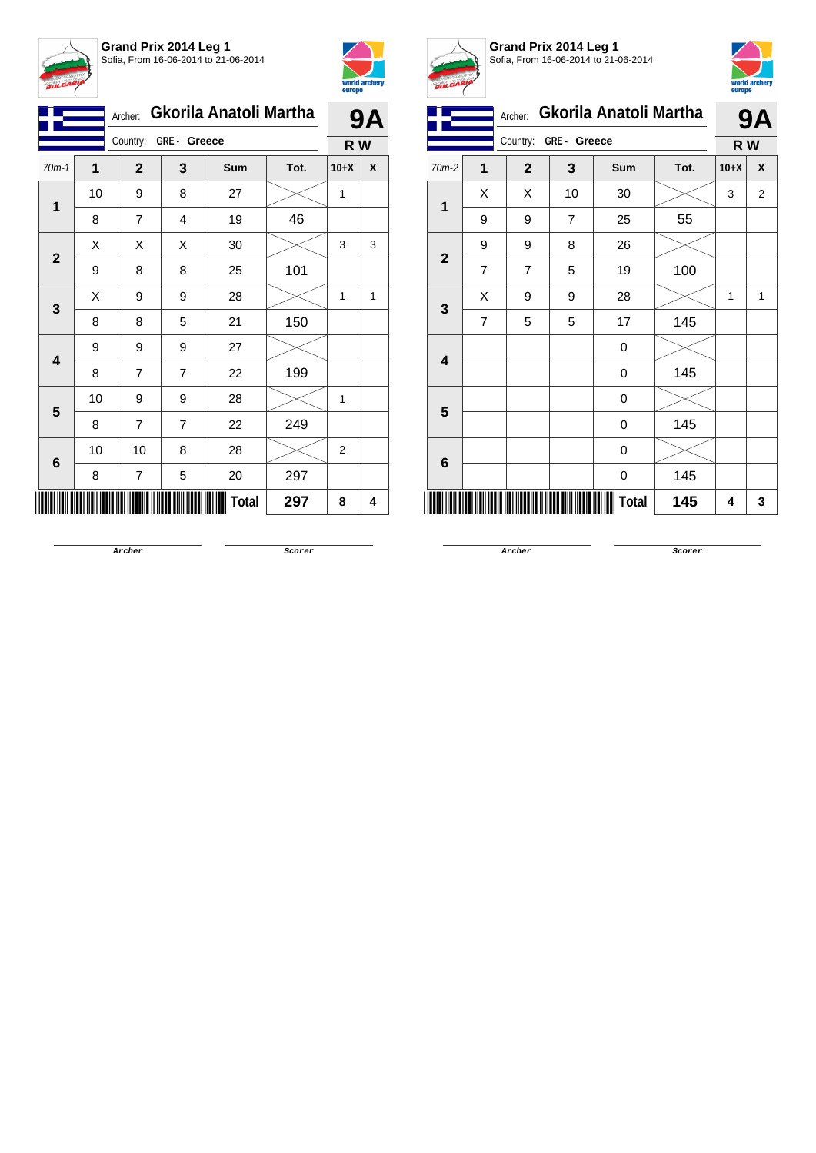



|                         |    | Archer:                 |                | Gkorila Anatoli Martha |      |        | <b>9A</b> |
|-------------------------|----|-------------------------|----------------|------------------------|------|--------|-----------|
|                         |    | Country:<br>GRE- Greece |                | R W                    |      |        |           |
| $70m-1$                 | 1  | $\mathbf{2}$            | 3              | Sum                    | Tot. | $10+X$ | X         |
| $\mathbf 1$             | 10 | 9                       | 8              | 27                     |      | 1      |           |
|                         | 8  | $\overline{7}$          | 4              | 19                     | 46   |        |           |
|                         | Χ  | Χ                       | Χ              | 30                     |      | 3      | 3         |
| $\mathbf{2}$            | 9  | 8                       | 8              | 25                     | 101  |        |           |
| 3                       | X  | 9                       | 9              | 28                     |      | 1      | 1         |
|                         | 8  | 8                       | 5              | 21                     | 150  |        |           |
| $\overline{\mathbf{4}}$ | 9  | 9                       | 9              | 27                     |      |        |           |
|                         | 8  | $\overline{7}$          | 7              | 22                     | 199  |        |           |
|                         | 10 | 9                       | 9              | 28                     |      | 1      |           |
| 5                       | 8  | 7                       | $\overline{7}$ | 22                     | 249  |        |           |
|                         | 10 | 10                      | 8              | 28                     |      | 2      |           |
| 6                       | 8  | 7                       | 5              | 20                     | 297  |        |           |
|                         |    |                         |                | Total                  | 297  | 8      | 4         |



**Grand Prix 2014 Leg 1** Sofia, From 16-06-2014 to 21-06-2014



|                         | Gkorila Anatoli Martha<br>Archer:<br>GRE- Greece |                |                |       |      |        | <b>9A</b>      |
|-------------------------|--------------------------------------------------|----------------|----------------|-------|------|--------|----------------|
|                         |                                                  | Country:       | R W            |       |      |        |                |
| 70m-2                   | 1                                                | $\mathbf{2}$   | 3              | Sum   | Tot. | $10+X$ | χ              |
| 1                       | Χ                                                | Χ              | 10             | 30    |      | 3      | $\overline{2}$ |
|                         | 9                                                | 9              | $\overline{7}$ | 25    | 55   |        |                |
| $\mathbf{2}$            | 9                                                | 9              | 8              | 26    |      |        |                |
|                         | 7                                                | $\overline{7}$ | 5              | 19    | 100  |        |                |
| 3                       | Χ                                                | 9              | 9              | 28    |      | 1      | 1              |
|                         | $\overline{7}$                                   | 5              | 5              | 17    | 145  |        |                |
| $\overline{\mathbf{4}}$ |                                                  |                |                | 0     |      |        |                |
|                         |                                                  |                |                | 0     | 145  |        |                |
| 5                       |                                                  |                |                | 0     |      |        |                |
|                         |                                                  |                |                | 0     | 145  |        |                |
| 6                       |                                                  |                |                | 0     |      |        |                |
|                         |                                                  |                |                | 0     | 145  |        |                |
|                         |                                                  |                |                | Total | 145  | 4      | 3              |

**Archer Scorer**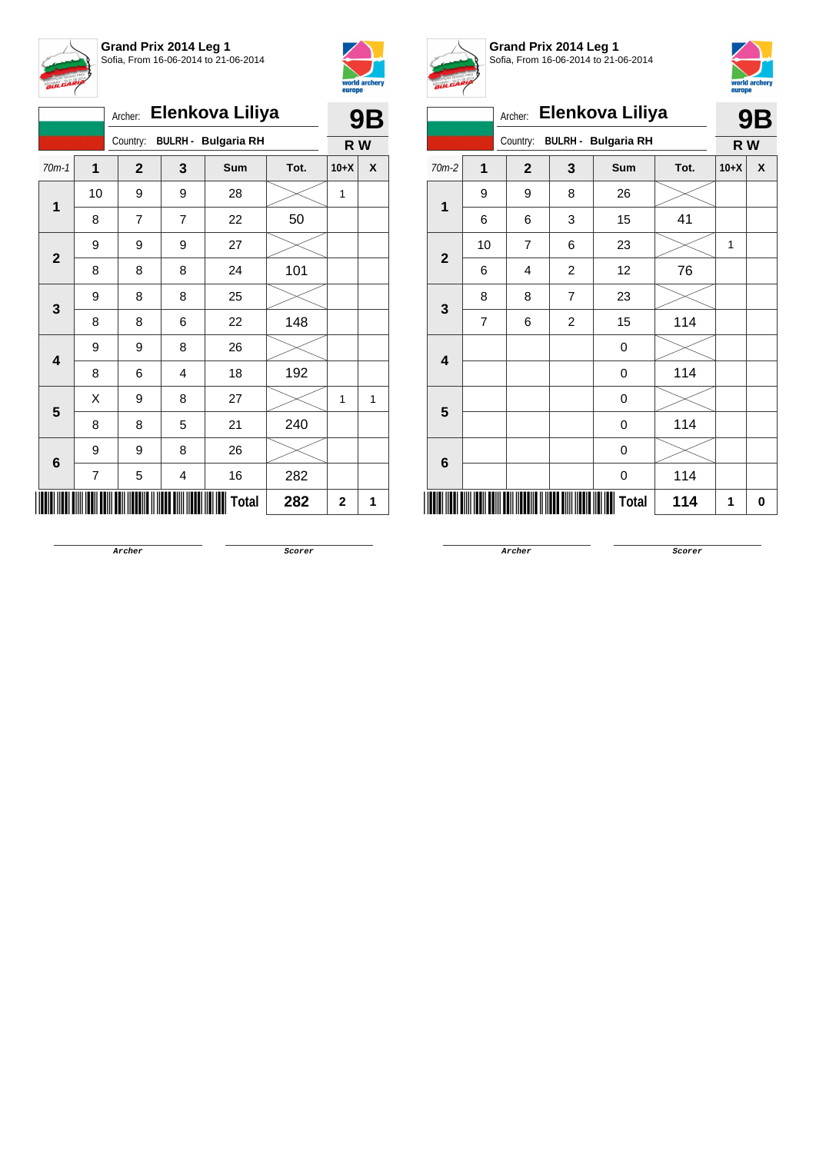



| Elenkova Liliya<br>Archer: |    |              |   |                     |      |        | 9Β |
|----------------------------|----|--------------|---|---------------------|------|--------|----|
|                            |    | Country:     |   | BULRH - Bulgaria RH |      | R W    |    |
| $70m-1$                    | 1  | $\mathbf{2}$ | 3 | Sum                 | Tot. | $10+X$ | X  |
|                            | 10 | 9            | 9 | 28                  |      | 1      |    |
| 1                          | 8  | 7            | 7 | 22                  | 50   |        |    |
| $\mathbf{2}$               | 9  | 9            | 9 | 27                  |      |        |    |
|                            | 8  | 8            | 8 | 24                  | 101  |        |    |
| 3                          | 9  | 8            | 8 | 25                  |      |        |    |
|                            | 8  | 8            | 6 | 22                  | 148  |        |    |
| $\overline{\mathbf{4}}$    | 9  | 9            | 8 | 26                  |      |        |    |
|                            | 8  | 6            | 4 | 18                  | 192  |        |    |
| 5                          | X  | 9            | 8 | 27                  |      | 1      | 1  |
|                            | 8  | 8            | 5 | 21                  | 240  |        |    |
| 6                          | 9  | 9            | 8 | 26                  |      |        |    |
|                            | 7  | 5            | 4 | 16                  | 282  |        |    |
|                            |    |              |   | Total               | 282  | 2      | 1  |



**Grand Prix 2014 Leg 1** Sofia, From 16-06-2014 to 21-06-2014



|                         |                         | Archer:        |                | Elenkova Liliya            |      |              | 9Β |
|-------------------------|-------------------------|----------------|----------------|----------------------------|------|--------------|----|
|                         |                         | Country:       |                | <b>BULRH - Bulgaria RH</b> |      | R W          |    |
| $70m-2$                 | $\overline{\mathbf{1}}$ | $\mathbf{2}$   | 3              | <b>Sum</b>                 | Tot. | $10+X$       | X  |
| $\overline{\mathbf{1}}$ | 9                       | 9              | 8              | 26                         |      |              |    |
|                         | 6                       | 6              | 3              | 15                         | 41   |              |    |
| $\mathbf{2}$            | 10                      | $\overline{7}$ | 6              | 23                         |      | $\mathbf{1}$ |    |
|                         | 6                       | 4              | $\overline{c}$ | 12                         | 76   |              |    |
|                         | 8                       | 8              | $\overline{7}$ | 23                         |      |              |    |
| 3                       | 7                       | 6              | 2              | 15                         | 114  |              |    |
| $\overline{\mathbf{4}}$ |                         |                |                | 0                          |      |              |    |
|                         |                         |                |                | $\mathbf 0$                | 114  |              |    |
| $5\phantom{1}$          |                         |                |                | $\boldsymbol{0}$           |      |              |    |
|                         |                         |                |                | $\mathbf 0$                | 114  |              |    |
| $6\phantom{1}$          |                         |                |                | $\boldsymbol{0}$           |      |              |    |
|                         |                         |                |                | $\boldsymbol{0}$           | 114  |              |    |
|                         |                         |                |                | Total                      | 114  | 1            | 0  |

**Archer Scorer**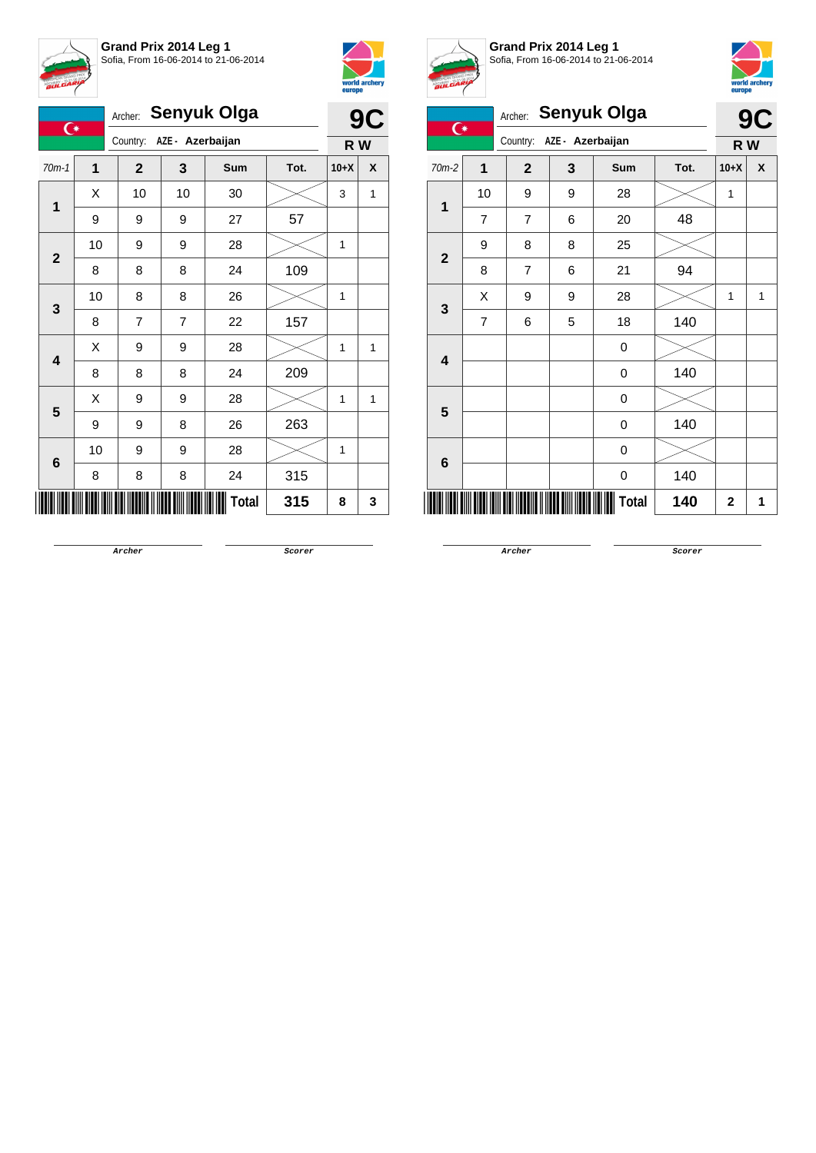



|   | $\overline{C}$          |    | Archer:                      |    | <b>Senyuk Olga</b> |      |        | 9<br>C |
|---|-------------------------|----|------------------------------|----|--------------------|------|--------|--------|
|   |                         |    | AZE - Azerbaijan<br>Country: |    |                    |      |        | R W    |
|   | $70m-1$                 | 1  | $\mathbf{2}$                 | 3  | Sum                | Tot. | $10+X$ | X      |
| 1 | X                       | 10 | 10                           | 30 |                    | 3    | 1      |        |
|   |                         | 9  | 9                            | 9  | 27                 | 57   |        |        |
|   | $\mathbf{2}$            | 10 | 9                            | 9  | 28                 |      | 1      |        |
|   |                         | 8  | 8                            | 8  | 24                 | 109  |        |        |
|   |                         | 10 | 8                            | 8  | 26                 |      | 1      |        |
|   | 3                       | 8  | 7                            | 7  | 22                 | 157  |        |        |
|   | $\overline{\mathbf{4}}$ | X  | 9                            | 9  | 28                 |      | 1      | 1      |
|   |                         | 8  | 8                            | 8  | 24                 | 209  |        |        |
|   |                         | X  | 9                            | 9  | 28                 |      | 1      | 1      |
|   | 5                       | 9  | 9                            | 8  | 26                 | 263  |        |        |
|   | 10                      | 9  | 9                            | 28 |                    | 1    |        |        |
|   | 6                       | 8  | 8                            | 8  | 24                 | 315  |        |        |
|   |                         |    |                              |    | Total              | 315  | 8      | 3      |



**Grand Prix 2014 Leg 1** Sofia, From 16-06-2014 to 21-06-2014



| <b>BULGARIA</b>         |                |                |                  |              |      | europe      | world archery |
|-------------------------|----------------|----------------|------------------|--------------|------|-------------|---------------|
| $\overline{C}$          |                | Archer:        |                  | Senyuk Olga  |      | 9C          |               |
|                         |                | Country:       | AZE - Azerbaijan |              |      | R W         |               |
| $70m-2$                 | $\overline{1}$ | $\overline{2}$ | 3                | Sum          | Tot. | $10+X$      | X             |
| 1                       | 10             | 9              | 9                | 28           |      | 1           |               |
|                         | $\overline{7}$ | $\overline{7}$ | 6                | 20           | 48   |             |               |
| $\overline{\mathbf{2}}$ | 9              | 8              | 8                | 25           |      |             |               |
|                         | 8              | $\overline{7}$ | 6                | 21           | 94   |             |               |
| 3                       | X              | 9              | 9                | 28           |      | 1           | 1             |
|                         | $\overline{7}$ | 6              | 5                | 18           | 140  |             |               |
| $\overline{\mathbf{4}}$ |                |                |                  | 0            |      |             |               |
|                         |                |                |                  | 0            | 140  |             |               |
| 5                       |                |                |                  | 0            |      |             |               |
|                         |                |                |                  | 0            | 140  |             |               |
| $6\phantom{1}6$         |                |                |                  | 0            |      |             |               |
|                         |                |                |                  | 0            | 140  |             |               |
|                         |                |                |                  | <b>Total</b> | 140  | $\mathbf 2$ | 1             |

**Archer Scorer**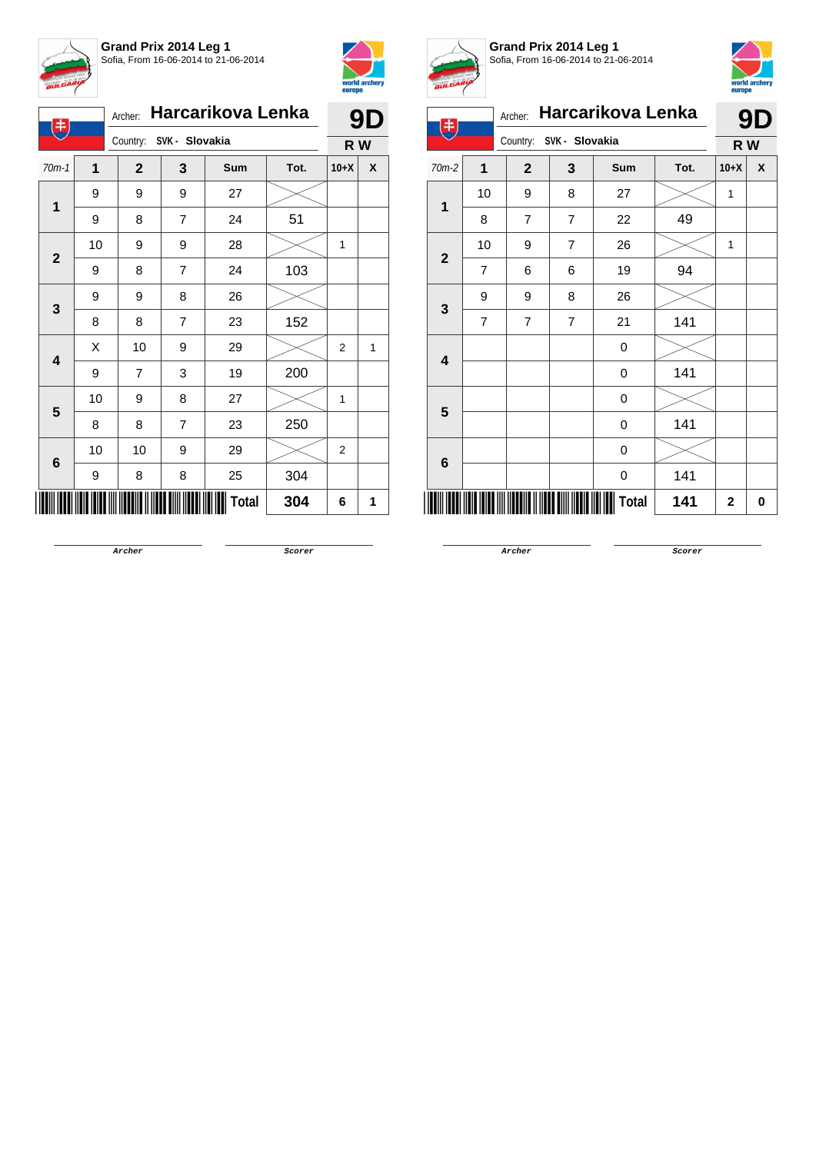



| 丰                       |    | Archer:                 |                | Harcarikova Lenka |      | 9D             |              |  |
|-------------------------|----|-------------------------|----------------|-------------------|------|----------------|--------------|--|
|                         |    | Country: SVK - Slovakia |                | R W               |      |                |              |  |
| $70m-1$                 | 1  | $\mathbf{2}$            | 3              | <b>Sum</b>        | Tot. | $10+X$         | X            |  |
|                         | 9  | 9                       | 9              | 27                |      |                |              |  |
| 1                       | 9  | 8                       | $\overline{7}$ | 24                | 51   |                |              |  |
| $\mathbf{2}$            | 10 | 9                       | 9              | 28                |      | 1              |              |  |
|                         | 9  | 8                       | $\overline{7}$ | 24                | 103  |                |              |  |
| 3                       | 9  | 9                       | 8              | 26                |      |                |              |  |
|                         | 8  | 8                       | 7              | 23                | 152  |                |              |  |
| $\overline{\mathbf{4}}$ | X  | 10                      | 9              | 29                |      | $\overline{2}$ | $\mathbf{1}$ |  |
|                         | 9  | 7                       | 3              | 19                | 200  |                |              |  |
| 5                       | 10 | 9                       | 8              | 27                |      | 1              |              |  |
|                         | 8  | 8                       | $\overline{7}$ | 23                | 250  |                |              |  |
| $6\phantom{1}$          | 10 | 10                      | 9              | 29                |      | $\overline{2}$ |              |  |
|                         | 9  | 8                       | 8              | 25                | 304  |                |              |  |
|                         |    |                         |                | <b>Total</b>      | 304  | 6              | 1            |  |



**Grand Prix 2014 Leg 1** Sofia, From 16-06-2014 to 21-06-2014



| 电                       |    | Archer:        |                | Harcarikova Lenka |      |              | <b>9D</b>        |
|-------------------------|----|----------------|----------------|-------------------|------|--------------|------------------|
|                         |    | Country:       | SVK - Slovakia |                   | R W  |              |                  |
| 70m-2                   | 1  | $\mathbf{2}$   | 3              | Sum               | Tot. | $10+X$       | $\boldsymbol{x}$ |
| 1                       | 10 | 9              | 8              | 27                |      | 1            |                  |
|                         | 8  | $\overline{7}$ | $\overline{7}$ | 22                | 49   |              |                  |
| $\overline{2}$          | 10 | 9              | $\overline{7}$ | 26                |      | 1            |                  |
|                         | 7  | 6              | 6              | 19                | 94   |              |                  |
| $\mathbf{3}$            | 9  | 9              | 8              | 26                |      |              |                  |
|                         | 7  | 7              | $\overline{7}$ | 21                | 141  |              |                  |
| $\overline{\mathbf{4}}$ |    |                |                | 0                 |      |              |                  |
|                         |    |                |                | 0                 | 141  |              |                  |
| 5                       |    |                |                | 0                 |      |              |                  |
|                         |    |                |                | 0                 | 141  |              |                  |
| $6\phantom{1}6$         |    |                |                | 0                 |      |              |                  |
|                         |    |                |                | 0                 | 141  |              |                  |
|                         |    |                |                | <b>Total</b>      | 141  | $\mathbf{2}$ | 0                |

**Archer Scorer**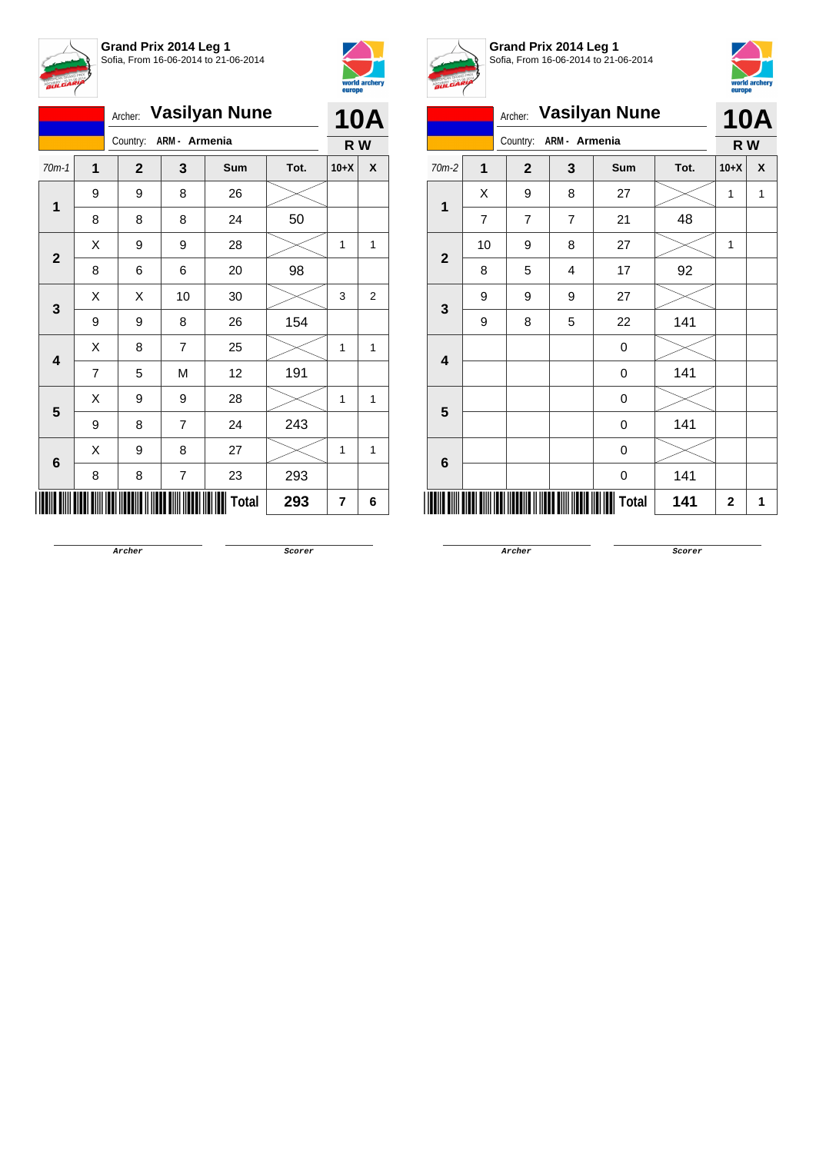



|                         |   | Archer:      |                | <b>Vasilyan Nune</b> |      |        | <b>10A</b> |
|-------------------------|---|--------------|----------------|----------------------|------|--------|------------|
|                         |   | Country:     | ARM - Armenia  |                      |      | R W    |            |
| $70m-1$                 | 1 | $\mathbf{2}$ | 3              | Sum                  | Tot. | $10+X$ | X          |
| 1                       | 9 | 9            | 8              | 26                   |      |        |            |
|                         | 8 | 8            | 8              | 24                   | 50   |        |            |
| $\mathbf{2}$            | X | 9            | 9              | 28                   |      | 1      | 1          |
|                         | 8 | 6            | 6              | 20                   | 98   |        |            |
| 3                       | Χ | Χ            | 10             | 30                   |      | 3      | 2          |
|                         | 9 | 9            | 8              | 26                   | 154  |        |            |
| $\overline{\mathbf{4}}$ | X | 8            | $\overline{7}$ | 25                   |      | 1      | 1          |
|                         | 7 | 5            | M              | 12                   | 191  |        |            |
| 5                       | Χ | 9            | 9              | 28                   |      | 1      | 1          |
|                         | 9 | 8            | $\overline{7}$ | 24                   | 243  |        |            |
| $6\phantom{1}6$         | X | 9            | 8              | 27                   |      | 1      | 1          |
|                         | 8 | 8            | 7              | 23                   | 293  |        |            |
|                         |   |              |                | <b>Total</b>         | 293  | 7      | 6          |



**Grand Prix 2014 Leg 1** Sofia, From 16-06-2014 to 21-06-2014



|                         | Archer:                 | <b>Vasilyan Nune</b> |                | <b>10A</b> |      |              |   |  |  |  |  |
|-------------------------|-------------------------|----------------------|----------------|------------|------|--------------|---|--|--|--|--|
|                         |                         | Country:             | ARM - Armenia  |            |      | R W          |   |  |  |  |  |
| 70m-2                   | $\overline{\mathbf{1}}$ | $\overline{2}$       | 3              | Sum        | Tot. | $10+X$       | X |  |  |  |  |
| $\overline{1}$          | X                       | 9                    | 8              | 27         |      | 1            | 1 |  |  |  |  |
|                         | $\overline{7}$          | 7                    | $\overline{7}$ | 21         | 48   |              |   |  |  |  |  |
| $\overline{\mathbf{2}}$ | 10                      | 9                    | 8              | 27         |      | $\mathbf{1}$ |   |  |  |  |  |
|                         | 8                       | 5                    | 4              | 17         | 92   |              |   |  |  |  |  |
| $\mathbf{3}$            | 9                       | 9                    | 9              | 27         |      |              |   |  |  |  |  |
|                         | 9                       | 8                    | 5              | 22         | 141  |              |   |  |  |  |  |
| $\overline{\mathbf{4}}$ |                         |                      |                | 0          |      |              |   |  |  |  |  |
|                         |                         |                      |                | 0          | 141  |              |   |  |  |  |  |
| 5                       |                         |                      |                | 0          |      |              |   |  |  |  |  |
|                         |                         |                      |                | 0          | 141  |              |   |  |  |  |  |
| $6\phantom{1}6$         |                         |                      |                | 0          |      |              |   |  |  |  |  |
|                         |                         |                      |                | 0          | 141  |              |   |  |  |  |  |
|                         |                         |                      |                | Total      | 141  | $\mathbf 2$  | 1 |  |  |  |  |

**Archer Scorer**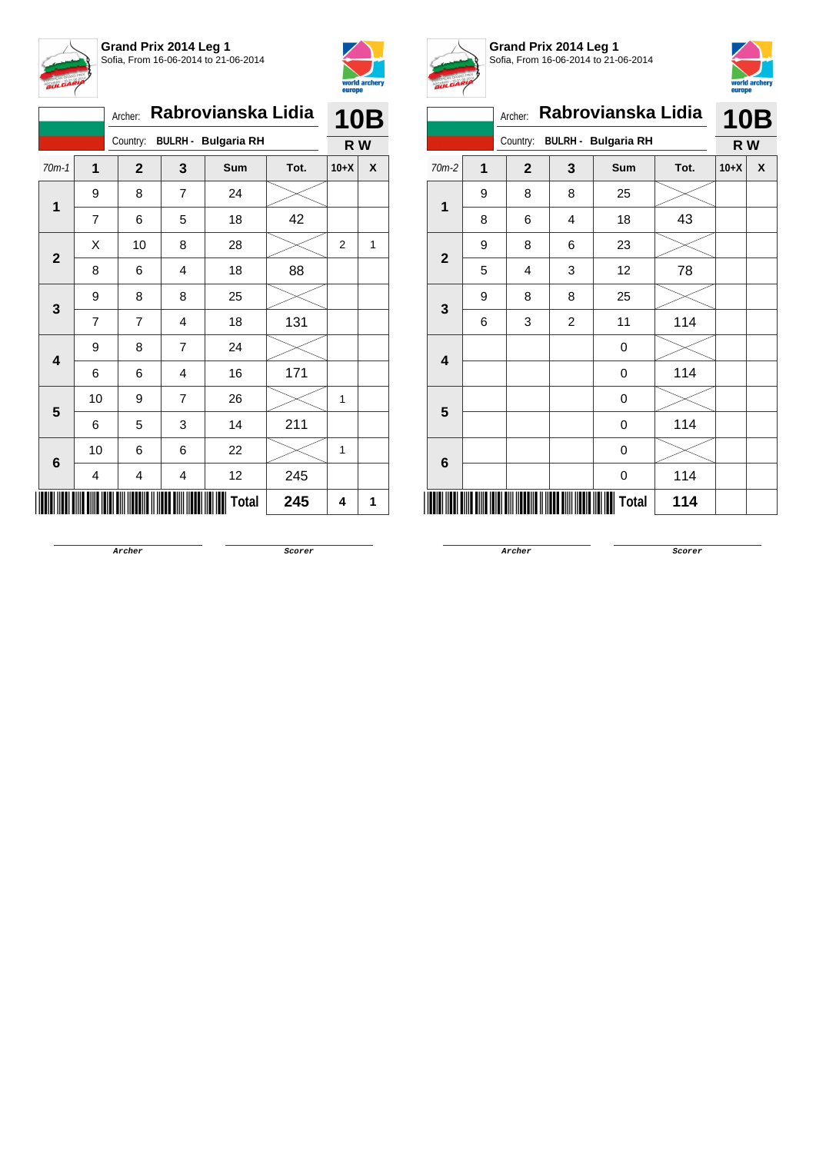



|                         |                | Archer:        |                | Rabrovianska Lidia         |      | <b>10B</b>     |   |
|-------------------------|----------------|----------------|----------------|----------------------------|------|----------------|---|
|                         |                | Country:       |                | <b>BULRH - Bulgaria RH</b> |      | R W            |   |
| $70m-1$                 | 1              | $\overline{2}$ | 3              | Sum                        | Tot. | $10+X$         | X |
| 1                       | 9              | 8              | 7              | 24                         |      |                |   |
|                         | $\overline{7}$ | 6              | 5              | 18                         | 42   |                |   |
| $\overline{2}$          | X              | 10             | 8              | 28                         |      | $\overline{2}$ | 1 |
|                         | 8              | 6              | 4              | 18                         | 88   |                |   |
| 3                       | 9              | 8              | 8              | 25                         |      |                |   |
|                         | 7              | $\overline{7}$ | 4              | 18                         | 131  |                |   |
| $\overline{\mathbf{4}}$ | 9              | 8              | $\overline{7}$ | 24                         |      |                |   |
|                         | 6              | 6              | 4              | 16                         | 171  |                |   |
| 5                       | 10             | 9              | 7              | 26                         |      | 1              |   |
|                         | 6              | 5              | 3              | 14                         | 211  |                |   |
| $6\phantom{1}$          | 10             | 6              | 6              | 22                         |      | 1              |   |
|                         | 4              | 4              | 4              | 12                         | 245  |                |   |
|                         |                |                |                | Total                      | 245  | 4              | 1 |



**Grand Prix 2014 Leg 1** Sofia, From 16-06-2014 to 21-06-2014



| <b>BULGARY</b> |   |                |                |                            |      |        | world archery<br>europe |
|----------------|---|----------------|----------------|----------------------------|------|--------|-------------------------|
|                |   | Archer:        |                | Rabrovianska Lidia         |      |        | <b>10B</b>              |
|                |   | Country:       |                | <b>BULRH - Bulgaria RH</b> |      | R W    |                         |
| $70m-2$        | 1 | $\overline{2}$ | 3              | <b>Sum</b>                 | Tot. | $10+X$ | $\mathbf{x}$            |
| 1              | 9 | 8              | 8              | 25                         |      |        |                         |
|                | 8 | 6              | 4              | 18                         | 43   |        |                         |
| $\overline{2}$ | 9 | 8              | 6              | 23                         |      |        |                         |
|                | 5 | 4              | 3              | 12                         | 78   |        |                         |
| 3              | 9 | 8              | 8              | 25                         |      |        |                         |
|                | 6 | 3              | $\overline{2}$ | 11                         | 114  |        |                         |
| 4              |   |                |                | 0                          |      |        |                         |
|                |   |                |                | 0                          | 114  |        |                         |
| 5              |   |                |                | 0                          |      |        |                         |
|                |   |                |                | 0                          | 114  |        |                         |
| 6              |   |                |                | 0                          |      |        |                         |
|                |   |                |                | 0                          | 114  |        |                         |
|                |   |                |                | Total                      | 114  |        |                         |

**Archer Scorer**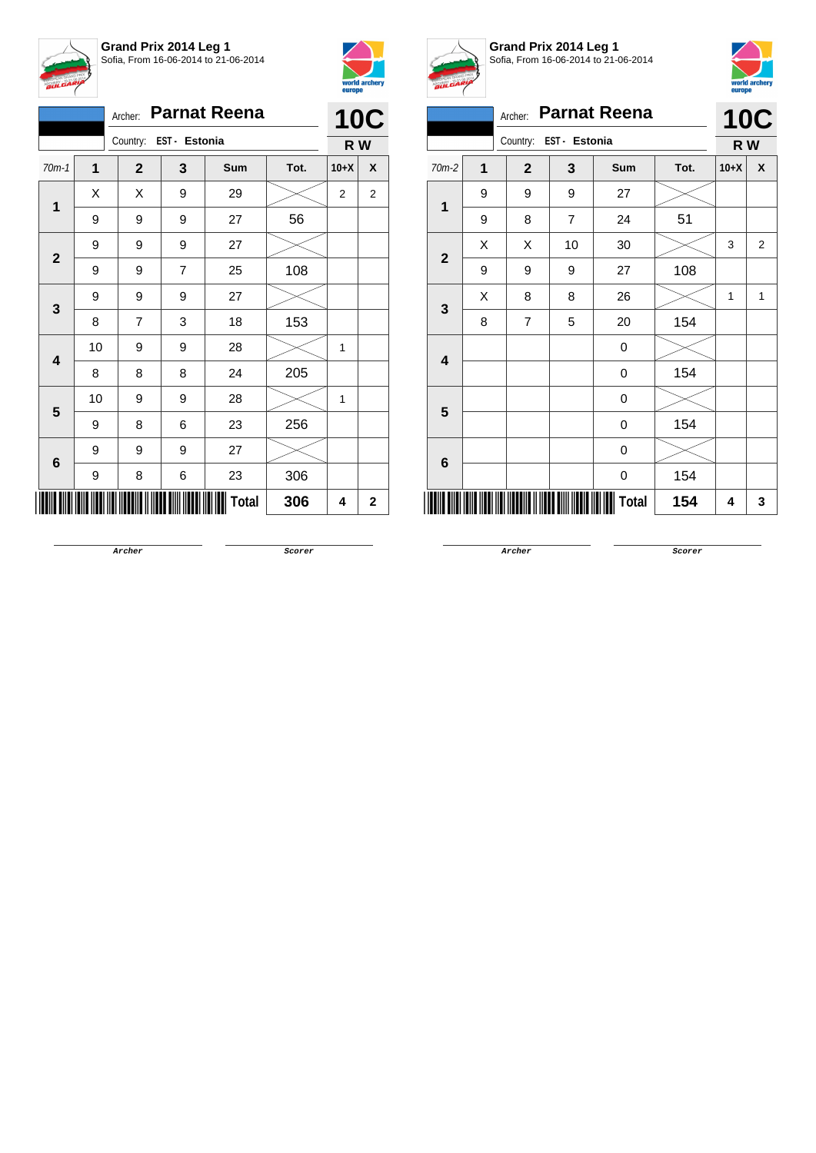



|                         |    | Archer:                |                | <b>Parnat Reena</b> |      |        | <b>10C</b>     |
|-------------------------|----|------------------------|----------------|---------------------|------|--------|----------------|
|                         |    | Country: EST - Estonia |                |                     |      | R W    |                |
| $70m-1$                 | 1  | $\mathbf{2}$           | 3              | Sum                 | Tot. | $10+X$ | X              |
| $\mathbf{1}$            | X  | Χ                      | 9              | 29                  |      | 2      | $\overline{2}$ |
|                         | 9  | 9                      | 9              | 27                  | 56   |        |                |
|                         | 9  | 9                      | 9              | 27                  |      |        |                |
| $\mathbf{2}$            | 9  | 9                      | $\overline{7}$ | 25                  | 108  |        |                |
|                         | 9  | 9                      | 9              | 27                  |      |        |                |
| 3                       | 8  | $\overline{7}$         | 3              | 18                  | 153  |        |                |
| $\overline{\mathbf{4}}$ | 10 | 9                      | 9              | 28                  |      | 1      |                |
|                         | 8  | 8                      | 8              | 24                  | 205  |        |                |
| 5                       | 10 | 9                      | 9              | 28                  |      | 1      |                |
|                         | 9  | 8                      | 6              | 23                  | 256  |        |                |
|                         | 9  | 9                      | 9              | 27                  |      |        |                |
| $\bf 6$                 | 9  | 8                      | 6              | 23                  | 306  |        |                |
|                         |    |                        |                | <b>Total</b>        | 306  | 4      | 2              |



**Grand Prix 2014 Leg 1** Sofia, From 16-06-2014 to 21-06-2014



|                         | A. | Archer:        |               | <b>Parnat Reena</b> |      |        | <b>10C</b>     |
|-------------------------|----|----------------|---------------|---------------------|------|--------|----------------|
|                         |    | Country:       | EST - Estonia |                     |      | R W    |                |
| 70m-2                   | 1  | $\overline{2}$ | 3             | Sum                 | Tot. | $10+X$ | X              |
| 1                       | 9  | 9              | 9             | 27                  |      |        |                |
|                         | 9  | 8              | 7             | 24                  | 51   |        |                |
| $\overline{2}$          | X  | X              | 10            | 30                  |      | 3      | $\overline{2}$ |
|                         | 9  | 9              | 9             | 27                  | 108  |        |                |
| $\mathbf{3}$            | X  | 8              | 8             | 26                  |      | 1      | 1              |
|                         | 8  | 7              | 5             | 20                  | 154  |        |                |
| $\overline{\mathbf{4}}$ |    |                |               | 0                   |      |        |                |
|                         |    |                |               | 0                   | 154  |        |                |
| $5\phantom{1}$          |    |                |               | 0                   |      |        |                |
|                         |    |                |               | 0                   | 154  |        |                |
| 6                       |    |                |               | 0                   |      |        |                |
|                         |    |                |               | 0                   | 154  |        |                |
|                         |    |                |               | <b>Total</b>        | 154  | 4      | 3              |

**Archer Scorer**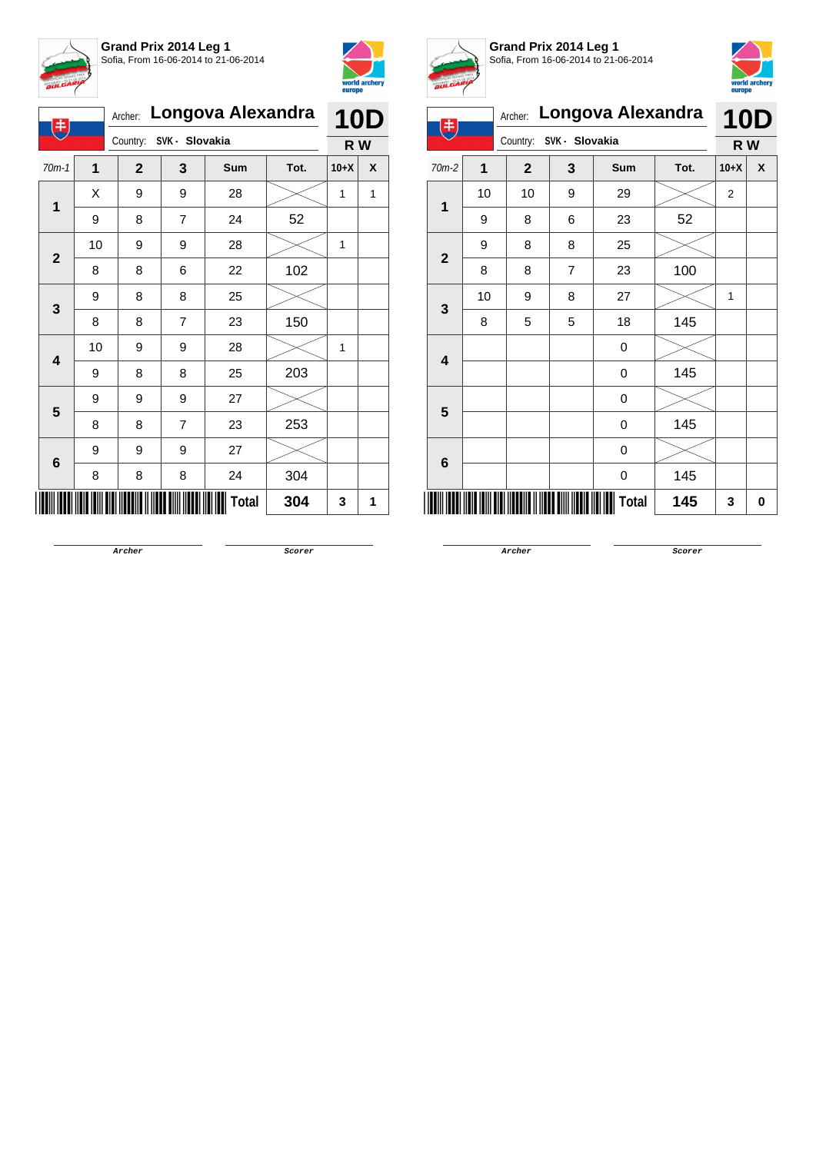



| 电              |    | Archer:                 |   | Longova Alexandra |      | <b>10D</b> |   |
|----------------|----|-------------------------|---|-------------------|------|------------|---|
|                |    | Country: SVK - Slovakia |   |                   |      | R W        |   |
| $70m-1$        | 1  | $\mathbf{2}$            | 3 | <b>Sum</b>        | Tot. | $10+X$     | X |
| 1              | Χ  | 9                       | 9 | 28                |      | 1          | 1 |
|                | 9  | 8                       | 7 | 24                | 52   |            |   |
| $\mathbf{2}$   | 10 | 9                       | 9 | 28                |      | 1          |   |
|                | 8  | 8                       | 6 | 22                | 102  |            |   |
| 3              | 9  | 8                       | 8 | 25                |      |            |   |
|                | 8  | 8                       | 7 | 23                | 150  |            |   |
| 4              | 10 | 9                       | 9 | 28                |      | 1          |   |
|                | 9  | 8                       | 8 | 25                | 203  |            |   |
| 5              | 9  | 9                       | 9 | 27                |      |            |   |
|                | 8  | 8                       | 7 | 23                | 253  |            |   |
|                | 9  | 9                       | 9 | 27                |      |            |   |
| $6\phantom{1}$ | 8  | 8                       | 8 | 24                | 304  |            |   |
|                |    |                         |   | Total             | 304  | 3          | 1 |



**Grand Prix 2014 Leg 1** Sofia, From 16-06-2014 to 21-06-2014



| 电                       |    |                         |   | Archer: Longova Alexandra |      | <b>10D</b>     |   |
|-------------------------|----|-------------------------|---|---------------------------|------|----------------|---|
|                         |    | Country: SVK - Slovakia |   |                           |      | R W            |   |
| $70m-2$                 | 1  | $\mathbf{2}$            | 3 | Sum                       | Tot. | $10+X$         | X |
| $\overline{1}$          | 10 | 10                      | 9 | 29                        |      | $\overline{2}$ |   |
|                         | 9  | 8                       | 6 | 23                        | 52   |                |   |
| $\overline{2}$          | 9  | 8                       | 8 | 25                        |      |                |   |
|                         | 8  | 8                       | 7 | 23                        | 100  |                |   |
|                         | 10 | 9                       | 8 | 27                        |      | 1              |   |
| 3                       | 8  | 5                       | 5 | 18                        | 145  |                |   |
| $\overline{\mathbf{4}}$ |    |                         |   | 0                         |      |                |   |
|                         |    |                         |   | 0                         | 145  |                |   |
| 5                       |    |                         |   | 0                         |      |                |   |
|                         |    |                         |   | 0                         | 145  |                |   |
| 6                       |    |                         |   | 0                         |      |                |   |
|                         |    |                         |   | 0                         | 145  |                |   |
|                         |    |                         |   | Total                     | 145  | 3              | 0 |

**Archer Scorer**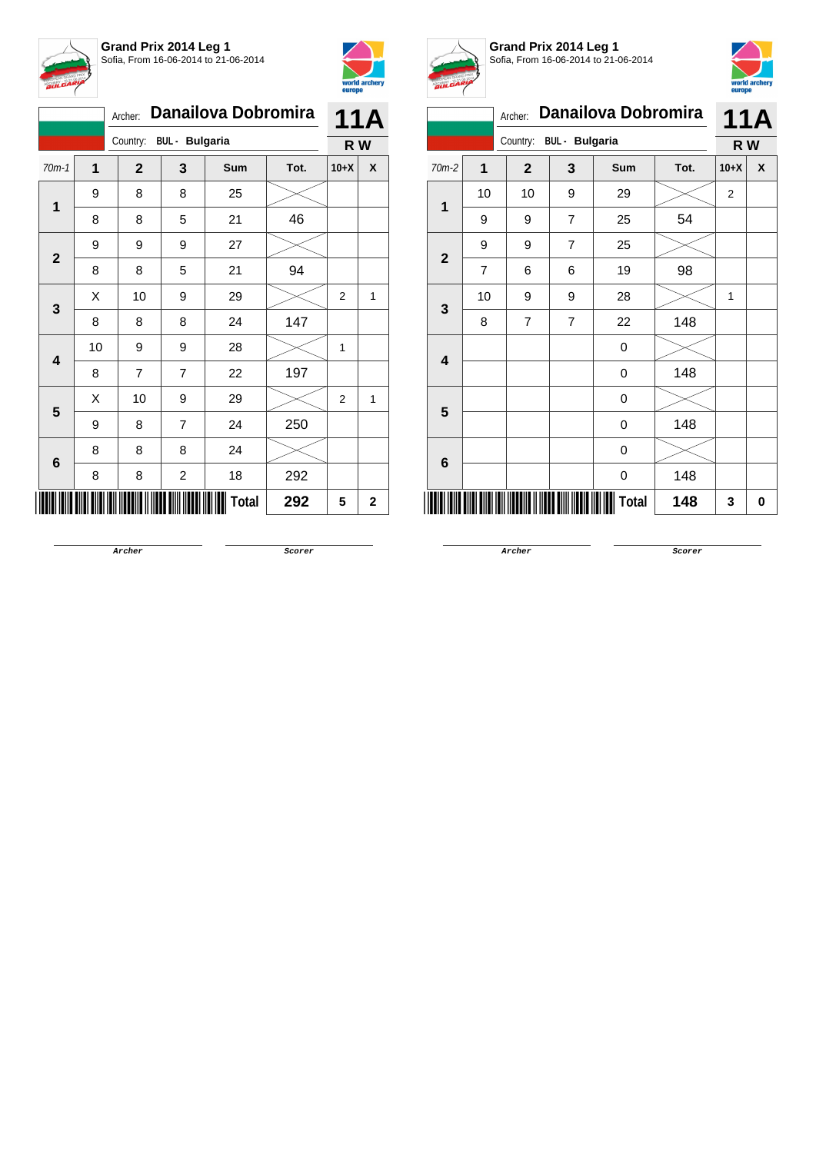



|                         |    | Archer: |              |                         | <b>Danailova Dobromira</b> |      |                | <b>11A</b> |
|-------------------------|----|---------|--------------|-------------------------|----------------------------|------|----------------|------------|
|                         |    |         |              | Country: BUL - Bulgaria |                            |      | R W            |            |
| $70m-1$                 | 1  |         | $\mathbf{2}$ | 3                       | Sum                        | Tot. | $10+X$         | X          |
| 1                       | 9  |         | 8            | 8                       | 25                         |      |                |            |
|                         | 8  |         | 8            | 5                       | 21                         | 46   |                |            |
| $\mathbf{2}$            | 9  |         | 9            | 9                       | 27                         |      |                |            |
|                         | 8  |         | 8            | 5                       | 21                         | 94   |                |            |
| 3                       | X  |         | 10           | 9                       | 29                         |      | $\overline{2}$ | 1          |
|                         | 8  |         | 8            | 8                       | 24                         | 147  |                |            |
| $\overline{\mathbf{4}}$ | 10 |         | 9            | 9                       | 28                         |      | 1              |            |
|                         | 8  |         | 7            | 7                       | 22                         | 197  |                |            |
| 5                       | Χ  |         | 10           | 9                       | 29                         |      | $\overline{2}$ | 1          |
|                         | 9  |         | 8            | $\overline{7}$          | 24                         | 250  |                |            |
| 6                       | 8  |         | 8            | 8                       | 24                         |      |                |            |
|                         | 8  |         | 8            | $\overline{\mathbf{c}}$ | 18                         | 292  |                |            |
|                         |    |         |              |                         | Total                      | 292  | 5              | 2          |



**Grand Prix 2014 Leg 1** Sofia, From 16-06-2014 to 21-06-2014



| $BUL^{L}$               |                |                |                       |                     |      | europe         |            |
|-------------------------|----------------|----------------|-----------------------|---------------------|------|----------------|------------|
|                         |                | Archer:        |                       | Danailova Dobromira |      |                | <b>11A</b> |
|                         |                | Country:       | <b>BUL</b> - Bulgaria |                     |      | R W            |            |
| $70m-2$                 | $\overline{1}$ | $\mathbf{2}$   | 3                     | Sum                 | Tot. | $10+X$         | X          |
| 1                       | 10             | 10             | 9                     | 29                  |      | $\overline{2}$ |            |
|                         | 9              | 9              | $\overline{7}$        | 25                  | 54   |                |            |
| $\overline{2}$          | 9              | 9              | $\overline{7}$        | 25                  |      |                |            |
|                         | 7              | 6              | 6                     | 19                  | 98   |                |            |
| 3                       | 10             | 9              | 9                     | 28                  |      | 1              |            |
|                         | 8              | $\overline{7}$ | 7                     | 22                  | 148  |                |            |
| $\overline{\mathbf{4}}$ |                |                |                       | 0                   |      |                |            |
|                         |                |                |                       | 0                   | 148  |                |            |
| 5                       |                |                |                       | 0                   |      |                |            |
|                         |                |                |                       | 0                   | 148  |                |            |
| 6                       |                |                |                       | 0                   |      |                |            |
|                         |                |                |                       | 0                   | 148  |                |            |
|                         |                |                |                       | Total               | 148  | 3              | 0          |

**Archer Scorer**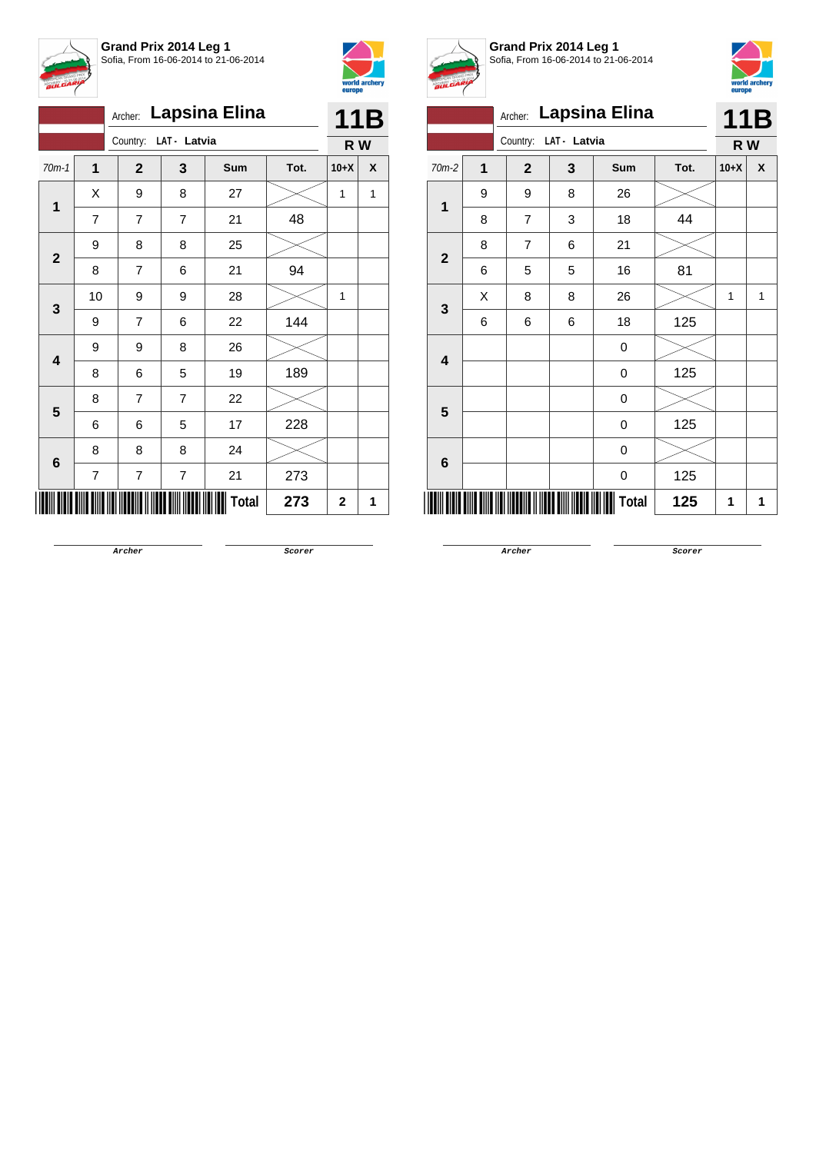



|                         |                |                       |                | Archer: Lapsina Elina |      |            |   |  |
|-------------------------|----------------|-----------------------|----------------|-----------------------|------|------------|---|--|
|                         |                | Country: LAT - Latvia |                |                       |      | 11B<br>R W |   |  |
| $70m-1$                 | 1              | $\mathbf{2}$          | 3              | Sum                   | Tot. | $10+X$     | X |  |
| $\mathbf 1$             | Χ              | 9                     | 8              | 27                    |      | 1          | 1 |  |
|                         | $\overline{7}$ | 7                     | 7              | 21                    | 48   |            |   |  |
|                         | 9              | 8                     | 8              | 25                    |      |            |   |  |
| $\mathbf{2}$            | 8              | $\overline{7}$        | 6              | 21                    | 94   |            |   |  |
|                         | 10             | 9                     | 9              | 28                    |      | 1          |   |  |
| 3                       | 9              | $\overline{7}$        | 6              | 22                    | 144  |            |   |  |
| $\overline{\mathbf{4}}$ | 9              | 9                     | 8              | 26                    |      |            |   |  |
|                         | 8              | 6                     | 5              | 19                    | 189  |            |   |  |
| 5                       | 8              | $\overline{7}$        | $\overline{7}$ | 22                    |      |            |   |  |
|                         | 6              | 6                     | 5              | 17                    | 228  |            |   |  |
| 6                       | 8              | 8                     | 8              | 24                    |      |            |   |  |
|                         | $\overline{7}$ | $\overline{7}$        | 7              | 21                    | 273  |            |   |  |
|                         |                |                       |                | <b>Total</b>          | 273  | 2          | 1 |  |



**Grand Prix 2014 Leg 1** Sofia, From 16-06-2014 to 21-06-2014



|                |                         |                |              | Archer: Lapsina Elina |      |                | 11B          |
|----------------|-------------------------|----------------|--------------|-----------------------|------|----------------|--------------|
|                |                         | Country:       | LAT - Latvia |                       |      | R W            |              |
| $70m-2$        | $\overline{\mathbf{1}}$ | $\mathbf{2}$   | 3            | <b>Sum</b>            | Tot. | $10+X$         | X            |
| 1              | 9                       | 9              | 8            | 26                    |      |                |              |
|                | 8                       | $\overline{7}$ | 3            | 18                    | 44   |                |              |
|                | 8                       | 7              | 6            | 21                    |      |                |              |
| $\overline{2}$ | 6                       | 5              | 5            | 16                    | 81   |                |              |
| 3              | X                       | 8              | 8            | 26                    |      | $\overline{1}$ | $\mathbf{1}$ |
|                | 6                       | 6              | 6            | 18                    | 125  |                |              |
| 4              |                         |                |              | 0                     |      |                |              |
|                |                         |                |              | 0                     | 125  |                |              |
| 5              |                         |                |              | 0                     |      |                |              |
|                |                         |                |              | 0                     | 125  |                |              |
| 6              |                         |                |              | 0                     |      |                |              |
|                |                         |                |              | 0                     | 125  |                |              |
|                |                         |                |              | <b>Total</b>          | 125  | 1              | 1            |

**Archer Scorer**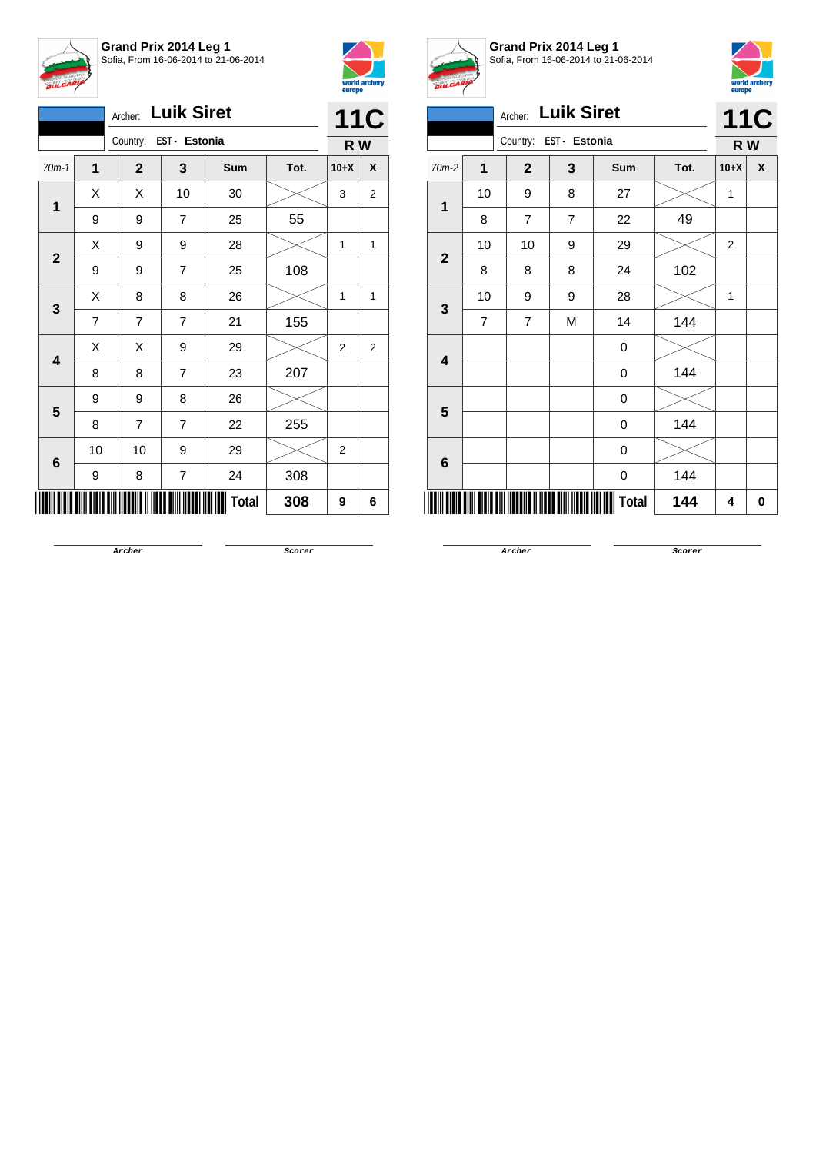



|              |                | Archer:        | <b>Luik Siret</b>       |              |      |                | <b>11C</b>       |
|--------------|----------------|----------------|-------------------------|--------------|------|----------------|------------------|
|              |                | Country:       | EST - Estonia           |              |      | R W            |                  |
| $70m-1$      | $\mathbf 1$    | $\mathbf{2}$   | 3                       | <b>Sum</b>   | Tot. | $10+X$         | X                |
| 1            | Χ              | X              | 10                      | 30           |      | 3              | $\boldsymbol{2}$ |
|              | 9              | 9              | $\overline{7}$          | 25           | 55   |                |                  |
|              | Χ              | 9              | 9                       | 28           |      | 1              | 1                |
| $\mathbf{2}$ | 9              | 9              | $\overline{7}$          | 25           | 108  |                |                  |
|              | Χ              | 8              | 8                       | 26           |      | 1              | 1                |
| 3            | $\overline{7}$ | $\overline{7}$ | $\overline{7}$          | 21           | 155  |                |                  |
|              | X              | X              | 9                       | 29           |      | 2              | $\overline{2}$   |
| 4            | 8              | 8              | $\overline{7}$          | 23           | 207  |                |                  |
| 5            | 9              | 9              | 8                       | 26           |      |                |                  |
|              | 8              | 7              | $\overline{7}$          | 22           | 255  |                |                  |
|              | 10             | 10             | 9                       | 29           |      | $\overline{2}$ |                  |
| 6            | 9              | 8              | $\overline{\mathbf{7}}$ | 24           | 308  |                |                  |
|              |                |                |                         | <b>Total</b> | 308  | 9              | 6                |



**Grand Prix 2014 Leg 1** Sofia, From 16-06-2014 to 21-06-2014



|                         | Archer: Luik Siret |                           |                |              |      |                |            |  |
|-------------------------|--------------------|---------------------------|----------------|--------------|------|----------------|------------|--|
|                         |                    | Country:<br>EST - Estonia |                |              |      | R W            | <b>11C</b> |  |
| $70m-2$                 | $\overline{1}$     | $\mathbf{2}$              | 3              | Sum          | Tot. | $10+X$         | X          |  |
| $\overline{1}$          | 10                 | 9                         | 8              | 27           |      | 1              |            |  |
|                         | 8                  | $\overline{7}$            | $\overline{7}$ | 22           | 49   |                |            |  |
| $\overline{2}$          | 10                 | 10                        | 9              | 29           |      | $\overline{2}$ |            |  |
|                         | 8                  | 8                         | 8              | 24           | 102  |                |            |  |
| $\mathbf{3}$            | 10                 | 9                         | 9              | 28           |      | 1              |            |  |
|                         | $\overline{7}$     | 7                         | M              | 14           | 144  |                |            |  |
| $\overline{\mathbf{4}}$ |                    |                           |                | 0            |      |                |            |  |
|                         |                    |                           |                | 0            | 144  |                |            |  |
| 5                       |                    |                           |                | 0            |      |                |            |  |
|                         |                    |                           |                | 0            | 144  |                |            |  |
| $6\phantom{1}6$         |                    |                           |                | 0            |      |                |            |  |
|                         |                    |                           |                | 0            | 144  |                |            |  |
|                         |                    |                           |                | <b>Total</b> | 144  | 4              | 0          |  |

**Archer Scorer**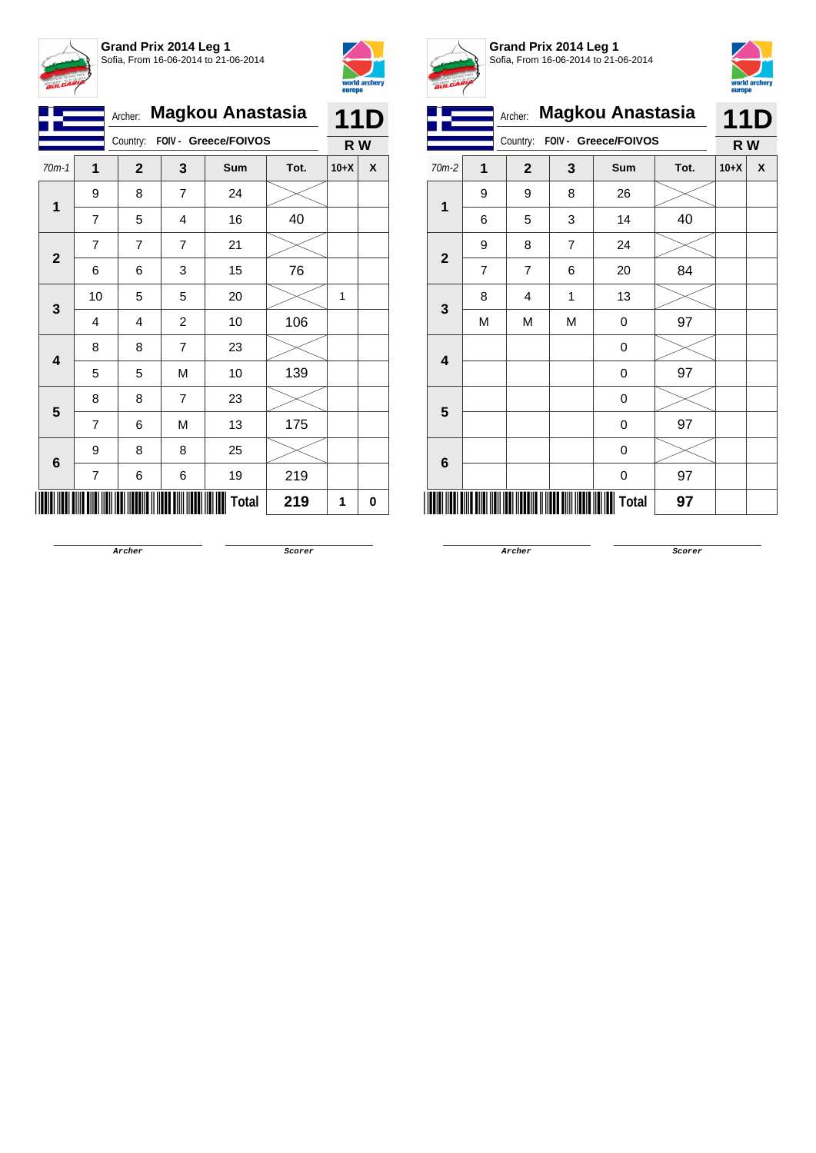



|              |                | Archer:      |                | <b>Magkou Anastasia</b> |      |        | 11D |
|--------------|----------------|--------------|----------------|-------------------------|------|--------|-----|
|              |                | Country:     |                | FOIV - Greece/FOIVOS    |      | R W    |     |
| $70m-1$      | 1              | $\mathbf{2}$ | 3              | <b>Sum</b>              | Tot. | $10+X$ | X   |
| 1            | 9              | 8            | $\overline{7}$ | 24                      |      |        |     |
|              | 7              | 5            | 4              | 16                      | 40   |        |     |
| $\mathbf{2}$ | 7              | 7            | 7              | 21                      |      |        |     |
|              | 6              | 6            | 3              | 15                      | 76   |        |     |
|              | 10             | 5            | 5              | 20                      |      | 1      |     |
| 3            | 4              | 4            | $\overline{c}$ | 10                      | 106  |        |     |
| 4            | 8              | 8            | $\overline{7}$ | 23                      |      |        |     |
|              | 5              | 5            | M              | 10                      | 139  |        |     |
| 5            | 8              | 8            | $\overline{7}$ | 23                      |      |        |     |
|              | $\overline{7}$ | 6            | M              | 13                      | 175  |        |     |
|              | 9              | 8            | 8              | 25                      |      |        |     |
| $\bf 6$      | $\overline{7}$ | 6            | 6              | 19                      | 219  |        |     |
|              |                |              |                | Total                   | 219  | 1      | 0   |



**Grand Prix 2014 Leg 1** Sofia, From 16-06-2014 to 21-06-2014



|                         |                | <b>Magkou Anastasia</b><br>Archer: |                |                  |      | <b>11D</b> |   |
|-------------------------|----------------|------------------------------------|----------------|------------------|------|------------|---|
|                         |                | FOIV - Greece/FOIVOS<br>Country:   |                |                  |      | R W        |   |
| $70m-2$                 | 1              | $\mathbf{2}$                       | 3              | Sum              | Tot. | $10+X$     | X |
| 1                       | 9              | 9                                  | 8              | 26               |      |            |   |
|                         | 6              | 5                                  | 3              | 14               | 40   |            |   |
| $\overline{\mathbf{2}}$ | 9              | 8                                  | $\overline{7}$ | 24               |      |            |   |
|                         | $\overline{7}$ | $\overline{7}$                     | 6              | 20               | 84   |            |   |
| $\mathbf{3}$            | 8              | 4                                  | 1              | 13               |      |            |   |
|                         | Μ              | M                                  | М              | 0                | 97   |            |   |
| 4                       |                |                                    |                | $\boldsymbol{0}$ |      |            |   |
|                         |                |                                    |                | $\mathbf 0$      | 97   |            |   |
| 5                       |                |                                    |                | $\pmb{0}$        |      |            |   |
|                         |                |                                    |                | 0                | 97   |            |   |
| 6                       |                |                                    |                | 0                |      |            |   |
|                         |                |                                    |                | 0                | 97   |            |   |
|                         |                |                                    |                | Total            | 97   |            |   |

**Archer Scorer**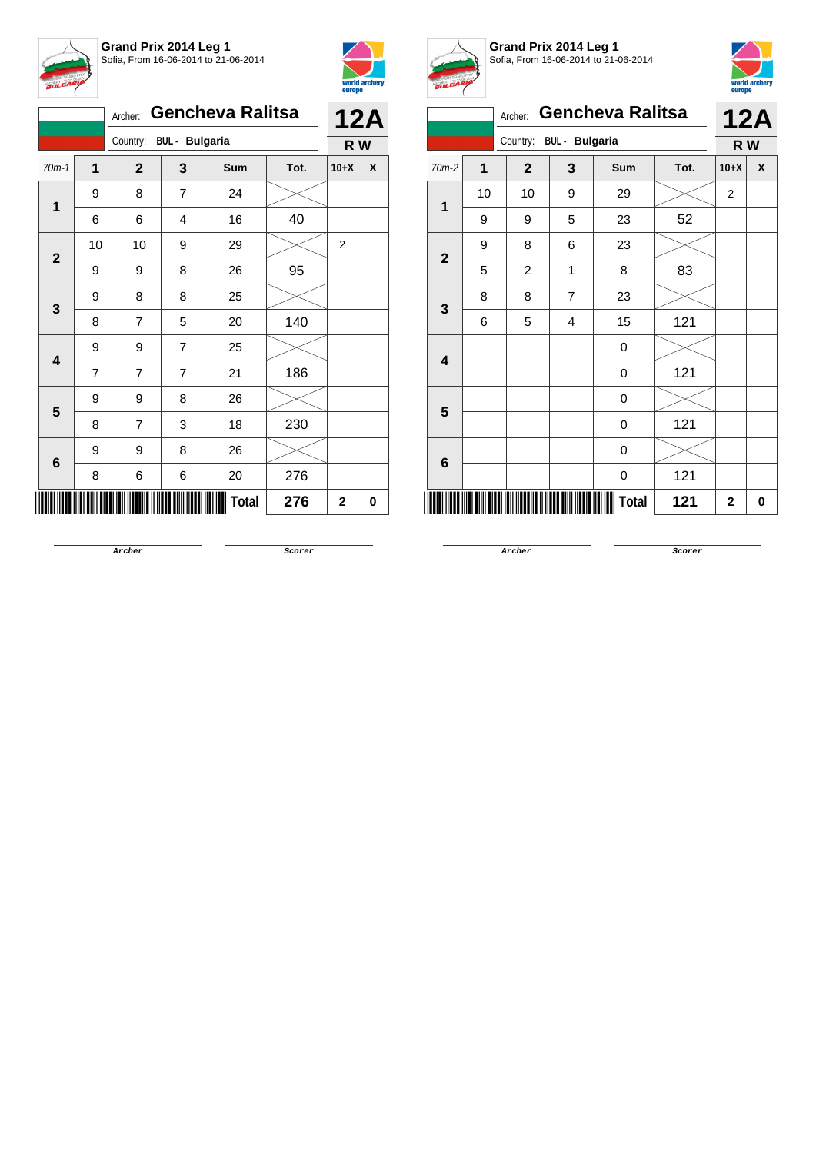



|              |    | Archer:      |                                                                                                                                                                                                                 | <b>Gencheva Ralitsa</b> |      |        | <b>12A</b> |
|--------------|----|--------------|-----------------------------------------------------------------------------------------------------------------------------------------------------------------------------------------------------------------|-------------------------|------|--------|------------|
|              |    |              |                                                                                                                                                                                                                 |                         |      | R W    |            |
| $70m-1$      | 1  | $\mathbf{2}$ | 3                                                                                                                                                                                                               | Sum                     | Tot. | $10+X$ | X          |
| 1            | 9  | 8            | $\overline{7}$                                                                                                                                                                                                  | 24                      |      |        |            |
|              | 6  | 6            | 4                                                                                                                                                                                                               | 16                      | 40   |        |            |
| $\mathbf{2}$ | 10 | 10           | 9                                                                                                                                                                                                               | 29                      |      | 2      |            |
|              | 9  | 9            | 8                                                                                                                                                                                                               | 26                      | 95   |        |            |
| 3            | 9  | 8            | 8                                                                                                                                                                                                               | 25                      |      |        |            |
|              | 8  | 7            | Country: BUL - Bulgaria<br>140<br>5<br>20<br>$\overline{7}$<br>9<br>25<br>7<br>7<br>21<br>186<br>9<br>8<br>26<br>$\overline{7}$<br>230<br>3<br>18<br>26<br>9<br>8<br>276<br>6<br>6<br>20<br><b>Total</b><br>276 |                         |      |        |            |
| 4            | 9  |              |                                                                                                                                                                                                                 |                         |      |        |            |
|              | 7  |              |                                                                                                                                                                                                                 |                         |      |        |            |
| 5            | 9  |              |                                                                                                                                                                                                                 |                         |      |        |            |
|              | 8  |              |                                                                                                                                                                                                                 |                         |      |        |            |
| 6            | 9  |              |                                                                                                                                                                                                                 |                         |      |        |            |
|              | 8  |              |                                                                                                                                                                                                                 |                         |      |        |            |
|              |    |              |                                                                                                                                                                                                                 |                         |      | 2      | 0          |



**Grand Prix 2014 Leg 1** Sofia, From 16-06-2014 to 21-06-2014



|                         |                | Archer:        |                       | <b>Gencheva Ralitsa</b> |      |                | <b>12A</b> |  |
|-------------------------|----------------|----------------|-----------------------|-------------------------|------|----------------|------------|--|
|                         |                | Country:       | <b>BUL</b> - Bulgaria |                         |      | R W            |            |  |
| $70m-2$                 | $\overline{1}$ | $\mathbf{2}$   | 3                     | Sum                     | Tot. | $10+X$         | X          |  |
| 1                       | 10             | 10             | 9                     | 29                      |      | $\overline{2}$ |            |  |
|                         | 9              | 9              | 5                     | 23                      | 52   |                |            |  |
| $\overline{\mathbf{2}}$ | 9              | 8              | 6                     | 23                      |      |                |            |  |
|                         | 5              | $\overline{c}$ | 1                     | 8                       | 83   |                |            |  |
| 3                       | 8              | 8              | 7                     | 23                      |      |                |            |  |
|                         | 6              | 5              | 4                     | 15                      | 121  |                |            |  |
| 4                       |                |                |                       | 0                       |      |                |            |  |
|                         |                |                |                       | 0                       | 121  |                |            |  |
| 5                       |                |                |                       | 0                       |      |                |            |  |
|                         |                |                |                       | 0                       | 121  |                |            |  |
| 6                       |                |                |                       | 0                       |      |                |            |  |
|                         |                |                |                       | 0                       | 121  |                |            |  |
|                         | $\mathbf{2}$   | 0              |                       |                         |      |                |            |  |

**Archer Scorer**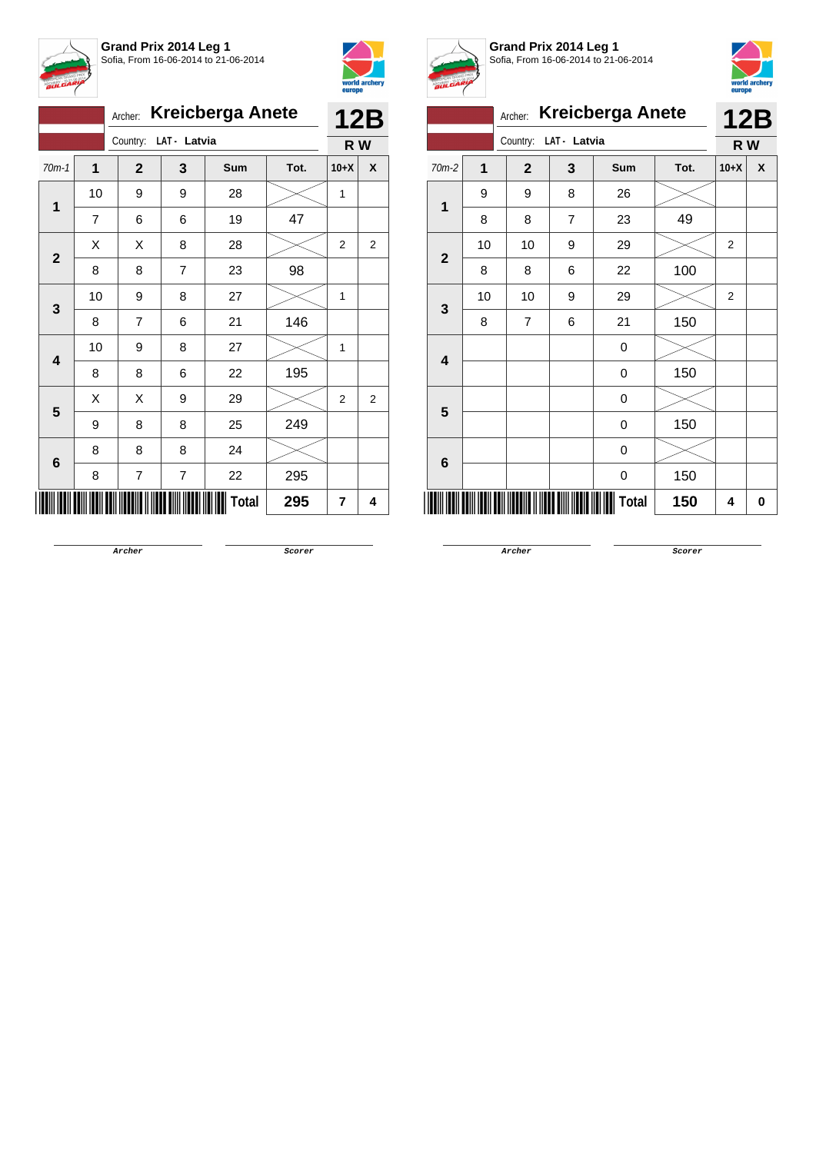



|                 |             | Archer:               |                         | <b>Kreicberga Anete</b> |      |                | <b>12B</b>     |
|-----------------|-------------|-----------------------|-------------------------|-------------------------|------|----------------|----------------|
|                 |             | Country: LAT - Latvia |                         |                         |      | R W            |                |
| $70m-1$         | $\mathbf 1$ | $\mathbf{2}$          | 3                       | Sum                     | Tot. | $10+X$         | X              |
| 1               | 10          | 9                     | 9                       | 28                      |      | 1              |                |
|                 | 7           | 6                     | 6                       | 19                      | 47   |                |                |
| $\mathbf{2}$    | х           | Χ                     | 8                       | 28                      |      | 2              | 2              |
|                 | 8           | 8                     | $\overline{7}$          | 23                      | 98   |                |                |
| 3               | 10          | 9                     | 8                       | 27                      |      | 1              |                |
|                 | 8           | 7                     | 6                       | 21                      | 146  |                |                |
| 4               | 10          | 9                     | 8                       | 27                      |      | 1              |                |
|                 | 8           | 8                     | 6                       | 22                      | 195  |                |                |
| 5               | X           | Χ                     | 9                       | 29                      |      | $\overline{2}$ | $\overline{2}$ |
|                 | 9           | 8                     | 8                       | 25                      | 249  |                |                |
| $6\phantom{1}6$ | 8           | 8                     | 8                       | 24                      |      |                |                |
|                 | 8           | $\overline{7}$        | $\overline{\mathbf{7}}$ | 22                      | 295  |                |                |
|                 |             |                       |                         | Total                   | 295  | 7              | 4              |



**Grand Prix 2014 Leg 1** Sofia, From 16-06-2014 to 21-06-2014



|              |    | Archer:        |              | <b>Kreicberga Anete</b> |      |                | <b>12B</b> |
|--------------|----|----------------|--------------|-------------------------|------|----------------|------------|
|              |    | Country:       | LAT - Latvia |                         |      | R W            |            |
| 70m-2        | 1  | $\mathbf{2}$   | 3            | Sum                     | Tot. | $10+X$         | X          |
| $\mathbf{1}$ | 9  | 9              | 8            | 26                      |      |                |            |
|              | 8  | 8              | 7            | 23                      | 49   |                |            |
| $\mathbf{2}$ | 10 | 10             | 9            | 29                      |      | $\overline{2}$ |            |
|              | 8  | 8              | 6            | 22                      | 100  |                |            |
| 3            | 10 | 10             | 9            | 29                      |      | $\overline{2}$ |            |
|              | 8  | $\overline{7}$ | 6            | 21                      | 150  |                |            |
| 4            |    |                |              | 0                       |      |                |            |
|              |    |                |              | 0                       | 150  |                |            |
| 5            |    |                |              | 0                       |      |                |            |
|              |    |                |              | 0                       | 150  |                |            |
| 6            |    |                |              | 0                       |      |                |            |
|              |    |                |              | 0                       | 150  |                |            |
|              |    |                |              | Total                   | 150  | 4              | 0          |

**Archer Scorer**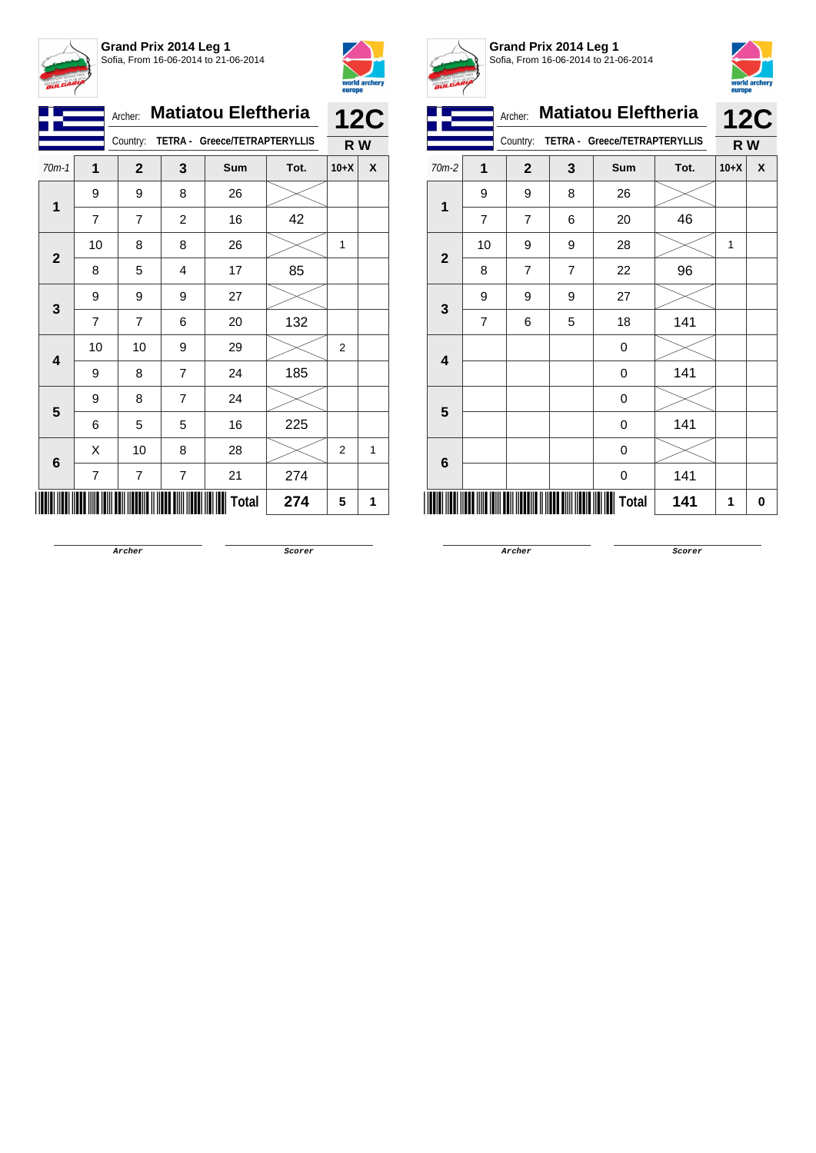



|                         |                | Archer:                                   |                | <b>Matiatou Eleftheria</b> |      |                | <b>12C</b> |
|-------------------------|----------------|-------------------------------------------|----------------|----------------------------|------|----------------|------------|
|                         |                | TETRA - Greece/TETRAPTERYLLIS<br>Country: |                | R W                        |      |                |            |
| $70m-1$                 | 1              | $\mathbf{2}$                              | 3              | <b>Sum</b>                 | Tot. | $10+X$         | X          |
| 1                       | 9              | 9                                         | 8              | 26                         |      |                |            |
|                         | 7              | 7                                         | $\overline{c}$ | 16                         | 42   |                |            |
| $\overline{2}$          | 10             | 8                                         | 8              | 26                         |      | 1              |            |
|                         | 8              | 5                                         | 4              | 17                         | 85   |                |            |
| 3                       | 9              | 9                                         | 9              | 27                         |      |                |            |
|                         | $\overline{7}$ | $\overline{7}$                            | 6              | 20                         | 132  |                |            |
| $\overline{\mathbf{4}}$ | 10             | 10                                        | 9              | 29                         |      | 2              |            |
|                         | 9              | 8                                         | $\overline{7}$ | 24                         | 185  |                |            |
| 5                       | 9              | 8                                         | 7              | 24                         |      |                |            |
|                         | 6              | 5                                         | 5              | 16                         | 225  |                |            |
| $6\phantom{1}$          | X              | 10                                        | 8              | 28                         |      | $\overline{2}$ | 1          |
|                         | $\overline{7}$ | 7                                         | 7              | 21                         | 274  |                |            |
|                         |                |                                           |                | Total                      | 274  | 5              | 1          |



**Grand Prix 2014 Leg 1** Sofia, From 16-06-2014 to 21-06-2014



|                         |                |              |                | <b>Matiatou Eleftheria</b><br>Archer: |      |                   |   |  |
|-------------------------|----------------|--------------|----------------|---------------------------------------|------|-------------------|---|--|
|                         |                | Country:     |                | TETRA - Greece/TETRAPTERYLLIS         |      | <b>12C</b><br>R W |   |  |
| $70m-2$                 | 1              | $\mathbf{2}$ | 3              | Sum                                   | Tot. | $10+X$            | X |  |
| 1                       | 9              | 9            | 8              | 26                                    |      |                   |   |  |
|                         | $\overline{7}$ | 7            | 6              | 20                                    | 46   |                   |   |  |
| $\overline{\mathbf{2}}$ | 10             | 9            | 9              | 28                                    |      | 1                 |   |  |
|                         | 8              | 7            | $\overline{7}$ | 22                                    | 96   |                   |   |  |
|                         | 9              | 9            | 9              | 27                                    |      |                   |   |  |
| $\mathbf{3}$            | $\overline{7}$ | 6            | 5              | 18                                    | 141  |                   |   |  |
|                         |                |              |                | 0                                     |      |                   |   |  |
| 4                       |                |              |                | 0                                     | 141  |                   |   |  |
| 5                       |                |              |                | 0                                     |      |                   |   |  |
|                         |                |              |                | 0                                     | 141  |                   |   |  |
| 6                       |                |              |                | 0                                     |      |                   |   |  |
|                         |                |              |                | 0                                     | 141  |                   |   |  |
|                         |                |              |                | Total                                 | 141  | 1                 | 0 |  |

**Archer Scorer**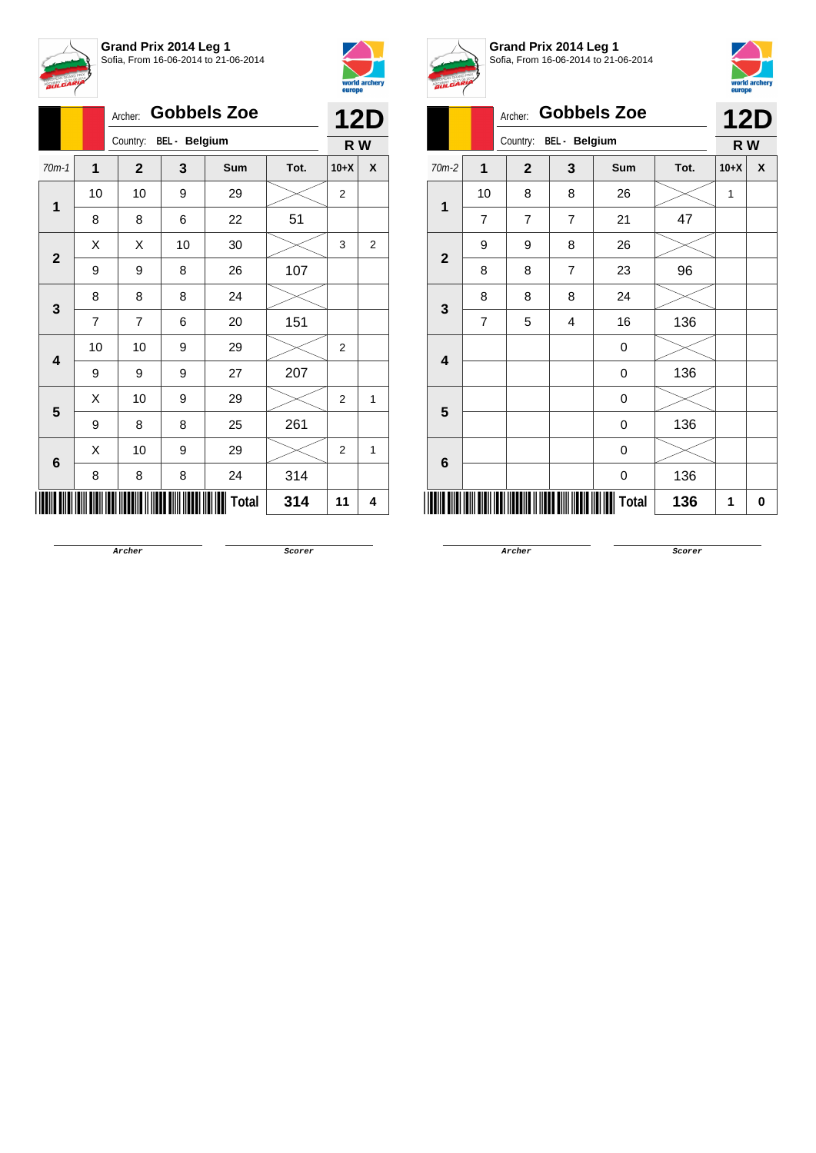



|                         |    | Archer:      |                        | <b>Gobbels Zoe</b> |      |                | <b>12D</b>   |
|-------------------------|----|--------------|------------------------|--------------------|------|----------------|--------------|
|                         |    |              | Country: BEL - Belgium |                    |      |                |              |
| $70m-1$                 | 1  | $\mathbf{2}$ | 3                      | Sum                | Tot. | $10+X$         | X            |
| $\mathbf 1$             | 10 | 10           | 9                      | 29                 |      | 2              |              |
|                         | 8  | 8            | 6                      | 22                 | 51   |                |              |
| $\mathbf{2}$            | X  | Χ            | 10                     | 30                 |      | 3              | 2            |
|                         | 9  | 9            | 8                      | 26                 | 107  |                |              |
|                         | 8  | 8            | 8                      | 24                 |      |                |              |
| 3                       | 7  | 7            | 6                      | 20                 | 151  |                |              |
| $\overline{\mathbf{4}}$ | 10 | 10           | 9                      | 29                 |      | 2              |              |
|                         | 9  | 9            | 9                      | 27                 | 207  |                |              |
| 5                       | X  | 10           | 9                      | 29                 |      | $\overline{2}$ | 1            |
|                         | 9  | 8            | 8                      | 25                 | 261  |                |              |
| 6                       | X  | 10           | 9                      | 29                 |      | $\overline{2}$ | $\mathbf{1}$ |
|                         | 8  | 8            | 8                      | 24                 | 314  |                |              |
|                         |    |              |                        | <b>Total</b>       | 314  | 11             | 4            |



**Grand Prix 2014 Leg 1** Sofia, From 16-06-2014 to 21-06-2014



|                         | л              |                         |                      |                    |      |        |            |  |
|-------------------------|----------------|-------------------------|----------------------|--------------------|------|--------|------------|--|
|                         |                | Archer:                 |                      | <b>Gobbels Zoe</b> |      |        | <b>12D</b> |  |
|                         |                | Country:                | <b>BEL</b> - Belgium |                    |      | R W    |            |  |
| 70m-2                   | 1              | $\overline{\mathbf{2}}$ | 3                    | Sum                | Tot. | $10+X$ | X          |  |
| $\mathbf{1}$            | 10             | 8                       | 8                    | 26                 |      | 1      |            |  |
|                         | $\overline{7}$ | $\overline{7}$          | $\overline{7}$       | 21                 | 47   |        |            |  |
| $\overline{\mathbf{2}}$ | 9              | 9                       | 8                    | 26                 |      |        |            |  |
|                         | 8              | 8                       | $\overline{7}$       | 23                 | 96   |        |            |  |
|                         | 8              | 8                       | 8                    | 24                 |      |        |            |  |
| 3                       | $\overline{7}$ | 5                       | $\overline{4}$       | 16                 | 136  |        |            |  |
| $\overline{\mathbf{4}}$ |                |                         |                      | 0                  |      |        |            |  |
|                         |                |                         |                      | 0                  | 136  |        |            |  |
| 5                       |                |                         |                      | 0                  |      |        |            |  |
|                         |                |                         |                      | 0                  | 136  |        |            |  |
| $6\phantom{1}$          |                |                         |                      | 0                  |      |        |            |  |
|                         |                |                         |                      | 0                  | 136  |        |            |  |
|                         |                |                         |                      | <b>Total</b>       | 136  | 1      | 0          |  |

**Archer Scorer**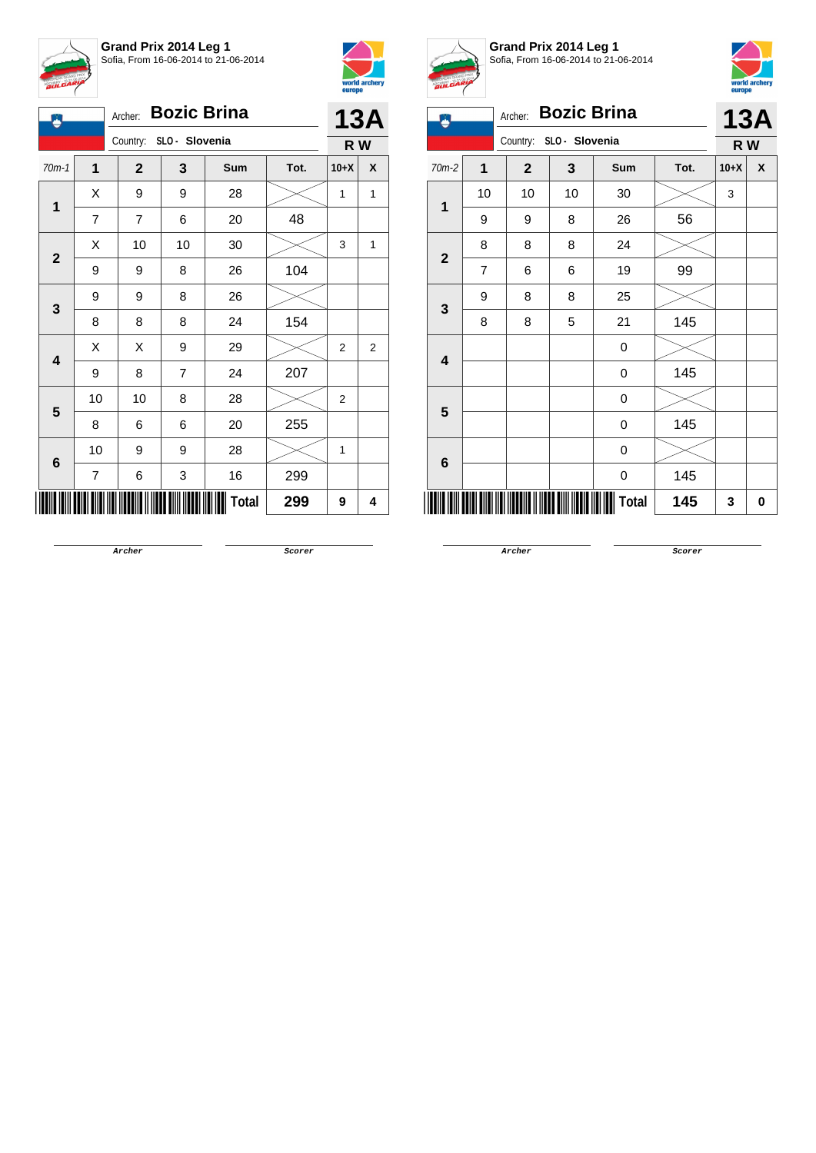



| 凰                       | <b>Bozic Brina</b><br>Archer: |                |                |              |      |                |   |  |
|-------------------------|-------------------------------|----------------|----------------|--------------|------|----------------|---|--|
|                         | Country: SLO - Slovenia       |                |                |              |      |                |   |  |
| $70m-1$                 | 1                             | $\mathbf{2}$   | 3              | Sum          | Tot. | $10+X$         | X |  |
| 1                       | X                             | 9              | 9              | 28           |      | 1              | 1 |  |
|                         | $\overline{7}$                | $\overline{7}$ | 6              | 20           | 48   |                |   |  |
| $\mathbf{2}$            | Χ                             | 10             | 10             | 30           |      | 3              | 1 |  |
|                         | 9                             | 9              | 8              | 26           | 104  |                |   |  |
| 3                       | 9                             | 9              | 8              | 26           |      |                |   |  |
|                         | 8                             | 8              | 8              | 24           | 154  |                |   |  |
| $\overline{\mathbf{4}}$ | X                             | X              | 9              | 29           |      | $\overline{2}$ | 2 |  |
|                         | 9                             | 8              | $\overline{7}$ | 24           | 207  |                |   |  |
| 5                       | 10                            | 10             | 8              | 28           |      | $\overline{2}$ |   |  |
|                         | 8                             | 6              | 6              | 20           | 255  |                |   |  |
|                         | 10                            | 9              | 9              | 28           |      | 1              |   |  |
| 6                       | 7                             | 6              | 3              | 16           | 299  |                |   |  |
|                         |                               |                |                | <b>Total</b> | 299  | 9              | 4 |  |



**Grand Prix 2014 Leg 1** Sofia, From 16-06-2014 to 21-06-2014



|                         | Х.             | Archer:        |                | <b>Bozic Brina</b> |      |        | <b>13A</b> |
|-------------------------|----------------|----------------|----------------|--------------------|------|--------|------------|
|                         |                | Country:       | SLO - Slovenia |                    |      | R W    |            |
| $70m-2$                 | 1              | $\overline{2}$ | 3              | Sum                | Tot. | $10+X$ | X          |
| $\overline{1}$          | 10             | 10             | 10             | 30                 |      | 3      |            |
|                         | 9              | 9              | 8              | 26                 | 56   |        |            |
| $\overline{\mathbf{2}}$ | 8              | 8              | 8              | 24                 |      |        |            |
|                         | $\overline{7}$ | 6              | 6              | 19                 | 99   |        |            |
|                         | 9              | 8              | 8              | 25                 |      |        |            |
| 3                       | 8              | 8              | 5              | 21                 | 145  |        |            |
| $\overline{\mathbf{4}}$ |                |                |                | 0                  |      |        |            |
|                         |                |                |                | 0                  | 145  |        |            |
| 5                       |                |                |                | 0                  |      |        |            |
|                         |                |                |                | 0                  | 145  |        |            |
|                         |                |                |                | 0                  |      |        |            |
| 6                       |                |                |                | 0                  | 145  |        |            |
|                         |                |                |                | Total              | 145  | 3      | 0          |

**Archer Scorer**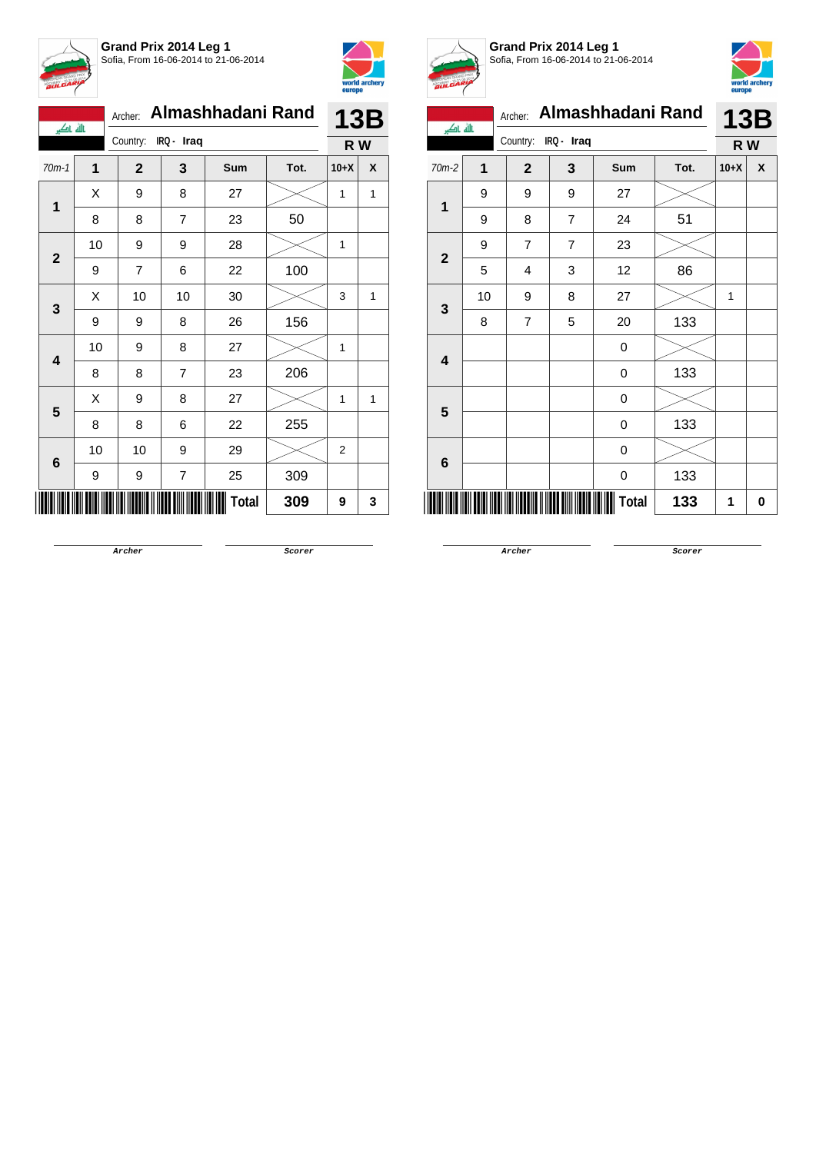



| بالله باكبر  |    | Archer:                |                | Almashhadani Rand |      |                | <b>13B</b> |
|--------------|----|------------------------|----------------|-------------------|------|----------------|------------|
|              |    | Country:<br>IRQ - Iraq |                |                   |      | R W            |            |
| $70m-1$      | 1  | $\mathbf{2}$           | 3              | Sum               | Tot. | $10+X$         | X          |
| 1            | Χ  | 9                      | 8              | 27                |      | 1              | 1          |
|              | 8  | 8                      | $\overline{7}$ | 23                | 50   |                |            |
| $\mathbf{2}$ | 10 | 9                      | 9              | 28                |      | 1              |            |
|              | 9  | 7                      | 6              | 22                | 100  |                |            |
|              | X  | 10                     | 10             | 30                |      | 3              | 1          |
| 3            | 9  | 9                      | 8              | 26                | 156  |                |            |
| 4            | 10 | 9                      | 8              | 27                |      | 1              |            |
|              | 8  | 8                      | $\overline{7}$ | 23                | 206  |                |            |
| 5            | Χ  | 9                      | 8              | 27                |      | 1              | 1          |
|              | 8  | 8                      | 6              | 22                | 255  |                |            |
| 6            | 10 | 10                     | 9              | 29                |      | $\overline{2}$ |            |
|              | 9  | 9                      | 7              | 25                | 309  |                |            |
|              |    |                        |                | Total             | 309  | 9              | 3          |



**Grand Prix 2014 Leg 1** Sofia, From 16-06-2014 to 21-06-2014



| بالله باكبر            |    | Almashhadani Rand<br>Archer: |                |       |      |              | <b>13B</b> |  |  |  |
|------------------------|----|------------------------------|----------------|-------|------|--------------|------------|--|--|--|
|                        |    | IRQ - Iraq<br>Country:       |                |       |      | R W          |            |  |  |  |
| 70m-2                  | 1  | $\overline{2}$               | 3              | Sum   | Tot. | $10+X$       | X          |  |  |  |
|                        | 9  | 9                            | 9              | 27    |      |              |            |  |  |  |
| 1<br>$\mathbf{2}$<br>3 | 9  | 8                            | $\overline{7}$ | 24    | 51   |              |            |  |  |  |
|                        | 9  | $\overline{7}$               | $\overline{7}$ | 23    |      |              |            |  |  |  |
|                        | 5  | 4                            | 3              | 12    | 86   |              |            |  |  |  |
|                        | 10 | 9                            | 8              | 27    |      | $\mathbf{1}$ |            |  |  |  |
|                        | 8  | 7                            | 5              | 20    | 133  |              |            |  |  |  |
| 4                      |    |                              |                | 0     |      |              |            |  |  |  |
|                        |    |                              |                | 0     | 133  |              |            |  |  |  |
| 5                      |    |                              |                | 0     |      |              |            |  |  |  |
|                        |    |                              |                | 0     | 133  |              |            |  |  |  |
| $6\phantom{1}6$        |    |                              |                | 0     |      |              |            |  |  |  |
|                        |    |                              |                | 0     | 133  |              |            |  |  |  |
|                        |    |                              |                | Total | 133  | 1            | 0          |  |  |  |

**Archer Scorer**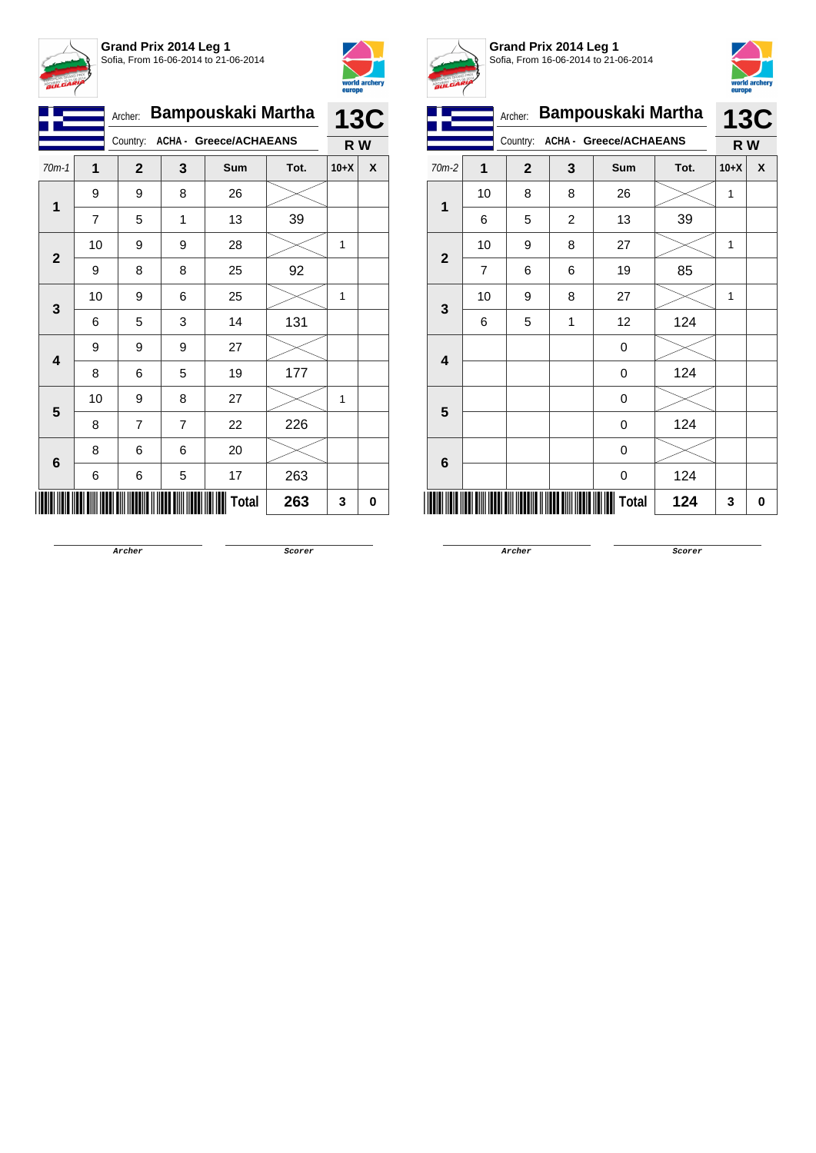



|                         |    | Archer:        |                | Bampouskaki Martha     |      |        | <b>13C</b> |
|-------------------------|----|----------------|----------------|------------------------|------|--------|------------|
| Country:                |    |                |                | ACHA - Greece/ACHAEANS |      | R W    |            |
| $70m-1$                 | 1  | $\mathbf{2}$   | 3              | Sum                    | Tot. | $10+X$ | X          |
| 1                       | 9  | 9              | 8              | 26                     |      |        |            |
|                         | 7  | 5              | 1              | 13                     | 39   |        |            |
| $\mathbf{2}$            | 10 | 9              | 9              | 28                     |      | 1      |            |
|                         | 9  | 8              | 8              | 25                     | 92   |        |            |
| 3                       | 10 | 9              | 6              | 25                     |      | 1      |            |
|                         | 6  | 5              | 3              | 14                     | 131  |        |            |
| $\overline{\mathbf{4}}$ | 9  | 9              | 9              | 27                     |      |        |            |
|                         | 8  | 6              | 5              | 19                     | 177  |        |            |
| 5                       | 10 | 9              | 8              | 27                     |      | 1      |            |
|                         | 8  | $\overline{7}$ | $\overline{7}$ | 22                     | 226  |        |            |
|                         | 8  | 6              | 6              | 20                     |      |        |            |
| 6                       | 6  | 6              | 5              | 17                     | 263  |        |            |
|                         |    |                |                | <b>Total</b>           | 263  | 3      | 0          |



**Grand Prix 2014 Leg 1** Sofia, From 16-06-2014 to 21-06-2014



|                         |                | Archer:      |                | <b>Bampouskaki Martha</b> |      |              | <b>13C</b> |
|-------------------------|----------------|--------------|----------------|---------------------------|------|--------------|------------|
|                         |                | Country:     |                | ACHA - Greece/ACHAEANS    |      | R W          |            |
| 70m-2                   | 1              | $\mathbf{2}$ | 3              | Sum                       | Tot. | $10+X$       | X          |
| $\mathbf{1}$            | 10             | 8            | 8              | 26                        |      | $\mathbf{1}$ |            |
|                         | 6              | 5            | $\overline{c}$ | 13                        | 39   |              |            |
| $\overline{2}$          | 10             | 9            | 8              | 27                        |      | $\mathbf{1}$ |            |
|                         | $\overline{7}$ | 6            | 6              | 19                        | 85   |              |            |
| 3                       | 10             | 9            | 8              | 27                        |      | 1            |            |
|                         | 6              | 5            | 1              | 12                        | 124  |              |            |
| $\overline{\mathbf{4}}$ |                |              |                | 0                         |      |              |            |
|                         |                |              |                | 0                         | 124  |              |            |
| 5                       |                |              |                | 0                         |      |              |            |
|                         |                |              |                | 0                         | 124  |              |            |
| 6                       |                |              |                | 0                         |      |              |            |
|                         |                |              |                | 0                         | 124  |              |            |
|                         |                |              |                | Total                     | 124  | 3            | 0          |

**Archer Scorer**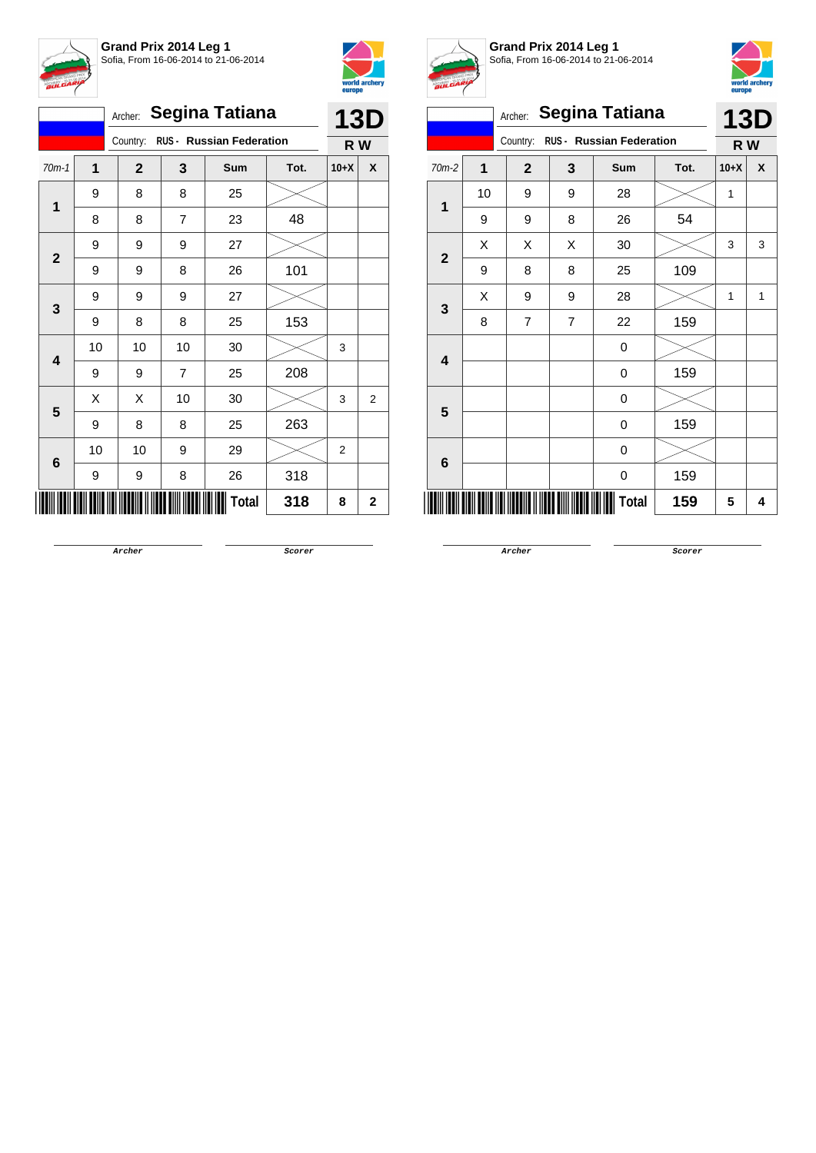



|                                      |                |    | Archer:      |                | <b>Segina Tatiana</b> |      |                | <b>13D</b>     |
|--------------------------------------|----------------|----|--------------|----------------|-----------------------|------|----------------|----------------|
| RUS - Russian Federation<br>Country: |                |    |              |                |                       | R W  |                |                |
|                                      | $70m-1$        | 1  | $\mathbf{2}$ | 3              | Sum                   | Tot. | $10+X$         | X              |
|                                      | 1              | 9  | 8            | 8              | 25                    |      |                |                |
|                                      |                | 8  | 8            | $\overline{7}$ | 23                    | 48   |                |                |
|                                      | $\overline{2}$ | 9  | 9            | 9              | 27                    |      |                |                |
|                                      |                | 9  | 9            | 8              | 26                    | 101  |                |                |
|                                      |                | 9  | 9            | 9              | 27                    |      |                |                |
|                                      | 3              | 9  | 8            | 8              | 25                    | 153  |                |                |
|                                      | 4              | 10 | 10           | 10             | 30                    |      | 3              |                |
|                                      |                | 9  | 9            | $\overline{7}$ | 25                    | 208  |                |                |
|                                      | 5              | Χ  | Χ            | 10             | 30                    |      | 3              | $\overline{2}$ |
|                                      |                | 9  | 8            | 8              | 25                    | 263  |                |                |
|                                      |                | 10 | 10           | 9              | 29                    |      | $\overline{2}$ |                |
|                                      | 6              | 9  | 9            | 8              | 26                    | 318  |                |                |
|                                      |                |    |              |                | Total                 | 318  | 8              | 2              |



**Grand Prix 2014 Leg 1** Sofia, From 16-06-2014 to 21-06-2014



| <b>BULGARI</b> |    |                |                |                                 |      | europe | world archery |
|----------------|----|----------------|----------------|---------------------------------|------|--------|---------------|
|                |    | Archer:        |                | <b>Segina Tatiana</b>           |      |        | <b>13D</b>    |
|                |    | Country:       |                | <b>RUS - Russian Federation</b> |      | R W    |               |
| $70m-2$        | 1  | $\overline{2}$ | 3              | Sum                             | Tot. | $10+X$ | X             |
| 1              | 10 | 9              | 9              | 28                              |      | 1      |               |
|                | 9  | 9              | 8              | 26                              | 54   |        |               |
| $\overline{2}$ | Χ  | Χ              | X              | 30                              |      | 3      | 3             |
|                | 9  | 8              | 8              | 25                              | 109  |        |               |
|                | X  | 9              | 9              | 28                              |      | 1      | 1             |
| 3              | 8  | $\overline{7}$ | $\overline{7}$ | 22                              | 159  |        |               |
| 4              |    |                |                | 0                               |      |        |               |
|                |    |                |                | 0                               | 159  |        |               |
| 5              |    |                |                | 0                               |      |        |               |
|                |    |                |                | 0                               | 159  |        |               |
| 6              |    |                |                | 0                               |      |        |               |
|                |    |                |                | 0                               | 159  |        |               |
|                |    |                |                | <b>Total</b>                    | 159  | 5      | 4             |

**Archer Scorer**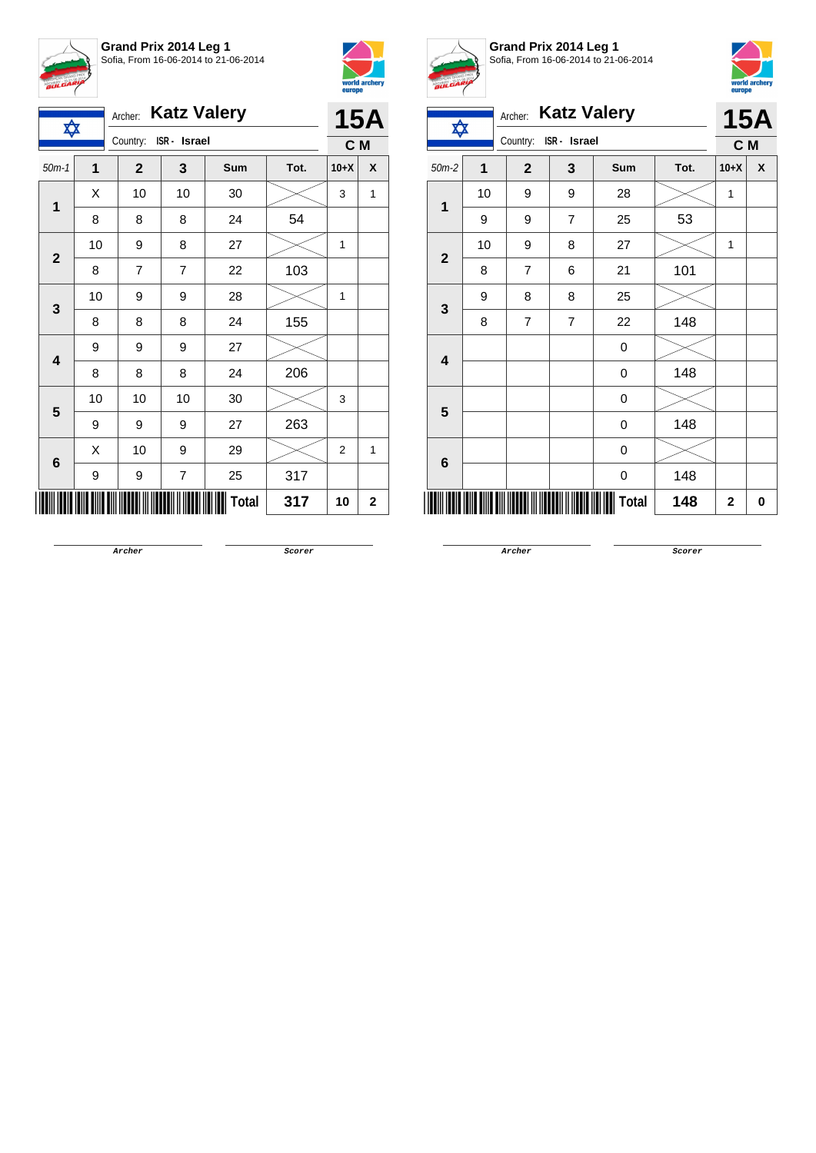



|                         | <b>Katz Valery</b><br>Archer:<br>✿ |              |                         |       |      |                |              |
|-------------------------|------------------------------------|--------------|-------------------------|-------|------|----------------|--------------|
|                         | Country:<br>ISR - Israel           |              |                         |       | C M  |                |              |
| $50m-1$                 | 1                                  | $\mathbf{2}$ | 3                       | Sum   | Tot. | $10+X$         | X            |
| 1                       | X                                  | 10           | 10                      | 30    |      | 3              | 1            |
|                         | 8                                  | 8            | 8                       | 24    | 54   |                |              |
|                         | 10                                 | 9            | 8                       | 27    |      | 1              |              |
| $\mathbf{2}$            | 8                                  | 7            | $\overline{7}$          | 22    | 103  |                |              |
| 3                       | 10                                 | 9            | 9                       | 28    |      | 1              |              |
|                         | 8                                  | 8            | 8                       | 24    | 155  |                |              |
| $\overline{\mathbf{4}}$ | 9                                  | 9            | 9                       | 27    |      |                |              |
|                         | 8                                  | 8            | 8                       | 24    | 206  |                |              |
| 5                       | 10                                 | 10           | 10                      | 30    |      | 3              |              |
|                         | 9                                  | 9            | 9                       | 27    | 263  |                |              |
|                         | Χ                                  | 10           | 9                       | 29    |      | $\overline{2}$ | $\mathbf{1}$ |
| 6                       | 9                                  | 9            | $\overline{\mathbf{7}}$ | 25    | 317  |                |              |
|                         |                                    |              |                         | Total | 317  | 10             | 2            |



**Grand Prix 2014 Leg 1** Sofia, From 16-06-2014 to 21-06-2014



| <b>BULGARY</b> |                |                |                    |       |      |                | world archery<br>europe |
|----------------|----------------|----------------|--------------------|-------|------|----------------|-------------------------|
|                |                | Archer:        | <b>Katz Valery</b> |       |      | <b>15A</b>     |                         |
| ✿              |                | Country:       | ISR - Israel       |       |      | C M            |                         |
| $50m-2$        | $\overline{1}$ | $\overline{2}$ | 3                  | Sum   | Tot. | $10+X$         | X                       |
|                | 10             | 9              | 9                  | 28    |      | 1              |                         |
| $\mathbf{1}$   | 9              | 9              | $\overline{7}$     | 25    | 53   |                |                         |
| $\mathbf{2}$   | 10             | 9              | 8                  | 27    |      | 1              |                         |
|                | 8              | $\overline{7}$ | 6                  | 21    | 101  |                |                         |
| 3              | 9              | 8              | 8                  | 25    |      |                |                         |
|                | 8              | $\overline{7}$ | $\overline{7}$     | 22    | 148  |                |                         |
| 4              |                |                |                    | 0     |      |                |                         |
|                |                |                |                    | 0     | 148  |                |                         |
| 5              |                |                |                    | 0     |      |                |                         |
|                |                |                |                    | 0     | 148  |                |                         |
|                |                |                |                    | 0     |      |                |                         |
| 6              |                |                |                    | 0     | 148  |                |                         |
|                |                |                |                    | Total | 148  | $\overline{2}$ | 0                       |

**Archer Scorer**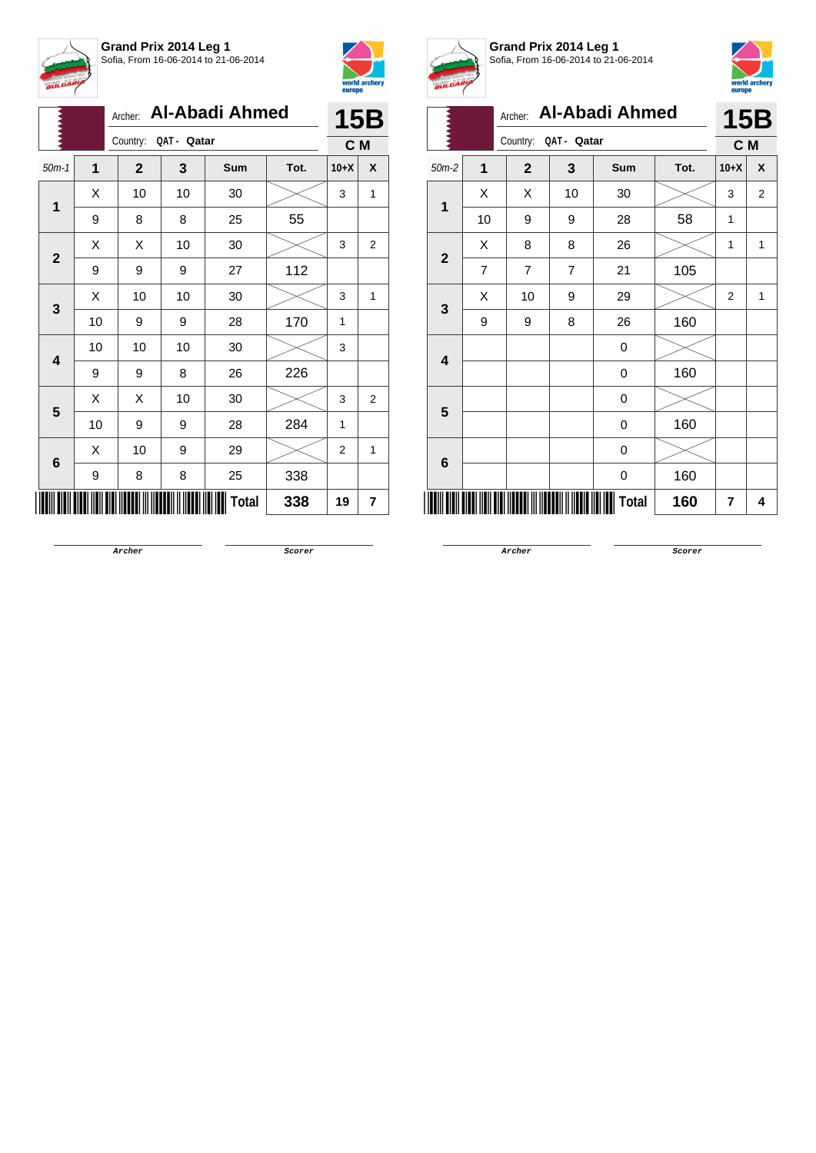



|              |    | Archer:                 |    | <b>Al-Abadi Ahmed</b> |      |                | 15B            |
|--------------|----|-------------------------|----|-----------------------|------|----------------|----------------|
|              |    | Country:<br>QAT - Qatar |    | C M                   |      |                |                |
| $50m-1$      | 1  | $\mathbf{2}$            | 3  | Sum                   | Tot. | $10+X$         | X              |
| 1            | Χ  | 10                      | 10 | 30                    |      | 3              | 1              |
|              | 9  | 8                       | 8  | 25                    | 55   |                |                |
| $\mathbf{2}$ | Χ  | Χ                       | 10 | 30                    |      | 3              | $\overline{2}$ |
|              | 9  | 9                       | 9  | 27                    | 112  |                |                |
|              | Χ  | 10                      | 10 | 30                    |      | 3              | 1              |
| 3            | 10 | 9                       | 9  | 28                    | 170  | 1              |                |
| 4            | 10 | 10                      | 10 | 30                    |      | 3              |                |
|              | 9  | 9                       | 8  | 26                    | 226  |                |                |
| 5            | X  | Χ                       | 10 | 30                    |      | 3              | $\overline{2}$ |
|              | 10 | 9                       | 9  | 28                    | 284  | 1              |                |
| 6            | X  | 10                      | 9  | 29                    |      | $\overline{2}$ | 1              |
|              | 9  | 8                       | 8  | 25                    | 338  |                |                |
|              |    |                         |    | Total                 | 338  | 19             | 7              |



**Grand Prix 2014 Leg 1** Sofia, From 16-06-2014 to 21-06-2014



|                |                |                         |    | Archer: Al-Abadi Ahmed |      |                | <b>15B</b> |
|----------------|----------------|-------------------------|----|------------------------|------|----------------|------------|
|                |                | QAT - Qatar<br>Country: |    |                        |      |                | C M        |
| $50m-2$        | $\mathbf{1}$   | $\mathbf{2}$            | 3  | <b>Sum</b>             | Tot. | $10+X$         | X          |
| $\overline{1}$ | X              | X                       | 10 | 30                     |      | 3              | 2          |
|                | 10             | 9                       | 9  | 28                     | 58   | 1              |            |
| $\mathbf{2}$   | X              | 8                       | 8  | 26                     |      | 1              | 1          |
|                | $\overline{7}$ | $\overline{7}$          | 7  | 21                     | 105  |                |            |
| 3              | X              | 10                      | 9  | 29                     |      | $\overline{2}$ | 1          |
|                | 9              | 9                       | 8  | 26                     | 160  |                |            |
| 4              |                |                         |    | 0                      |      |                |            |
|                |                |                         |    | 0                      | 160  |                |            |
| $5\phantom{1}$ |                |                         |    | 0                      |      |                |            |
|                |                |                         |    | 0                      | 160  |                |            |
| 6              |                |                         |    | 0                      |      |                |            |
|                |                |                         |    | 0                      | 160  |                |            |
|                |                |                         |    | <b>Total</b>           | 160  | 7              | 4          |

**Archer Scorer**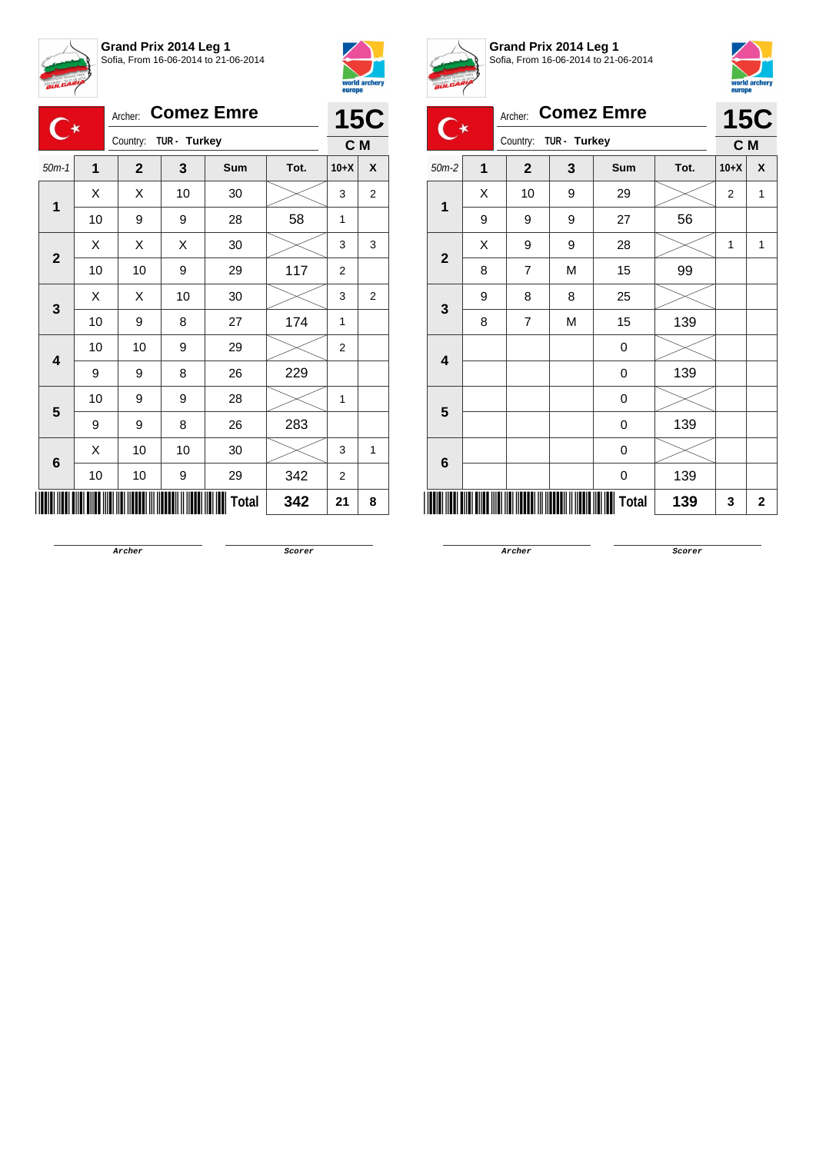



|                                     |    | Archer:      |              | <b>Comez Emre</b> |      |        | <b>15C</b>     |
|-------------------------------------|----|--------------|--------------|-------------------|------|--------|----------------|
| C∗                                  |    | Country:     | TUR - Turkey |                   |      | C M    |                |
| $\overline{1}$<br>$50m-1$<br>Χ<br>1 |    | $\mathbf{2}$ | 3            | Sum               | Tot. | $10+X$ | X              |
|                                     |    | Χ            | 10           | 30                |      | 3      | $\overline{2}$ |
|                                     | 10 | 9            | 9            | 28                | 58   | 1      |                |
|                                     | X  | X            | X            | 30                |      | 3      | 3              |
| $\mathbf{2}$                        | 10 | 10           | 9            | 29                | 117  | 2      |                |
| 3                                   | X  | X            | 10           | 30                |      | 3      | $\overline{2}$ |
|                                     | 10 | 9            | 8            | 27                | 174  | 1      |                |
| $\overline{\mathbf{4}}$             | 10 | 10           | 9            | 29                |      | 2      |                |
|                                     | 9  | 9            | 8            | 26                | 229  |        |                |
| 5                                   | 10 | 9            | 9            | 28                |      | 1      |                |
|                                     | 9  | 9            | 8            | 26                | 283  |        |                |
| 6                                   | X  | 10           | 10           | 30                |      | 3      | 1              |
|                                     | 10 | 10           | 9            | 29                | 342  | 2      |                |
|                                     |    |              |              | Total             | 342  | 21     | 8              |



**Grand Prix 2014 Leg 1** Sofia, From 16-06-2014 to 21-06-2014



| <b>BULGARIA</b>         |   |                |              |                   |      | europe         | world archery  |
|-------------------------|---|----------------|--------------|-------------------|------|----------------|----------------|
|                         |   | Archer:        |              | <b>Comez Emre</b> |      | <b>15C</b>     |                |
|                         |   | Country:       | TUR - Turkey |                   |      | C M            |                |
| $50m-2$                 | 1 | $\overline{2}$ | 3            | <b>Sum</b>        | Tot. | $10+X$         | X              |
| 1                       | X | 10             | 9            | 29                |      | $\overline{2}$ | 1              |
|                         | 9 | 9              | 9            | 27                | 56   |                |                |
| $\overline{2}$          | X | 9              | 9            | 28                |      | 1              | 1              |
|                         | 8 | $\overline{7}$ | M            | 15                | 99   |                |                |
|                         | 9 | 8              | 8            | 25                |      |                |                |
| $\mathbf{3}$            | 8 | 7              | M            | 15                | 139  |                |                |
| $\overline{\mathbf{4}}$ |   |                |              | 0                 |      |                |                |
|                         |   |                |              | 0                 | 139  |                |                |
| 5                       |   |                |              | 0                 |      |                |                |
|                         |   |                |              | 0                 | 139  |                |                |
|                         |   |                |              | 0                 |      |                |                |
| 6                       |   |                |              | 0                 | 139  |                |                |
|                         |   |                |              | <b>Total</b>      | 139  | 3              | $\overline{2}$ |

**Archer Scorer**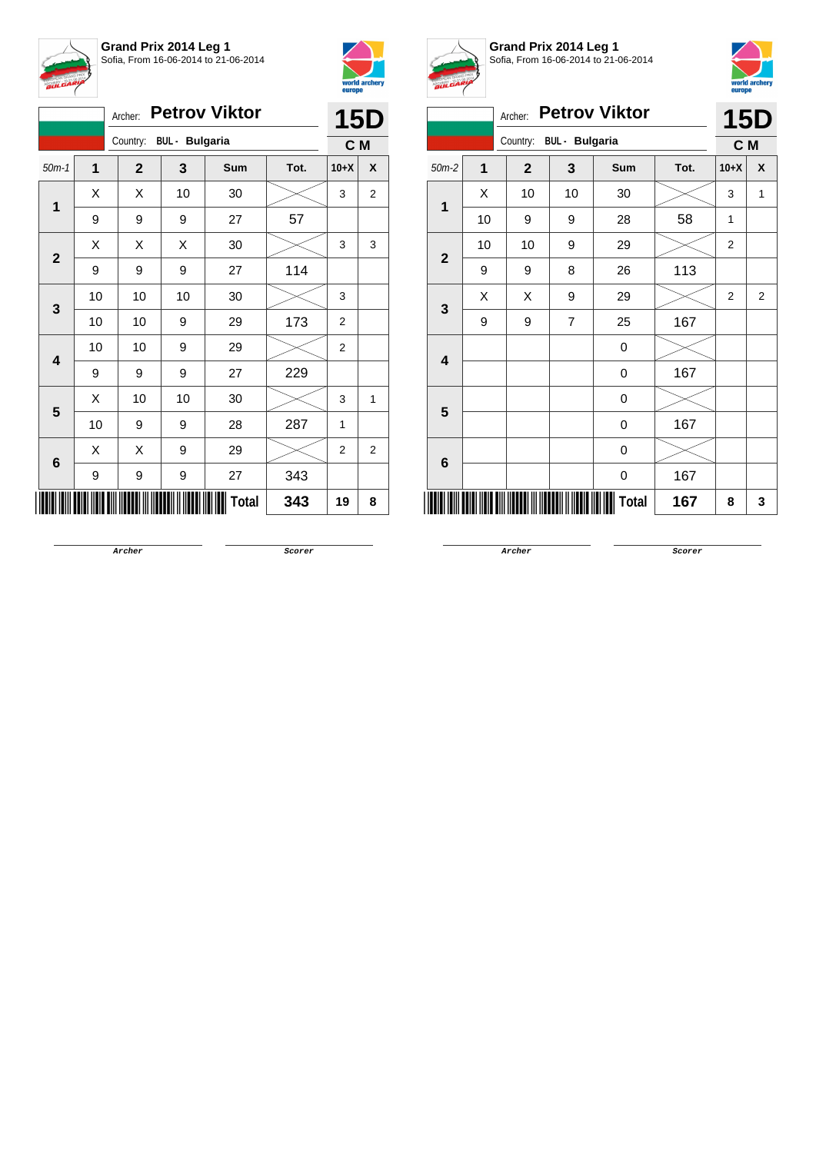



|                         |    | Archer:      |                         | <b>Petrov Viktor</b> |      |                | <b>15D</b>     |
|-------------------------|----|--------------|-------------------------|----------------------|------|----------------|----------------|
|                         |    |              | Country: BUL - Bulgaria |                      |      | C M            |                |
| $50m-1$                 | 1  | $\mathbf{2}$ | 3                       | Sum                  | Tot. | $10+X$         | X              |
| 1                       | X  | X            | 10                      | 30                   |      | 3              | $\overline{2}$ |
|                         | 9  | 9            | 9                       | 27                   | 57   |                |                |
|                         | Χ  | Χ            | Χ                       | 30                   |      | 3              | 3              |
| $\mathbf{2}$            | 9  | 9            | 9                       | 27                   | 114  |                |                |
|                         | 10 | 10           | 10                      | 30                   |      | 3              |                |
| 3                       | 10 | 10           | 9                       | 29                   | 173  | $\overline{2}$ |                |
|                         | 10 | 10           | 9                       | 29                   |      | 2              |                |
| $\overline{\mathbf{4}}$ | 9  | 9            | 9                       | 27                   | 229  |                |                |
|                         | Χ  | 10           | 10                      | 30                   |      | 3              | 1              |
| 5                       | 10 | 9            | 9                       | 28                   | 287  | 1              |                |
|                         | X  | X            | 9                       | 29                   |      | $\overline{2}$ | $\overline{2}$ |
| 6                       | 9  | 9            | 9                       | 27                   | 343  |                |                |
|                         |    |              |                         | <b>Total</b>         | 343  | 19             | 8              |



**Grand Prix 2014 Leg 1** Sofia, From 16-06-2014 to 21-06-2014



|                |                | Archer:      |                       | <b>Petrov Viktor</b> |      |                | 15D          |  |  |  |  |  |
|----------------|----------------|--------------|-----------------------|----------------------|------|----------------|--------------|--|--|--|--|--|
|                |                | Country:     | <b>BUL</b> - Bulgaria |                      |      | C M            |              |  |  |  |  |  |
| $50m-2$        | $\overline{1}$ | $\mathbf{2}$ | 3                     | Sum                  | Tot. | $10+X$         | X            |  |  |  |  |  |
| 1              | X              | 10           | 10                    | 30                   |      | 3              | $\mathbf{1}$ |  |  |  |  |  |
|                | 10             | 9            | 9                     | 28                   | 58   | 1              |              |  |  |  |  |  |
| $\overline{2}$ | 10             | 10           | 9                     | 29                   |      | $\overline{2}$ |              |  |  |  |  |  |
|                | 9              | 9            | 8                     | 26                   | 113  |                |              |  |  |  |  |  |
| 3              | X              | X            | 9                     | 29                   |      | 2              | 2            |  |  |  |  |  |
|                | 9              | 9            | 7                     | 25                   | 167  |                |              |  |  |  |  |  |
| 4              |                |              |                       | 0                    |      |                |              |  |  |  |  |  |
|                |                |              |                       | 0                    | 167  |                |              |  |  |  |  |  |
| 5              |                |              |                       | 0                    |      |                |              |  |  |  |  |  |
|                |                |              |                       | $\boldsymbol{0}$     | 167  |                |              |  |  |  |  |  |
| 6              |                |              |                       | 0                    |      |                |              |  |  |  |  |  |
|                |                |              |                       | 0                    | 167  |                |              |  |  |  |  |  |
|                |                |              |                       | Total                | 167  | 8              | 3            |  |  |  |  |  |
|                |                |              |                       |                      |      |                |              |  |  |  |  |  |

**Archer Scorer**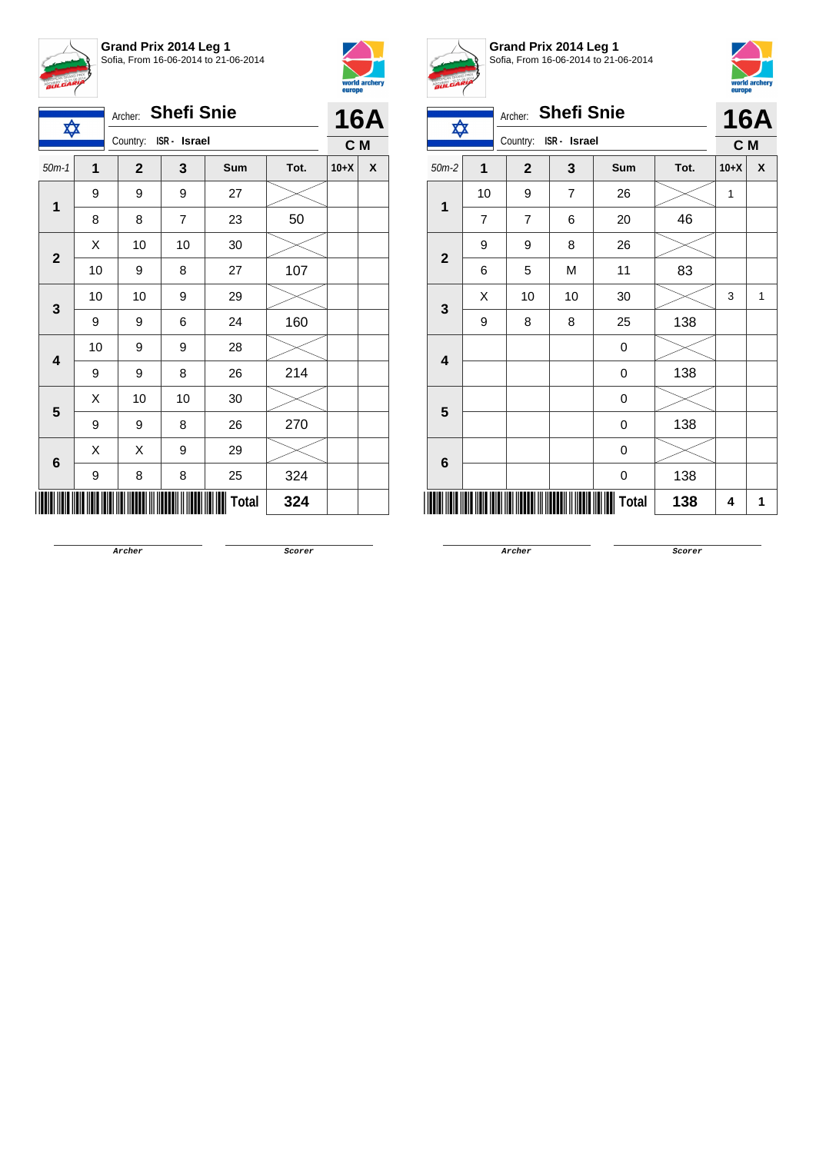



| ✿                       |    | Archer: Shefi Snie    |                |              |      |        | <b>16A</b> |
|-------------------------|----|-----------------------|----------------|--------------|------|--------|------------|
|                         |    | Country: ISR - Israel |                |              |      | C M    |            |
| $50m-1$                 | 1  | $\mathbf{2}$          | 3              | Sum          | Tot. | $10+X$ | X          |
| $\mathbf{1}$            | 9  | 9                     | 9              | 27           |      |        |            |
|                         | 8  | 8                     | $\overline{7}$ | 23           | 50   |        |            |
|                         | X  | 10                    | 10             | 30           |      |        |            |
| $\mathbf{2}$            | 10 | 9                     | 8              | 27           | 107  |        |            |
| 3                       | 10 | 10                    | 9              | 29           |      |        |            |
|                         | 9  | 9                     | 6              | 24           | 160  |        |            |
| $\overline{\mathbf{4}}$ | 10 | 9                     | 9              | 28           |      |        |            |
|                         | 9  | 9                     | 8              | 26           | 214  |        |            |
| 5                       | Χ  | 10                    | 10             | 30           |      |        |            |
|                         | 9  | 9                     | 8              | 26           | 270  |        |            |
|                         | X  | Χ                     | 9              | 29           |      |        |            |
| $\bf 6$                 | 9  | 8                     | 8              | 25           | 324  |        |            |
|                         |    |                       |                | <b>Total</b> | 324  |        |            |



**Grand Prix 2014 Leg 1** Sofia, From 16-06-2014 to 21-06-2014



| ✿                       |                | Archer: Shefi Snie       |    |            |      | <b>16A</b> |     |  |  |
|-------------------------|----------------|--------------------------|----|------------|------|------------|-----|--|--|
|                         |                | Country:<br>ISR - Israel |    |            |      |            | C M |  |  |
| $50m-2$                 | $\overline{1}$ | $\mathbf{2}$             | 3  | <b>Sum</b> | Tot. | $10+X$     | X   |  |  |
| 1                       | 10             | 9                        | 7  | 26         |      | 1          |     |  |  |
|                         | 7              | $\overline{7}$           | 6  | 20         | 46   |            |     |  |  |
| $\overline{2}$          | 9              | 9                        | 8  | 26         |      |            |     |  |  |
|                         | 6              | 5                        | M  | 11         | 83   |            |     |  |  |
|                         | X              | 10                       | 10 | 30         |      | 3          | 1   |  |  |
| $\mathbf{3}$            | 9              | 8                        | 8  | 25         | 138  |            |     |  |  |
|                         |                |                          |    | 0          |      |            |     |  |  |
| $\overline{\mathbf{4}}$ |                |                          |    | 0          | 138  |            |     |  |  |
|                         |                |                          |    | 0          |      |            |     |  |  |
| $5\phantom{1}$          |                |                          |    | 0          | 138  |            |     |  |  |
|                         |                |                          |    | 0          |      |            |     |  |  |
| 6                       |                |                          |    | 0          | 138  |            |     |  |  |

**Archer Scorer**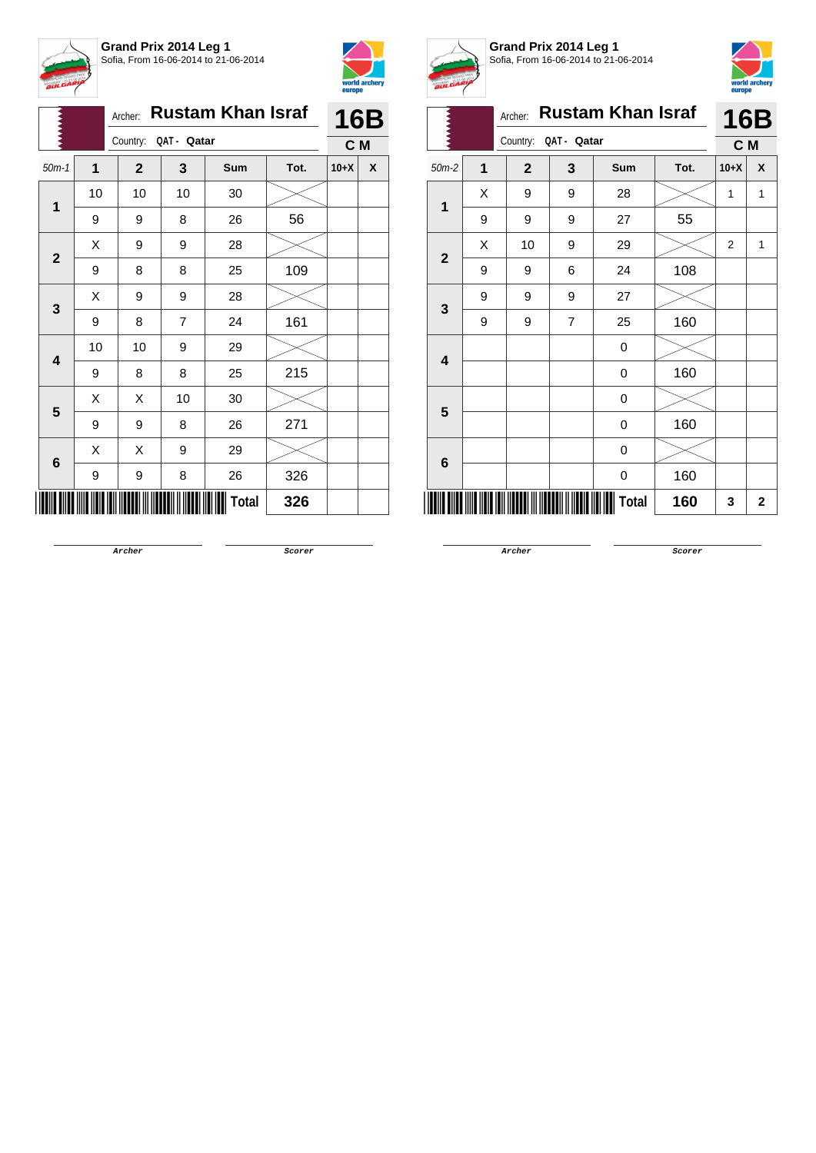



|                |    | Archer: |                |                      | <b>Rustam Khan Israf</b> |      | <b>16B</b> |   |
|----------------|----|---------|----------------|----------------------|--------------------------|------|------------|---|
|                |    |         |                | Country: QAT - Qatar |                          |      | C M        |   |
| $50m-1$        | 1  |         | $\overline{2}$ | 3                    | Sum                      | Tot. | $10+X$     | X |
| $\mathbf 1$    | 10 |         | 10             | 10                   | 30                       |      |            |   |
|                | 9  |         | 9              | 8                    | 26                       | 56   |            |   |
| $\mathbf{2}$   | X  |         | 9              | 9                    | 28                       |      |            |   |
|                | 9  |         | 8              | 8                    | 25                       | 109  |            |   |
| 3              | X  |         | 9              | 9                    | 28                       |      |            |   |
|                | 9  |         | 8              | $\overline{7}$       | 24                       | 161  |            |   |
| 4              | 10 |         | 10             | 9                    | 29                       |      |            |   |
|                | 9  |         | 8              | 8                    | 25                       | 215  |            |   |
| 5              | X  |         | X              | 10                   | 30                       |      |            |   |
|                | 9  |         | 9              | 8                    | 26                       | 271  |            |   |
|                | Χ  |         | Χ              | 9                    | 29                       |      |            |   |
| $6\phantom{1}$ | 9  |         | 9              | 8                    | 26                       | 326  |            |   |
|                |    |         |                |                      | Total                    | 326  |            |   |



**Grand Prix 2014 Leg 1** Sofia, From 16-06-2014 to 21-06-2014



|              |                   | Archer:        |             | <b>Rustam Khan Israf</b> |      |                | <b>16B</b>     |
|--------------|-------------------|----------------|-------------|--------------------------|------|----------------|----------------|
|              |                   | Country:       | QAT - Qatar |                          |      | C M            |                |
| $50m-2$      | $\mathbf{1}$      | $\overline{2}$ | 3           | <b>Sum</b>               | Tot. | $10+X$         | X              |
| $\mathbf{1}$ | X                 | 9              | 9           | 28                       |      | 1              | 1              |
|              | 9                 | 9              | 9           | 27                       | 55   |                |                |
|              | X<br>$\mathbf{2}$ | 10             | 9           | 29                       |      | $\overline{2}$ | 1              |
|              | 9                 | 9              | 6           | 24                       | 108  |                |                |
| $\mathbf{3}$ | 9                 | 9              | 9           | 27                       |      |                |                |
|              | 9                 | 9              | 7           | 25                       | 160  |                |                |
| 4            |                   |                |             | 0                        |      |                |                |
|              |                   |                |             | 0                        | 160  |                |                |
| 5            |                   |                |             | 0                        |      |                |                |
|              |                   |                |             | 0                        | 160  |                |                |
| 6            |                   |                |             | 0                        |      |                |                |
|              |                   |                |             | 0                        | 160  |                |                |
|              |                   |                |             | Total                    | 160  | 3              | $\overline{2}$ |

**Archer Scorer**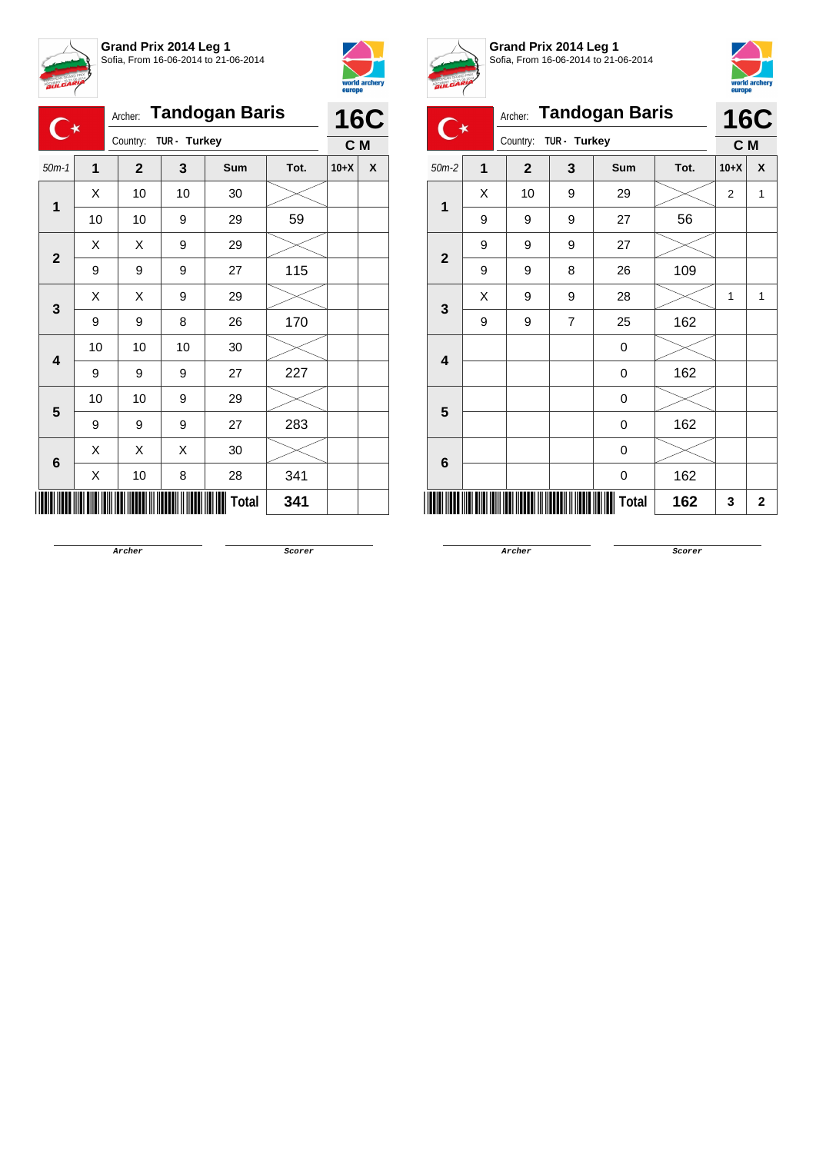



|                         |    |              |              | Archer: Tandogan Baris |      |        | <b>16C</b> |
|-------------------------|----|--------------|--------------|------------------------|------|--------|------------|
| $\mathbb{C}^\star$      |    | Country:     | TUR - Turkey |                        |      | C M    |            |
| $50m-1$                 | 1  | $\mathbf{2}$ | 3            | Sum                    | Tot. | $10+X$ | X          |
| $\overline{1}$          | X  | 10           | 10           | 30                     |      |        |            |
|                         | 10 | 10           | 9            | 29                     | 59   |        |            |
| $\mathbf{2}$            | X  | X            | 9            | 29                     |      |        |            |
|                         | 9  | 9            | 9            | 27                     | 115  |        |            |
|                         | Χ  | X            | 9            | 29                     |      |        |            |
| 3                       | 9  | 9            | 8            | 26                     | 170  |        |            |
|                         | 10 | 10           | 10           | 30                     |      |        |            |
| $\overline{\mathbf{4}}$ | 9  | 9            | 9            | 27                     | 227  |        |            |
|                         | 10 | 10           | 9            | 29                     |      |        |            |
| 5                       | 9  | 9            | 9            | 27                     | 283  |        |            |
|                         | X  | X            | X            | 30                     |      |        |            |
| $6\phantom{1}6$         | Χ  | 10           | 8            | 28                     | 341  |        |            |
|                         |    |              |              | Total                  | 341  |        |            |



**Grand Prix 2014 Leg 1** Sofia, From 16-06-2014 to 21-06-2014



|                         |                         | Archer:      |              | <b>Tandogan Baris</b> |      |                | <b>16C</b>   |
|-------------------------|-------------------------|--------------|--------------|-----------------------|------|----------------|--------------|
|                         |                         | Country:     | TUR - Turkey |                       |      | C M            |              |
| $50m-2$                 | $\overline{\mathbf{1}}$ | $\mathbf{2}$ | 3            | Sum                   | Tot. | $10+X$         | X            |
| $\overline{1}$          | X                       | 10           | 9            | 29                    |      | $\overline{2}$ | 1            |
|                         | 9                       | 9            | 9            | 27                    | 56   |                |              |
|                         | 9                       | 9            | 9            | 27                    |      |                |              |
| $\mathbf{2}$            | 9                       | 9            | 8            | 26                    | 109  |                |              |
| 3                       | X                       | 9            | 9            | 28                    |      | 1              | 1            |
|                         | 9                       | 9            | 7            | 25                    | 162  |                |              |
| $\overline{\mathbf{4}}$ |                         |              |              | $\mathbf 0$           |      |                |              |
|                         |                         |              |              | $\mathbf 0$           | 162  |                |              |
| 5                       |                         |              |              | 0                     |      |                |              |
|                         |                         |              |              | $\boldsymbol{0}$      | 162  |                |              |
| 6                       |                         |              |              | 0                     |      |                |              |
|                         |                         |              |              | 0                     | 162  |                |              |
|                         |                         |              |              | Total                 | 162  | 3              | $\mathbf{2}$ |

**Archer Scorer**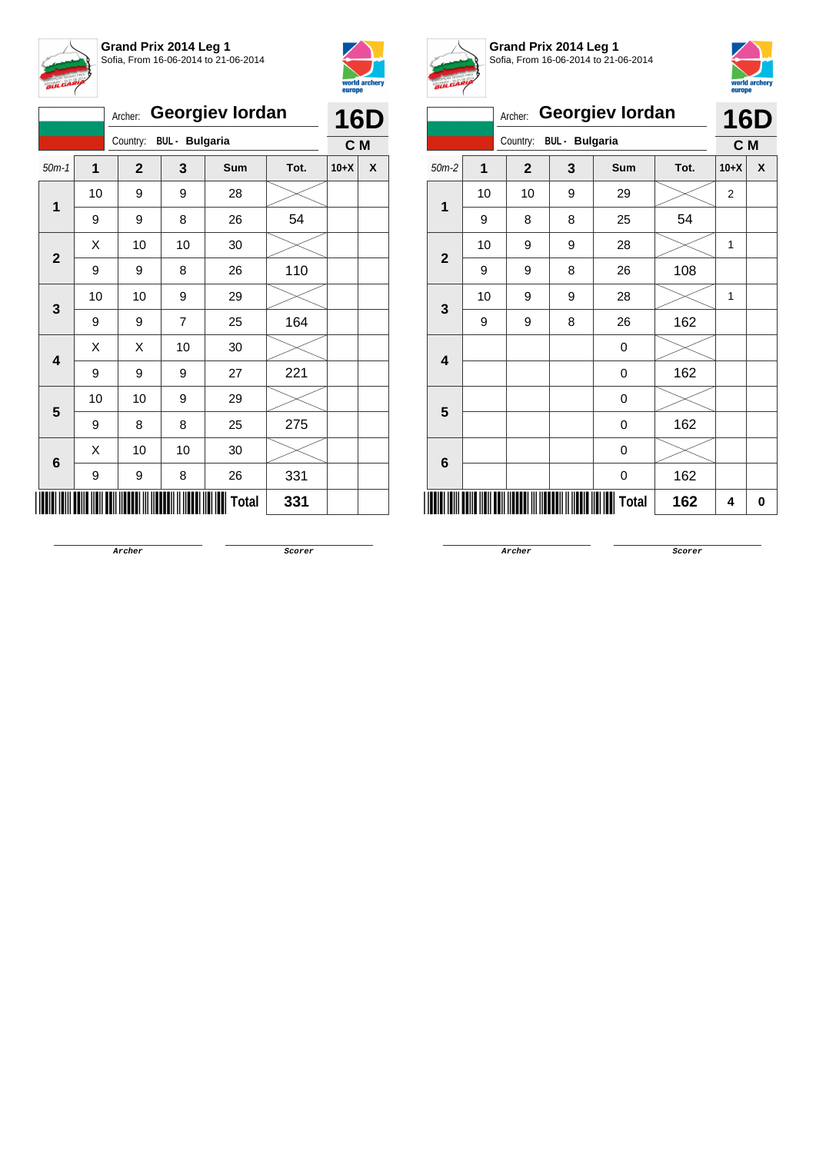



|                         |    | Archer:                 |    | <b>Georgiev lordan</b> |      | <b>16D</b> |   |
|-------------------------|----|-------------------------|----|------------------------|------|------------|---|
|                         |    | Country: BUL - Bulgaria |    |                        |      | C M        |   |
| $50m-1$                 | 1  | $\mathbf{2}$            | 3  | <b>Sum</b>             | Tot. | $10+X$     | X |
| 1                       | 10 | 9                       | 9  | 28                     |      |            |   |
|                         | 9  | 9                       | 8  | 26                     | 54   |            |   |
| $\mathbf{2}$            | Χ  | 10                      | 10 | 30                     |      |            |   |
|                         | 9  | 9                       | 8  | 26                     | 110  |            |   |
| 3                       | 10 | 10                      | 9  | 29                     |      |            |   |
|                         | 9  | 9                       | 7  | 25                     | 164  |            |   |
| $\overline{\mathbf{4}}$ | Χ  | X                       | 10 | 30                     |      |            |   |
|                         | 9  | 9                       | 9  | 27                     | 221  |            |   |
| 5                       | 10 | 10                      | 9  | 29                     |      |            |   |
|                         | 9  | 8                       | 8  | 25                     | 275  |            |   |
|                         | X  | 10                      | 10 | 30                     |      |            |   |
| 6                       | 9  | 9                       | 8  | 26                     | 331  |            |   |
|                         |    |                         |    | <b>Total</b>           | 331  |            |   |



**Grand Prix 2014 Leg 1** Sofia, From 16-06-2014 to 21-06-2014



|                     | x  | Archer:        |                       | <b>Georgiev lordan</b> |      |        | <b>16D</b> |  |
|---------------------|----|----------------|-----------------------|------------------------|------|--------|------------|--|
|                     |    | Country:       | <b>BUL</b> - Bulgaria |                        |      | C M    |            |  |
| $50m-2$             | 1  | $\overline{2}$ | 3                     | Sum                    | Tot. | $10+X$ | X          |  |
| $\mathbf{1}$        | 10 | 10             | 9                     | 29                     |      | 2      |            |  |
|                     | 9  | 8              | 8                     | 25                     | 54   |        |            |  |
|                     | 10 | 9              | 9                     | 28                     |      | 1      |            |  |
| $\overline{2}$<br>3 | 9  | 9              | 8                     | 26                     | 108  |        |            |  |
|                     | 10 | 9              | 9                     | 28                     |      | 1      |            |  |
|                     | 9  | 9              | 8                     | 26                     | 162  |        |            |  |
| 4                   |    |                |                       | 0                      |      |        |            |  |
|                     |    |                |                       | 0                      | 162  |        |            |  |
| 5                   |    |                |                       | 0                      |      |        |            |  |
|                     |    |                |                       | 0                      | 162  |        |            |  |
| 6                   |    |                |                       | 0                      |      |        |            |  |
|                     |    |                |                       | 0                      | 162  |        |            |  |
|                     |    |                |                       | <b>Total</b>           | 162  | 4      | 0          |  |

**Archer Scorer**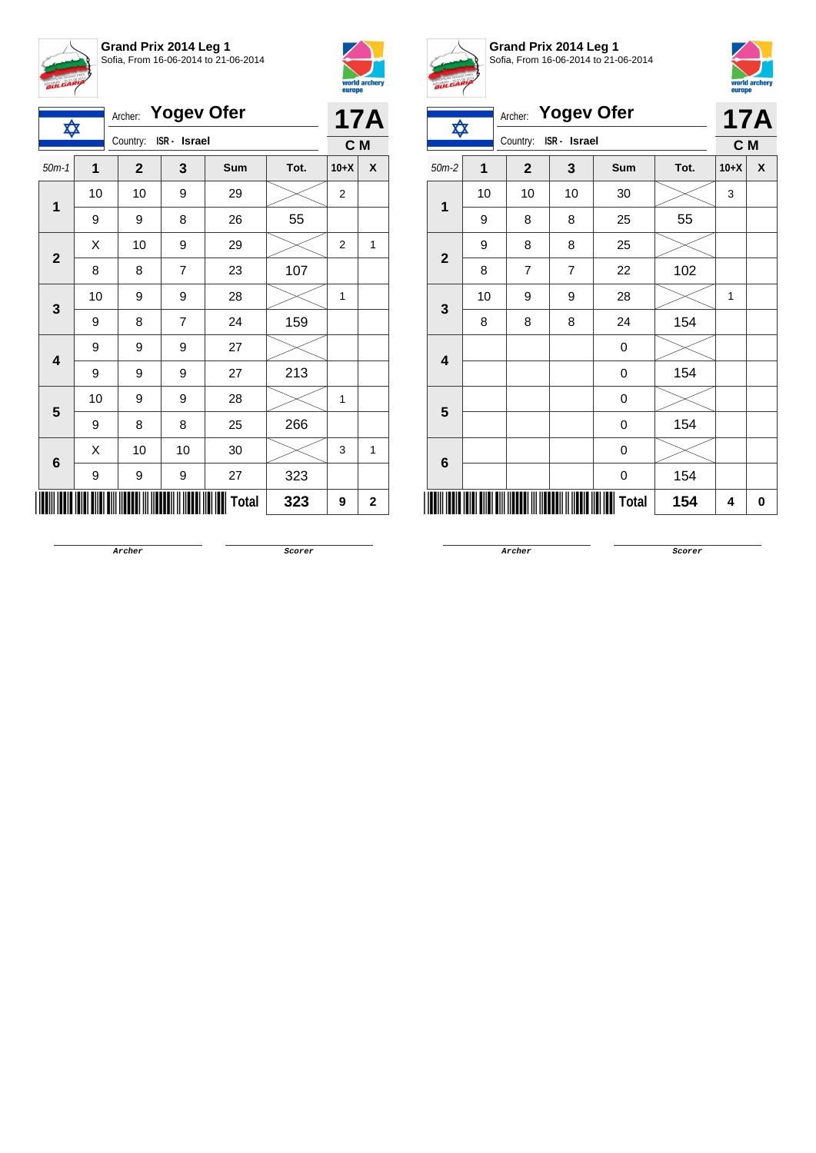



| ✿                       |    | Archer: Yogev Ofer       |                |              |      |                | <b>17A</b> |
|-------------------------|----|--------------------------|----------------|--------------|------|----------------|------------|
|                         |    | ISR - Israel<br>Country: |                | C M          |      |                |            |
| $50m-1$                 | 1  | $\mathbf{2}$             | 3              | Sum          | Tot. | $10+X$         | X          |
|                         | 10 | 10                       | 9              | 29           |      | $\overline{2}$ |            |
| $\mathbf 1$             | 9  | 9                        | 8              | 26           | 55   |                |            |
| $\mathbf{2}$            | X  | 10                       | 9              | 29           |      | $\overline{2}$ | 1          |
|                         | 8  | 8                        | $\overline{7}$ | 23           | 107  |                |            |
|                         | 10 | 9                        | 9              | 28           |      | 1              |            |
| 3                       | 9  | 8                        | $\overline{7}$ | 24           | 159  |                |            |
| $\overline{\mathbf{4}}$ | 9  | 9                        | 9              | 27           |      |                |            |
|                         | 9  | 9                        | 9              | 27           | 213  |                |            |
| 5                       | 10 | 9                        | 9              | 28           |      | 1              |            |
|                         | 9  | 8                        | 8              | 25           | 266  |                |            |
|                         | Χ  | 10                       | 10             | 30           |      | 3              | 1          |
| $6\phantom{1}6$         | 9  | 9                        | 9              | 27           | 323  |                |            |
|                         |    |                          |                | <b>Total</b> | 323  | 9              | 2          |



**Grand Prix 2014 Leg 1** Sofia, From 16-06-2014 to 21-06-2014



|                         | <b>Yogev Ofer</b><br>Archer: |                          |                |              |      |                   |   |  |
|-------------------------|------------------------------|--------------------------|----------------|--------------|------|-------------------|---|--|
| ✿                       |                              | Country:<br>ISR - Israel |                |              |      | <b>17A</b><br>C M |   |  |
| $50m-2$                 | 1                            | $\mathbf{2}$             | 3              | Sum          | Tot. | $10+X$            | X |  |
| 1                       | 10                           | 10                       | 10             | 30           |      | 3                 |   |  |
|                         | 9                            | 8                        | 8              | 25           | 55   |                   |   |  |
| $\overline{\mathbf{2}}$ | 9                            | 8                        | 8              | 25           |      |                   |   |  |
|                         | 8                            | $\overline{7}$           | $\overline{7}$ | 22           | 102  |                   |   |  |
| 3                       | 10                           | 9                        | 9              | 28           |      | $\mathbf{1}$      |   |  |
|                         | 8                            | 8                        | 8              | 24           | 154  |                   |   |  |
| $\overline{\mathbf{4}}$ |                              |                          |                | 0            |      |                   |   |  |
|                         |                              |                          |                | 0            | 154  |                   |   |  |
| 5                       |                              |                          |                | 0            |      |                   |   |  |
|                         |                              |                          |                | 0            | 154  |                   |   |  |
| 6                       |                              |                          |                | 0            |      |                   |   |  |
|                         |                              |                          |                | 0            | 154  |                   |   |  |
|                         |                              |                          |                | <b>Total</b> | 154  | 4                 | 0 |  |

**Archer Scorer**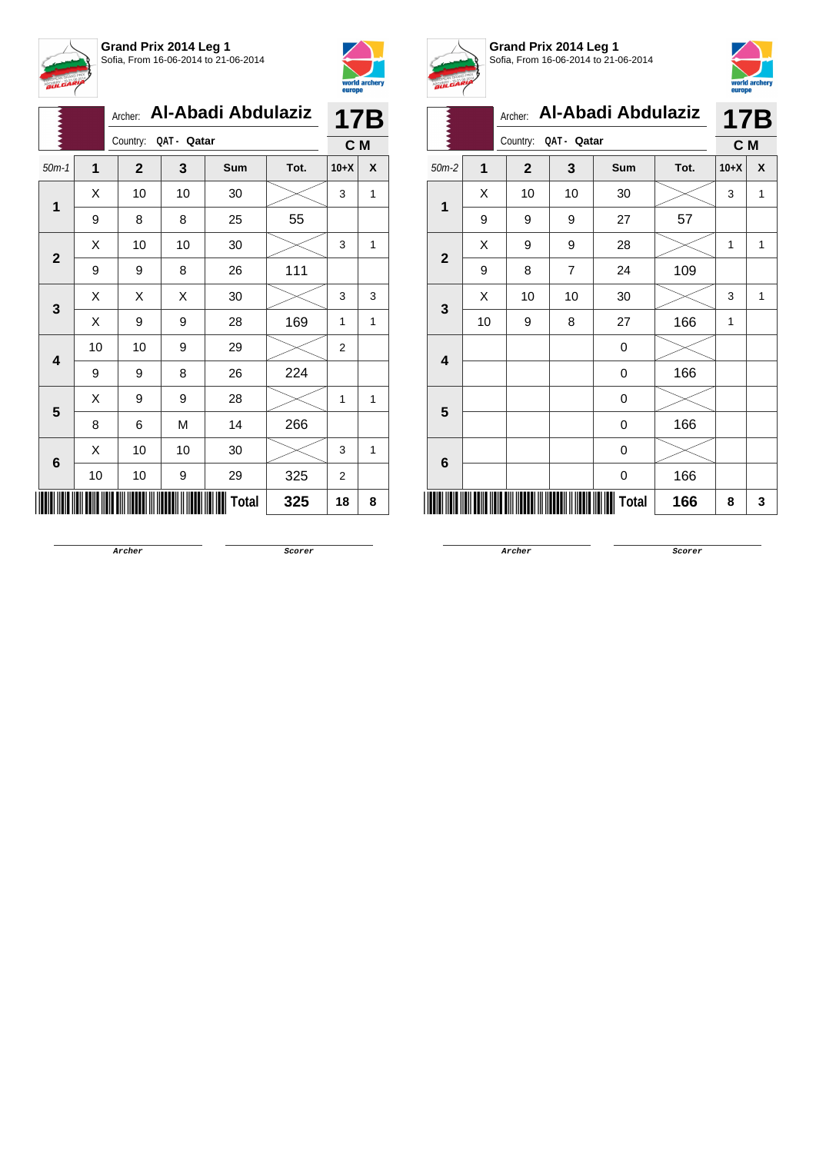



|                 |    | Archer:                 |    | Al-Abadi Abdulaziz |      |                | <b>17B</b> |
|-----------------|----|-------------------------|----|--------------------|------|----------------|------------|
|                 |    | QAT - Qatar<br>Country: |    | C M                |      |                |            |
| $50m-1$         | 1  | $\mathbf{2}$            | 3  | Sum                | Tot. | $10+X$         | X          |
|                 | Χ  | 10                      | 10 | 30                 |      | 3              | 1          |
| 1               | 9  | 8                       | 8  | 25                 | 55   |                |            |
| $\mathbf{2}$    | Χ  | 10                      | 10 | 30                 |      | 3              | 1          |
|                 | 9  | 9                       | 8  | 26                 | 111  |                |            |
| 3               | Χ  | Χ                       | Χ  | 30                 |      | 3              | 3          |
|                 | Χ  | 9                       | 9  | 28                 | 169  | 1              | 1          |
| 4               | 10 | 10                      | 9  | 29                 |      | $\overline{2}$ |            |
|                 | 9  | 9                       | 8  | 26                 | 224  |                |            |
| 5               | Χ  | 9                       | 9  | 28                 |      | 1              | 1          |
|                 | 8  | 6                       | M  | 14                 | 266  |                |            |
| $6\phantom{1}6$ | X  | 10                      | 10 | 30                 |      | 3              | 1          |
|                 | 10 | 10                      | 9  | 29                 | 325  | 2              |            |
|                 |    |                         |    | Total              | 325  | 18             | 8          |



**Grand Prix 2014 Leg 1** Sofia, From 16-06-2014 to 21-06-2014



|                         | A. | Archer:                 |                | Al-Abadi Abdulaziz |      | <b>17B</b>   |   |
|-------------------------|----|-------------------------|----------------|--------------------|------|--------------|---|
|                         |    | QAT - Qatar<br>Country: |                |                    |      | C M          |   |
| $50m-2$                 | 1  | $\overline{2}$          | 3              | <b>Sum</b>         | Tot. | $10+X$       | χ |
|                         | X  | 10                      | 10             | 30                 |      | 3            | 1 |
| 1                       | 9  | 9                       | 9              | 27                 | 57   |              |   |
| $\overline{\mathbf{2}}$ | Χ  | 9                       | 9              | 28                 |      | 1            | 1 |
|                         | 9  | 8                       | $\overline{7}$ | 24                 | 109  |              |   |
| 3                       | X  | 10                      | 10             | 30                 |      | 3            | 1 |
|                         | 10 | 9                       | 8              | 27                 | 166  | $\mathbf{1}$ |   |
| $\overline{\mathbf{4}}$ |    |                         |                | 0                  |      |              |   |
|                         |    |                         |                | 0                  | 166  |              |   |
| 5                       |    |                         |                | 0                  |      |              |   |
|                         |    |                         |                | 0                  | 166  |              |   |
|                         |    |                         |                | 0                  |      |              |   |
| 6                       |    |                         |                | 0                  | 166  |              |   |
|                         |    |                         |                | Total              | 166  | 8            | 3 |

**Archer Scorer**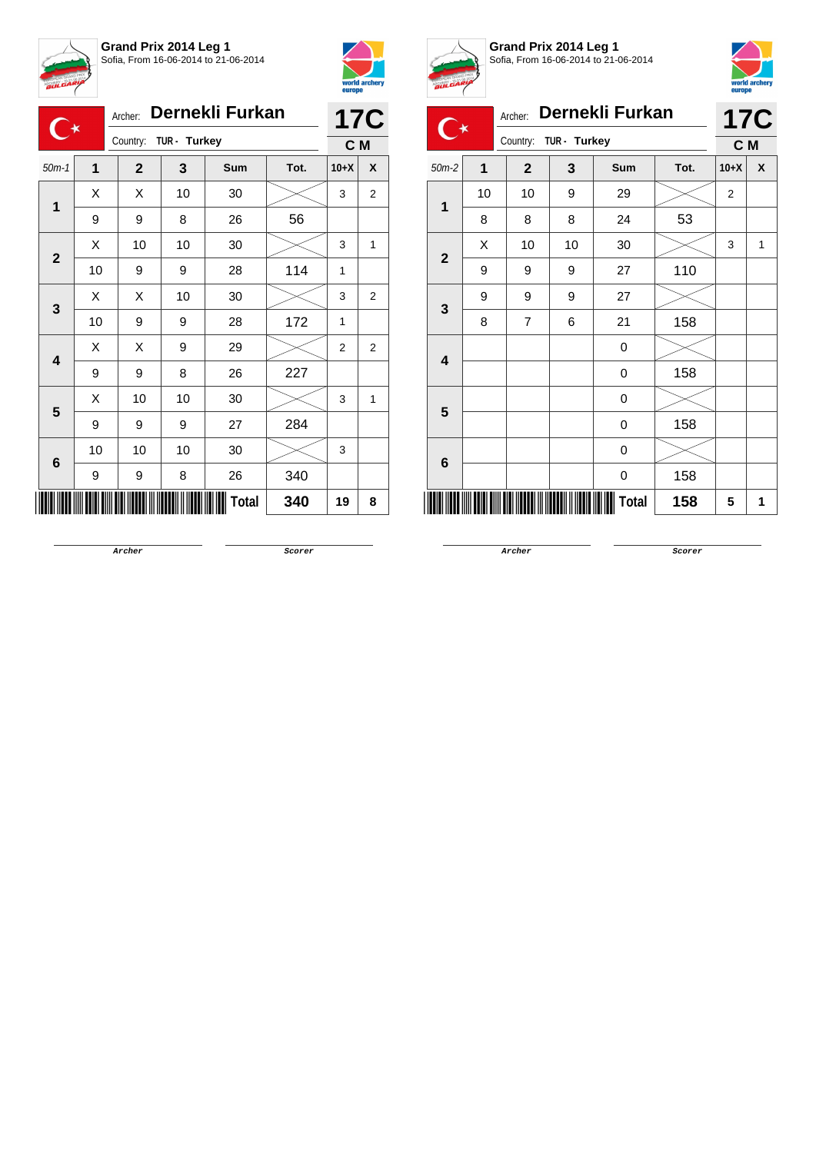



|                         |                                                       | Archer:      |    | Dernekli Furkan |      |                | <b>17C</b>     |  |
|-------------------------|-------------------------------------------------------|--------------|----|-----------------|------|----------------|----------------|--|
|                         | $\overline{\mathbf{C}^*}$<br>TUR - Turkey<br>Country: |              |    |                 |      | C M            |                |  |
| $50m-1$                 | $\overline{1}$                                        | $\mathbf{2}$ | 3  | <b>Sum</b>      | Tot. | $10+X$         | X              |  |
|                         | X                                                     | X            | 10 | 30              |      | 3              | $\overline{2}$ |  |
| 1                       | 9                                                     | 9            | 8  | 26              | 56   |                |                |  |
| $\mathbf{2}$            | X                                                     | 10           | 10 | 30              |      | 3              | 1              |  |
|                         | 10                                                    | 9            | 9  | 28              | 114  | 1              |                |  |
| 3                       | X                                                     | X            | 10 | 30              |      | 3              | $\overline{2}$ |  |
|                         | 10                                                    | 9            | 9  | 28              | 172  | 1              |                |  |
| $\overline{\mathbf{4}}$ | X                                                     | X            | 9  | 29              |      | $\overline{2}$ | $\overline{2}$ |  |
|                         | 9                                                     | 9            | 8  | 26              | 227  |                |                |  |
| 5                       | X                                                     | 10           | 10 | 30              |      | 3              | 1              |  |
|                         | 9                                                     | 9            | 9  | 27              | 284  |                |                |  |
| 6                       | 10                                                    | 10           | 10 | 30              |      | 3              |                |  |
|                         | 9                                                     | 9            | 8  | 26              | 340  |                |                |  |
|                         | Total<br>340                                          |              |    |                 |      |                |                |  |



**Grand Prix 2014 Leg 1** Sofia, From 16-06-2014 to 21-06-2014



| <b>BULGARI</b> |                |                          |    |                 |      | europe         | world archery |
|----------------|----------------|--------------------------|----|-----------------|------|----------------|---------------|
|                |                | Archer:                  |    | Dernekli Furkan |      |                | <b>17C</b>    |
|                |                | Country:<br>TUR - Turkey |    |                 |      |                | C M           |
| $50m-2$        | $\overline{1}$ | $\overline{2}$           | 3  | <b>Sum</b>      | Tot. | $10+X$         | X             |
| 1              | 10             | 10                       | 9  | 29              |      | $\overline{2}$ |               |
|                | 8              | 8                        | 8  | 24              | 53   |                |               |
| $\mathbf{2}$   | X              | 10                       | 10 | 30              |      | 3              | 1             |
|                | 9              | 9                        | 9  | 27              | 110  |                |               |
| 3              | 9              | 9                        | 9  | 27              |      |                |               |
|                | 8              | $\overline{7}$           | 6  | 21              | 158  |                |               |
| 4              |                |                          |    | 0               |      |                |               |
|                |                |                          |    | 0               | 158  |                |               |
| 5              |                |                          |    | 0               |      |                |               |
|                |                |                          |    | 0               | 158  |                |               |
| 6              |                |                          |    | 0               |      |                |               |
|                |                |                          |    | 0               | 158  |                |               |
|                |                |                          |    | Total           | 158  | 5              | 1             |

**Archer Scorer**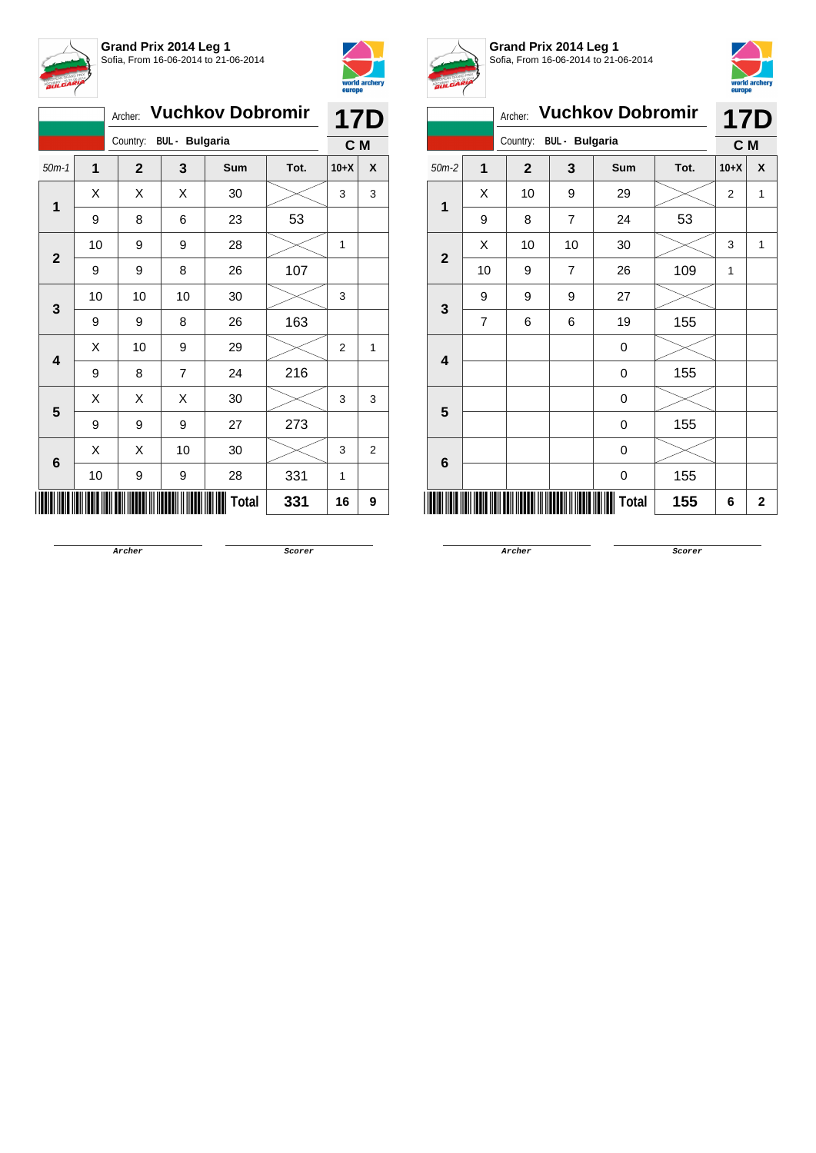



|              | Archer: Vuchkov Dobromir |              |                       |       |      |        | <b>17D</b>     |
|--------------|--------------------------|--------------|-----------------------|-------|------|--------|----------------|
|              |                          | Country:     | <b>BUL - Bulgaria</b> |       |      | C M    |                |
| $50m-1$      | $\overline{1}$           | $\mathbf{2}$ | 3                     | Sum   | Tot. | $10+X$ | X              |
|              | Χ                        | X            | Χ                     | 30    |      | 3      | 3              |
| 1            | 9                        | 8            | 6                     | 23    | 53   |        |                |
| $\mathbf{2}$ | 10                       | 9            | 9                     | 28    |      | 1      |                |
|              | 9                        | 9            | 8                     | 26    | 107  |        |                |
| 3            | 10                       | 10           | 10                    | 30    |      | 3      |                |
|              | 9                        | 9            | 8                     | 26    | 163  |        |                |
| 4            | Χ                        | 10           | 9                     | 29    |      | 2      | 1              |
|              | 9                        | 8            | 7                     | 24    | 216  |        |                |
| 5            | Χ                        | X            | Χ                     | 30    |      | 3      | 3              |
|              | 9                        | 9            | 9                     | 27    | 273  |        |                |
| 6            | X                        | X            | 10                    | 30    |      | 3      | $\overline{2}$ |
|              | 10                       | 9            | 9                     | 28    | 331  | 1      |                |
|              |                          |              |                       | Total | 331  | 16     | 9              |



**Grand Prix 2014 Leg 1** Sofia, From 16-06-2014 to 21-06-2014



| $\bm{s}$ ores  |                |                                   |                |                         |      | europe         |                |
|----------------|----------------|-----------------------------------|----------------|-------------------------|------|----------------|----------------|
|                |                | Archer:                           |                | <b>Vuchkov Dobromir</b> |      |                | <b>17D</b>     |
|                |                | <b>BUL</b> - Bulgaria<br>Country: |                |                         |      | C M            |                |
| $50m-2$        | $\overline{1}$ | $\overline{2}$                    | 3              | Sum                     | Tot. | $10+X$         | X              |
| 1              | X              | 10                                | 9              | 29                      |      | $\overline{2}$ | 1              |
|                | 9              | 8                                 | $\overline{7}$ | 24                      | 53   |                |                |
| $\overline{2}$ | X              | 10                                | 10             | 30                      |      | 3              | 1              |
|                | 10             | 9                                 | 7              | 26                      | 109  | 1              |                |
| 3              | 9              | 9                                 | 9              | 27                      |      |                |                |
|                | $\overline{7}$ | 6                                 | 6              | 19                      | 155  |                |                |
| 4              |                |                                   |                | 0                       |      |                |                |
|                |                |                                   |                | 0                       | 155  |                |                |
| 5              |                |                                   |                | 0                       |      |                |                |
|                |                |                                   |                | 0                       | 155  |                |                |
| 6              |                |                                   |                | 0                       |      |                |                |
|                |                |                                   |                | 0                       | 155  |                |                |
|                |                |                                   |                | Total                   | 155  | 6              | $\overline{2}$ |
|                |                |                                   |                |                         |      |                |                |

**Archer Scorer**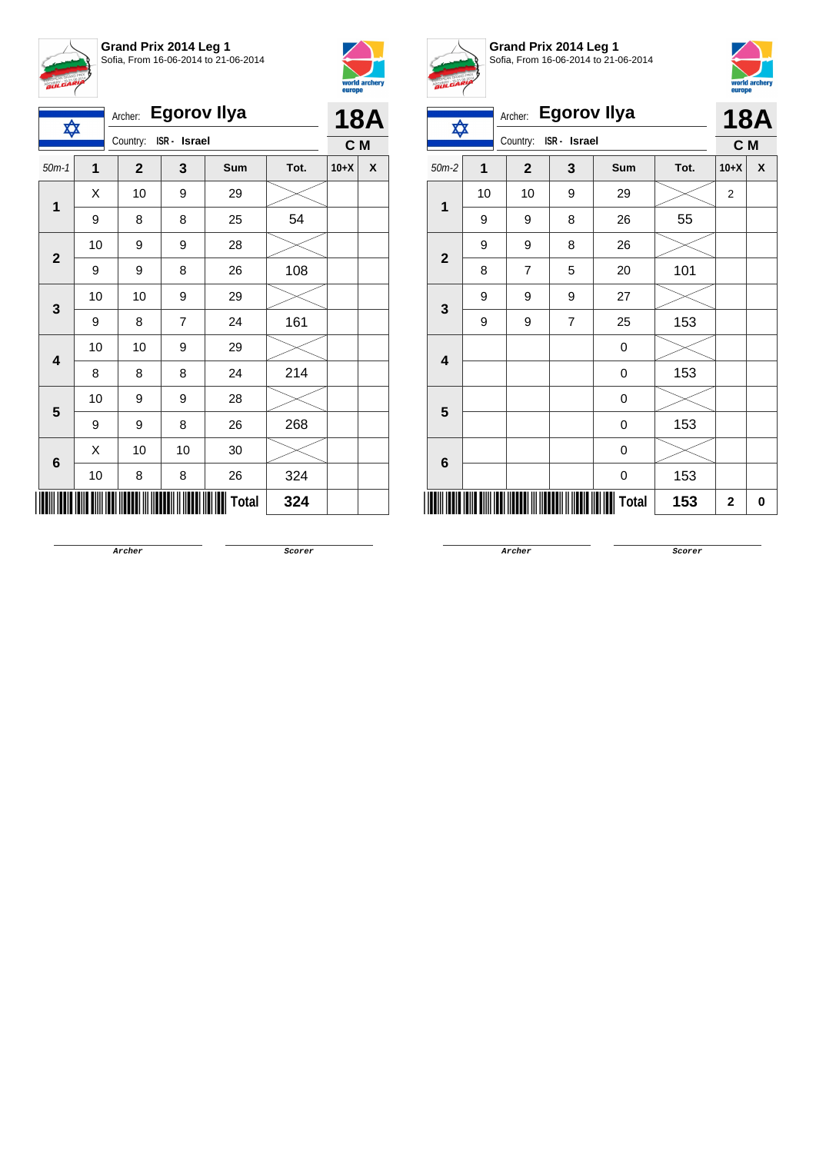



| ✿            |    | Archer:                  | <b>Egorov Ilya</b> |       |      |        | 18A            |
|--------------|----|--------------------------|--------------------|-------|------|--------|----------------|
|              |    | Country:<br>ISR - Israel |                    |       |      |        | C <sub>M</sub> |
| $50m-1$      | 1  | $\mathbf{2}$             | 3                  | Sum   | Tot. | $10+X$ | X              |
| 1            | Χ  | 10                       | 9                  | 29    |      |        |                |
|              | 9  | 8                        | 8                  | 25    | 54   |        |                |
| $\mathbf{2}$ | 10 | 9                        | 9                  | 28    |      |        |                |
|              | 9  | 9                        | 8                  | 26    | 108  |        |                |
| 3            | 10 | 10                       | 9                  | 29    |      |        |                |
|              | 9  | 8                        | 7                  | 24    | 161  |        |                |
| 4            | 10 | 10                       | 9                  | 29    |      |        |                |
|              | 8  | 8                        | 8                  | 24    | 214  |        |                |
| 5            | 10 | 9                        | 9                  | 28    |      |        |                |
|              | 9  | 9                        | 8                  | 26    | 268  |        |                |
| 6            | X  | 10                       | 10                 | 30    |      |        |                |
|              | 10 | 8                        | 8                  | 26    | 324  |        |                |
|              |    |                          |                    | Total | 324  |        |                |



**Grand Prix 2014 Leg 1** Sofia, From 16-06-2014 to 21-06-2014



|                | <b>BULGARY</b> |                          |                    |       |      |                |            |  |  |
|----------------|----------------|--------------------------|--------------------|-------|------|----------------|------------|--|--|
|                |                | Archer:                  | <b>Egorov Ilya</b> |       |      |                | <b>18A</b> |  |  |
| ✿              |                | Country:<br>ISR - Israel |                    | C M   |      |                |            |  |  |
| $50m-2$        | 1              | $\overline{2}$           | 3                  | Sum   | Tot. | $10+X$         | X          |  |  |
| 1              | 10             | 10                       | 9                  | 29    |      | $\overline{2}$ |            |  |  |
|                | 9              | 9                        | 8                  | 26    | 55   |                |            |  |  |
| $\overline{2}$ | 9              | 9                        | 8                  | 26    |      |                |            |  |  |
|                | 8              | $\overline{7}$           | 5                  | 20    | 101  |                |            |  |  |
| 3              | 9              | 9                        | 9                  | 27    |      |                |            |  |  |
|                | 9              | 9                        | $\overline{7}$     | 25    | 153  |                |            |  |  |
| 4              |                |                          |                    | 0     |      |                |            |  |  |
|                |                |                          |                    | 0     | 153  |                |            |  |  |
| 5              |                |                          |                    | 0     |      |                |            |  |  |
|                |                |                          |                    | 0     | 153  |                |            |  |  |
|                |                |                          |                    | 0     |      |                |            |  |  |
| 6              |                |                          |                    | 0     | 153  |                |            |  |  |
|                |                |                          |                    | Total | 153  | $\mathbf{2}$   | 0          |  |  |

**Archer Scorer**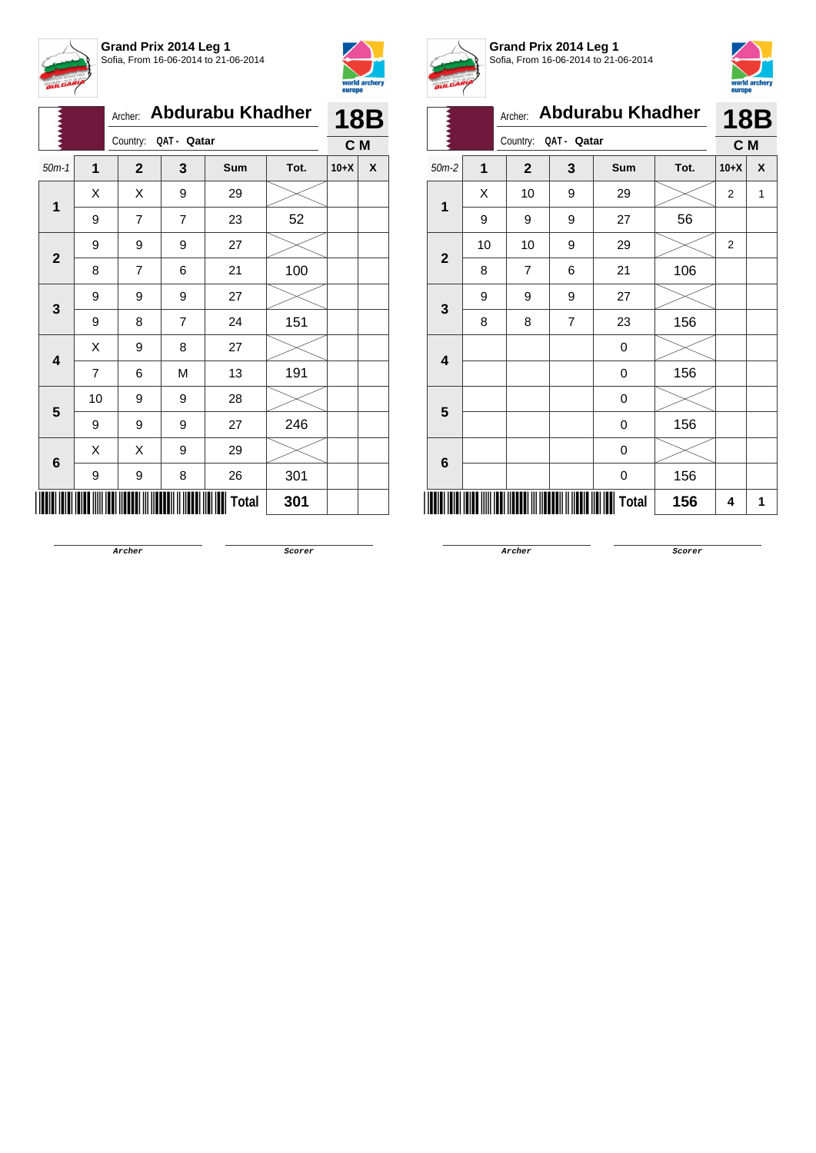



|              |                | Archer:        |             | <b>Abdurabu Khadher</b> |      | <b>18B</b> |   |  |
|--------------|----------------|----------------|-------------|-------------------------|------|------------|---|--|
|              |                | Country:       | QAT - Qatar |                         |      | C M        |   |  |
| $50m-1$      | 1              | $\overline{2}$ | 3           | Sum                     | Tot. | $10+X$     | X |  |
|              | X              | X              | 9           | 29                      |      |            |   |  |
| 1            | 9              | 7              | 7           | 23                      | 52   |            |   |  |
| $\mathbf{2}$ | 9              | 9              | 9           | 27                      |      |            |   |  |
|              | 8              | $\overline{7}$ | 6           | 21                      | 100  |            |   |  |
| 3            | 9              | 9              | 9           | 27                      |      |            |   |  |
|              | 9              | 8              | 7           | 24                      | 151  |            |   |  |
| 4            | X              | 9              | 8           | 27                      |      |            |   |  |
|              | $\overline{7}$ | 6              | M           | 13                      | 191  |            |   |  |
| 5            | 10             | 9              | 9           | 28                      |      |            |   |  |
|              | 9              | 9              | 9           | 27                      | 246  |            |   |  |
| 6            | X              | Χ              | 9           | 29                      |      |            |   |  |
|              | 9              | 9              | 8           | 26                      | 301  |            |   |  |
|              |                |                |             | Total                   | 301  |            |   |  |



**Grand Prix 2014 Leg 1** Sofia, From 16-06-2014 to 21-06-2014



|                         | A. |                                    |                |       |      |                |            |
|-------------------------|----|------------------------------------|----------------|-------|------|----------------|------------|
|                         |    | <b>Abdurabu Khadher</b><br>Archer: |                |       |      |                | <b>18B</b> |
|                         |    | Country:                           | QAT - Qatar    |       |      | C M            |            |
| $50m-2$                 | 1  | $\mathbf{2}$                       | 3              | Sum   | Tot. | $10+X$         | χ          |
|                         | Χ  | 10                                 | 9              | 29    |      | 2              | 1          |
| 1                       | 9  | 9                                  | 9              | 27    | 56   |                |            |
| $\overline{\mathbf{2}}$ | 10 | 10                                 | 9              | 29    |      | $\overline{2}$ |            |
|                         | 8  | 7                                  | 6              | 21    | 106  |                |            |
| 3                       | 9  | 9                                  | 9              | 27    |      |                |            |
|                         | 8  | 8                                  | $\overline{7}$ | 23    | 156  |                |            |
| $\overline{\mathbf{4}}$ |    |                                    |                | 0     |      |                |            |
|                         |    |                                    |                | 0     | 156  |                |            |
| 5                       |    |                                    |                | 0     |      |                |            |
|                         |    |                                    |                | 0     | 156  |                |            |
| $6\phantom{1}6$         |    |                                    |                | 0     |      |                |            |
|                         |    |                                    |                | 0     | 156  |                |            |
|                         |    |                                    |                | Total | 156  | 4              | 1          |

**Archer Scorer**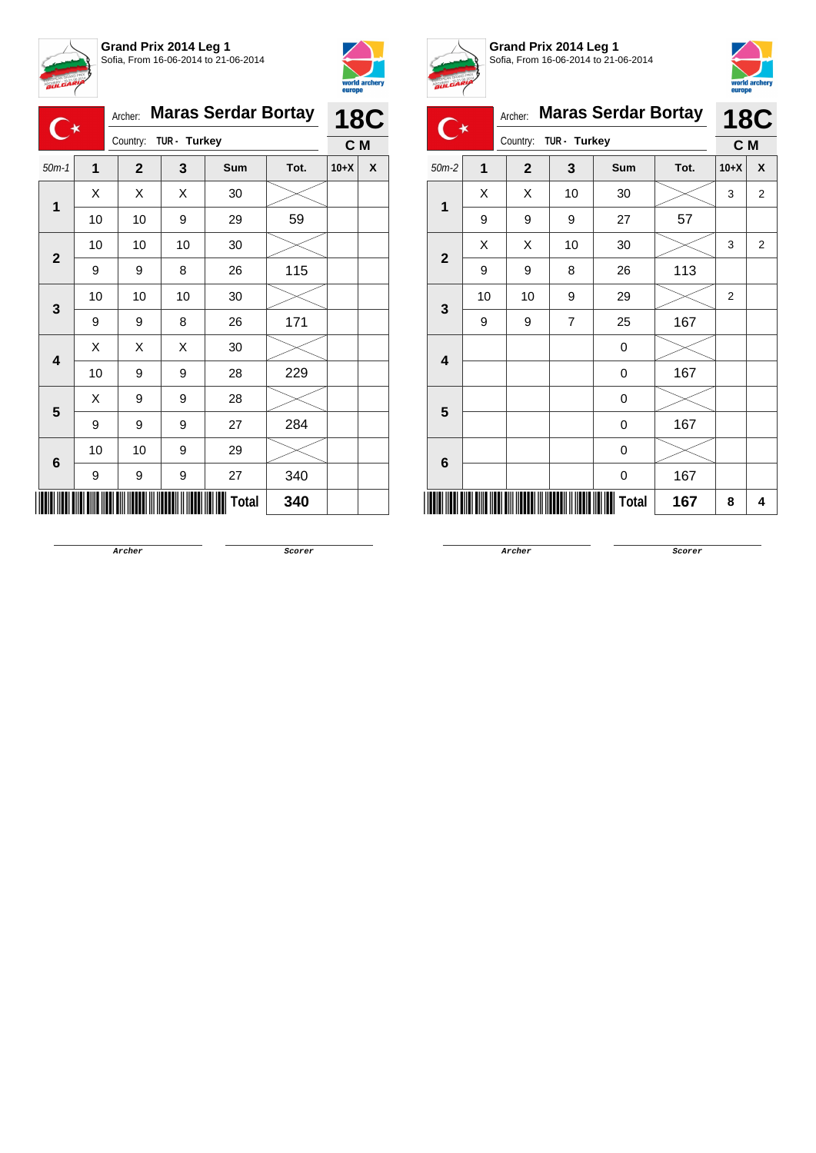



| 1<br>$50m-1$<br>X<br>1<br>$\mathbf{2}$ |    |                                                                                                                                                                                                                                                                  | <b>18C</b> |            |      |        |   |
|----------------------------------------|----|------------------------------------------------------------------------------------------------------------------------------------------------------------------------------------------------------------------------------------------------------------------|------------|------------|------|--------|---|
|                                        |    |                                                                                                                                                                                                                                                                  |            |            |      |        |   |
|                                        |    | $\mathbf{2}$                                                                                                                                                                                                                                                     | 3          | <b>Sum</b> | Tot. | $10+X$ | X |
|                                        |    | X                                                                                                                                                                                                                                                                | Χ          | 30         |      |        |   |
|                                        | 10 | 10                                                                                                                                                                                                                                                               | 9          | 29         | 59   |        |   |
|                                        | 10 | 10                                                                                                                                                                                                                                                               | 10         | 30         |      |        |   |
|                                        | 9  | <b>Maras Serdar Bortay</b><br>Archer:<br>TUR - Turkey<br>Country:<br>C M<br>115<br>8<br>26<br>9<br>10<br>10<br>30<br>171<br>8<br>26<br>9<br>X<br>Χ<br>30<br>229<br>28<br>9<br>9<br>28<br>9<br>9<br>27<br>284<br>9<br>9<br>29<br>$10$<br>9<br>340<br>27<br>9<br>9 |            |            |      |        |   |
|                                        | 10 |                                                                                                                                                                                                                                                                  |            |            |      |        |   |
| 3                                      | 9  |                                                                                                                                                                                                                                                                  |            |            |      |        |   |
| $\overline{\mathbf{4}}$                | X  |                                                                                                                                                                                                                                                                  |            |            |      |        |   |
|                                        | 10 |                                                                                                                                                                                                                                                                  |            |            |      |        |   |
| 5                                      | X  |                                                                                                                                                                                                                                                                  |            |            |      |        |   |
|                                        | 9  |                                                                                                                                                                                                                                                                  |            |            |      |        |   |
|                                        | 10 |                                                                                                                                                                                                                                                                  |            |            |      |        |   |
| 6                                      | 9  |                                                                                                                                                                                                                                                                  |            |            |      |        |   |
|                                        |    |                                                                                                                                                                                                                                                                  |            | Total      | 340  |        |   |



**Grand Prix 2014 Leg 1**



Sofia, From 16-06-2014 to 21-06-2014 Archer: **Maras Serdar Bortay** Country: **TUR - Turkey 18C C M** 50m-2 **1 2 3 Sum Tot. 10+X X 1**  $\begin{array}{|c|c|c|c|c|}\hline \hspace{0.8cm}X & X & 10 & 30 & & \hline \end{array} \hspace{0.2cm} \begin{array}{|c|c|c|c|c|c|}\hline \hspace{0.8cm}3 & 3 & 2 & \hline \end{array}$ 9 9 9 27 57 **2**  $\begin{array}{|c|c|c|c|c|}\hline \text{X} & \text{X} & \text{10} & \text{30} & \text{20} & \text{32} \ \hline \end{array}$ 9 9 8 26 113 **3** 10 | 10 | 9 | 29 |  $\times$  | 2 9 | 9 | 7 | 25 | 167 **4** 0  $0 \t 167$ **5** 0  $0 \t 167$ **6** 0  $0 \t 167$ 

**Archer Scorer**

\*15525-C-M-2\* **Total 167 <sup>8</sup> <sup>4</sup>**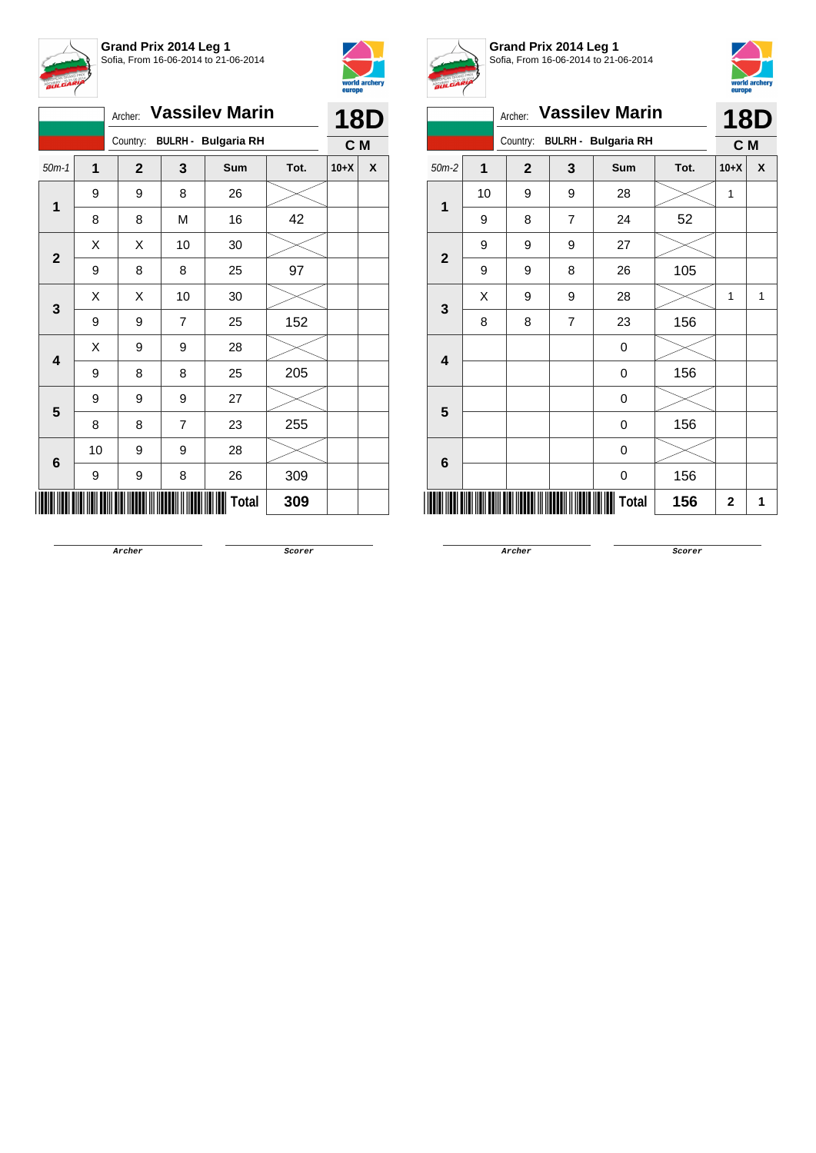



|                         |    | <b>Vassilev Marin</b><br>Archer:       |                |       | <b>18D</b> |        |   |
|-------------------------|----|----------------------------------------|----------------|-------|------------|--------|---|
|                         |    | <b>BULRH - Bulgaria RH</b><br>Country: |                | C M   |            |        |   |
| $50m-1$                 | 1  | $\mathbf{2}$                           | 3              | Sum   | Tot.       | $10+X$ | X |
| $\mathbf 1$             | 9  | 9                                      | 8              | 26    |            |        |   |
|                         | 8  | 8                                      | М              | 16    | 42         |        |   |
|                         | X  | Χ                                      | 10             | 30    |            |        |   |
| $\mathbf{2}$            | 9  | 8                                      | 8              | 25    | 97         |        |   |
| 3                       | X  | Χ                                      | 10             | 30    |            |        |   |
|                         | 9  | 9                                      | $\overline{7}$ | 25    | 152        |        |   |
| $\overline{\mathbf{4}}$ | X  | 9                                      | 9              | 28    |            |        |   |
|                         | 9  | 8                                      | 8              | 25    | 205        |        |   |
| 5                       | 9  | 9                                      | 9              | 27    |            |        |   |
|                         | 8  | 8                                      | $\overline{7}$ | 23    | 255        |        |   |
|                         | 10 | 9                                      | 9              | 28    |            |        |   |
| 6                       | 9  | 9                                      | 8              | 26    | 309        |        |   |
|                         |    |                                        |                | Total | 309        |        |   |



**Grand Prix 2014 Leg 1** Sofia, From 16-06-2014 to 21-06-2014



|                         |                | Archer: Vassilev Marin |                | 18D                        |      |             |   |
|-------------------------|----------------|------------------------|----------------|----------------------------|------|-------------|---|
|                         |                | Country:               |                | <b>BULRH - Bulgaria RH</b> |      | C M         |   |
| $50m-2$                 | $\overline{1}$ | $\mathbf{2}$           | 3              | <b>Sum</b>                 | Tot. | $10+X$      | X |
| $\overline{1}$          | 10             | 9                      | 9              | 28                         |      | 1           |   |
|                         | 9              | 8                      | $\overline{7}$ | 24                         | 52   |             |   |
|                         | 9              | 9                      | 9              | 27                         |      |             |   |
| $\mathbf{2}$            | 9              | 9                      | 8              | 26                         | 105  |             |   |
| 3                       | X              | 9                      | 9              | 28                         |      | 1           | 1 |
|                         | 8              | 8                      | $\overline{7}$ | 23                         | 156  |             |   |
| $\overline{\mathbf{4}}$ |                |                        |                | 0                          |      |             |   |
|                         |                |                        |                | $\mathbf 0$                | 156  |             |   |
| $5\phantom{1}$          |                |                        |                | 0                          |      |             |   |
|                         |                |                        |                | $\boldsymbol{0}$           | 156  |             |   |
| 6                       |                |                        |                | 0                          |      |             |   |
|                         |                |                        |                | 0                          | 156  |             |   |
|                         |                |                        |                | Total                      | 156  | $\mathbf 2$ | 1 |

**Archer Scorer**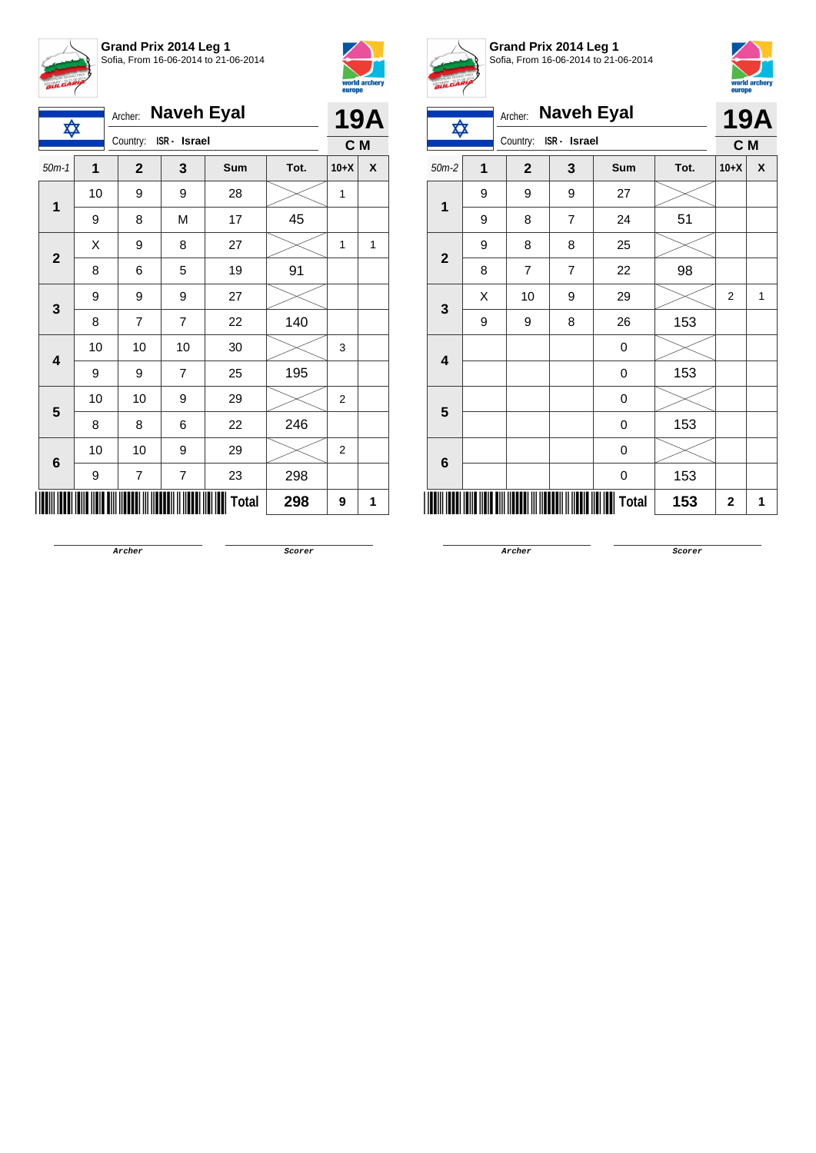



| ✿                       |                | Archer:               | <b>Naveh Eyal</b> |              |      | <b>19A</b>     |   |
|-------------------------|----------------|-----------------------|-------------------|--------------|------|----------------|---|
|                         |                | Country: ISR - Israel |                   |              |      | C M            |   |
| $50m-1$                 | $\overline{1}$ | $\mathbf{2}$          | 3                 | Sum          | Tot. | $10+X$         | χ |
| 1                       | 10             | 9                     | 9                 | 28           |      | 1              |   |
|                         | 9              | 8                     | M                 | 17           | 45   |                |   |
| $\mathbf{2}$            | X              | 9                     | 8                 | 27           |      | 1              | 1 |
|                         | 8              | 6                     | 5                 | 19           | 91   |                |   |
| 3                       | 9              | 9                     | 9                 | 27           |      |                |   |
|                         | 8              | $\overline{7}$        | $\overline{7}$    | 22           | 140  |                |   |
| $\overline{\mathbf{4}}$ | 10             | 10                    | 10                | 30           |      | 3              |   |
|                         | 9              | 9                     | 7                 | 25           | 195  |                |   |
| 5                       | 10             | 10                    | 9                 | 29           |      | $\overline{2}$ |   |
|                         | 8              | 8                     | 6                 | 22           | 246  |                |   |
| 6                       | 10             | 10                    | 9                 | 29           |      | $\overline{2}$ |   |
|                         | 9              | 7                     | 7                 | 23           | 298  |                |   |
|                         |                |                       |                   | <b>Total</b> | 298  | 9              | 1 |



**Grand Prix 2014 Leg 1** Sofia, From 16-06-2014 to 21-06-2014



| <b>BULGARY</b>          |                         |                              |                |       |      |                | world archery<br>europe |  |
|-------------------------|-------------------------|------------------------------|----------------|-------|------|----------------|-------------------------|--|
| ✿                       |                         | <b>Naveh Eyal</b><br>Archer: |                |       |      |                | <b>19A</b>              |  |
|                         |                         | Country:                     | ISR - Israel   |       |      | C M            |                         |  |
| $50m-2$                 | $\overline{\mathbf{1}}$ | $\mathbf{2}$                 | 3              | Sum   | Tot. | $10+X$         | X                       |  |
| $\mathbf{1}$            | 9                       | 9                            | 9              | 27    |      |                |                         |  |
|                         | 9                       | 8                            | 7              | 24    | 51   |                |                         |  |
| $\overline{\mathbf{2}}$ | 9                       | 8                            | 8              | 25    |      |                |                         |  |
|                         | 8                       | $\overline{7}$               | $\overline{7}$ | 22    | 98   |                |                         |  |
| 3                       | X                       | 10                           | 9              | 29    |      | $\overline{2}$ | 1                       |  |
|                         | 9                       | 9                            | 8              | 26    | 153  |                |                         |  |
| 4                       |                         |                              |                | 0     |      |                |                         |  |
|                         |                         |                              |                | 0     | 153  |                |                         |  |
| 5                       |                         |                              |                | 0     |      |                |                         |  |
|                         |                         |                              |                | 0     | 153  |                |                         |  |
| 6                       |                         |                              |                | 0     |      |                |                         |  |
|                         |                         |                              |                | 0     | 153  |                |                         |  |
|                         |                         |                              |                | Total | 153  | $\mathbf{2}$   | 1                       |  |

**Archer Scorer**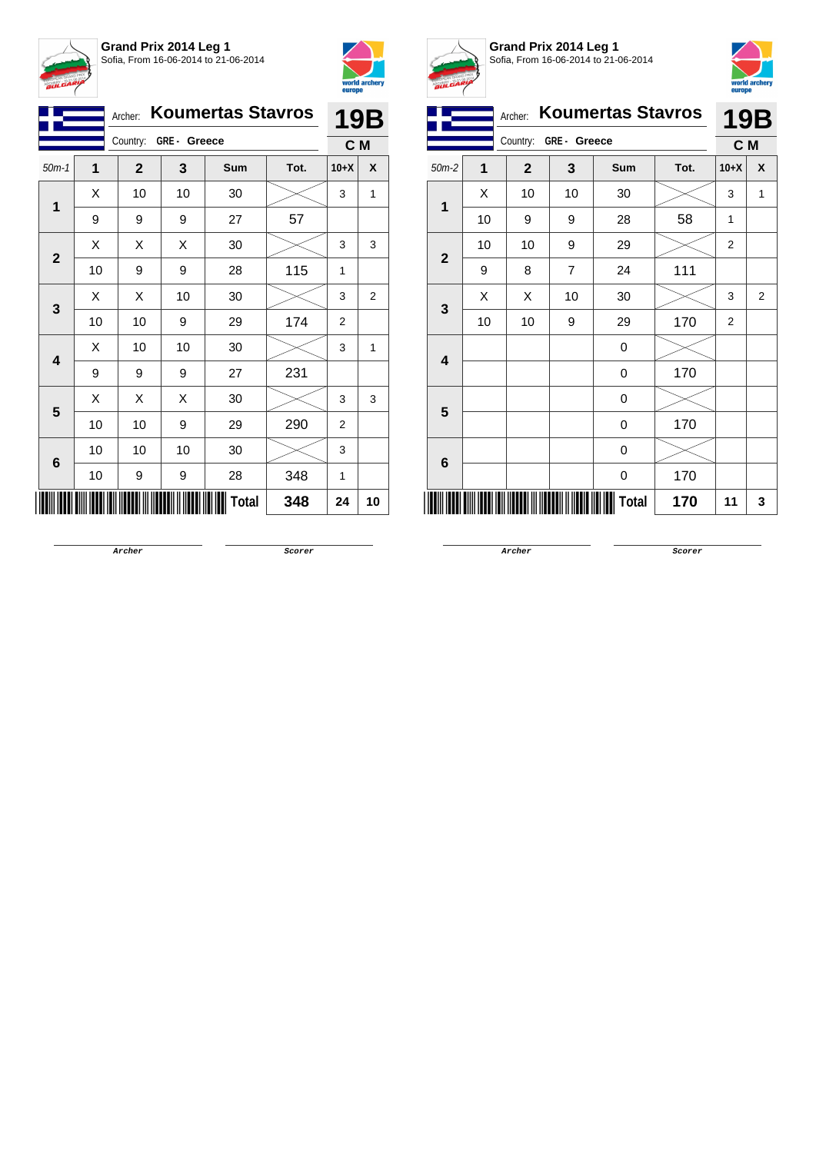



| <b>Koumertas Stavros</b><br>Archer: |    |              |    |              |      |                | 19B |  |
|-------------------------------------|----|--------------|----|--------------|------|----------------|-----|--|
| Country: GRE- Greece                |    |              |    |              |      | C M            |     |  |
| $50m-1$                             | 1  | $\mathbf{2}$ | 3  | Sum          | Tot. | $10+X$         | X   |  |
| 1                                   | Χ  | 10           | 10 | 30           |      | 3              | 1   |  |
|                                     | 9  | 9            | 9  | 27           | 57   |                |     |  |
|                                     | X  | Χ            | Χ  | 30           |      | 3              | 3   |  |
| $\mathbf{2}$                        | 10 | 9            | 9  | 28           | 115  | 1              |     |  |
| 3                                   | Χ  | Χ            | 10 | 30           |      | 3              | 2   |  |
|                                     | 10 | 10           | 9  | 29           | 174  | $\overline{2}$ |     |  |
|                                     | X  | 10           | 10 | 30           |      | 3              | 1   |  |
| 4                                   | 9  | 9            | 9  | 27           | 231  |                |     |  |
|                                     | Χ  | Χ            | X  | 30           |      | 3              | 3   |  |
| 5                                   | 10 | 10           | 9  | 29           | 290  | 2              |     |  |
|                                     | 10 | 10           | 10 | 30           |      | 3              |     |  |
| 6                                   | 10 | 9            | 9  | 28           | 348  | 1              |     |  |
|                                     |    |              |    | <b>Total</b> | 348  | 24             | 10  |  |



**Grand Prix 2014 Leg 1** Sofia, From 16-06-2014 to 21-06-2014



|              |    | Archer:        |                | <b>Koumertas Stavros</b> |      | <b>19B</b>     |   |
|--------------|----|----------------|----------------|--------------------------|------|----------------|---|
|              |    | Country:       | GRE- Greece    |                          |      | C M            |   |
| $50m-2$      | 1  | $\overline{2}$ | 3              | Sum                      | Tot. | $10+X$         | X |
|              | X  | 10             | 10             | 30                       |      | 3              | 1 |
| 1            | 10 | 9              | 9              | 28                       | 58   | 1              |   |
|              | 10 | 10             | 9              | 29                       |      | $\overline{2}$ |   |
| $\mathbf{2}$ | 9  | 8              | $\overline{7}$ | 24                       | 111  |                |   |
|              | X  | Χ              | 10             | 30                       |      | 3              | 2 |
| 3            | 10 | 10             | 9              | 29                       | 170  | $\overline{2}$ |   |
| 4            |    |                |                | 0                        |      |                |   |
|              |    |                |                | 0                        | 170  |                |   |
| 5            |    |                |                | 0                        |      |                |   |
|              |    |                |                | 0                        | 170  |                |   |
| 6            |    |                |                | 0                        |      |                |   |
|              |    |                |                | 0                        | 170  |                |   |
|              |    |                |                | Total                    | 170  | 11             | 3 |

**Archer Scorer**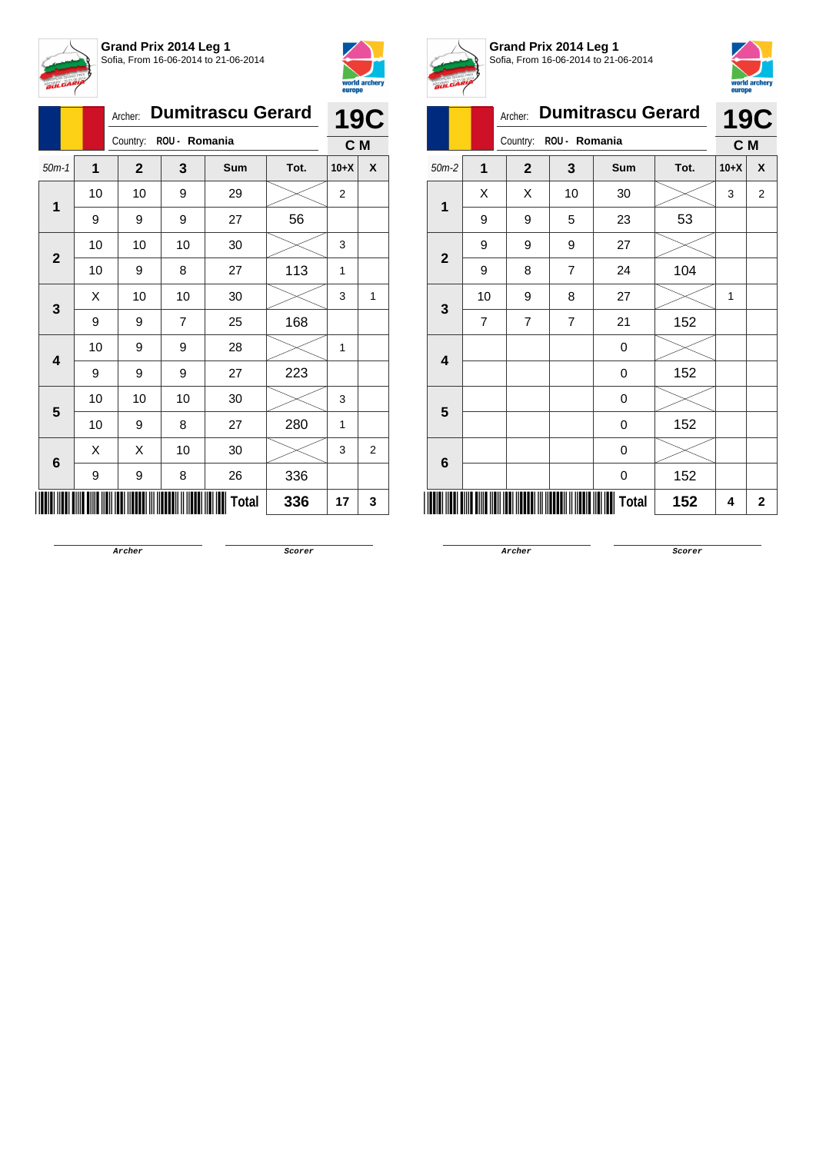



|                              |         |    | Archer:        | <b>Dumitrascu Gerard</b> |                                                                          |      |        |   |  |  |  |
|------------------------------|---------|----|----------------|--------------------------|--------------------------------------------------------------------------|------|--------|---|--|--|--|
|                              |         |    | Country:       | ROU - Romania            |                                                                          |      | C M    |   |  |  |  |
|                              | $50m-1$ | 1  | $\mathbf{2}$   | 3                        | Sum                                                                      | Tot. | $10+X$ | X |  |  |  |
|                              | 1       | 10 | 10             | 9                        | 29<br>$\overline{c}$<br>56<br>27<br>30<br>3<br>113<br>27<br>1<br>30<br>3 |      |        |   |  |  |  |
|                              |         | 9  | 9              | 9                        |                                                                          |      |        |   |  |  |  |
|                              |         | 10 | 10             | 10                       |                                                                          |      |        |   |  |  |  |
| $\mathbf{2}$                 | 10      | 9  | 8              |                          |                                                                          |      |        |   |  |  |  |
|                              |         | X  | 10             | 10                       |                                                                          |      |        | 1 |  |  |  |
|                              | 3       | 9  | 9              | 7                        | 25                                                                       | 168  |        |   |  |  |  |
|                              | 4       | 10 | 9              | 9                        | 28                                                                       |      | 1      |   |  |  |  |
|                              |         | 9  | 9              | 9                        | 27                                                                       | 223  |        |   |  |  |  |
|                              |         | 10 | 10             | 10                       | 30                                                                       |      | 3      |   |  |  |  |
|                              |         | 10 | 9              | 8                        | 27                                                                       | 280  | 1      |   |  |  |  |
| 5<br>X<br>X<br>30<br>10<br>6 |         | 3  | $\overline{2}$ |                          |                                                                          |      |        |   |  |  |  |
|                              |         | 9  | 9              | 8                        | 26                                                                       | 336  |        |   |  |  |  |
|                              |         |    |                |                          | Total                                                                    | 336  | 17     | 3 |  |  |  |



**Grand Prix 2014 Leg 1** Sofia, From 16-06-2014 to 21-06-2014



| BULGARIA                |                |                |                |                          |      | europe | world archery  |
|-------------------------|----------------|----------------|----------------|--------------------------|------|--------|----------------|
|                         |                | Archer:        |                | <b>Dumitrascu Gerard</b> |      |        | <b>19C</b>     |
|                         |                | Country:       | C M            |                          |      |        |                |
| $50m-2$                 | 1              | $\overline{2}$ | 3              | <b>Sum</b>               | Tot. | $10+X$ | X              |
| 1                       | X              | X              | 10             | 30                       |      | 3      | $\overline{2}$ |
|                         | 9              | 9              | 5              | 23                       | 53   |        |                |
| $\overline{2}$          | 9              | 9              | 9              | 27                       |      |        |                |
|                         | 9              | 8              | $\overline{7}$ | 24                       | 104  |        |                |
| 3                       | 10             | 9              | 8              | 27                       |      | 1      |                |
|                         | $\overline{7}$ | $\overline{7}$ | 7              | 21                       | 152  |        |                |
| $\overline{\mathbf{4}}$ |                |                |                | $\mathbf 0$              |      |        |                |
|                         |                |                |                | $\mathbf 0$              | 152  |        |                |
| 5                       |                |                |                | $\mathbf 0$              |      |        |                |
|                         |                |                |                | 0                        | 152  |        |                |
| 6                       |                |                |                | $\mathbf 0$              |      |        |                |
|                         |                |                |                | $\mathbf 0$              | 152  |        |                |
|                         |                |                |                | Total                    | 152  | 4      | $\overline{2}$ |
|                         |                |                |                |                          |      |        |                |

**Archer Scorer**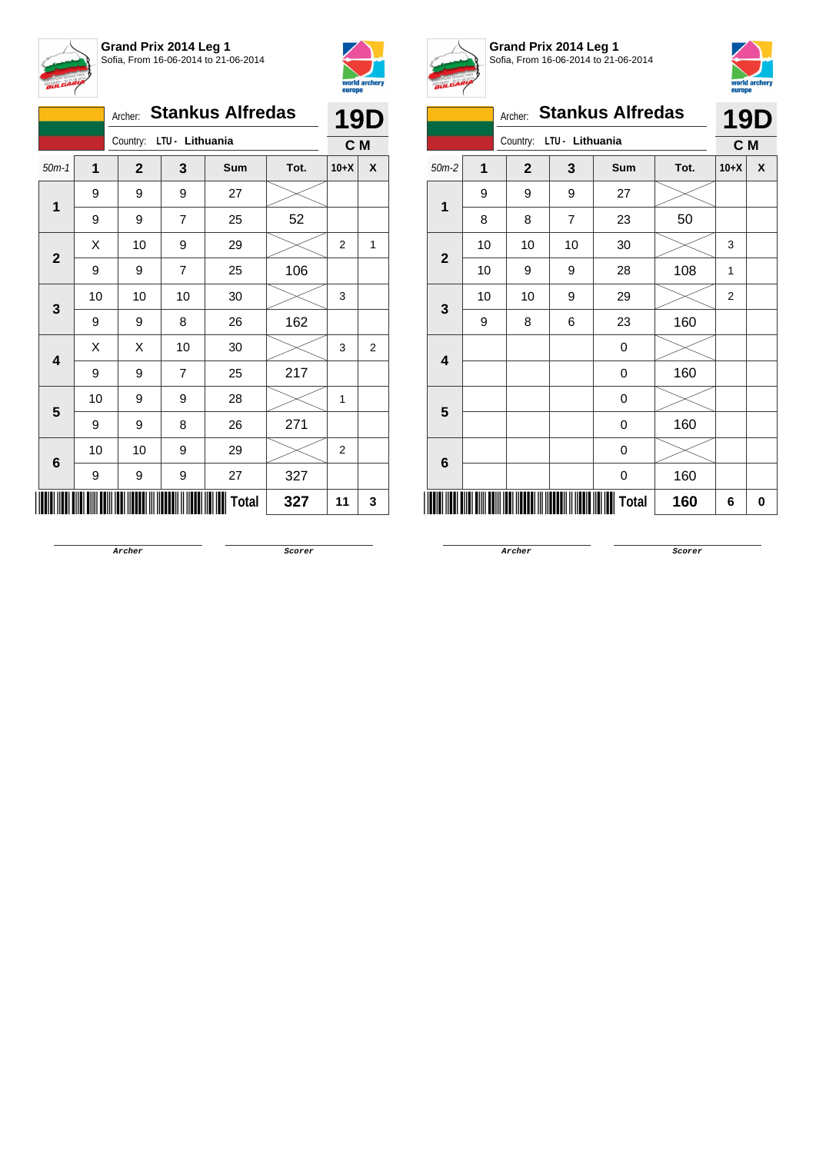



|   |                   |    | Archer: Stankus Alfredas |                | <b>19D</b> |      |        |                |
|---|-------------------|----|--------------------------|----------------|------------|------|--------|----------------|
|   |                   |    | Country: LTU - Lithuania |                |            |      | C M    |                |
|   | $50m-1$           | 1  | $\mathbf{2}$             | 3              | Sum        | Tot. | $10+X$ | X              |
|   | 1                 | 9  | 9                        | 9              | 27         |      |        | 1              |
|   | 9                 | 9  | $\overline{7}$           | 25             | 52         |      |        |                |
|   | $\mathbf{2}$<br>3 | Х  | 10                       | 9              | 29         |      | 2      |                |
|   |                   | 9  | 9                        | $\overline{7}$ | 25         | 106  |        |                |
|   |                   | 10 | 10                       | 10             | 30         |      | 3      |                |
|   |                   | 9  | 9                        | 8              | 26         | 162  |        |                |
|   | 4                 | Χ  | Χ                        | 10             | 30         |      | 3      | $\overline{2}$ |
|   |                   | 9  | 9                        | $\overline{7}$ | 25         | 217  |        |                |
|   | 5                 | 10 | 9                        | 9              | 28         |      | 1      |                |
|   |                   | 9  | 9                        | 8              | 26         | 271  |        |                |
| 6 | 10                | 10 | 9                        | 29             |            | 2    |        |                |
|   |                   | 9  | 9                        | 9              | 27         | 327  |        |                |
|   |                   |    |                          |                | Total      | 327  | 11     | 3              |



**Grand Prix 2014 Leg 1** Sofia, From 16-06-2014 to 21-06-2014



|                         |    | Archer:                 | <b>Stankus Alfredas</b> |            |      | <b>19D</b>     |                  |
|-------------------------|----|-------------------------|-------------------------|------------|------|----------------|------------------|
|                         |    | Country:                | LTU - Lithuania         |            |      | C M            |                  |
| $50m-2$                 | 1  | $\overline{\mathbf{2}}$ | 3                       | <b>Sum</b> | Tot. | $10+X$         | $\boldsymbol{x}$ |
| 1                       | 9  | 9                       | 9                       | 27         |      |                |                  |
|                         | 8  | 8                       | $\overline{7}$          | 23         | 50   |                |                  |
| $\mathbf{2}$            | 10 | 10                      | 10                      | 30         |      | 3              |                  |
|                         | 10 | 9                       | 9                       | 28         | 108  | 1              |                  |
| 3                       | 10 | 10                      | 9                       | 29         |      | $\overline{2}$ |                  |
|                         | 9  | 8                       | 6                       | 23         | 160  |                |                  |
| $\overline{\mathbf{4}}$ |    |                         |                         | 0          |      |                |                  |
|                         |    |                         |                         | 0          | 160  |                |                  |
| 5                       |    |                         |                         | 0          |      |                |                  |
|                         |    |                         |                         | 0          | 160  |                |                  |
|                         |    |                         |                         | 0          |      |                |                  |
| 6                       |    |                         |                         | 0          | 160  |                |                  |
|                         |    |                         |                         | Total      | 160  | 6              | 0                |

**Archer Scorer**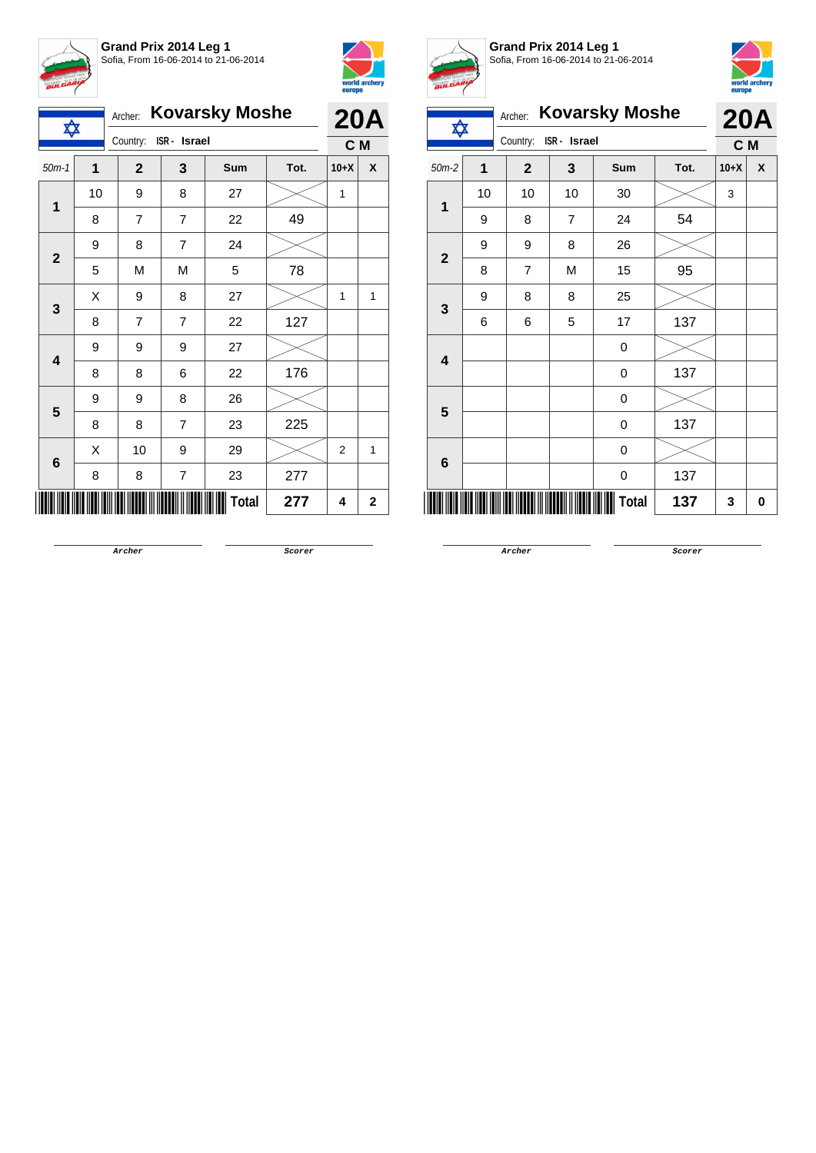



| ✿              |    | <b>Kovarsky Moshe</b><br>Archer: | <b>20A</b>     |       |      |        |             |
|----------------|----|----------------------------------|----------------|-------|------|--------|-------------|
|                |    | Country:<br>ISR - Israel         | C M            |       |      |        |             |
| $50m-1$        | 1  | $\mathbf{2}$                     | 3              | Sum   | Tot. | $10+X$ | X           |
| $\mathbf{1}$   | 10 | 9                                | 8              | 27    |      | 1      |             |
|                | 8  | $\overline{7}$                   | $\overline{7}$ | 22    | 49   |        |             |
| $\overline{2}$ | 9  | 8                                | 7              | 24    |      |        |             |
|                | 5  | M                                | М              | 5     | 78   |        |             |
| 3              | Χ  | 9                                | 8              | 27    |      | 1      | 1           |
|                | 8  | $\overline{7}$                   | 7              | 22    | 127  |        |             |
| 4              | 9  | 9                                | 9              | 27    |      |        |             |
|                | 8  | 8                                | 6              | 22    | 176  |        |             |
| 5              | 9  | 9                                | 8              | 26    |      |        |             |
|                | 8  | 8                                | $\overline{7}$ | 23    | 225  |        |             |
|                | Χ  | 10                               | 9              | 29    |      | 2      | 1           |
| $6\phantom{1}$ | 8  | 8                                | 7              | 23    | 277  |        |             |
|                |    |                                  |                | Total | 277  | 4      | $\mathbf 2$ |



**Grand Prix 2014 Leg 1** Sofia, From 16-06-2014 to 21-06-2014



|                          | <b>Kovarsky Moshe</b><br>Archer:<br>✿<br>ISR - Israel |                         |                |                   |      |        |   |  |
|--------------------------|-------------------------------------------------------|-------------------------|----------------|-------------------|------|--------|---|--|
|                          |                                                       | Country:                |                | <b>20A</b><br>C M |      |        |   |  |
| $50m-2$                  | 1                                                     | $\overline{\mathbf{2}}$ | 3              | Sum               | Tot. | $10+X$ | X |  |
| 1                        | 10                                                    | 10                      | 10             | 30                |      | 3      |   |  |
|                          | 9                                                     | 8                       | $\overline{7}$ | 24                | 54   |        |   |  |
|                          | 9                                                     | 9                       | 8              | 26                |      |        |   |  |
| $\mathbf{2}$             | 8                                                     | $\overline{7}$          | M              | 15                | 95   |        |   |  |
| $\mathbf{3}$             | 9                                                     | 8                       | 8              | 25                |      |        |   |  |
|                          | 6                                                     | 6                       | 5              | 17                | 137  |        |   |  |
| $\overline{\mathbf{4}}$  |                                                       |                         |                | 0                 |      |        |   |  |
|                          |                                                       |                         |                | 0                 | 137  |        |   |  |
| 5                        |                                                       |                         |                | 0                 |      |        |   |  |
|                          |                                                       |                         |                | 0                 | 137  |        |   |  |
| $6\phantom{1}6$          |                                                       |                         |                | 0                 |      |        |   |  |
|                          |                                                       |                         |                | 0                 | 137  |        |   |  |
| <b>Total</b><br>137<br>3 |                                                       |                         |                |                   |      |        |   |  |

**Archer Scorer**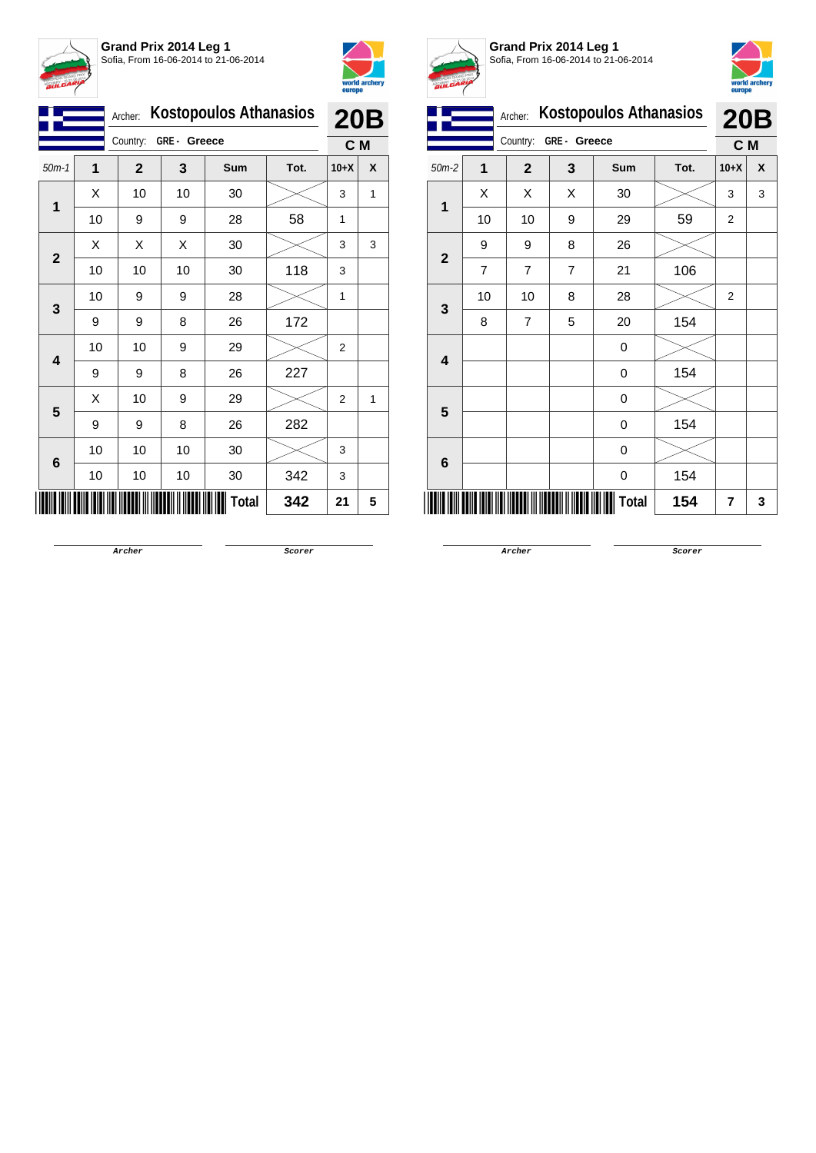



|                | <b>Kostopoulos Athanasios</b><br>Archer: |              |             |              |      |                   |   |
|----------------|------------------------------------------|--------------|-------------|--------------|------|-------------------|---|
|                |                                          | Country:     | GRE- Greece |              |      | <b>20B</b><br>C M |   |
| $50m-1$        | 1                                        | $\mathbf{2}$ | 3           | <b>Sum</b>   | Tot. | $10+X$            | X |
| $\overline{1}$ | X                                        | 10           | 10          | 30           |      | 3                 | 1 |
|                | 10                                       | 9            | 9           | 28           | 58   | 1                 |   |
|                | X                                        | Χ            | Χ           | 30           |      | 3                 | 3 |
| $\mathbf{2}$   | 10                                       | 10           | 10          | 30           | 118  | 3                 |   |
|                | 10                                       | 9            | 9           | 28           |      | 1                 |   |
| 3              | 9                                        | 9            | 8           | 26           | 172  |                   |   |
|                | 10                                       | 10           | 9           | 29           |      | $\overline{2}$    |   |
| 4              | 9                                        | 9            | 8           | 26           | 227  |                   |   |
|                | Χ                                        | 10           | 9           | 29           |      | $\overline{2}$    | 1 |
| 5              | 9                                        | 9            | 8           | 26           | 282  |                   |   |
|                | 10                                       | 10           | 10          | 30           |      | 3                 |   |
| 6              | 10                                       | 10           | 10          | 30           | 342  | 3                 |   |
|                |                                          |              |             | <b>Total</b> | 342  | 21                | 5 |



**Grand Prix 2014 Leg 1** Sofia, From 16-06-2014 to 21-06-2014



|                         | Archer:        |                          | <b>Kostopoulos Athanasios</b> |       | <b>20B</b> |        |   |
|-------------------------|----------------|--------------------------|-------------------------------|-------|------------|--------|---|
|                         |                | Country:<br>GRE - Greece |                               |       |            | C M    |   |
| $50m-2$                 | 1              | $\mathbf{2}$             | 3                             | Sum   | Tot.       | $10+X$ | X |
| $\mathbf 1$             | X              | Χ                        | Χ                             | 30    |            | 3      | 3 |
|                         | 10             | 10                       | 9                             | 29    | 59         | 2      |   |
|                         | 9              | 9                        | 8                             | 26    |            |        |   |
| $\mathbf{2}$            | $\overline{7}$ | $\overline{7}$           | $\overline{7}$                | 21    | 106        |        |   |
| $\mathbf{3}$            | 10             | 10                       | 8                             | 28    |            | 2      |   |
|                         | 8              | $\overline{7}$           | 5                             | 20    | 154        |        |   |
| $\overline{\mathbf{4}}$ |                |                          |                               | 0     |            |        |   |
|                         |                |                          |                               | 0     | 154        |        |   |
| 5                       |                |                          |                               | 0     |            |        |   |
|                         |                |                          |                               | 0     | 154        |        |   |
|                         |                |                          |                               | 0     |            |        |   |
| $6\phantom{1}6$         |                |                          |                               | 0     | 154        |        |   |
|                         |                |                          |                               | Total | 154        | 7      | 3 |

**Archer Scorer**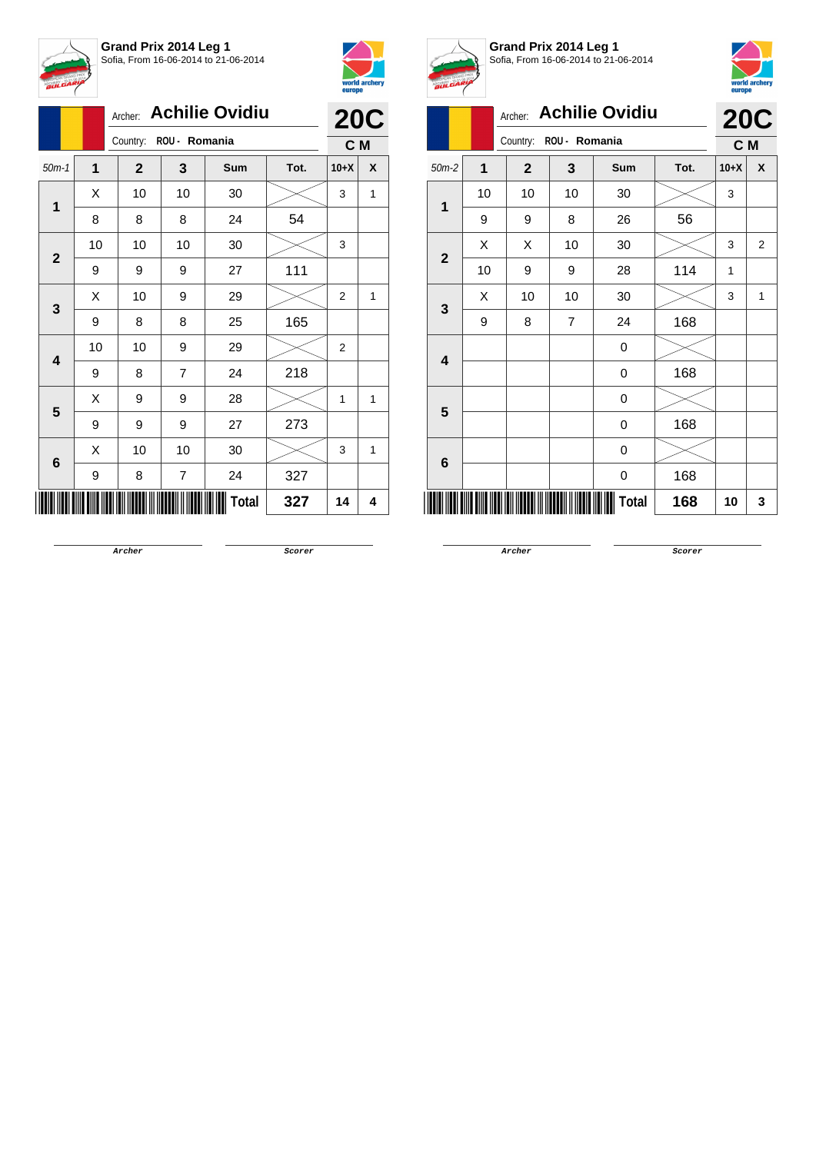

**Archer: Achilie Ovidiu** 



|              |             | <b>Achilie Ovidiu</b><br>Archer: |                | <b>20C</b>   |      |                |   |  |  |
|--------------|-------------|----------------------------------|----------------|--------------|------|----------------|---|--|--|
|              |             | Country:                         | ROU - Romania  |              |      |                |   |  |  |
| $50m-1$      | $\mathbf 1$ | $\mathbf{2}$                     | 3              | Sum          | Tot. | $10+X$         | X |  |  |
|              | X           | 10                               | 10             | 30           |      | 3              | 1 |  |  |
| 1            | 8           | 8                                | 8              | 24           | 54   |                |   |  |  |
| $\mathbf{2}$ | 10          | 10                               | 10             | 30           |      | 3              |   |  |  |
|              | 9           | 9                                | 9              | 27           | 111  |                |   |  |  |
| 3            | X           | 10                               | 9              | 29           |      | $\overline{2}$ | 1 |  |  |
|              | 9           | 8                                | 8              | 25           | 165  |                |   |  |  |
|              | 10          | 10                               | 9              | 29           |      | $\overline{2}$ |   |  |  |
| 4            | 9           | 8                                | $\overline{7}$ | 24           | 218  |                |   |  |  |
| 5            | X           | 9                                | 9              | 28           |      | 1              | 1 |  |  |
|              | 9           | 9                                | 9              | 27           | 273  |                |   |  |  |
|              | X           | 10                               | 10             | 30           |      | 3              | 1 |  |  |
| $\bf 6$      | 9           | 8                                | $\overline{7}$ | 24           | 327  |                |   |  |  |
|              |             |                                  |                | <b>Total</b> | 327  | 14             | 4 |  |  |



**Grand Prix 2014 Leg 1** Sofia, From 16-06-2014 to 21-06-2014



| V              | <u></u>                          |                |                |              |      |        |            |  |  |
|----------------|----------------------------------|----------------|----------------|--------------|------|--------|------------|--|--|
|                | <b>Achilie Ovidiu</b><br>Archer: |                |                |              |      |        | <b>20C</b> |  |  |
|                |                                  | Country:       | ROU - Romania  |              |      | C M    |            |  |  |
| $50m-2$        | $\overline{1}$                   | $\overline{2}$ | 3              | Sum          | Tot. | $10+X$ | X          |  |  |
| 1              | 10                               | 10             | 10             | 30           |      | 3      |            |  |  |
|                | 9                                | 9              | 8              | 26           | 56   |        |            |  |  |
| $\overline{2}$ | X                                | X              | 10             | 30           |      | 3      | 2          |  |  |
|                | 10                               | 9              | 9              | 28           | 114  | 1      |            |  |  |
| 3              | X                                | 10             | 10             | 30           |      | 3      | 1          |  |  |
|                | 9                                | 8              | $\overline{7}$ | 24           | 168  |        |            |  |  |
| 4              |                                  |                |                | 0            |      |        |            |  |  |
|                |                                  |                |                | 0            | 168  |        |            |  |  |
| 5              |                                  |                |                | 0            |      |        |            |  |  |
|                |                                  |                |                | 0            | 168  |        |            |  |  |
| 6              |                                  |                |                | 0            |      |        |            |  |  |
|                |                                  |                |                | 0            | 168  |        |            |  |  |
| ║║║            |                                  |                |                | <b>Total</b> | 168  | 10     | 3          |  |  |
|                |                                  |                |                |              |      |        |            |  |  |

**Archer Scorer**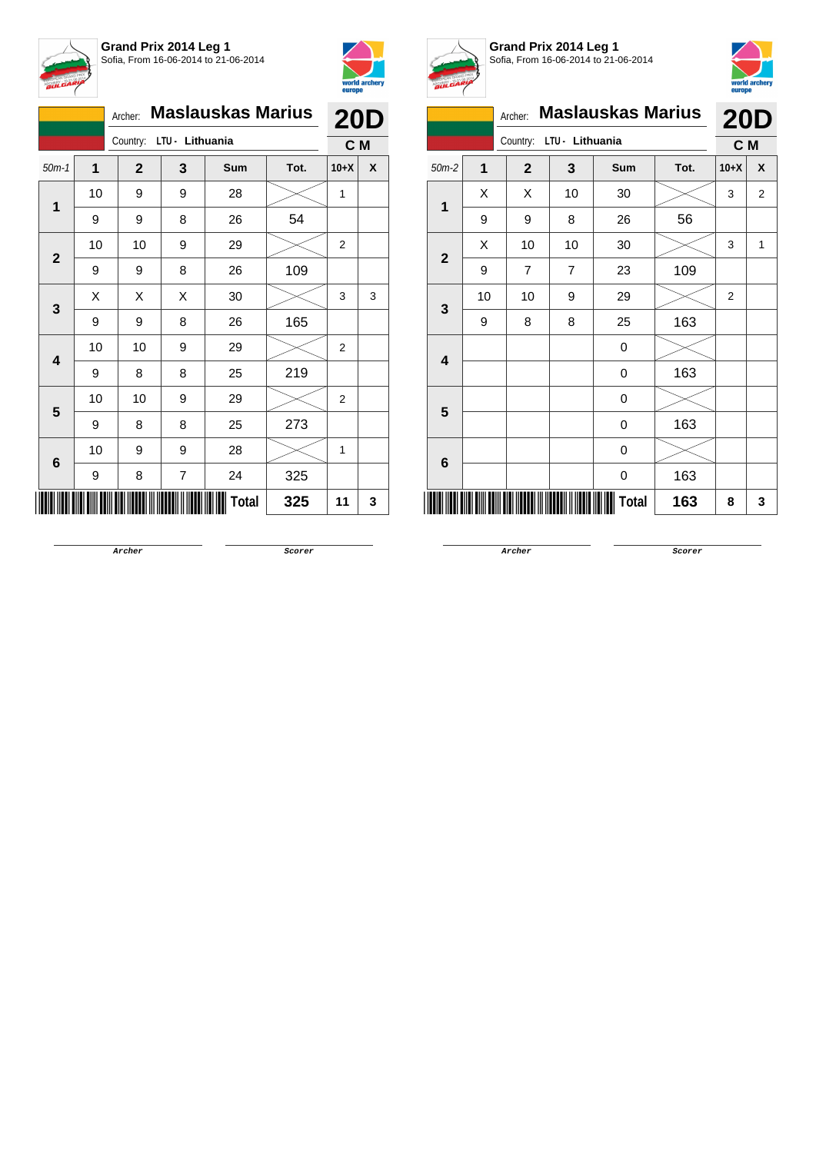



|              | <b>Maslauskas Marius</b><br>Archer: |              |                |       |      |        | <b>20D</b> |
|--------------|-------------------------------------|--------------|----------------|-------|------|--------|------------|
|              | Country: LTU - Lithuania            |              |                |       |      | C M    |            |
| $50m-1$      | 1                                   | $\mathbf{2}$ | 3              | Sum   | Tot. | $10+X$ | X          |
|              | 10                                  | 9            | 9              | 28    |      | 1      |            |
| 1            | 9                                   | 9            | 8              | 26    | 54   |        |            |
| $\mathbf{2}$ | 10                                  | 10           | 9              | 29    |      | 2      |            |
|              | 9                                   | 9            | 8              | 26    | 109  |        |            |
| 3            | X                                   | Χ            | X              | 30    |      | 3      | 3          |
|              | 9                                   | 9            | 8              | 26    | 165  |        |            |
| 4            | 10                                  | 10           | 9              | 29    |      | 2      |            |
|              | 9                                   | 8            | 8              | 25    | 219  |        |            |
| 5            | 10                                  | 10           | 9              | 29    |      | 2      |            |
|              | 9                                   | 8            | 8              | 25    | 273  |        |            |
| 6            | 10                                  | 9            | 9              | 28    |      | 1      |            |
|              | 9                                   | 8            | $\overline{7}$ | 24    | 325  |        |            |
|              |                                     |              |                | Total | 325  | 11     | 3          |



**Grand Prix 2014 Leg 1** Sofia, From 16-06-2014 to 21-06-2014



|              |                |                |                 |                          |      | europe         |                |
|--------------|----------------|----------------|-----------------|--------------------------|------|----------------|----------------|
|              |                | Archer:        |                 | <b>Maslauskas Marius</b> |      | <b>20D</b>     |                |
|              |                | Country:       | LTU - Lithuania |                          |      | C M            |                |
| $50m-2$      | $\overline{1}$ | $\overline{2}$ | 3               | Sum                      | Tot. | $10+X$         | X              |
| 1            | X              | X              | 10              | 30                       |      | 3              | $\overline{2}$ |
|              | 9              | 9              | 8               | 26                       | 56   |                |                |
| $\mathbf{2}$ | X              | 10             | 10              | 30                       |      | 3              | 1              |
|              | 9              | 7              | 7               | 23                       | 109  |                |                |
| 3            | 10             | 10             | 9               | 29                       |      | $\overline{2}$ |                |
|              | 9              | 8              | 8               | 25                       | 163  |                |                |
| 4            |                |                |                 | 0                        |      |                |                |
|              |                |                |                 | 0                        | 163  |                |                |
| 5            |                |                |                 | 0                        |      |                |                |
|              |                |                |                 | 0                        | 163  |                |                |
| 6            |                |                |                 | 0                        |      |                |                |
|              |                |                |                 | 0                        | 163  |                |                |
|              |                |                |                 | Total                    | 163  | 8              | 3              |

**Archer Scorer**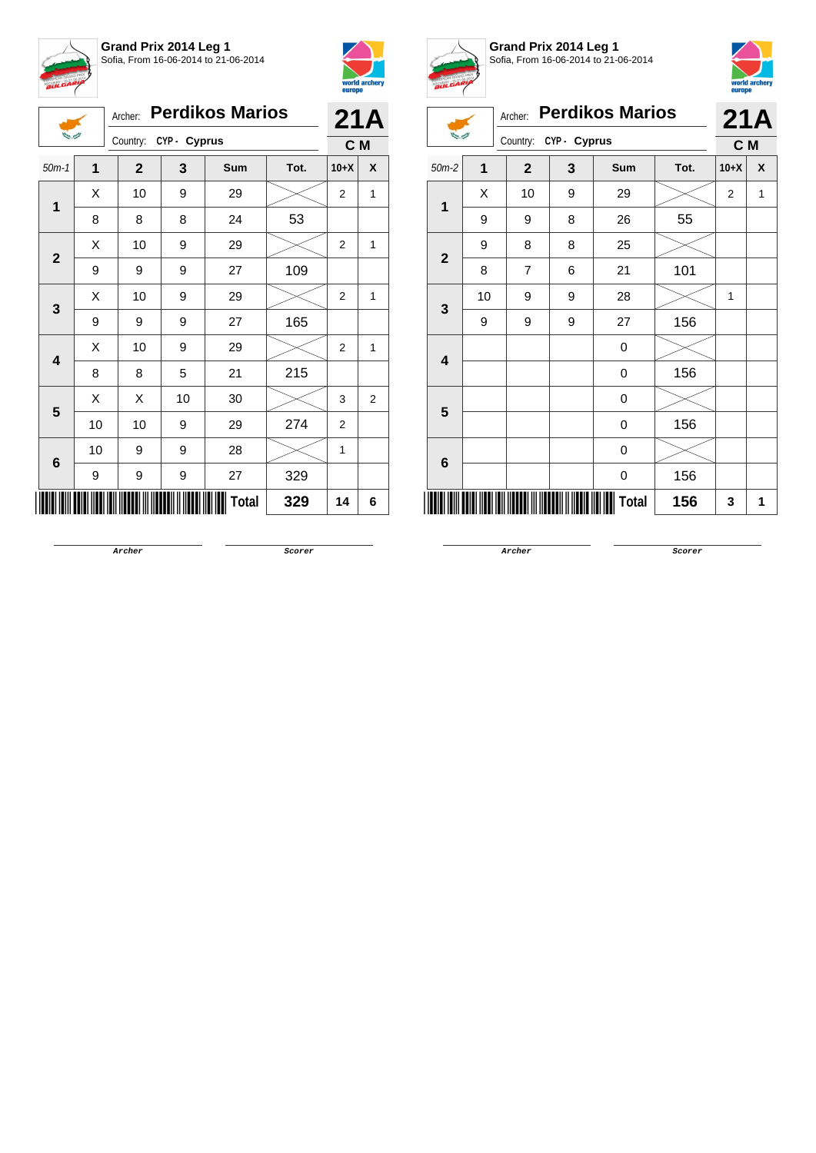





## Archer: **Perdikos Marios**

| 当时             |                           |                       |     |     |      |        |   |
|----------------|---------------------------|-----------------------|-----|-----|------|--------|---|
|                |                           | Country: CYP - Cyprus | C M |     |      |        |   |
| $50m-1$        | 1                         | $\mathbf{2}$          | 3   | Sum | Tot. | $10+X$ | X |
| $\overline{1}$ | Χ                         | 10                    | 9   | 29  |      | 2      | 1 |
|                | 8                         | 8                     | 8   | 24  | 53   |        |   |
| $\mathbf{2}$   | X                         | 10                    | 9   | 29  |      | 2      | 1 |
|                | 9                         | 9                     | 9   | 27  | 109  |        |   |
| 3              | X                         | 10                    | 9   | 29  |      | 2      | 1 |
|                | 9                         | 9                     | 9   | 27  | 165  |        |   |
|                | X                         | 10                    | 9   | 29  |      | 2      | 1 |
| 4              | 8                         | 8                     | 5   | 21  | 215  |        |   |
| 5              | X                         | X                     | 10  | 30  |      | 3      | 2 |
|                | 10                        | 10                    | 9   | 29  | 274  | 2      |   |
| 6              | 10                        | 9                     | 9   | 28  |      | 1      |   |
|                | 9                         | 9                     | 9   | 27  | 329  |        |   |
|                | <b>Total</b><br>329<br>14 |                       |     |     |      |        |   |



## **Grand Prix 2014 Leg 1** Sofia, From 16-06-2014 to 21-06-2014



| <b>BULGARY</b> |                |                |              |                        |      | europe         | world archery |
|----------------|----------------|----------------|--------------|------------------------|------|----------------|---------------|
|                |                | Archer:        |              | <b>Perdikos Marios</b> |      | 21A            |               |
|                |                | Country:       | CYP - Cyprus |                        | C M  |                |               |
| $50m-2$        | $\overline{1}$ | $\mathbf{2}$   | 3            | Sum                    | Tot. | $10+X$         | X             |
|                | Χ              | 10             | 9            | 29                     |      | $\overline{2}$ | 1             |
| 1              | 9              | 9              | 8            | 26                     | 55   |                |               |
| $\overline{2}$ | 9              | 8              | 8            | 25                     |      |                |               |
|                | 8              | $\overline{7}$ | 6            | 21                     | 101  |                |               |
| 3              | 10             | 9              | 9            | 28                     |      | 1              |               |
|                | 9              | 9              | 9            | 27                     | 156  |                |               |
| 4              |                |                |              | 0                      |      |                |               |
|                |                |                |              | 0                      | 156  |                |               |
| 5              |                |                |              | 0                      |      |                |               |
|                |                |                |              | 0                      | 156  |                |               |
| 6              |                |                |              | 0                      |      |                |               |
|                |                |                |              | 0                      | 156  |                |               |
|                |                |                |              | Total                  | 156  | 3              | 1             |

**Archer Scorer**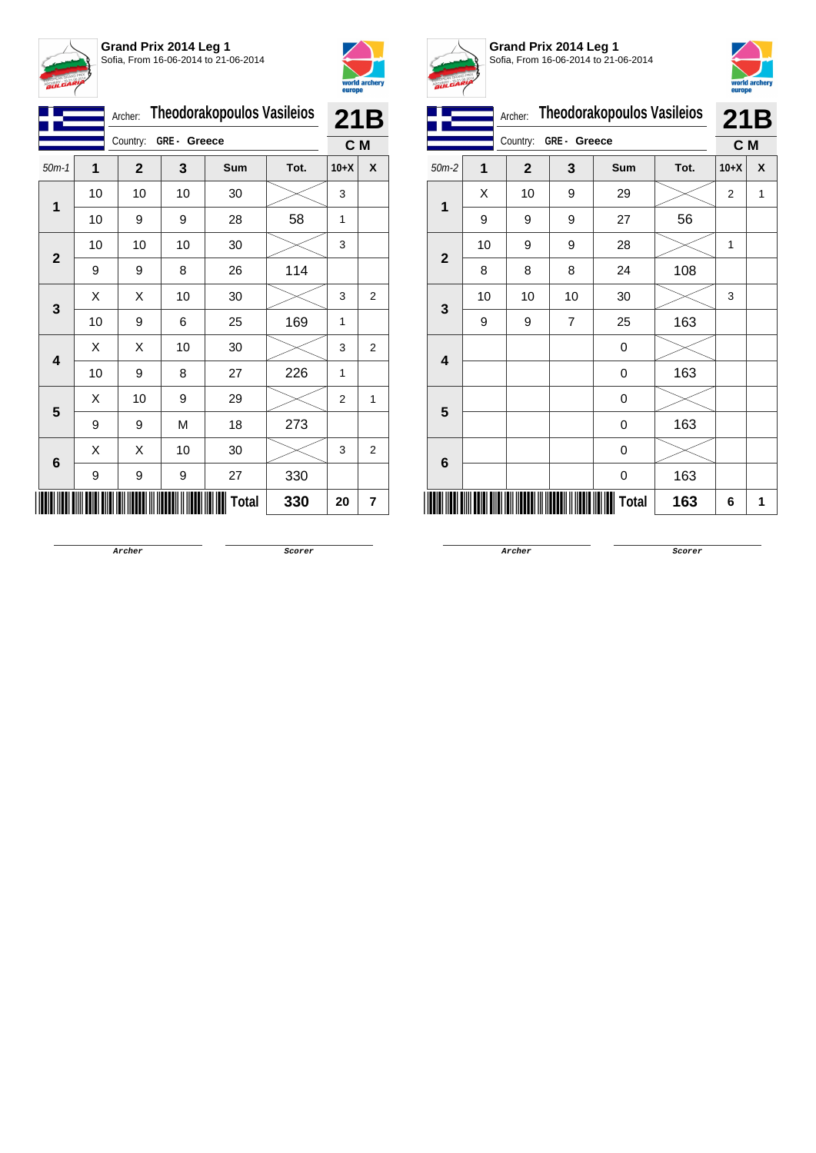



|              |    | Archer:                 |    | <b>Theodorakopoulos Vasileios</b> |      | 21B            |                |
|--------------|----|-------------------------|----|-----------------------------------|------|----------------|----------------|
|              |    | Country:<br>GRE- Greece |    |                                   |      |                | C M            |
| $50m-1$      | 1  | $\mathbf{2}$            | 3  | <b>Sum</b>                        | Tot. | $10+X$         | X              |
|              | 10 | 10                      | 10 | 30                                |      | 3              |                |
| 1            | 10 | 9                       | 9  | 28                                | 58   | 1              |                |
|              | 10 | 10                      | 10 | 30                                |      | 3              |                |
| $\mathbf{2}$ | 9  | 9                       | 8  | 26                                | 114  |                |                |
|              | Χ  | Χ                       | 10 | 30                                |      | 3              | $\overline{2}$ |
| 3            | 10 | 9                       | 6  | 25                                | 169  | 1              |                |
|              | X  | Χ                       | 10 | 30                                |      | 3              | 2              |
| 4            | 10 | 9                       | 8  | 27                                | 226  | 1              |                |
|              | Χ  | 10                      | 9  | 29                                |      | $\overline{2}$ | 1              |
| 5            | 9  | 9                       | M  | 18                                | 273  |                |                |
|              | X  | X                       | 10 | 30                                |      | 3              | 2              |
| 6            | 9  | 9                       | 9  | 27                                | 330  |                |                |
|              |    |                         |    | Total                             | 330  | 20             | 7              |



**Grand Prix 2014 Leg 1** Sofia, From 16-06-2014 to 21-06-2014



|              |    | Archer:      |             | <b>Theodorakopoulos Vasileios</b> |      | <b>21B</b>     |   |
|--------------|----|--------------|-------------|-----------------------------------|------|----------------|---|
|              |    | Country:     | GRE- Greece |                                   |      | C M            |   |
| $50m-2$      | 1  | $\mathbf{2}$ | 3           | Sum                               | Tot. | $10+X$         | X |
| 1            | Χ  | 10           | 9           | 29                                |      | $\overline{2}$ | 1 |
|              | 9  | 9            | 9           | 27                                | 56   |                |   |
|              | 10 | 9            | 9           | 28                                |      | 1              |   |
| $\mathbf{2}$ | 8  | 8            | 8           | 24                                | 108  |                |   |
| 3            | 10 | 10           | 10          | 30                                |      | 3              |   |
|              | 9  | 9            | 7           | 25                                | 163  |                |   |
| 4            |    |              |             | 0                                 |      |                |   |
|              |    |              |             | 0                                 | 163  |                |   |
| 5            |    |              |             | 0                                 |      |                |   |
|              |    |              |             | 0                                 | 163  |                |   |
| 6            |    |              |             | 0                                 |      |                |   |
|              |    |              |             | 0                                 | 163  |                |   |
|              |    |              |             | Total                             | 163  | 6              | 1 |

**Archer Scorer**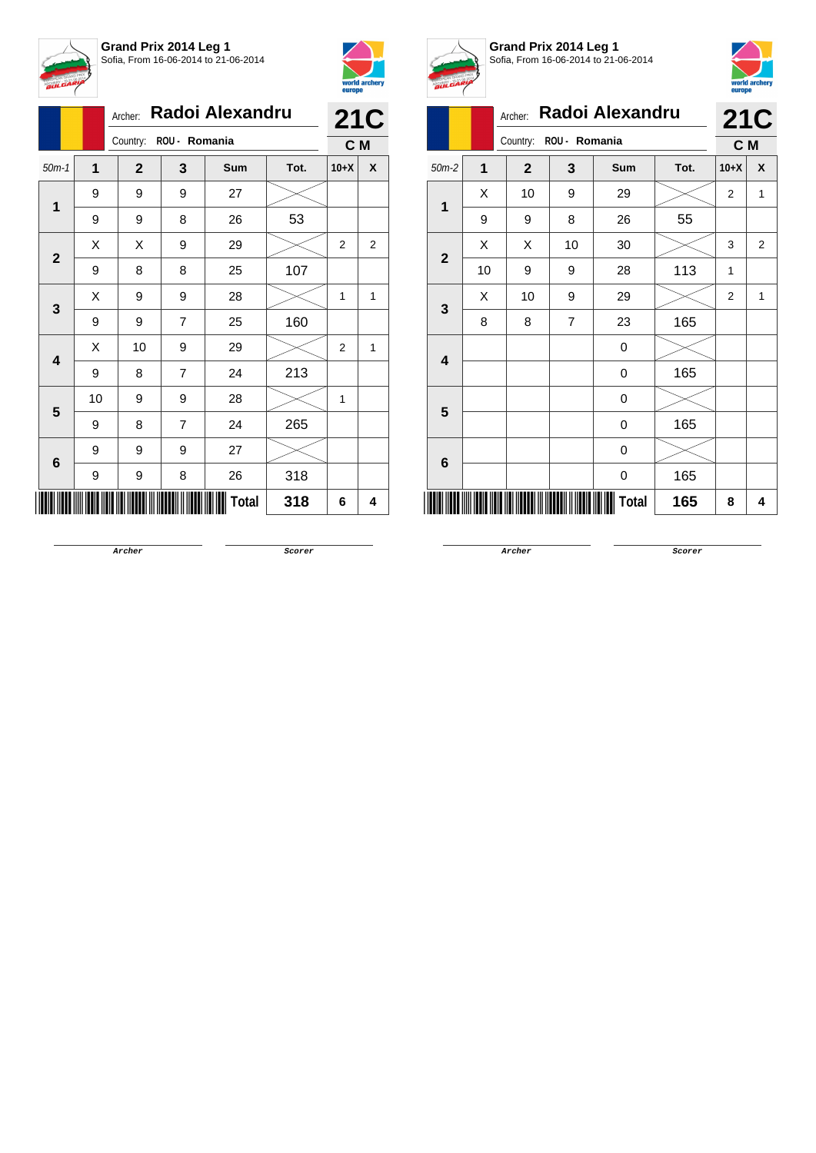



|              |    | Archer:                | Radoi Alexandru | <b>21C</b> |      |                |   |
|--------------|----|------------------------|-----------------|------------|------|----------------|---|
|              |    | Country: ROU - Romania |                 | C M        |      |                |   |
| $50m-1$      | 1  | $\mathbf{2}$           | 3               | Sum        | Tot. | $10+X$         | X |
| 1            | 9  | 9                      | 9               | 27         |      |                |   |
|              | 9  | 9                      | 8               | 26         | 53   |                |   |
|              | X  | X                      | 9               | 29         |      | $\overline{2}$ | 2 |
| $\mathbf{2}$ | 9  | 8                      | 8               | 25         | 107  |                |   |
|              | X  | 9                      | 9               | 28         |      | 1              | 1 |
| 3            | 9  | 9                      | $\overline{7}$  | 25         | 160  |                |   |
|              | X  | 10                     | 9               | 29         |      | 2              | 1 |
| 4            | 9  | 8                      | $\overline{7}$  | 24         | 213  |                |   |
| 5            | 10 | 9                      | 9               | 28         |      | 1              |   |
|              | 9  | 8                      | 7               | 24         | 265  |                |   |
|              | 9  | 9                      | 9               | 27         |      |                |   |
| 6            | 9  | 9                      | 8               | 26         | 318  |                |   |
|              |    |                        |                 | Total      | 318  | 6              | 4 |



**Grand Prix 2014 Leg 1** Sofia, From 16-06-2014 to 21-06-2014



|                            | A. |                |                |                  |      |                |            |  |  |
|----------------------------|----|----------------|----------------|------------------|------|----------------|------------|--|--|
| Radoi Alexandru<br>Archer: |    |                |                |                  |      |                | <b>21C</b> |  |  |
|                            |    | Country:       | ROU - Romania  |                  |      |                |            |  |  |
| $50m-2$                    | 1  | $\overline{2}$ | 3              | <b>Sum</b>       | Tot. | $10+X$         | X          |  |  |
| 1                          | X  | 10             | 9              | 29               |      | 2              | 1          |  |  |
|                            | 9  | 9              | 8              | 26               | 55   |                |            |  |  |
| $\mathbf{2}$               | X  | X              | 10             | 30               |      | 3              | 2          |  |  |
|                            | 10 | 9              | 9              | 28               | 113  | $\overline{1}$ |            |  |  |
|                            | X  | 10             | 9              | 29               |      | $\overline{2}$ | 1          |  |  |
| 3                          | 8  | 8              | $\overline{7}$ | 23               | 165  |                |            |  |  |
|                            |    |                |                | 0                |      |                |            |  |  |
| 4                          |    |                |                | $\boldsymbol{0}$ | 165  |                |            |  |  |
| 5                          |    |                |                | 0                |      |                |            |  |  |
|                            |    |                |                | $\boldsymbol{0}$ | 165  |                |            |  |  |
|                            |    |                |                | 0                |      |                |            |  |  |
| 6                          |    |                |                | 0                | 165  |                |            |  |  |
| Total<br>165<br>8<br>4     |    |                |                |                  |      |                |            |  |  |
|                            |    |                |                |                  |      |                |            |  |  |

**Archer Scorer**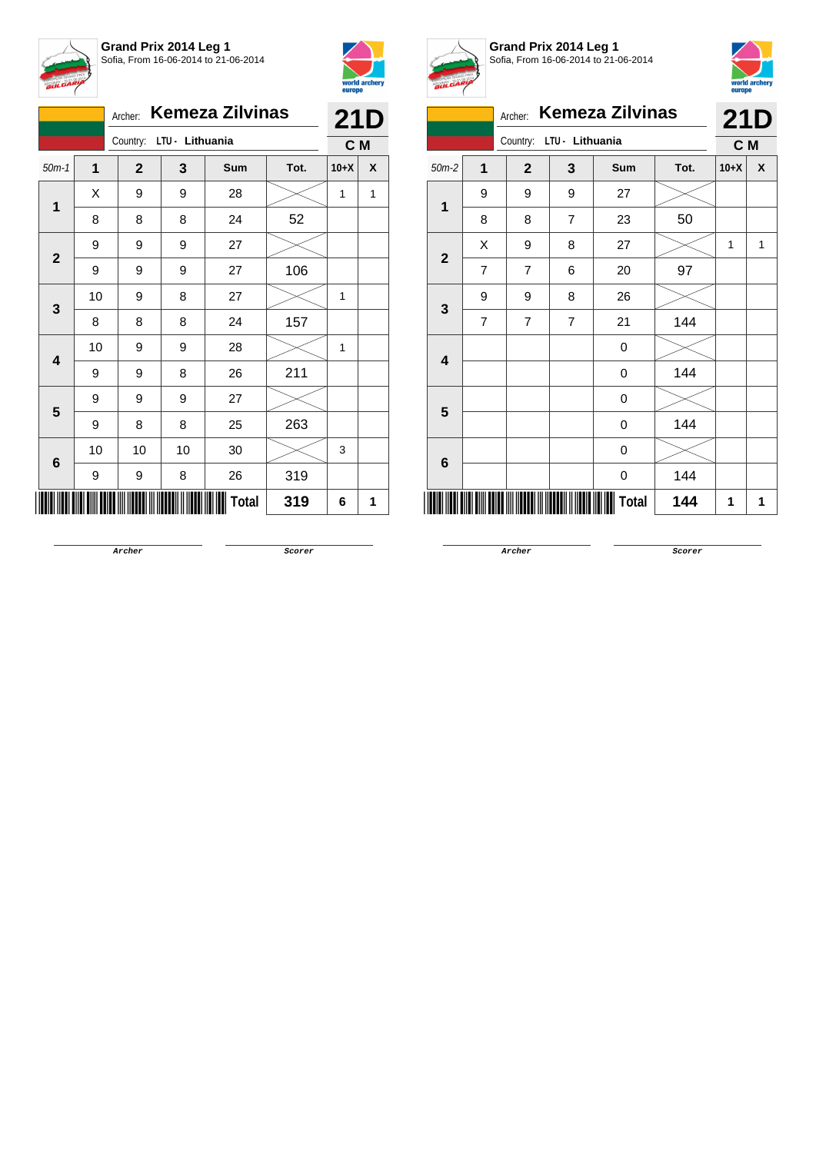



|              |                          |              |    | Archer: Kemeza Zilvinas |      | <b>21D</b> |   |
|--------------|--------------------------|--------------|----|-------------------------|------|------------|---|
|              | Country: LTU - Lithuania |              |    |                         |      | C M        |   |
| $50m-1$      | $\overline{1}$           | $\mathbf{2}$ | 3  | Sum                     | Tot. | $10+X$     | X |
|              | Χ                        | 9            | 9  | 28                      |      | 1          | 1 |
| 1            | 8                        | 8            | 8  | 24                      | 52   |            |   |
|              | 9                        | 9            | 9  | 27                      |      |            |   |
| $\mathbf{2}$ | 9                        | 9            | 9  | 27                      | 106  |            |   |
|              | 10                       | 9            | 8  | 27                      |      | 1          |   |
| 3            | 8                        | 8            | 8  | 24                      | 157  |            |   |
|              | 10                       | 9            | 9  | 28                      |      | 1          |   |
| 4            | 9                        | 9            | 8  | 26                      | 211  |            |   |
| 5            | 9                        | 9            | 9  | 27                      |      |            |   |
|              | 9                        | 8            | 8  | 25                      | 263  |            |   |
|              | 10                       | 10           | 10 | 30                      |      | 3          |   |
| 6            | 9                        | 9            | 8  | 26                      | 319  |            |   |
|              |                          |              |    | <b>Total</b>            | 319  | 6          | 1 |



**Grand Prix 2014 Leg 1** Sofia, From 16-06-2014 to 21-06-2014



|                | <b>Kemeza Zilvinas</b><br>Archer: |              |                 |       |      |        |   |  |
|----------------|-----------------------------------|--------------|-----------------|-------|------|--------|---|--|
|                |                                   | Country:     | LTU - Lithuania |       |      |        |   |  |
| $50m-2$        | 1                                 | $\mathbf{2}$ | 3               | Sum   | Tot. | $10+X$ | X |  |
| 1              | 9                                 | 9            | 9               | 27    |      |        |   |  |
|                | 8                                 | 8            | $\overline{7}$  | 23    | 50   |        |   |  |
|                | X                                 | 9            | 8               | 27    |      | 1      | 1 |  |
| $\overline{2}$ | $\overline{7}$                    | 7            | 6               | 20    | 97   |        |   |  |
| 3              | 9                                 | 9            | 8               | 26    |      |        |   |  |
|                | 7                                 | 7            | $\overline{7}$  | 21    | 144  |        |   |  |
| 4              |                                   |              |                 | 0     |      |        |   |  |
|                |                                   |              |                 | 0     | 144  |        |   |  |
| 5              |                                   |              |                 | 0     |      |        |   |  |
|                |                                   |              |                 | 0     | 144  |        |   |  |
| 6              |                                   |              |                 | 0     |      |        |   |  |
|                |                                   |              |                 | 0     | 144  |        |   |  |
|                |                                   |              |                 | Total | 144  | 1      | 1 |  |

**Archer Scorer**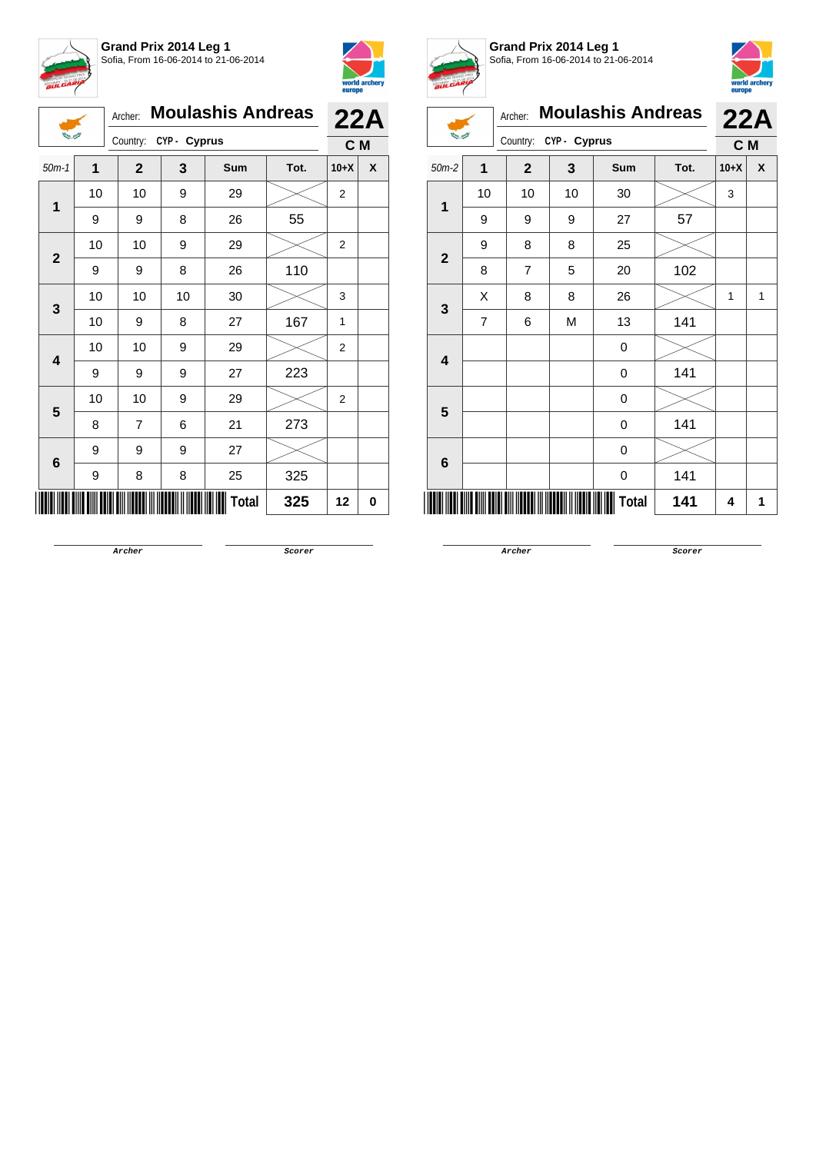



|                |                                        | Archer:      |    | <b>Moulashis Andreas</b> |      | 22A            |   |
|----------------|----------------------------------------|--------------|----|--------------------------|------|----------------|---|
|                | <b>Burnet</b><br>Country: CYP - Cyprus |              |    |                          |      | C M            |   |
| $50m-1$        | 1                                      | $\mathbf{2}$ | 3  | Sum                      | Tot. | $10+X$         | X |
| 1              | 10                                     | 10           | 9  | 29                       |      | $\overline{c}$ |   |
|                | 9                                      | 9            | 8  | 26                       | 55   |                |   |
| $\overline{2}$ | 10                                     | 10           | 9  | 29                       |      | 2              |   |
|                | 9                                      | 9            | 8  | 26                       | 110  |                |   |
| 3              | 10                                     | 10           | 10 | 30                       |      | 3              |   |
|                | 10                                     | 9            | 8  | 27                       | 167  | 1              |   |
| 4              | 10                                     | 10           | 9  | 29                       |      | $\overline{2}$ |   |
|                | 9                                      | 9            | 9  | 27                       | 223  |                |   |
| 5              | 10                                     | 10           | 9  | 29                       |      | $\overline{2}$ |   |
|                | 8                                      | 7            | 6  | 21                       | 273  |                |   |
| 6              | 9                                      | 9            | 9  | 27                       |      |                |   |
|                | 9                                      | 8            | 8  | 25                       | 325  |                |   |
|                |                                        |              |    | Total                    | 325  | 12             | 0 |



**Grand Prix 2014 Leg 1**



Sofia, From 16-06-2014 to 21-06-2014 Archer: **Moulashis Andreas 22A White Allen** Country: **CYP - Cyprus C M** 50m-2 **1 2 3 Sum Tot. 10+X X** 10 | 10 | 10 | 30 |  $\times$  | 3 **1** 9 9 9 27 57 9 8 8 25 **2** 8 | 7 | 5 | 20 | 102  $X$  | 8 | 8 | 26 |  $\boldsymbol{\times}$  | 1 | 1 **3** 7 | 6 | M | 13 | 141 0 **4**  $0 \t 141$ 0 **5**  $0 \t 141$ 0 **6**  $0 \t 141$ \*15605-C-M-2\* **Total 141 <sup>4</sup> <sup>1</sup>**

**Archer Scorer**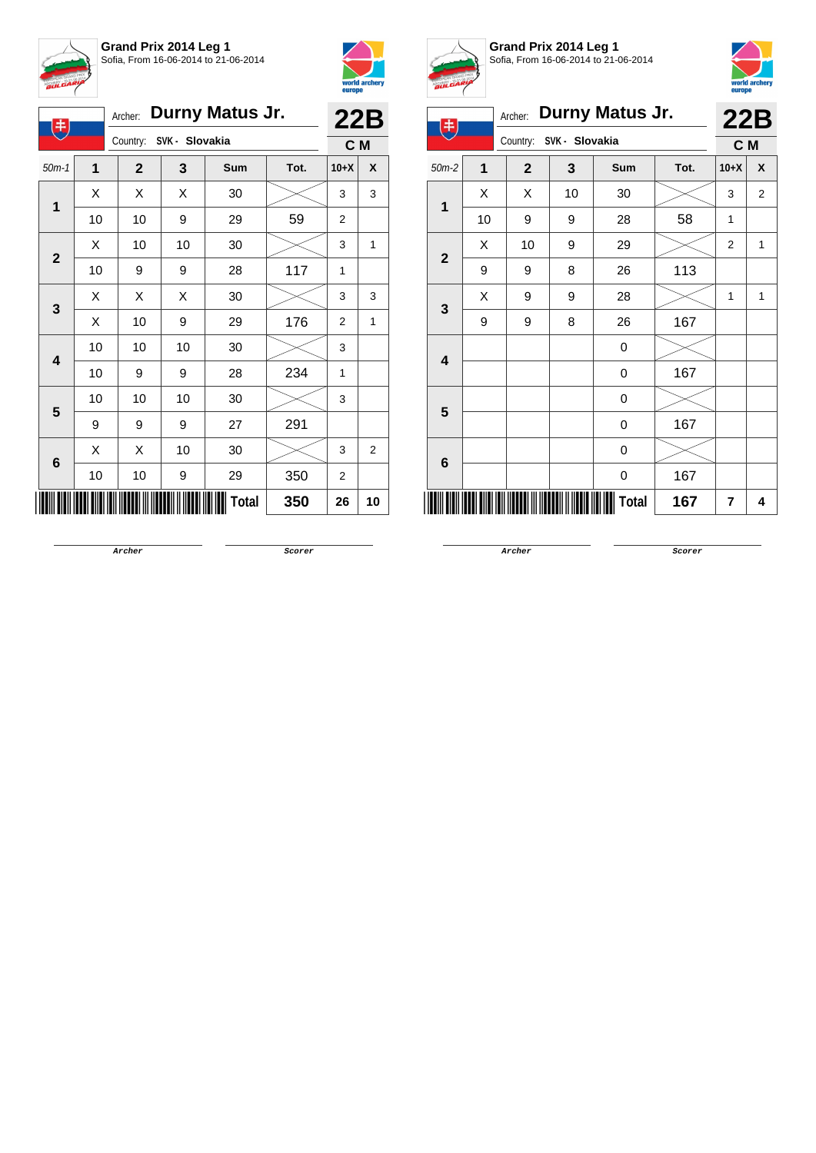



| 电            |                         |                         | Archer: Durny Matus Jr. |              |      | <b>22B</b> |                |  |
|--------------|-------------------------|-------------------------|-------------------------|--------------|------|------------|----------------|--|
|              |                         | Country: SVK - Slovakia |                         |              |      | C M        |                |  |
| $50m-1$      | $\overline{\mathbf{1}}$ | $\mathbf{2}$            | 3                       | Sum          | Tot. | $10+X$     | X              |  |
| 1            | X                       | Χ                       | Χ                       | 30           |      | 3          | 3              |  |
|              | 10                      | 10                      | 9                       | 29           | 59   | 2          |                |  |
| $\mathbf{2}$ | Х                       | 10                      | 10                      | 30           |      | 3          | 1              |  |
|              | 10                      | 9                       | 9                       | 28           | 117  | 1          |                |  |
|              | X                       | Χ                       | Χ                       | 30           |      | 3          | 3              |  |
| 3            | X                       | 10                      | 9                       | 29           | 176  | 2          | 1              |  |
|              | 10                      | 10                      | 10                      | 30           |      | 3          |                |  |
| 4            | 10                      | 9                       | 9                       | 28           | 234  | 1          |                |  |
|              | 10                      | 10                      | 10                      | 30           |      | 3          |                |  |
| 5            | 9                       | 9                       | 9                       | 27           | 291  |            |                |  |
|              | X                       | Χ                       | 10                      | 30           |      | 3          | $\overline{2}$ |  |
| 6            | 10                      | 10                      | 9                       | 29           | 350  | 2          |                |  |
|              |                         |                         |                         | <b>Total</b> | 350  | 26         | 10             |  |



**Grand Prix 2014 Leg 1** Sofia, From 16-06-2014 to 21-06-2014



| 生            |    |                                    |                | Archer: Durny Matus Jr. |      | 22B            |                |
|--------------|----|------------------------------------|----------------|-------------------------|------|----------------|----------------|
|              |    | Country:                           | SVK - Slovakia |                         |      | C M            |                |
| $50m-2$      | 1  | $\mathbf{2}$                       | 3              | <b>Sum</b>              | Tot. | $10+X$         | X              |
| 1            | X  | X                                  | 10             | 30                      |      | 3              | $\overline{2}$ |
|              | 10 | 9                                  | 9              | 28                      | 58   | 1              |                |
| $\mathbf{2}$ | X  | 10                                 | 9              | 29                      |      | $\overline{2}$ | 1              |
|              | 9  | 9                                  | 8              | 26                      | 113  |                |                |
| 3            | X  | 9                                  | 9              | 28                      |      | 1              | 1              |
|              | 9  | 9                                  | 8              | 26                      | 167  |                |                |
| 4            |    |                                    |                | 0                       |      |                |                |
|              |    |                                    |                | 0                       | 167  |                |                |
| 5            |    |                                    |                | 0                       |      |                |                |
|              |    |                                    |                | 0                       | 167  |                |                |
| 6            |    |                                    |                | 0                       |      |                |                |
|              |    |                                    |                | 0                       | 167  |                |                |
|              |    | <u> III III III III III III II</u> |                | <b>Total</b>            | 167  | 7              | 4              |

**Archer Scorer**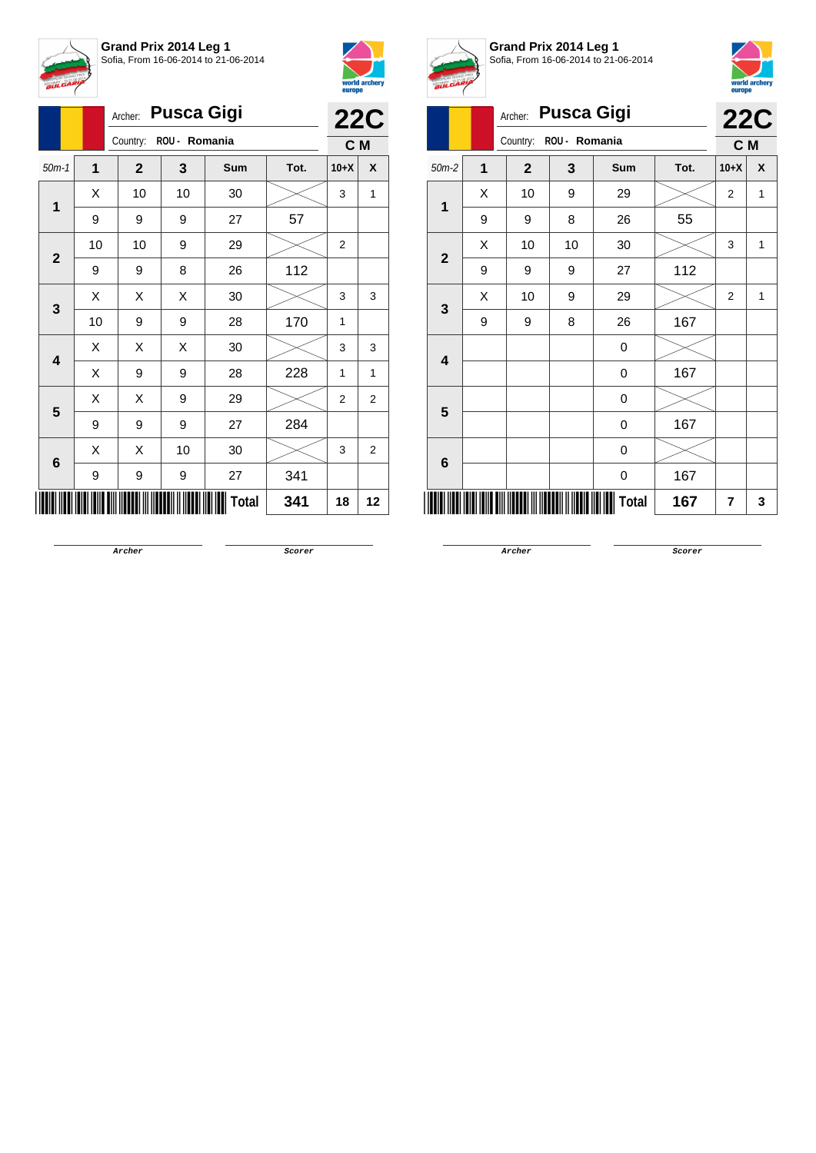

|              |    |              |               | <b>22C</b>   |      |                |                |
|--------------|----|--------------|---------------|--------------|------|----------------|----------------|
|              |    | Country:     | ROU - Romania |              |      | C M            |                |
| $50m-1$      | 1  | $\mathbf{2}$ | 3             | Sum          | Tot. | $10+X$         | X              |
| 1            | Χ  | 10           | 10            | 30           |      | 3              | 1              |
|              | 9  | 9            | 9             | 27           | 57   |                |                |
| $\mathbf{2}$ | 10 | 10           | 9             | 29           |      | $\overline{2}$ |                |
|              | 9  | 9            | 8             | 26           | 112  |                |                |
| 3            | Χ  | X            | Χ             | 30           |      | 3              | 3              |
|              | 10 | 9            | 9             | 28           | 170  | 1              |                |
| 4            | X  | X            | X             | 30           |      | 3              | 3              |
|              | X  | 9            | 9             | 28           | 228  | 1              | 1              |
| 5            | Χ  | Χ            | 9             | 29           |      | 2              | $\overline{2}$ |
|              | 9  | 9            | 9             | 27           | 284  |                |                |
| 6            | X  | X            | 10            | 30           |      | 3              | $\overline{2}$ |
|              | 9  | 9            | 9             | 27           | 341  |                |                |
|              |    |              |               | <b>Total</b> | 341  | 18             | 12             |



**Grand Prix 2014 Leg 1** Sofia, From 16-06-2014 to 21-06-2014



| <b>BULGARIA</b>         |                |              |                   |                  |      | europe         | world archery |
|-------------------------|----------------|--------------|-------------------|------------------|------|----------------|---------------|
|                         |                | Archer:      | <b>Pusca Gigi</b> |                  |      | <b>22C</b>     |               |
|                         |                | C M          |                   |                  |      |                |               |
| $50m-2$                 | $\overline{1}$ | $\mathbf{2}$ | 3                 | Sum              | Tot. | $10+X$         | X             |
| 1                       | X              | 10           | 9                 | 29               |      | 2              | 1             |
|                         | 9              | 9            | 8                 | 26               | 55   |                |               |
| $\overline{\mathbf{2}}$ | X              | 10           | 10                | 30               |      | 3              | 1             |
|                         | 9              | 9            | 9                 | 27               | 112  |                |               |
|                         | X              | 10           | 9                 | 29               |      | $\overline{2}$ | 1             |
| 3                       | 9              | 9            | 8                 | 26               | 167  |                |               |
| $\overline{\mathbf{4}}$ |                |              |                   | $\mathbf 0$      |      |                |               |
|                         |                |              |                   | 0                | 167  |                |               |
| 5                       |                |              |                   | 0                |      |                |               |
|                         |                |              |                   | 0                | 167  |                |               |
|                         |                |              |                   | 0                |      |                |               |
| 6                       |                |              |                   | $\boldsymbol{0}$ | 167  |                |               |
|                         |                |              |                   | Total            | 167  | 7              | 3             |

**Archer Scorer**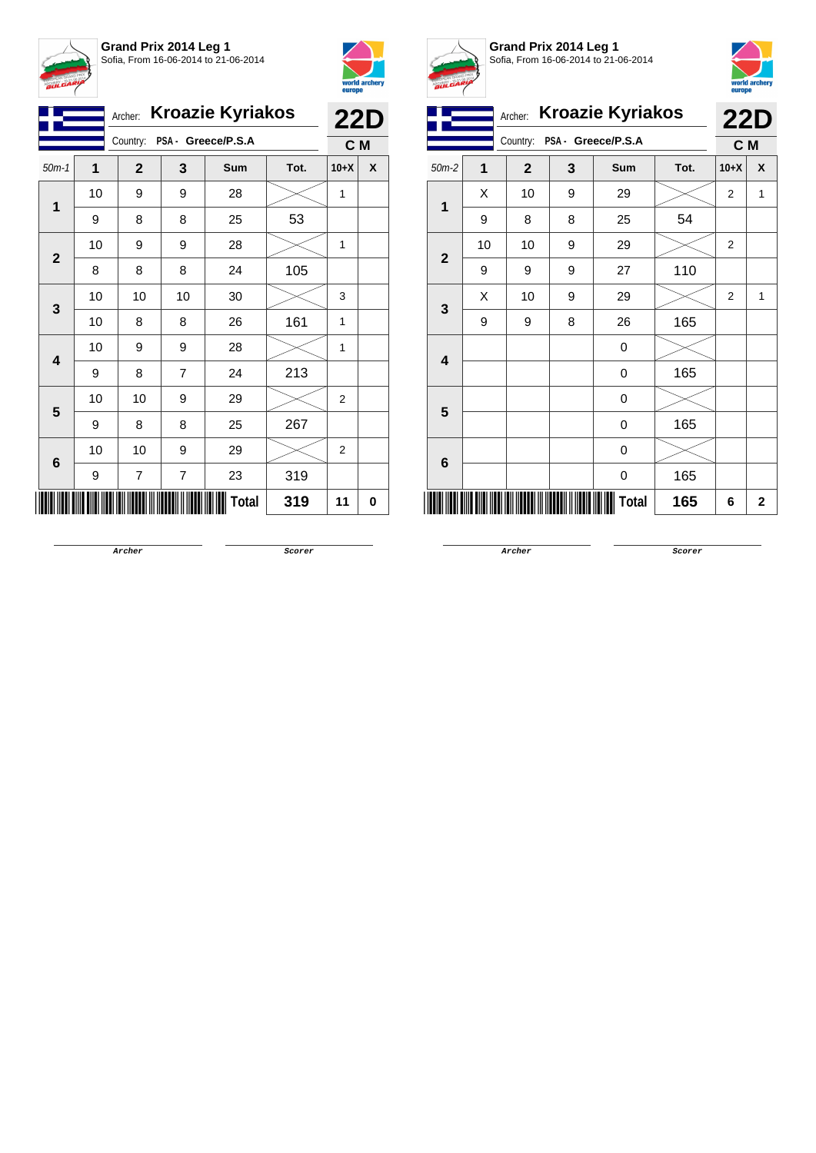



|                         |    |                             | Archer: Kroazie Kyriakos |       |      | <b>22D</b>     |     |
|-------------------------|----|-----------------------------|--------------------------|-------|------|----------------|-----|
|                         |    | Country: PSA - Greece/P.S.A |                          |       |      |                | C M |
| $50m-1$                 | 1  | $\overline{2}$              | 3                        | Sum   | Tot. | $10+X$         | X   |
|                         | 10 | 9                           | 9                        | 28    |      | 1              |     |
| $\mathbf 1$             | 9  | 8                           | 8                        | 25    | 53   |                |     |
|                         | 10 | 9                           | 9                        | 28    |      | 1              |     |
| $\mathbf{2}$            | 8  | 8                           | 8                        | 24    | 105  |                |     |
|                         | 10 | 10                          | 10                       | 30    |      | 3              |     |
| 3                       | 10 | 8                           | 8                        | 26    | 161  | 1              |     |
| $\overline{\mathbf{4}}$ | 10 | 9                           | 9                        | 28    |      | 1              |     |
|                         | 9  | 8                           | $\overline{7}$           | 24    | 213  |                |     |
| 5                       | 10 | 10                          | 9                        | 29    |      | $\overline{2}$ |     |
|                         | 9  | 8                           | 8                        | 25    | 267  |                |     |
|                         | 10 | 10                          | 9                        | 29    |      | 2              |     |
| 6                       | 9  | 7                           | $\overline{\mathbf{7}}$  | 23    | 319  |                |     |
|                         |    |                             |                          | Total | 319  | 11             | 0   |



**Grand Prix 2014 Leg 1** Sofia, From 16-06-2014 to 21-06-2014



|                         | <b>Kroazie Kyriakos</b><br>Archer:<br>Country:<br>PSA - Greece/P.S.A |                   |   |       |      |                |   |  |  |
|-------------------------|----------------------------------------------------------------------|-------------------|---|-------|------|----------------|---|--|--|
|                         |                                                                      | <b>22D</b><br>C M |   |       |      |                |   |  |  |
| $50m-2$                 | 1                                                                    | $\overline{2}$    | 3 | Sum   | Tot. | $10+X$         | X |  |  |
| 1                       | X                                                                    | 10                | 9 | 29    |      | $\overline{2}$ | 1 |  |  |
|                         | 9                                                                    | 8                 | 8 | 25    | 54   |                |   |  |  |
| $\overline{2}$          | 10                                                                   | 10                | 9 | 29    |      | $\overline{2}$ |   |  |  |
|                         | 9                                                                    | 9                 | 9 | 27    | 110  |                |   |  |  |
| 3                       | X                                                                    | 10                | 9 | 29    |      | $\overline{2}$ | 1 |  |  |
|                         | 9                                                                    | 9                 | 8 | 26    | 165  |                |   |  |  |
| $\overline{\mathbf{4}}$ |                                                                      |                   |   | 0     |      |                |   |  |  |
|                         |                                                                      |                   |   | 0     | 165  |                |   |  |  |
| 5                       |                                                                      |                   |   | 0     |      |                |   |  |  |
|                         |                                                                      |                   |   | 0     | 165  |                |   |  |  |
| 6                       |                                                                      |                   |   | 0     |      |                |   |  |  |
|                         |                                                                      |                   |   | 0     | 165  |                |   |  |  |
|                         |                                                                      |                   |   | Total | 165  | 6              | 2 |  |  |

**Archer Scorer**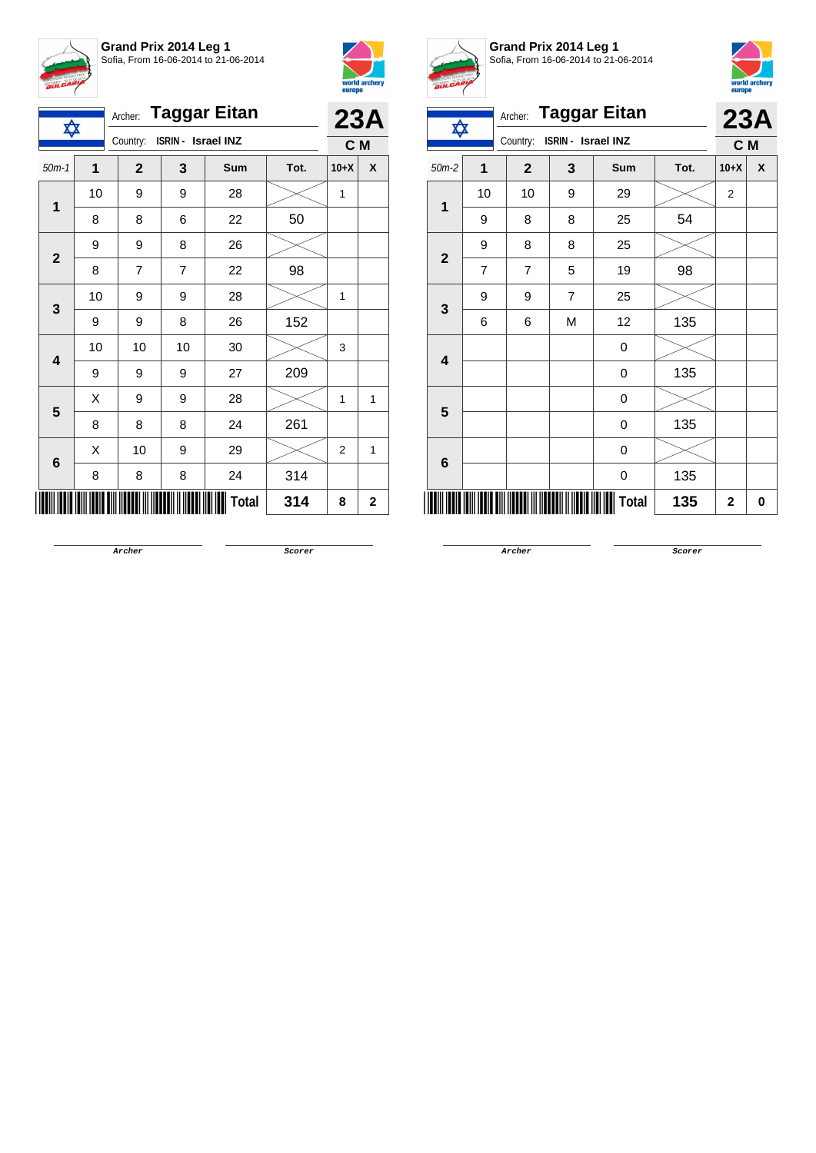

**Grand Prix 2014 Leg 1** Sofia, From 16-06-2014 to 21-06-2014



|                 | <b>Taggar Eitan</b><br>Archer:<br>✿ |                |                    |              |      |                |             |
|-----------------|-------------------------------------|----------------|--------------------|--------------|------|----------------|-------------|
|                 |                                     | Country:       | ISRIN - Israel INZ |              |      | C M            | 23A         |
| $50m-1$         | 1                                   | $\overline{2}$ | 3                  | Sum          | Tot. | $10+X$         | X           |
|                 | 10                                  | 9              | 9                  | 28           |      | 1              |             |
| 1               | 8                                   | 8              | 6                  | 22           | 50   |                |             |
| $\mathbf{2}$    | 9                                   | 9              | 8                  | 26           |      |                |             |
|                 | 8                                   | 7              | $\overline{7}$     | 22           | 98   |                |             |
| 3               | 10                                  | 9              | 9                  | 28           |      | 1              |             |
|                 | 9                                   | 9              | 8                  | 26           | 152  |                |             |
| 4               | 10                                  | 10             | 10                 | 30           |      | 3              |             |
|                 | 9                                   | 9              | 9                  | 27           | 209  |                |             |
| 5               | Χ                                   | 9              | 9                  | 28           |      | 1              | 1           |
|                 | 8                                   | 8              | 8                  | 24           | 261  |                |             |
| $6\phantom{1}6$ | Χ                                   | 10             | 9                  | 29           |      | $\overline{2}$ | 1           |
|                 | 8                                   | 8              | 8                  | 24           | 314  |                |             |
|                 |                                     |                |                    | <b>Total</b> | 314  | 8              | $\mathbf 2$ |



**Grand Prix 2014 Leg 1** Sofia, From 16-06-2014 to 21-06-2014



| ✿                       |                | <b>Taggar Eitan</b><br>Archer: |                    |            |      |                | 23A |  |
|-------------------------|----------------|--------------------------------|--------------------|------------|------|----------------|-----|--|
|                         |                | Country:                       | ISRIN - Israel INZ |            |      | C M            |     |  |
| $50m-2$                 | 1              | $\overline{2}$                 | 3                  | <b>Sum</b> | Tot. | $10+X$         | χ   |  |
|                         | 10             | 10                             | 9                  | 29         |      | $\overline{2}$ |     |  |
| 1                       | 9              | 8                              | 8                  | 25         | 54   |                |     |  |
| $\mathbf{2}$            | 9              | 8                              | 8                  | 25         |      |                |     |  |
|                         | $\overline{7}$ | $\overline{7}$                 | 5                  | 19         | 98   |                |     |  |
|                         | 9              | 9                              | $\overline{7}$     | 25         |      |                |     |  |
| $\mathbf{3}$            | 6              | 6                              | M                  | 12         | 135  |                |     |  |
| $\overline{\mathbf{4}}$ |                |                                |                    | 0          |      |                |     |  |
|                         |                |                                |                    | 0          | 135  |                |     |  |
| 5                       |                |                                |                    | 0          |      |                |     |  |
|                         |                |                                |                    | 0          | 135  |                |     |  |
| 6                       |                |                                |                    | 0          |      |                |     |  |
|                         |                |                                |                    | 0          | 135  |                |     |  |
|                         |                |                                |                    | Total      | 135  | $\mathbf 2$    | 0   |  |

**Archer Scorer**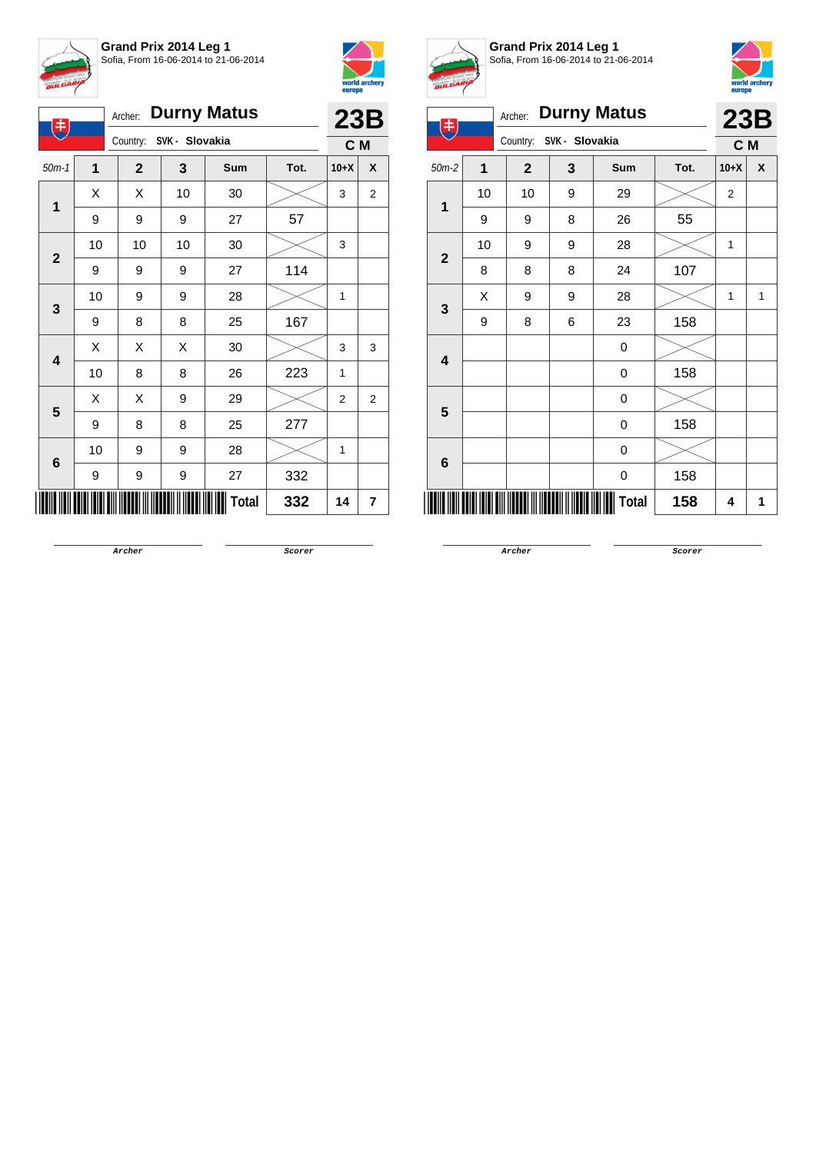



| <b>Durny Matus</b><br>Archer:<br>$(\ddagger$ |                         |              |                         |    |              |      | 23B              |                |
|----------------------------------------------|-------------------------|--------------|-------------------------|----|--------------|------|------------------|----------------|
|                                              |                         |              | Country: SVK - Slovakia |    |              |      | C M              |                |
|                                              | $50m-1$                 | $\mathbf{1}$ | $\mathbf{2}$            | 3  | Sum          | Tot. | $10+X$           | X              |
|                                              | 1                       | Χ            | Χ                       | 10 | 30           |      | 3                | $\overline{2}$ |
|                                              |                         | 9            | 9                       | 9  | 27           | 57   |                  |                |
|                                              | $\mathbf{2}$            | 10           | 10                      | 10 | 30           |      | 3                |                |
|                                              |                         | 9            | 9                       | 9  | 27           | 114  |                  |                |
|                                              |                         | 10           | 9                       | 9  | 28           |      | 1                |                |
|                                              | 3                       | 9            | 8                       | 8  | 25           | 167  |                  |                |
|                                              | $\overline{\mathbf{4}}$ | X            | Χ                       | Χ  | 30           |      | 3                | 3              |
|                                              |                         | 10           | 8                       | 8  | 26           | 223  | 1                |                |
|                                              | 5                       | Χ            | Χ                       | 9  | 29           |      | $\boldsymbol{2}$ | $\overline{2}$ |
|                                              |                         | 9            | 8                       | 8  | 25           | 277  |                  |                |
|                                              |                         | 10           | 9                       | 9  | 28           |      | 1                |                |
|                                              | 6                       | 9            | 9                       | 9  | 27           | 332  |                  |                |
|                                              |                         |              |                         |    | <b>Total</b> | 332  | 14               | 7              |



**Grand Prix 2014 Leg 1** Sofia, From 16-06-2014 to 21-06-2014



|              | <b>Durny Matus</b><br>Archer:<br>丰 |                |   |              |      |                | 23B                |
|--------------|------------------------------------|----------------|---|--------------|------|----------------|--------------------|
|              | Country:<br>SVK - Slovakia         |                |   |              |      | C M            |                    |
| $50m-2$      | $\overline{\mathbf{1}}$            | $\overline{2}$ | 3 | Sum          | Tot. | $10+X$         | $\pmb{\mathsf{X}}$ |
| 1            | 10                                 | 10             | 9 | 29           |      | $\overline{2}$ |                    |
|              | 9                                  | 9              | 8 | 26           | 55   |                |                    |
| $\mathbf{2}$ | 10                                 | 9              | 9 | 28           |      | 1              |                    |
|              | 8                                  | 8              | 8 | 24           | 107  |                |                    |
| 3            | Χ                                  | 9              | 9 | 28           |      | 1              | 1                  |
|              | 9                                  | 8              | 6 | 23           | 158  |                |                    |
| 4            |                                    |                |   | $\mathbf 0$  |      |                |                    |
|              |                                    |                |   | 0            | 158  |                |                    |
| 5            |                                    |                |   | 0            |      |                |                    |
|              |                                    |                |   | 0            | 158  |                |                    |
| 6            |                                    |                |   | 0            |      |                |                    |
|              |                                    |                |   | 0            | 158  |                |                    |
|              |                                    |                |   | <b>Total</b> | 158  | 4              | 1                  |

**Archer Scorer**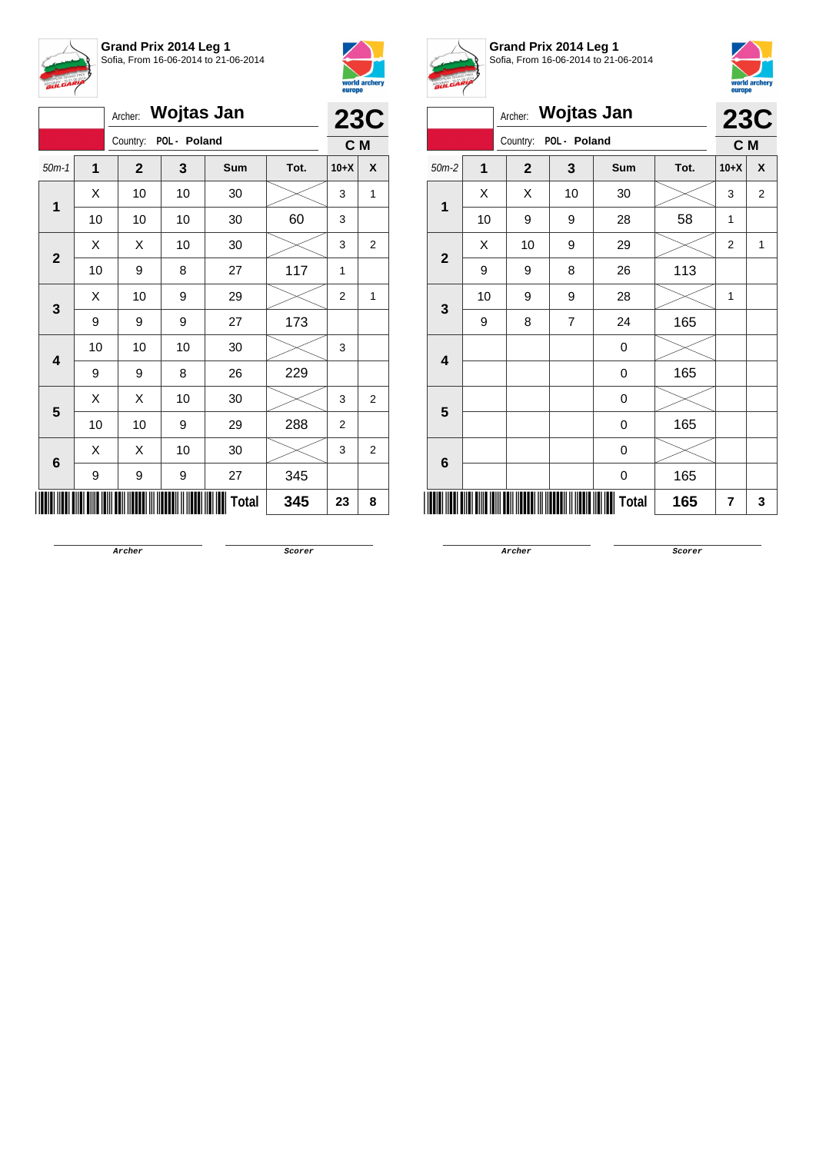



|                 |    |              |              | <b>23C</b>   |      |                |                |
|-----------------|----|--------------|--------------|--------------|------|----------------|----------------|
|                 |    | Country:     | POL - Poland |              |      | C <sub>M</sub> |                |
| $50m-1$         | 1  | $\mathbf{2}$ | 3            | Sum          | Tot. | $10+X$         | X              |
|                 | Χ  | 10           | 10           | 30           |      | 3              | 1              |
| 1               | 10 | 10           | 10           | 30           | 60   | 3              |                |
| $\overline{2}$  | X  | X            | 10           | 30           |      | 3              | 2              |
|                 | 10 | 9            | 8            | 27           | 117  | 1              |                |
| 3               | X  | 10           | 9            | 29           |      | $\overline{2}$ | 1              |
|                 | 9  | 9            | 9            | 27           | 173  |                |                |
| 4               | 10 | 10           | 10           | 30           |      | 3              |                |
|                 | 9  | 9            | 8            | 26           | 229  |                |                |
| 5               | Χ  | X            | 10           | 30           |      | 3              | 2              |
|                 | 10 | 10           | 9            | 29           | 288  | $\overline{2}$ |                |
| $6\phantom{1}6$ | X  | X            | 10           | 30           |      | 3              | $\overline{2}$ |
|                 | 9  | 9            | 9            | 27           | 345  |                |                |
|                 |    |              |              | <b>Total</b> | 345  | 23             | 8              |



**Grand Prix 2014 Leg 1** Sofia, From 16-06-2014 to 21-06-2014



|                |    | Archer:      | <b>Wojtas Jan</b> |                  |      |                | <b>23C</b> |
|----------------|----|--------------|-------------------|------------------|------|----------------|------------|
|                |    | Country:     | POL - Poland      |                  |      | C M            |            |
| $50m-2$        | 1  | $\mathbf{2}$ | 3                 | Sum              | Tot. | $10+X$         | X          |
| 1              | X  | Χ            | 10                | 30               |      | 3              | 2          |
|                | 10 | 9            | 9                 | 28               | 58   | 1              |            |
| $\overline{2}$ | X  | 10           | 9                 | 29               |      | $\overline{2}$ | 1          |
|                | 9  | 9            | 8                 | 26               | 113  |                |            |
|                | 10 | 9            | 9                 | 28               |      | 1              |            |
| 3              | 9  | 8            | $\overline{7}$    | 24               | 165  |                |            |
|                |    |              |                   | $\boldsymbol{0}$ |      |                |            |
| 4              |    |              |                   | 0                | 165  |                |            |
| 5              |    |              |                   | 0                |      |                |            |
|                |    |              |                   | 0                | 165  |                |            |
| 6              |    |              |                   | 0                |      |                |            |
|                |    |              |                   | 0                | 165  |                |            |
|                |    |              |                   | Total            | 165  | 7              | 3          |

**Archer Scorer**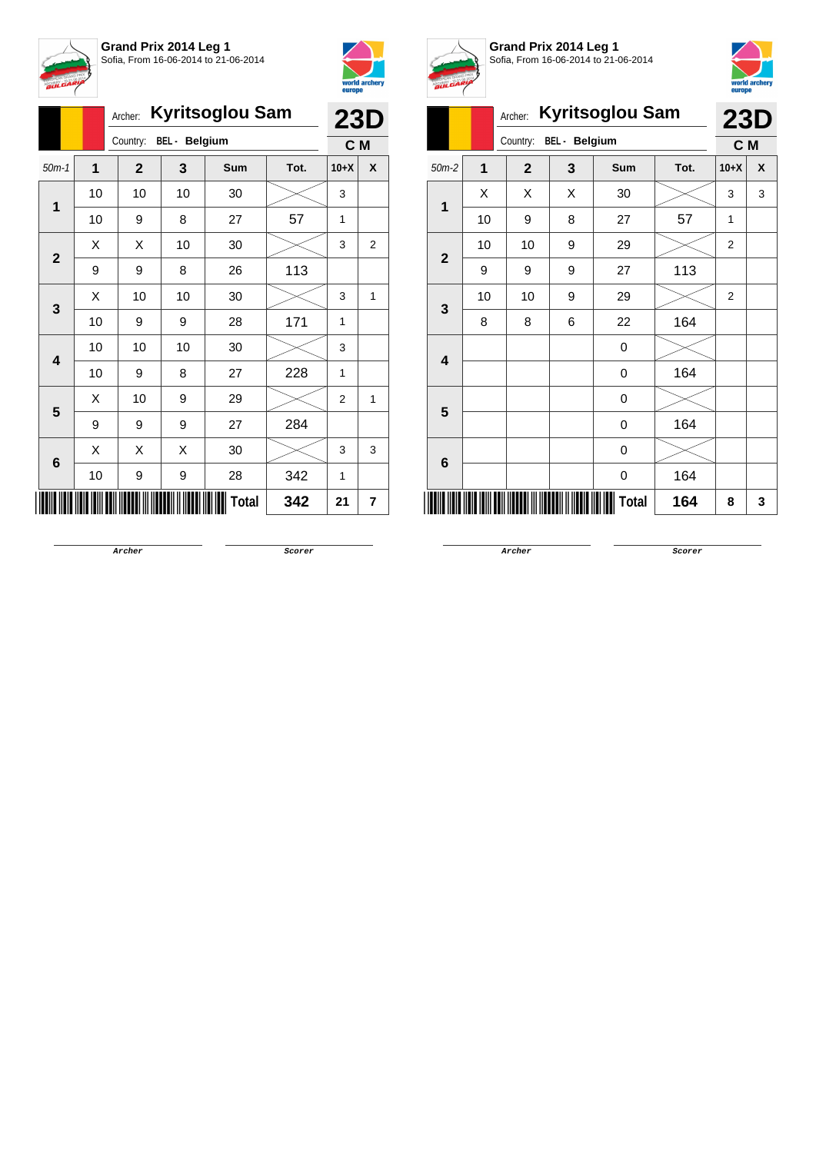



|                         |              | <b>Kyritsoglou Sam</b><br>Archer: |    | <b>23D</b> |      |        |                |
|-------------------------|--------------|-----------------------------------|----|------------|------|--------|----------------|
|                         |              | Country:<br><b>BEL</b> - Belgium  |    |            |      |        | C M            |
| $50m-1$                 | $\mathbf{1}$ | $\mathbf{2}$                      | 3  | Sum        | Tot. | $10+X$ | X              |
| 1                       | 10           | 10                                | 10 | 30         |      | 3      |                |
|                         | 10           | 9                                 | 8  | 27         | 57   | 1      |                |
|                         | X            | Χ                                 | 10 | 30         |      | 3      | $\overline{2}$ |
| $\mathbf{2}$            | 9            | 9                                 | 8  | 26         | 113  |        |                |
| 3                       | X            | 10                                | 10 | 30         |      | 3      | 1              |
|                         | 10           | 9                                 | 9  | 28         | 171  | 1      |                |
| $\overline{\mathbf{4}}$ | 10           | 10                                | 10 | 30         |      | 3      |                |
|                         | 10           | 9                                 | 8  | 27         | 228  | 1      |                |
| 5                       | X            | 10                                | 9  | 29         |      | 2      | 1              |
|                         | 9            | 9                                 | 9  | 27         | 284  |        |                |
|                         | X            | Χ                                 | Χ  | 30         |      | 3      | 3              |
| 6                       | 10           | 9                                 | 9  | 28         | 342  | 1      |                |
|                         |              |                                   |    | Total      | 342  | 21     | 7              |



**Grand Prix 2014 Leg 1** Sofia, From 16-06-2014 to 21-06-2014



| and the con-            | <b>Kyritsoglou Sam</b><br>Archer: |                |                      |              |      |                | <b>23D</b> |
|-------------------------|-----------------------------------|----------------|----------------------|--------------|------|----------------|------------|
|                         |                                   | Country:       | <b>BEL</b> - Belgium |              |      | C M            |            |
| $50m-2$                 | 1                                 | $\overline{2}$ | 3                    | <b>Sum</b>   | Tot. | $10+X$         | X          |
| 1                       | X                                 | X              | X                    | 30           |      | 3              | 3          |
|                         | 10                                | 9              | 8                    | 27           | 57   | 1              |            |
| $\overline{2}$          | 10                                | 10             | 9                    | 29           |      | $\overline{2}$ |            |
|                         | 9                                 | 9              | 9                    | 27           | 113  |                |            |
| 3                       | 10                                | 10             | 9                    | 29           |      | 2              |            |
|                         | 8                                 | 8              | 6                    | 22           | 164  |                |            |
| $\overline{\mathbf{4}}$ |                                   |                |                      | 0            |      |                |            |
|                         |                                   |                |                      | 0            | 164  |                |            |
| 5                       |                                   |                |                      | 0            |      |                |            |
|                         |                                   |                |                      | 0            | 164  |                |            |
|                         |                                   |                |                      | 0            |      |                |            |
| 6                       |                                   |                |                      | 0            | 164  |                |            |
|                         |                                   |                |                      | <b>Total</b> | 164  | 8              | 3          |

**Archer Scorer**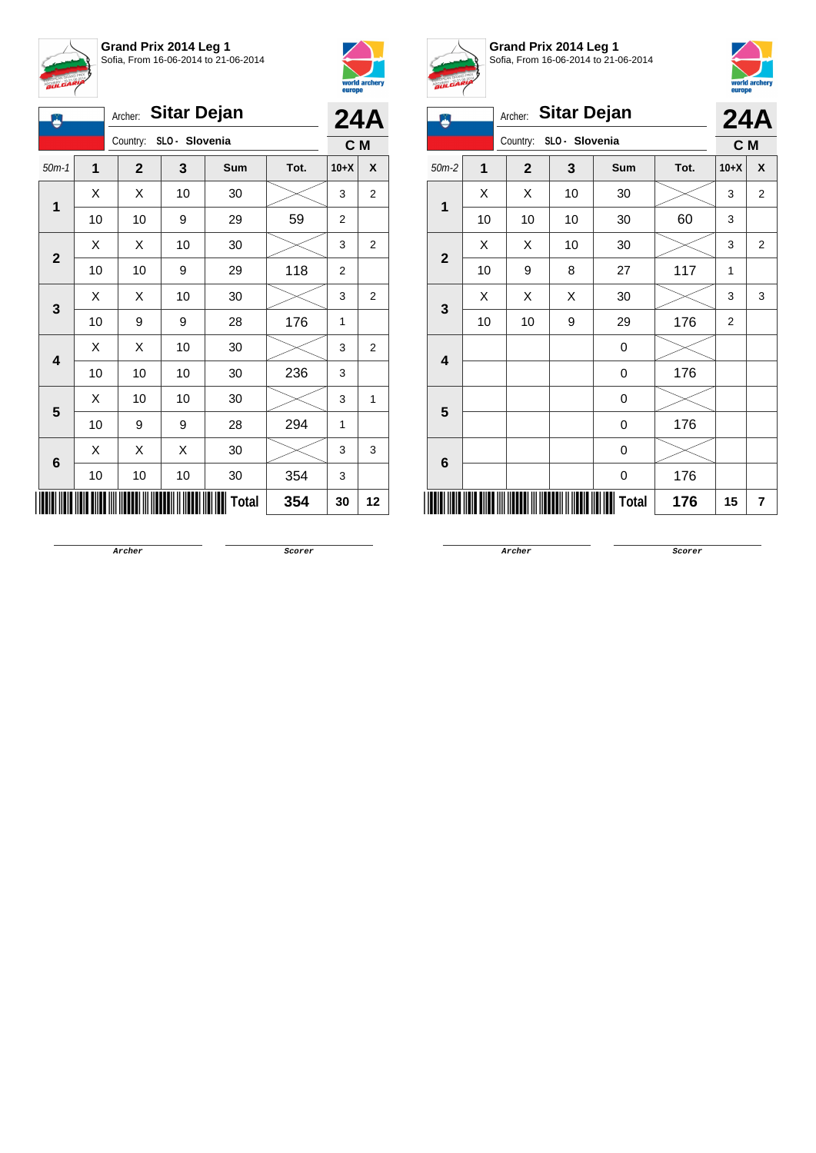



| <b>Sitar Dejan</b><br>Archer:<br>Ä |             |              |                |              |      | <b>24A</b>     |                |
|------------------------------------|-------------|--------------|----------------|--------------|------|----------------|----------------|
|                                    |             | Country:     | SLO - Slovenia |              |      | C M            |                |
| $50m-1$                            | $\mathbf 1$ | $\mathbf{2}$ | 3              | Sum          | Tot. | $10+X$         | X              |
|                                    | Χ           | Χ            | 10             | 30           |      | 3              | $\overline{2}$ |
| 1                                  | 10          | 10           | 9              | 29           | 59   | $\overline{2}$ |                |
|                                    | X           | X            | 10             | 30           |      | 3              | 2              |
| $\mathbf{2}$                       | 10          | 10           | 9              | 29           | 118  | $\overline{2}$ |                |
|                                    | Χ           | Χ            | 10             | 30           |      | 3              | 2              |
| 3                                  | 10          | 9            | 9              | 28           | 176  | 1              |                |
|                                    | Χ           | Χ            | 10             | 30           |      | 3              | $\overline{2}$ |
| 4                                  | 10          | 10           | 10             | 30           | 236  | 3              |                |
|                                    | Χ           | 10           | 10             | 30           |      | 3              | 1              |
| 5                                  | 10          | 9            | 9              | 28           | 294  | 1              |                |
|                                    | Χ           | Χ            | X              | 30           |      | 3              | 3              |
| 6                                  | 10          | 10           | 10             | 30           | 354  | 3              |                |
|                                    |             |              |                | <b>Total</b> | 354  | 30             | 12             |



**Grand Prix 2014 Leg 1** Sofia, From 16-06-2014 to 21-06-2014



| ۵              |    | Archer:      | <b>Sitar Dejan</b> |             |      | <b>24A</b>     |                         |  |  |  |
|----------------|----|--------------|--------------------|-------------|------|----------------|-------------------------|--|--|--|
|                |    | Country:     | SLO - Slovenia     |             |      | C M            |                         |  |  |  |
| $50m-2$        | 1  | $\mathbf{2}$ | 3                  | Sum         | Tot. | $10+X$         | X                       |  |  |  |
| 1              | X  | Χ            | 10                 | 30          |      | 3              | $\overline{2}$          |  |  |  |
|                | 10 | 10           | 10                 | 30          | 60   | 3              |                         |  |  |  |
| $\mathbf{2}$   | X  | X            | 10                 | 30          |      | 3              | $\overline{2}$          |  |  |  |
|                | 10 | 9            | 8                  | 27          | 117  | 1              |                         |  |  |  |
|                | X  | X            | Χ                  | 30          |      | 3              | 3                       |  |  |  |
| 3              | 10 | 10           | 9                  | 29          | 176  | $\overline{2}$ |                         |  |  |  |
| 4              |    |              |                    | $\mathbf 0$ |      |                |                         |  |  |  |
|                |    |              |                    | 0           | 176  |                |                         |  |  |  |
| 5              |    |              |                    | 0           |      |                |                         |  |  |  |
|                |    |              |                    | 0           | 176  |                |                         |  |  |  |
| $6\phantom{1}$ |    |              |                    | 0           |      |                |                         |  |  |  |
|                |    |              |                    | 0           | 176  |                |                         |  |  |  |
|                |    |              |                    | Total       | 176  | 15             | $\overline{\mathbf{r}}$ |  |  |  |

**Archer Scorer**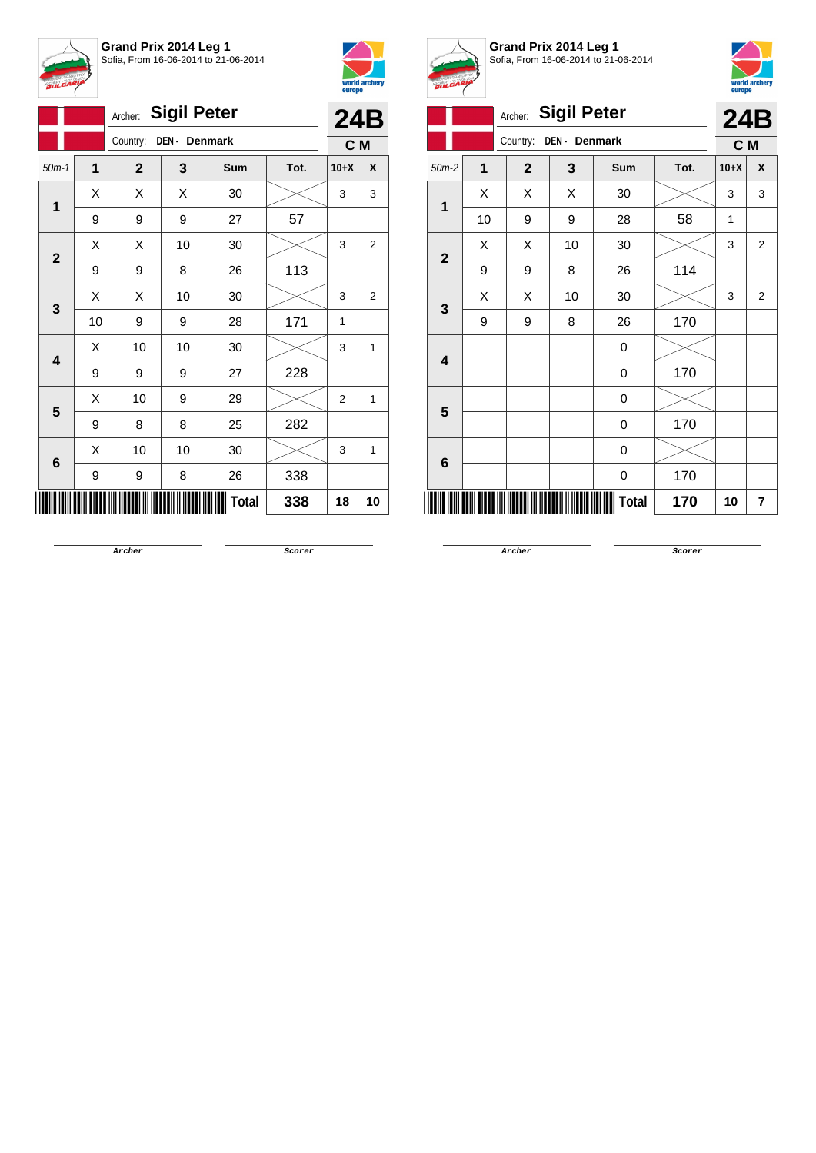



|                         | Archer: |                           | 24B |              |      |                |                |
|-------------------------|---------|---------------------------|-----|--------------|------|----------------|----------------|
|                         |         | DEN - Denmark<br>Country: | C M |              |      |                |                |
| $50m-1$                 | 1       | $\mathbf{2}$              | 3   | Sum          | Tot. | $10+X$         | X              |
| 1                       | X       | X                         | X   | 30           |      | 3              | 3              |
|                         | 9       | 9                         | 9   | 27           | 57   |                |                |
| $\mathbf{2}$            | Χ       | Χ                         | 10  | 30           |      | 3              | 2              |
|                         | 9       | 9                         | 8   | 26           | 113  |                |                |
| 3                       | Χ       | Χ                         | 10  | 30           |      | 3              | $\overline{2}$ |
|                         | 10      | 9                         | 9   | 28           | 171  | 1              |                |
| $\overline{\mathbf{4}}$ | X       | 10                        | 10  | 30           |      | 3              | 1              |
|                         | 9       | 9                         | 9   | 27           | 228  |                |                |
| 5                       | Χ       | 10                        | 9   | 29           |      | $\overline{2}$ | 1              |
|                         | 9       | 8                         | 8   | 25           | 282  |                |                |
|                         | X       | 10                        | 10  | 30           |      | 3              | 1              |
| 6                       | 9       | 9                         | 8   | 26           | 338  |                |                |
|                         |         |                           |     | <b>Total</b> | 338  | 18             | 10             |



**Grand Prix 2014 Leg 1** Sofia, From 16-06-2014 to 21-06-2014



|                         |                | Archer:        | <b>Sigil Peter</b> |              |      |        | <b>24B</b>     |
|-------------------------|----------------|----------------|--------------------|--------------|------|--------|----------------|
|                         |                | Country:       | DEN - Denmark      |              |      | C M    |                |
| $50m-2$                 | $\overline{1}$ | $\overline{2}$ | 3                  | Sum          | Tot. | $10+X$ | X              |
|                         | X              | Χ              | X                  | 30           |      | 3      | 3              |
| 1                       | 10             | 9              | 9                  | 28           | 58   | 1      |                |
| $\overline{2}$          | X              | X              | 10                 | 30           |      | 3      | $\overline{2}$ |
|                         | 9              | 9              | 8                  | 26           | 114  |        |                |
| 3                       | Χ              | Χ              | 10                 | 30           |      | 3      | $\overline{2}$ |
|                         | 9              | 9              | 8                  | 26           | 170  |        |                |
| $\overline{\mathbf{4}}$ |                |                |                    | 0            |      |        |                |
|                         |                |                |                    | 0            | 170  |        |                |
| 5                       |                |                |                    | 0            |      |        |                |
|                         |                |                |                    | 0            | 170  |        |                |
| 6                       |                |                |                    | 0            |      |        |                |
|                         |                |                |                    | 0            | 170  |        |                |
|                         |                |                |                    | <b>Total</b> | 170  | 10     | 7              |
|                         |                |                |                    |              |      |        |                |

**Archer Scorer**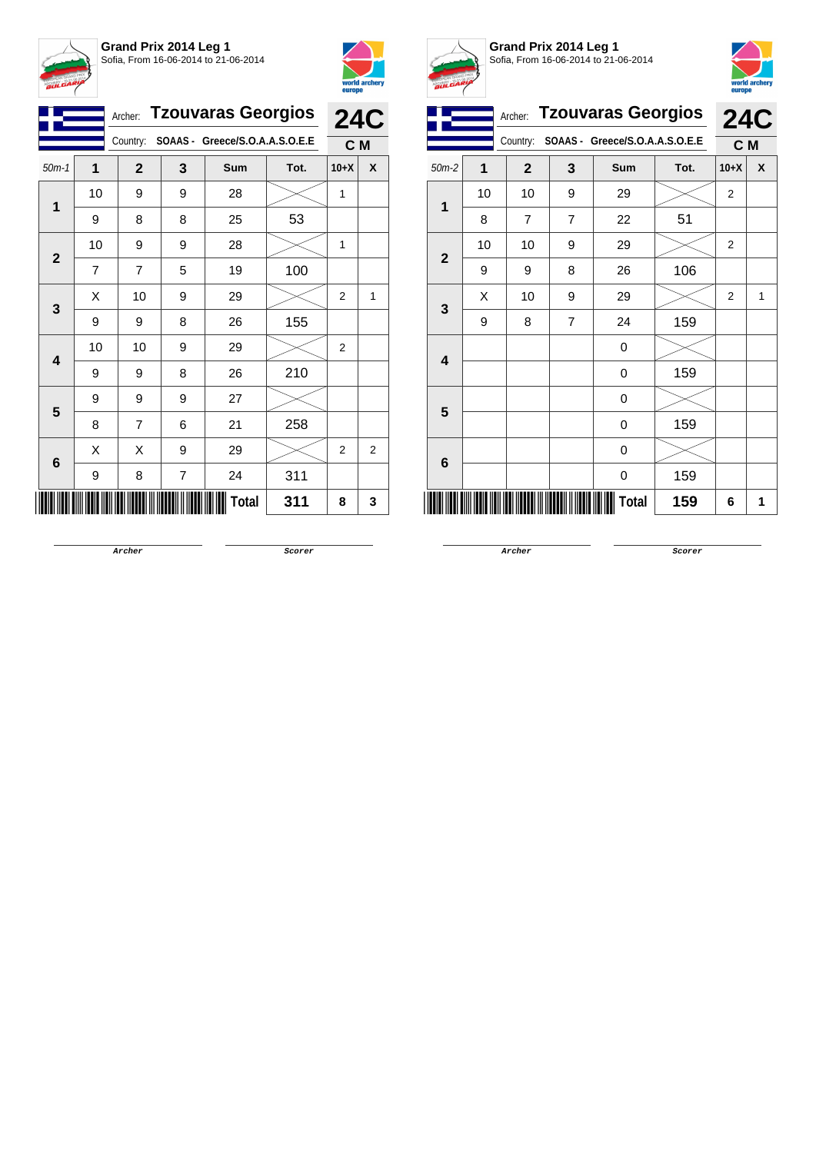



|                |                | <b>Tzouvaras Georgios</b><br>Archer: | <b>24C</b> |                                         |      |                |                |
|----------------|----------------|--------------------------------------|------------|-----------------------------------------|------|----------------|----------------|
|                |                |                                      |            | Country: SOAAS - Greece/S.O.A.A.S.O.E.E |      | C M            |                |
| $50m-1$        | 1              | $\mathbf{2}$                         | 3          | Sum                                     | Tot. | $10+X$         | X              |
| $\overline{1}$ | 10             | 9                                    | 9          | 28                                      |      | 1              |                |
|                | 9              | 8                                    | 8          | 25                                      | 53   |                |                |
| $\mathbf{2}$   | 10             | 9                                    | 9          | 28                                      |      | 1              |                |
|                | $\overline{7}$ | $\overline{7}$                       | 5          | 19                                      | 100  |                |                |
| 3              | X              | 10                                   | 9          | 29                                      |      | $\overline{2}$ | 1              |
|                | 9              | 9                                    | 8          | 26                                      | 155  |                |                |
| 4              | 10             | 10                                   | 9          | 29                                      |      | $\overline{2}$ |                |
|                | 9              | 9                                    | 8          | 26                                      | 210  |                |                |
| 5              | 9              | 9                                    | 9          | 27                                      |      |                |                |
|                | 8              | $\overline{7}$                       | 6          | 21                                      | 258  |                |                |
| 6              | X              | X                                    | 9          | 29                                      |      | $\overline{2}$ | $\overline{2}$ |
|                | 9              | 8                                    | 7          | 24                                      | 311  |                |                |
|                |                |                                      |            | Total                                   | 311  | 8              | 3              |



**Grand Prix 2014 Leg 1** Sofia, From 16-06-2014 to 21-06-2014



|                         |    |              | Archer: Tzouvaras Georgios |                                |      | <b>24C</b>     |   |
|-------------------------|----|--------------|----------------------------|--------------------------------|------|----------------|---|
|                         |    | Country:     |                            | SOAAS - Greece/S.O.A.A.S.O.E.E |      | C M            |   |
| $50m-2$                 | 1  | $\mathbf{2}$ | 3                          | <b>Sum</b>                     | Tot. | $10+X$         | X |
|                         | 10 | 10           | 9                          | 29                             |      | $\overline{2}$ |   |
| 1                       | 8  | 7            | 7                          | 22                             | 51   |                |   |
| $\overline{2}$          | 10 | 10           | 9                          | 29                             |      | $\overline{2}$ |   |
|                         | 9  | 9            | 8                          | 26                             | 106  |                |   |
| 3                       | X  | 10           | 9                          | 29                             |      | $\overline{2}$ | 1 |
|                         | 9  | 8            | $\overline{7}$             | 24                             | 159  |                |   |
| $\overline{\mathbf{4}}$ |    |              |                            | 0                              |      |                |   |
|                         |    |              |                            | 0                              | 159  |                |   |
| 5                       |    |              |                            | 0                              |      |                |   |
|                         |    |              |                            | 0                              | 159  |                |   |
| $6\phantom{1}6$         |    |              |                            | 0                              |      |                |   |
|                         |    |              |                            | 0                              | 159  |                |   |
|                         |    |              |                            | Total                          | 159  | 6              | 1 |

**Archer Scorer**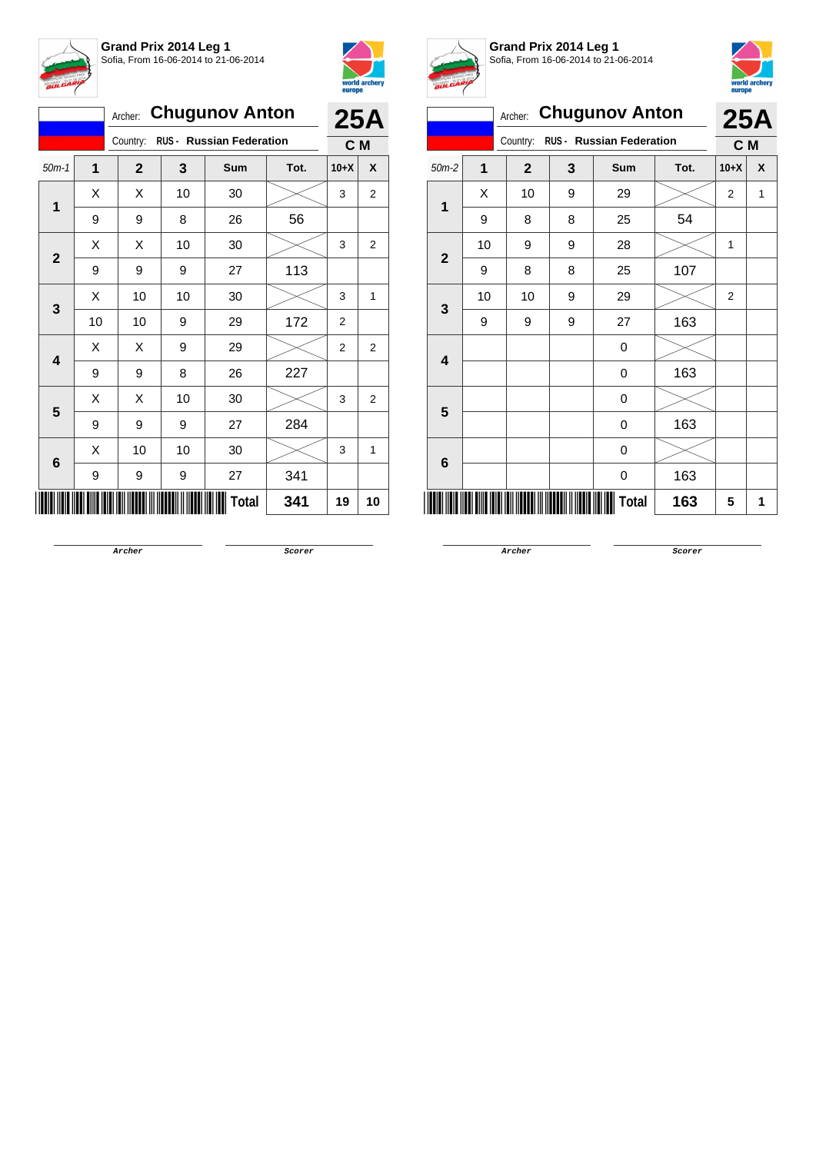



|                         |    | <b>Chugunov Anton</b><br>Archer:     |     | <b>25A</b> |      |                |                                                           |
|-------------------------|----|--------------------------------------|-----|------------|------|----------------|-----------------------------------------------------------|
|                         |    | RUS - Russian Federation<br>Country: | C M |            |      |                |                                                           |
| $50m-1$                 | 1  | $\overline{2}$                       | 3   | Sum        | Tot. | $10+X$         | X                                                         |
| 1                       | X  | X                                    | 10  | 30         |      | 3              | 2                                                         |
|                         | 9  | 9                                    | 8   | 26         | 56   |                |                                                           |
| $\mathbf{2}$            | X  | Χ                                    | 10  | 30         |      | 3              | 2                                                         |
|                         | 9  | 9                                    | 9   | 27         | 113  |                | $\mathbf{1}$<br>2<br>$\overline{2}$<br>$\mathbf{1}$<br>10 |
| 3                       | X  | 10                                   | 10  | 30         |      | 3              |                                                           |
|                         | 10 | 10                                   | 9   | 29         | 172  | $\overline{2}$ |                                                           |
| $\overline{\mathbf{4}}$ | X  | X                                    | 9   | 29         |      | 2              |                                                           |
|                         | 9  | 9                                    | 8   | 26         | 227  |                |                                                           |
| 5                       | X  | X                                    | 10  | 30         |      | 3              |                                                           |
|                         | 9  | 9                                    | 9   | 27         | 284  |                |                                                           |
| 6                       | X  | 10                                   | 10  | 30         |      | 3              |                                                           |
|                         | 9  | 9                                    | 9   | 27         | 341  |                |                                                           |
|                         |    |                                      |     | Total      | 341  | 19             |                                                           |



**Grand Prix 2014 Leg 1** Sofia, From 16-06-2014 to 21-06-2014



|                |         |                |                                 |                       |      | <b>carefe</b>  |                 |
|----------------|---------|----------------|---------------------------------|-----------------------|------|----------------|-----------------|
|                |         | Archer:        |                                 | <b>Chugunov Anton</b> |      |                |                 |
|                |         | Country:       | <b>RUS - Russian Federation</b> | C M                   |      |                |                 |
| $50m-2$        | 1       | $\overline{2}$ | 3                               | Sum                   | Tot. | $10+X$         | X               |
| 1              | X       | 10             | 9                               | 29                    |      | $\overline{2}$ | 1               |
|                | 9       | 8              | 8                               | 25                    | 54   |                |                 |
| $\overline{2}$ | 10<br>9 |                | 9                               | 28                    |      | 1              |                 |
|                | 9       | 8              | 8                               | 25                    | 107  |                |                 |
| 3              | 10      | 10             | 9                               | 29                    |      | $\overline{2}$ |                 |
|                | 9       | 9              | 9                               | 27                    | 163  |                | <b>25A</b><br>1 |
| 4              |         |                |                                 | 0                     |      |                |                 |
|                |         |                |                                 | 0                     | 163  |                |                 |
| 5              |         |                |                                 | 0                     |      |                |                 |
|                |         |                |                                 | 0                     | 163  |                |                 |
| 6              |         |                |                                 | 0                     |      |                |                 |
|                |         |                |                                 | 0                     | 163  |                |                 |
|                |         |                |                                 | Total                 | 163  | 5              |                 |
|                |         |                |                                 |                       |      |                |                 |

**Archer Scorer**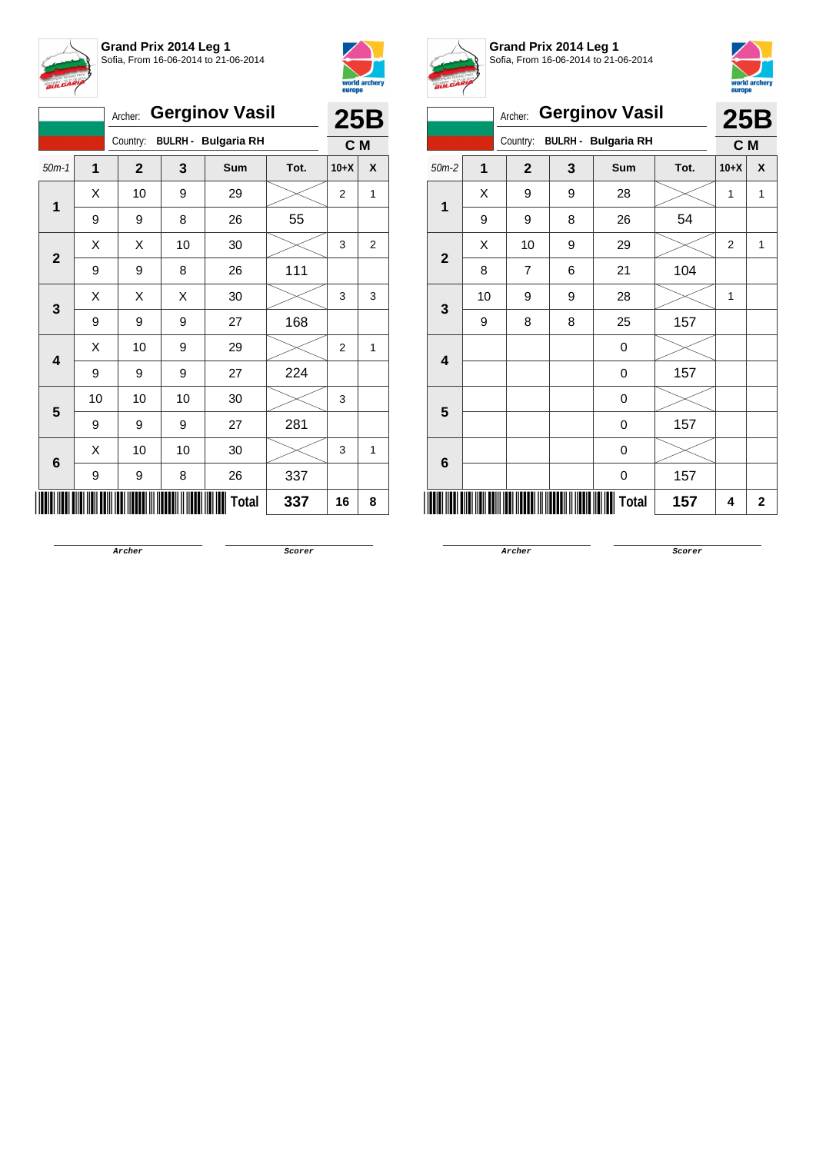



|                         |    | <b>Gerginov Vasil</b><br>Archer:       |    |       |      | <b>25B</b>     |                    |
|-------------------------|----|----------------------------------------|----|-------|------|----------------|--------------------|
|                         |    | <b>BULRH - Bulgaria RH</b><br>Country: |    |       |      |                |                    |
| $50m-1$                 | 1  | $\mathbf{2}$                           | 3  | Sum   | Tot. | $10+X$         | X                  |
| 1                       | Χ  | 10                                     | 9  | 29    |      | 2              | 1                  |
|                         | 9  | 9                                      | 8  | 26    | 55   |                |                    |
| $\mathbf{2}$            | Χ  | Χ                                      | 10 | 30    |      | 3              | $\overline{2}$     |
|                         | 9  | 9                                      | 8  | 26    | 111  |                |                    |
| 3                       | Χ  | Χ                                      | X  | 30    |      | 3              | 3                  |
|                         | 9  | 9                                      | 9  | 27    | 168  |                | C M<br>1<br>1<br>8 |
| $\overline{\mathbf{4}}$ | X  | 10                                     | 9  | 29    |      | $\overline{2}$ |                    |
|                         | 9  | 9                                      | 9  | 27    | 224  |                |                    |
| 5                       | 10 | 10                                     | 10 | 30    |      | 3              |                    |
|                         | 9  | 9                                      | 9  | 27    | 281  |                |                    |
| 6                       | Χ  | 10                                     | 10 | 30    |      | 3              |                    |
|                         | 9  | 9                                      | 8  | 26    | 337  |                |                    |
|                         |    |                                        |    | Total | 337  | 16             |                    |



**Grand Prix 2014 Leg 1** Sofia, From 16-06-2014 to 21-06-2014



|                |                | Archer:        |                            | <b>Gerginov Vasil</b> |      |                        |                |  |  |  |  |
|----------------|----------------|----------------|----------------------------|-----------------------|------|------------------------|----------------|--|--|--|--|
|                |                | Country:       | <b>BULRH - Bulgaria RH</b> |                       |      |                        |                |  |  |  |  |
| $50m-2$        | $\overline{1}$ | $\mathbf{2}$   | 3                          | <b>Sum</b>            | Tot. | $10+X$                 | X              |  |  |  |  |
| $\mathbf{1}$   | X              | 9              | 9                          | 28                    |      | 1                      | 1              |  |  |  |  |
|                | 9              | 9              | 8                          | 26                    | 54   |                        |                |  |  |  |  |
| $\overline{2}$ | Χ              | 10             | 9                          | 29                    |      | $\overline{2}$         | 1              |  |  |  |  |
|                | 8              | $\overline{7}$ | 6                          | 21                    | 104  |                        |                |  |  |  |  |
| 3              | 10             | 9              | 9                          | 28                    |      | 1                      |                |  |  |  |  |
|                | 9              | 8              | 8                          | 25                    | 157  |                        | $\overline{2}$ |  |  |  |  |
| 4              |                |                |                            | 0                     |      |                        |                |  |  |  |  |
|                |                |                |                            | 0                     | 157  | <b>25B</b><br>C M<br>4 |                |  |  |  |  |
| 5              |                |                |                            | 0                     |      |                        |                |  |  |  |  |
|                |                |                |                            | 0                     | 157  |                        |                |  |  |  |  |
| 6              |                |                |                            | 0                     |      |                        |                |  |  |  |  |
|                |                |                |                            | 0                     | 157  |                        |                |  |  |  |  |
|                |                |                |                            | <b>Total</b>          | 157  |                        |                |  |  |  |  |

**Archer Scorer**